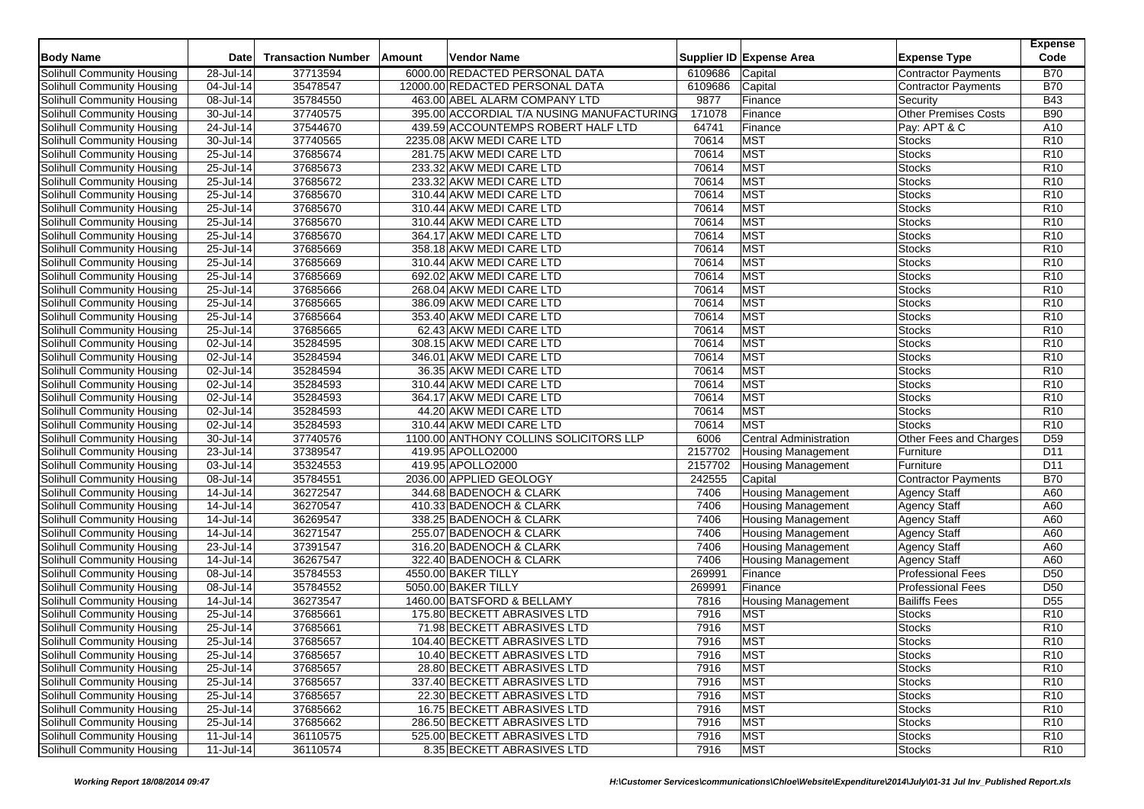| Supplier ID Expense Area<br>37713594<br>6000.00 REDACTED PERSONAL DATA<br>6109686<br><b>Contractor Payments</b><br><b>B70</b><br>Solihull Community Housing<br>28-Jul-14<br>Capital<br>6109686<br>04-Jul-14<br>35478547<br>12000.00 REDACTED PERSONAL DATA<br>Capital<br><b>B70</b><br>Solihull Community Housing<br><b>Contractor Payments</b><br>9877<br>Solihull Community Housing<br>08-Jul-14<br>35784550<br>463.00 ABEL ALARM COMPANY LTD<br>Finance<br><b>B43</b><br>Security<br><b>B90</b><br>30-Jul-14<br>37740575<br>395.00 ACCORDIAL T/A NUSING MANUFACTURING<br>171078<br><b>Other Premises Costs</b><br>Solihull Community Housing<br>Finance<br>37544670<br>Solihull Community Housing<br>24-Jul-14<br>439.59 ACCOUNTEMPS ROBERT HALF LTD<br>64741<br>Pay: APT & C<br>A10<br>Finance<br>37740565<br>70614<br>Solihull Community Housing<br>30-Jul-14<br>2235.08 AKW MEDI CARE LTD<br><b>MST</b><br>R <sub>10</sub><br><b>Stocks</b><br>37685674<br>70614<br><b>MST</b><br>Solihull Community Housing<br>25-Jul-14<br>281.75 AKW MEDI CARE LTD<br><b>Stocks</b><br>R <sub>10</sub><br><b>MST</b><br>37685673<br>25-Jul-14<br>233.32 AKW MEDI CARE LTD<br>70614<br><b>Stocks</b><br>R <sub>10</sub><br>Solihull Community Housing<br>37685672<br>70614<br><b>MST</b><br>Solihull Community Housing<br>25-Jul-14<br>233.32 AKW MEDI CARE LTD<br><b>Stocks</b><br>R <sub>10</sub><br><b>MST</b><br>Solihull Community Housing<br>25-Jul-14<br>37685670<br>310.44 AKW MEDI CARE LTD<br>70614<br>R <sub>10</sub><br><b>Stocks</b><br>37685670<br><b>MST</b><br>Solihull Community Housing<br>25-Jul-14<br>310.44 AKW MEDI CARE LTD<br>70614<br><b>Stocks</b><br>R <sub>10</sub><br>25-Jul-14<br>37685670<br>70614<br><b>MST</b><br>Solihull Community Housing<br>310.44 AKW MEDI CARE LTD<br><b>Stocks</b><br>R <sub>10</sub><br>37685670<br><b>MST</b><br>Solihull Community Housing<br>25-Jul-14<br>70614<br>R <sub>10</sub><br>364.17 AKW MEDI CARE LTD<br><b>Stocks</b><br><b>MST</b><br>25-Jul-14<br>37685669<br>358.18 AKW MEDI CARE LTD<br>70614<br>Stocks<br>R <sub>10</sub><br>37685669<br><b>MST</b><br>Solihull Community Housing<br>25-Jul-14<br>310.44 AKW MEDI CARE LTD<br>70614<br>R <sub>10</sub><br><b>Stocks</b><br><b>MST</b><br>R <sub>10</sub><br>25-Jul-14<br>37685669<br>70614<br>692.02 AKW MEDI CARE LTD<br><b>Stocks</b><br>37685666<br><b>MST</b><br>25-Jul-14<br>268.04 AKW MEDI CARE LTD<br>70614<br><b>Stocks</b><br>R <sub>10</sub><br>25-Jul-14<br>37685665<br><b>MST</b><br>Solihull Community Housing<br>386.09 AKW MEDI CARE LTD<br>70614<br><b>Stocks</b><br>R <sub>10</sub><br><b>MST</b><br>70614<br>25-Jul-14<br>37685664<br>353.40 AKW MEDI CARE LTD<br><b>Stocks</b><br>R <sub>10</sub><br>37685665<br><b>MST</b><br>25-Jul-14<br>62.43 AKW MEDI CARE LTD<br>70614<br><b>Stocks</b><br>R <sub>10</sub><br>02-Jul-14<br>35284595<br><b>MST</b><br>R <sub>10</sub><br>308.15 AKW MEDI CARE LTD<br>70614<br><b>Stocks</b><br><b>MST</b><br>35284594<br>70614<br>R <sub>10</sub><br>02-Jul-14<br>346.01 AKW MEDI CARE LTD<br><b>Stocks</b><br><b>MST</b><br>35284594<br>R <sub>10</sub><br>Solihull Community Housing<br>02-Jul-14<br>36.35 AKW MEDI CARE LTD<br>70614<br><b>Stocks</b><br>02-Jul-14<br>35284593<br>310.44 AKW MEDI CARE LTD<br><b>MST</b><br>Solihull Community Housing<br>70614<br><b>Stocks</b><br>R <sub>10</sub><br><b>MST</b><br>35284593<br>70614<br><b>Stocks</b><br>R <sub>10</sub><br>02-Jul-14<br>364.17 AKW MEDI CARE LTD<br><b>MST</b><br>35284593<br>R <sub>10</sub><br>Solihull Community Housing<br>02-Jul-14<br>44.20 AKW MEDI CARE LTD<br>70614<br><b>Stocks</b><br><b>MST</b><br>R <sub>10</sub><br>Solihull Community Housing<br>02-Jul-14<br>35284593<br>310.44 AKW MEDI CARE LTD<br>70614<br><b>Stocks</b><br>Other Fees and Charges<br>30-Jul-14<br>37740576<br>1100.00 ANTHONY COLLINS SOLICITORS LLP<br>6006<br><b>Central Administration</b><br>D <sub>59</sub><br>37389547<br>23-Jul-14<br>419.95 APOLLO2000<br>2157702<br>D11<br>Solihull Community Housing<br><b>Housing Management</b><br>Furniture<br>03-Jul-14<br>35324553<br>419.95 APOLLO2000<br>2157702<br>Furniture<br>D <sub>11</sub><br><b>Housing Management</b><br>08-Jul-14<br>2036.00 APPLIED GEOLOGY<br>242555<br><b>B70</b><br>35784551<br>Capital<br><b>Contractor Payments</b><br>36272547<br>14-Jul-14<br>344.68 BADENOCH & CLARK<br><b>Housing Management</b><br>A60<br>Solihull Community Housing<br>7406<br><b>Agency Staff</b><br>$14$ -Jul-14<br>36270547<br>7406<br>A60<br>Solihull Community Housing<br>410.33 BADENOCH & CLARK<br><b>Housing Management</b><br><b>Agency Staff</b><br>$14$ -Jul-14<br>36269547<br>338.25 BADENOCH & CLARK<br>7406<br>Agency Staff<br>A60<br>Solihull Community Housing<br><b>Housing Management</b><br>36271547<br>Solihull Community Housing<br>14-Jul-14<br>255.07 BADENOCH & CLARK<br>7406<br><b>Housing Management</b><br><b>Agency Staff</b><br>A60<br><b>Solihull Community Housing</b><br>23-Jul-14<br>37391547<br>316.20 BADENOCH & CLARK<br>7406<br><b>Housing Management</b><br><b>Agency Staff</b><br>A60<br>36267547<br>Solihull Community Housing<br>14-Jul-14<br>322.40 BADENOCH & CLARK<br>7406<br>A60<br><b>Housing Management</b><br><b>Agency Staff</b><br>35784553<br>269991<br>Solihull Community Housing<br>08-Jul-14<br>4550.00 BAKER TILLY<br><b>Professional Fees</b><br>D <sub>50</sub><br>Finance<br>Solihull Community Housing<br>08-Jul-14<br>35784552<br>5050.00 BAKER TILLY<br>269991<br>Finance<br><b>Professional Fees</b><br>D <sub>50</sub><br>36273547<br>D <sub>55</sub><br>Solihull Community Housing<br>14-Jul-14<br>1460.00 BATSFORD & BELLAMY<br>7816<br><b>Housing Management</b><br><b>Bailiffs Fees</b><br>37685661<br><b>MST</b><br>25-Jul-14<br>175.80 BECKETT ABRASIVES LTD<br>7916<br>R <sub>10</sub><br>Solihull Community Housing<br><b>Stocks</b><br>7916<br><b>MST</b><br>Solihull Community Housing<br>25-Jul-14<br>37685661<br>71.98 BECKETT ABRASIVES LTD<br><b>Stocks</b><br>R <sub>10</sub><br><b>MST</b><br>Solihull Community Housing<br>25-Jul-14<br>37685657<br>104.40 BECKETT ABRASIVES LTD<br>7916<br>R <sub>10</sub><br><b>Stocks</b><br><b>MST</b><br>Solihull Community Housing<br>25-Jul-14<br>37685657<br>10.40 BECKETT ABRASIVES LTD<br>7916<br><b>Stocks</b><br>R <sub>10</sub><br><b>MST</b><br>Solihull Community Housing<br>25-Jul-14<br>28.80 BECKETT ABRASIVES LTD<br>7916<br><b>Stocks</b><br>R <sub>10</sub><br>37685657<br><b>MST</b><br>Solihull Community Housing<br>25-Jul-14<br>37685657<br>337.40 BECKETT ABRASIVES LTD<br>7916<br><b>Stocks</b><br>R <sub>10</sub><br><b>MST</b><br>Solihull Community Housing<br>25-Jul-14<br>37685657<br>22.30 BECKETT ABRASIVES LTD<br>7916<br>R <sub>10</sub><br><b>Stocks</b><br>Solihull Community Housing<br>25-Jul-14<br>37685662<br>16.75 BECKETT ABRASIVES LTD<br><b>MST</b><br>R <sub>10</sub><br>7916<br><b>Stocks</b><br><b>MST</b><br>Solihull Community Housing<br>25-Jul-14<br>37685662<br>286.50 BECKETT ABRASIVES LTD<br>7916<br>R <sub>10</sub><br><b>Stocks</b><br><b>MST</b><br>Solihull Community Housing<br>11-Jul-14<br>36110575<br>525.00 BECKETT ABRASIVES LTD<br>7916<br>R <sub>10</sub><br><b>Stocks</b><br><b>MST</b><br>Solihull Community Housing<br>$11$ -Jul-14<br>36110574<br>8.35 BECKETT ABRASIVES LTD<br>7916<br>R <sub>10</sub><br><b>Stocks</b> |                            |      |                           |        |                    |  |                     | <b>Expense</b><br>Code |
|---------------------------------------------------------------------------------------------------------------------------------------------------------------------------------------------------------------------------------------------------------------------------------------------------------------------------------------------------------------------------------------------------------------------------------------------------------------------------------------------------------------------------------------------------------------------------------------------------------------------------------------------------------------------------------------------------------------------------------------------------------------------------------------------------------------------------------------------------------------------------------------------------------------------------------------------------------------------------------------------------------------------------------------------------------------------------------------------------------------------------------------------------------------------------------------------------------------------------------------------------------------------------------------------------------------------------------------------------------------------------------------------------------------------------------------------------------------------------------------------------------------------------------------------------------------------------------------------------------------------------------------------------------------------------------------------------------------------------------------------------------------------------------------------------------------------------------------------------------------------------------------------------------------------------------------------------------------------------------------------------------------------------------------------------------------------------------------------------------------------------------------------------------------------------------------------------------------------------------------------------------------------------------------------------------------------------------------------------------------------------------------------------------------------------------------------------------------------------------------------------------------------------------------------------------------------------------------------------------------------------------------------------------------------------------------------------------------------------------------------------------------------------------------------------------------------------------------------------------------------------------------------------------------------------------------------------------------------------------------------------------------------------------------------------------------------------------------------------------------------------------------------------------------------------------------------------------------------------------------------------------------------------------------------------------------------------------------------------------------------------------------------------------------------------------------------------------------------------------------------------------------------------------------------------------------------------------------------------------------------------------------------------------------------------------------------------------------------------------------------------------------------------------------------------------------------------------------------------------------------------------------------------------------------------------------------------------------------------------------------------------------------------------------------------------------------------------------------------------------------------------------------------------------------------------------------------------------------------------------------------------------------------------------------------------------------------------------------------------------------------------------------------------------------------------------------------------------------------------------------------------------------------------------------------------------------------------------------------------------------------------------------------------------------------------------------------------------------------------------------------------------------------------------------------------------------------------------------------------------------------------------------------------------------------------------------------------------------------------------------------------------------------------------------------------------------------------------------------------------------------------------------------------------------------------------------------------------------------------------------------------------------------------------------------------------------------------------------------------------------------------------------------------------------------------------------------------------------------------------------------------------------------------------------------------------------------------------------------------------------------------------------------------------------------------------------------------------------------------------------------------------------------------------------------------------------------------------------------------------------------------------------------------------------------------------------------------------------------------------------------------------------------------------------------------------------------------------------------------------------------------------------------------------------------------------------------------------------------------------------------------------------------------------------------------------------------------------------------------------------------------------------------------------------------------------------------------------------------------------------------------------------------------------------------------------------------------------------------------------------------------------------------------------------------------------------------------------------------------------------------------------------------------------------------------------------------------------------------------------------------------------------------------------------------------------------------------------------------------------------------------------------------------------------------------------------------------------------------------------------------------------------------------------------------------------------------------------------------------------------------------------------------------------------------------------------------------------------------------------------------------------------------------------|----------------------------|------|---------------------------|--------|--------------------|--|---------------------|------------------------|
|                                                                                                                                                                                                                                                                                                                                                                                                                                                                                                                                                                                                                                                                                                                                                                                                                                                                                                                                                                                                                                                                                                                                                                                                                                                                                                                                                                                                                                                                                                                                                                                                                                                                                                                                                                                                                                                                                                                                                                                                                                                                                                                                                                                                                                                                                                                                                                                                                                                                                                                                                                                                                                                                                                                                                                                                                                                                                                                                                                                                                                                                                                                                                                                                                                                                                                                                                                                                                                                                                                                                                                                                                                                                                                                                                                                                                                                                                                                                                                                                                                                                                                                                                                                                                                                                                                                                                                                                                                                                                                                                                                                                                                                                                                                                                                                                                                                                                                                                                                                                                                                                                                                                                                                                                                                                                                                                                                                                                                                                                                                                                                                                                                                                                                                                                                                                                                                                                                                                                                                                                                                                                                                                                                                                                                                                                                                                                                                                                                                                                                                                                                                                                                                                                                                                                                                                                                                                                                                                                                                                                                                                                                                                                                                                                                                                                                                                                                                                               | <b>Body Name</b>           | Date | <b>Transaction Number</b> | Amount | <b>Vendor Name</b> |  | <b>Expense Type</b> |                        |
|                                                                                                                                                                                                                                                                                                                                                                                                                                                                                                                                                                                                                                                                                                                                                                                                                                                                                                                                                                                                                                                                                                                                                                                                                                                                                                                                                                                                                                                                                                                                                                                                                                                                                                                                                                                                                                                                                                                                                                                                                                                                                                                                                                                                                                                                                                                                                                                                                                                                                                                                                                                                                                                                                                                                                                                                                                                                                                                                                                                                                                                                                                                                                                                                                                                                                                                                                                                                                                                                                                                                                                                                                                                                                                                                                                                                                                                                                                                                                                                                                                                                                                                                                                                                                                                                                                                                                                                                                                                                                                                                                                                                                                                                                                                                                                                                                                                                                                                                                                                                                                                                                                                                                                                                                                                                                                                                                                                                                                                                                                                                                                                                                                                                                                                                                                                                                                                                                                                                                                                                                                                                                                                                                                                                                                                                                                                                                                                                                                                                                                                                                                                                                                                                                                                                                                                                                                                                                                                                                                                                                                                                                                                                                                                                                                                                                                                                                                                                               |                            |      |                           |        |                    |  |                     |                        |
|                                                                                                                                                                                                                                                                                                                                                                                                                                                                                                                                                                                                                                                                                                                                                                                                                                                                                                                                                                                                                                                                                                                                                                                                                                                                                                                                                                                                                                                                                                                                                                                                                                                                                                                                                                                                                                                                                                                                                                                                                                                                                                                                                                                                                                                                                                                                                                                                                                                                                                                                                                                                                                                                                                                                                                                                                                                                                                                                                                                                                                                                                                                                                                                                                                                                                                                                                                                                                                                                                                                                                                                                                                                                                                                                                                                                                                                                                                                                                                                                                                                                                                                                                                                                                                                                                                                                                                                                                                                                                                                                                                                                                                                                                                                                                                                                                                                                                                                                                                                                                                                                                                                                                                                                                                                                                                                                                                                                                                                                                                                                                                                                                                                                                                                                                                                                                                                                                                                                                                                                                                                                                                                                                                                                                                                                                                                                                                                                                                                                                                                                                                                                                                                                                                                                                                                                                                                                                                                                                                                                                                                                                                                                                                                                                                                                                                                                                                                                               |                            |      |                           |        |                    |  |                     |                        |
|                                                                                                                                                                                                                                                                                                                                                                                                                                                                                                                                                                                                                                                                                                                                                                                                                                                                                                                                                                                                                                                                                                                                                                                                                                                                                                                                                                                                                                                                                                                                                                                                                                                                                                                                                                                                                                                                                                                                                                                                                                                                                                                                                                                                                                                                                                                                                                                                                                                                                                                                                                                                                                                                                                                                                                                                                                                                                                                                                                                                                                                                                                                                                                                                                                                                                                                                                                                                                                                                                                                                                                                                                                                                                                                                                                                                                                                                                                                                                                                                                                                                                                                                                                                                                                                                                                                                                                                                                                                                                                                                                                                                                                                                                                                                                                                                                                                                                                                                                                                                                                                                                                                                                                                                                                                                                                                                                                                                                                                                                                                                                                                                                                                                                                                                                                                                                                                                                                                                                                                                                                                                                                                                                                                                                                                                                                                                                                                                                                                                                                                                                                                                                                                                                                                                                                                                                                                                                                                                                                                                                                                                                                                                                                                                                                                                                                                                                                                                               |                            |      |                           |        |                    |  |                     |                        |
|                                                                                                                                                                                                                                                                                                                                                                                                                                                                                                                                                                                                                                                                                                                                                                                                                                                                                                                                                                                                                                                                                                                                                                                                                                                                                                                                                                                                                                                                                                                                                                                                                                                                                                                                                                                                                                                                                                                                                                                                                                                                                                                                                                                                                                                                                                                                                                                                                                                                                                                                                                                                                                                                                                                                                                                                                                                                                                                                                                                                                                                                                                                                                                                                                                                                                                                                                                                                                                                                                                                                                                                                                                                                                                                                                                                                                                                                                                                                                                                                                                                                                                                                                                                                                                                                                                                                                                                                                                                                                                                                                                                                                                                                                                                                                                                                                                                                                                                                                                                                                                                                                                                                                                                                                                                                                                                                                                                                                                                                                                                                                                                                                                                                                                                                                                                                                                                                                                                                                                                                                                                                                                                                                                                                                                                                                                                                                                                                                                                                                                                                                                                                                                                                                                                                                                                                                                                                                                                                                                                                                                                                                                                                                                                                                                                                                                                                                                                                               |                            |      |                           |        |                    |  |                     |                        |
|                                                                                                                                                                                                                                                                                                                                                                                                                                                                                                                                                                                                                                                                                                                                                                                                                                                                                                                                                                                                                                                                                                                                                                                                                                                                                                                                                                                                                                                                                                                                                                                                                                                                                                                                                                                                                                                                                                                                                                                                                                                                                                                                                                                                                                                                                                                                                                                                                                                                                                                                                                                                                                                                                                                                                                                                                                                                                                                                                                                                                                                                                                                                                                                                                                                                                                                                                                                                                                                                                                                                                                                                                                                                                                                                                                                                                                                                                                                                                                                                                                                                                                                                                                                                                                                                                                                                                                                                                                                                                                                                                                                                                                                                                                                                                                                                                                                                                                                                                                                                                                                                                                                                                                                                                                                                                                                                                                                                                                                                                                                                                                                                                                                                                                                                                                                                                                                                                                                                                                                                                                                                                                                                                                                                                                                                                                                                                                                                                                                                                                                                                                                                                                                                                                                                                                                                                                                                                                                                                                                                                                                                                                                                                                                                                                                                                                                                                                                                               |                            |      |                           |        |                    |  |                     |                        |
|                                                                                                                                                                                                                                                                                                                                                                                                                                                                                                                                                                                                                                                                                                                                                                                                                                                                                                                                                                                                                                                                                                                                                                                                                                                                                                                                                                                                                                                                                                                                                                                                                                                                                                                                                                                                                                                                                                                                                                                                                                                                                                                                                                                                                                                                                                                                                                                                                                                                                                                                                                                                                                                                                                                                                                                                                                                                                                                                                                                                                                                                                                                                                                                                                                                                                                                                                                                                                                                                                                                                                                                                                                                                                                                                                                                                                                                                                                                                                                                                                                                                                                                                                                                                                                                                                                                                                                                                                                                                                                                                                                                                                                                                                                                                                                                                                                                                                                                                                                                                                                                                                                                                                                                                                                                                                                                                                                                                                                                                                                                                                                                                                                                                                                                                                                                                                                                                                                                                                                                                                                                                                                                                                                                                                                                                                                                                                                                                                                                                                                                                                                                                                                                                                                                                                                                                                                                                                                                                                                                                                                                                                                                                                                                                                                                                                                                                                                                                               |                            |      |                           |        |                    |  |                     |                        |
|                                                                                                                                                                                                                                                                                                                                                                                                                                                                                                                                                                                                                                                                                                                                                                                                                                                                                                                                                                                                                                                                                                                                                                                                                                                                                                                                                                                                                                                                                                                                                                                                                                                                                                                                                                                                                                                                                                                                                                                                                                                                                                                                                                                                                                                                                                                                                                                                                                                                                                                                                                                                                                                                                                                                                                                                                                                                                                                                                                                                                                                                                                                                                                                                                                                                                                                                                                                                                                                                                                                                                                                                                                                                                                                                                                                                                                                                                                                                                                                                                                                                                                                                                                                                                                                                                                                                                                                                                                                                                                                                                                                                                                                                                                                                                                                                                                                                                                                                                                                                                                                                                                                                                                                                                                                                                                                                                                                                                                                                                                                                                                                                                                                                                                                                                                                                                                                                                                                                                                                                                                                                                                                                                                                                                                                                                                                                                                                                                                                                                                                                                                                                                                                                                                                                                                                                                                                                                                                                                                                                                                                                                                                                                                                                                                                                                                                                                                                                               |                            |      |                           |        |                    |  |                     |                        |
|                                                                                                                                                                                                                                                                                                                                                                                                                                                                                                                                                                                                                                                                                                                                                                                                                                                                                                                                                                                                                                                                                                                                                                                                                                                                                                                                                                                                                                                                                                                                                                                                                                                                                                                                                                                                                                                                                                                                                                                                                                                                                                                                                                                                                                                                                                                                                                                                                                                                                                                                                                                                                                                                                                                                                                                                                                                                                                                                                                                                                                                                                                                                                                                                                                                                                                                                                                                                                                                                                                                                                                                                                                                                                                                                                                                                                                                                                                                                                                                                                                                                                                                                                                                                                                                                                                                                                                                                                                                                                                                                                                                                                                                                                                                                                                                                                                                                                                                                                                                                                                                                                                                                                                                                                                                                                                                                                                                                                                                                                                                                                                                                                                                                                                                                                                                                                                                                                                                                                                                                                                                                                                                                                                                                                                                                                                                                                                                                                                                                                                                                                                                                                                                                                                                                                                                                                                                                                                                                                                                                                                                                                                                                                                                                                                                                                                                                                                                                               |                            |      |                           |        |                    |  |                     |                        |
|                                                                                                                                                                                                                                                                                                                                                                                                                                                                                                                                                                                                                                                                                                                                                                                                                                                                                                                                                                                                                                                                                                                                                                                                                                                                                                                                                                                                                                                                                                                                                                                                                                                                                                                                                                                                                                                                                                                                                                                                                                                                                                                                                                                                                                                                                                                                                                                                                                                                                                                                                                                                                                                                                                                                                                                                                                                                                                                                                                                                                                                                                                                                                                                                                                                                                                                                                                                                                                                                                                                                                                                                                                                                                                                                                                                                                                                                                                                                                                                                                                                                                                                                                                                                                                                                                                                                                                                                                                                                                                                                                                                                                                                                                                                                                                                                                                                                                                                                                                                                                                                                                                                                                                                                                                                                                                                                                                                                                                                                                                                                                                                                                                                                                                                                                                                                                                                                                                                                                                                                                                                                                                                                                                                                                                                                                                                                                                                                                                                                                                                                                                                                                                                                                                                                                                                                                                                                                                                                                                                                                                                                                                                                                                                                                                                                                                                                                                                                               |                            |      |                           |        |                    |  |                     |                        |
|                                                                                                                                                                                                                                                                                                                                                                                                                                                                                                                                                                                                                                                                                                                                                                                                                                                                                                                                                                                                                                                                                                                                                                                                                                                                                                                                                                                                                                                                                                                                                                                                                                                                                                                                                                                                                                                                                                                                                                                                                                                                                                                                                                                                                                                                                                                                                                                                                                                                                                                                                                                                                                                                                                                                                                                                                                                                                                                                                                                                                                                                                                                                                                                                                                                                                                                                                                                                                                                                                                                                                                                                                                                                                                                                                                                                                                                                                                                                                                                                                                                                                                                                                                                                                                                                                                                                                                                                                                                                                                                                                                                                                                                                                                                                                                                                                                                                                                                                                                                                                                                                                                                                                                                                                                                                                                                                                                                                                                                                                                                                                                                                                                                                                                                                                                                                                                                                                                                                                                                                                                                                                                                                                                                                                                                                                                                                                                                                                                                                                                                                                                                                                                                                                                                                                                                                                                                                                                                                                                                                                                                                                                                                                                                                                                                                                                                                                                                                               |                            |      |                           |        |                    |  |                     |                        |
|                                                                                                                                                                                                                                                                                                                                                                                                                                                                                                                                                                                                                                                                                                                                                                                                                                                                                                                                                                                                                                                                                                                                                                                                                                                                                                                                                                                                                                                                                                                                                                                                                                                                                                                                                                                                                                                                                                                                                                                                                                                                                                                                                                                                                                                                                                                                                                                                                                                                                                                                                                                                                                                                                                                                                                                                                                                                                                                                                                                                                                                                                                                                                                                                                                                                                                                                                                                                                                                                                                                                                                                                                                                                                                                                                                                                                                                                                                                                                                                                                                                                                                                                                                                                                                                                                                                                                                                                                                                                                                                                                                                                                                                                                                                                                                                                                                                                                                                                                                                                                                                                                                                                                                                                                                                                                                                                                                                                                                                                                                                                                                                                                                                                                                                                                                                                                                                                                                                                                                                                                                                                                                                                                                                                                                                                                                                                                                                                                                                                                                                                                                                                                                                                                                                                                                                                                                                                                                                                                                                                                                                                                                                                                                                                                                                                                                                                                                                                               |                            |      |                           |        |                    |  |                     |                        |
|                                                                                                                                                                                                                                                                                                                                                                                                                                                                                                                                                                                                                                                                                                                                                                                                                                                                                                                                                                                                                                                                                                                                                                                                                                                                                                                                                                                                                                                                                                                                                                                                                                                                                                                                                                                                                                                                                                                                                                                                                                                                                                                                                                                                                                                                                                                                                                                                                                                                                                                                                                                                                                                                                                                                                                                                                                                                                                                                                                                                                                                                                                                                                                                                                                                                                                                                                                                                                                                                                                                                                                                                                                                                                                                                                                                                                                                                                                                                                                                                                                                                                                                                                                                                                                                                                                                                                                                                                                                                                                                                                                                                                                                                                                                                                                                                                                                                                                                                                                                                                                                                                                                                                                                                                                                                                                                                                                                                                                                                                                                                                                                                                                                                                                                                                                                                                                                                                                                                                                                                                                                                                                                                                                                                                                                                                                                                                                                                                                                                                                                                                                                                                                                                                                                                                                                                                                                                                                                                                                                                                                                                                                                                                                                                                                                                                                                                                                                                               |                            |      |                           |        |                    |  |                     |                        |
|                                                                                                                                                                                                                                                                                                                                                                                                                                                                                                                                                                                                                                                                                                                                                                                                                                                                                                                                                                                                                                                                                                                                                                                                                                                                                                                                                                                                                                                                                                                                                                                                                                                                                                                                                                                                                                                                                                                                                                                                                                                                                                                                                                                                                                                                                                                                                                                                                                                                                                                                                                                                                                                                                                                                                                                                                                                                                                                                                                                                                                                                                                                                                                                                                                                                                                                                                                                                                                                                                                                                                                                                                                                                                                                                                                                                                                                                                                                                                                                                                                                                                                                                                                                                                                                                                                                                                                                                                                                                                                                                                                                                                                                                                                                                                                                                                                                                                                                                                                                                                                                                                                                                                                                                                                                                                                                                                                                                                                                                                                                                                                                                                                                                                                                                                                                                                                                                                                                                                                                                                                                                                                                                                                                                                                                                                                                                                                                                                                                                                                                                                                                                                                                                                                                                                                                                                                                                                                                                                                                                                                                                                                                                                                                                                                                                                                                                                                                                               |                            |      |                           |        |                    |  |                     |                        |
|                                                                                                                                                                                                                                                                                                                                                                                                                                                                                                                                                                                                                                                                                                                                                                                                                                                                                                                                                                                                                                                                                                                                                                                                                                                                                                                                                                                                                                                                                                                                                                                                                                                                                                                                                                                                                                                                                                                                                                                                                                                                                                                                                                                                                                                                                                                                                                                                                                                                                                                                                                                                                                                                                                                                                                                                                                                                                                                                                                                                                                                                                                                                                                                                                                                                                                                                                                                                                                                                                                                                                                                                                                                                                                                                                                                                                                                                                                                                                                                                                                                                                                                                                                                                                                                                                                                                                                                                                                                                                                                                                                                                                                                                                                                                                                                                                                                                                                                                                                                                                                                                                                                                                                                                                                                                                                                                                                                                                                                                                                                                                                                                                                                                                                                                                                                                                                                                                                                                                                                                                                                                                                                                                                                                                                                                                                                                                                                                                                                                                                                                                                                                                                                                                                                                                                                                                                                                                                                                                                                                                                                                                                                                                                                                                                                                                                                                                                                                               | Solihull Community Housing |      |                           |        |                    |  |                     |                        |
|                                                                                                                                                                                                                                                                                                                                                                                                                                                                                                                                                                                                                                                                                                                                                                                                                                                                                                                                                                                                                                                                                                                                                                                                                                                                                                                                                                                                                                                                                                                                                                                                                                                                                                                                                                                                                                                                                                                                                                                                                                                                                                                                                                                                                                                                                                                                                                                                                                                                                                                                                                                                                                                                                                                                                                                                                                                                                                                                                                                                                                                                                                                                                                                                                                                                                                                                                                                                                                                                                                                                                                                                                                                                                                                                                                                                                                                                                                                                                                                                                                                                                                                                                                                                                                                                                                                                                                                                                                                                                                                                                                                                                                                                                                                                                                                                                                                                                                                                                                                                                                                                                                                                                                                                                                                                                                                                                                                                                                                                                                                                                                                                                                                                                                                                                                                                                                                                                                                                                                                                                                                                                                                                                                                                                                                                                                                                                                                                                                                                                                                                                                                                                                                                                                                                                                                                                                                                                                                                                                                                                                                                                                                                                                                                                                                                                                                                                                                                               |                            |      |                           |        |                    |  |                     |                        |
|                                                                                                                                                                                                                                                                                                                                                                                                                                                                                                                                                                                                                                                                                                                                                                                                                                                                                                                                                                                                                                                                                                                                                                                                                                                                                                                                                                                                                                                                                                                                                                                                                                                                                                                                                                                                                                                                                                                                                                                                                                                                                                                                                                                                                                                                                                                                                                                                                                                                                                                                                                                                                                                                                                                                                                                                                                                                                                                                                                                                                                                                                                                                                                                                                                                                                                                                                                                                                                                                                                                                                                                                                                                                                                                                                                                                                                                                                                                                                                                                                                                                                                                                                                                                                                                                                                                                                                                                                                                                                                                                                                                                                                                                                                                                                                                                                                                                                                                                                                                                                                                                                                                                                                                                                                                                                                                                                                                                                                                                                                                                                                                                                                                                                                                                                                                                                                                                                                                                                                                                                                                                                                                                                                                                                                                                                                                                                                                                                                                                                                                                                                                                                                                                                                                                                                                                                                                                                                                                                                                                                                                                                                                                                                                                                                                                                                                                                                                                               | Solihull Community Housing |      |                           |        |                    |  |                     |                        |
|                                                                                                                                                                                                                                                                                                                                                                                                                                                                                                                                                                                                                                                                                                                                                                                                                                                                                                                                                                                                                                                                                                                                                                                                                                                                                                                                                                                                                                                                                                                                                                                                                                                                                                                                                                                                                                                                                                                                                                                                                                                                                                                                                                                                                                                                                                                                                                                                                                                                                                                                                                                                                                                                                                                                                                                                                                                                                                                                                                                                                                                                                                                                                                                                                                                                                                                                                                                                                                                                                                                                                                                                                                                                                                                                                                                                                                                                                                                                                                                                                                                                                                                                                                                                                                                                                                                                                                                                                                                                                                                                                                                                                                                                                                                                                                                                                                                                                                                                                                                                                                                                                                                                                                                                                                                                                                                                                                                                                                                                                                                                                                                                                                                                                                                                                                                                                                                                                                                                                                                                                                                                                                                                                                                                                                                                                                                                                                                                                                                                                                                                                                                                                                                                                                                                                                                                                                                                                                                                                                                                                                                                                                                                                                                                                                                                                                                                                                                                               | Solihull Community Housing |      |                           |        |                    |  |                     |                        |
|                                                                                                                                                                                                                                                                                                                                                                                                                                                                                                                                                                                                                                                                                                                                                                                                                                                                                                                                                                                                                                                                                                                                                                                                                                                                                                                                                                                                                                                                                                                                                                                                                                                                                                                                                                                                                                                                                                                                                                                                                                                                                                                                                                                                                                                                                                                                                                                                                                                                                                                                                                                                                                                                                                                                                                                                                                                                                                                                                                                                                                                                                                                                                                                                                                                                                                                                                                                                                                                                                                                                                                                                                                                                                                                                                                                                                                                                                                                                                                                                                                                                                                                                                                                                                                                                                                                                                                                                                                                                                                                                                                                                                                                                                                                                                                                                                                                                                                                                                                                                                                                                                                                                                                                                                                                                                                                                                                                                                                                                                                                                                                                                                                                                                                                                                                                                                                                                                                                                                                                                                                                                                                                                                                                                                                                                                                                                                                                                                                                                                                                                                                                                                                                                                                                                                                                                                                                                                                                                                                                                                                                                                                                                                                                                                                                                                                                                                                                                               |                            |      |                           |        |                    |  |                     |                        |
|                                                                                                                                                                                                                                                                                                                                                                                                                                                                                                                                                                                                                                                                                                                                                                                                                                                                                                                                                                                                                                                                                                                                                                                                                                                                                                                                                                                                                                                                                                                                                                                                                                                                                                                                                                                                                                                                                                                                                                                                                                                                                                                                                                                                                                                                                                                                                                                                                                                                                                                                                                                                                                                                                                                                                                                                                                                                                                                                                                                                                                                                                                                                                                                                                                                                                                                                                                                                                                                                                                                                                                                                                                                                                                                                                                                                                                                                                                                                                                                                                                                                                                                                                                                                                                                                                                                                                                                                                                                                                                                                                                                                                                                                                                                                                                                                                                                                                                                                                                                                                                                                                                                                                                                                                                                                                                                                                                                                                                                                                                                                                                                                                                                                                                                                                                                                                                                                                                                                                                                                                                                                                                                                                                                                                                                                                                                                                                                                                                                                                                                                                                                                                                                                                                                                                                                                                                                                                                                                                                                                                                                                                                                                                                                                                                                                                                                                                                                                               | Solihull Community Housing |      |                           |        |                    |  |                     |                        |
|                                                                                                                                                                                                                                                                                                                                                                                                                                                                                                                                                                                                                                                                                                                                                                                                                                                                                                                                                                                                                                                                                                                                                                                                                                                                                                                                                                                                                                                                                                                                                                                                                                                                                                                                                                                                                                                                                                                                                                                                                                                                                                                                                                                                                                                                                                                                                                                                                                                                                                                                                                                                                                                                                                                                                                                                                                                                                                                                                                                                                                                                                                                                                                                                                                                                                                                                                                                                                                                                                                                                                                                                                                                                                                                                                                                                                                                                                                                                                                                                                                                                                                                                                                                                                                                                                                                                                                                                                                                                                                                                                                                                                                                                                                                                                                                                                                                                                                                                                                                                                                                                                                                                                                                                                                                                                                                                                                                                                                                                                                                                                                                                                                                                                                                                                                                                                                                                                                                                                                                                                                                                                                                                                                                                                                                                                                                                                                                                                                                                                                                                                                                                                                                                                                                                                                                                                                                                                                                                                                                                                                                                                                                                                                                                                                                                                                                                                                                                               | Solihull Community Housing |      |                           |        |                    |  |                     |                        |
|                                                                                                                                                                                                                                                                                                                                                                                                                                                                                                                                                                                                                                                                                                                                                                                                                                                                                                                                                                                                                                                                                                                                                                                                                                                                                                                                                                                                                                                                                                                                                                                                                                                                                                                                                                                                                                                                                                                                                                                                                                                                                                                                                                                                                                                                                                                                                                                                                                                                                                                                                                                                                                                                                                                                                                                                                                                                                                                                                                                                                                                                                                                                                                                                                                                                                                                                                                                                                                                                                                                                                                                                                                                                                                                                                                                                                                                                                                                                                                                                                                                                                                                                                                                                                                                                                                                                                                                                                                                                                                                                                                                                                                                                                                                                                                                                                                                                                                                                                                                                                                                                                                                                                                                                                                                                                                                                                                                                                                                                                                                                                                                                                                                                                                                                                                                                                                                                                                                                                                                                                                                                                                                                                                                                                                                                                                                                                                                                                                                                                                                                                                                                                                                                                                                                                                                                                                                                                                                                                                                                                                                                                                                                                                                                                                                                                                                                                                                                               | Solihull Community Housing |      |                           |        |                    |  |                     |                        |
|                                                                                                                                                                                                                                                                                                                                                                                                                                                                                                                                                                                                                                                                                                                                                                                                                                                                                                                                                                                                                                                                                                                                                                                                                                                                                                                                                                                                                                                                                                                                                                                                                                                                                                                                                                                                                                                                                                                                                                                                                                                                                                                                                                                                                                                                                                                                                                                                                                                                                                                                                                                                                                                                                                                                                                                                                                                                                                                                                                                                                                                                                                                                                                                                                                                                                                                                                                                                                                                                                                                                                                                                                                                                                                                                                                                                                                                                                                                                                                                                                                                                                                                                                                                                                                                                                                                                                                                                                                                                                                                                                                                                                                                                                                                                                                                                                                                                                                                                                                                                                                                                                                                                                                                                                                                                                                                                                                                                                                                                                                                                                                                                                                                                                                                                                                                                                                                                                                                                                                                                                                                                                                                                                                                                                                                                                                                                                                                                                                                                                                                                                                                                                                                                                                                                                                                                                                                                                                                                                                                                                                                                                                                                                                                                                                                                                                                                                                                                               | Solihull Community Housing |      |                           |        |                    |  |                     |                        |
|                                                                                                                                                                                                                                                                                                                                                                                                                                                                                                                                                                                                                                                                                                                                                                                                                                                                                                                                                                                                                                                                                                                                                                                                                                                                                                                                                                                                                                                                                                                                                                                                                                                                                                                                                                                                                                                                                                                                                                                                                                                                                                                                                                                                                                                                                                                                                                                                                                                                                                                                                                                                                                                                                                                                                                                                                                                                                                                                                                                                                                                                                                                                                                                                                                                                                                                                                                                                                                                                                                                                                                                                                                                                                                                                                                                                                                                                                                                                                                                                                                                                                                                                                                                                                                                                                                                                                                                                                                                                                                                                                                                                                                                                                                                                                                                                                                                                                                                                                                                                                                                                                                                                                                                                                                                                                                                                                                                                                                                                                                                                                                                                                                                                                                                                                                                                                                                                                                                                                                                                                                                                                                                                                                                                                                                                                                                                                                                                                                                                                                                                                                                                                                                                                                                                                                                                                                                                                                                                                                                                                                                                                                                                                                                                                                                                                                                                                                                                               |                            |      |                           |        |                    |  |                     |                        |
|                                                                                                                                                                                                                                                                                                                                                                                                                                                                                                                                                                                                                                                                                                                                                                                                                                                                                                                                                                                                                                                                                                                                                                                                                                                                                                                                                                                                                                                                                                                                                                                                                                                                                                                                                                                                                                                                                                                                                                                                                                                                                                                                                                                                                                                                                                                                                                                                                                                                                                                                                                                                                                                                                                                                                                                                                                                                                                                                                                                                                                                                                                                                                                                                                                                                                                                                                                                                                                                                                                                                                                                                                                                                                                                                                                                                                                                                                                                                                                                                                                                                                                                                                                                                                                                                                                                                                                                                                                                                                                                                                                                                                                                                                                                                                                                                                                                                                                                                                                                                                                                                                                                                                                                                                                                                                                                                                                                                                                                                                                                                                                                                                                                                                                                                                                                                                                                                                                                                                                                                                                                                                                                                                                                                                                                                                                                                                                                                                                                                                                                                                                                                                                                                                                                                                                                                                                                                                                                                                                                                                                                                                                                                                                                                                                                                                                                                                                                                               |                            |      |                           |        |                    |  |                     |                        |
|                                                                                                                                                                                                                                                                                                                                                                                                                                                                                                                                                                                                                                                                                                                                                                                                                                                                                                                                                                                                                                                                                                                                                                                                                                                                                                                                                                                                                                                                                                                                                                                                                                                                                                                                                                                                                                                                                                                                                                                                                                                                                                                                                                                                                                                                                                                                                                                                                                                                                                                                                                                                                                                                                                                                                                                                                                                                                                                                                                                                                                                                                                                                                                                                                                                                                                                                                                                                                                                                                                                                                                                                                                                                                                                                                                                                                                                                                                                                                                                                                                                                                                                                                                                                                                                                                                                                                                                                                                                                                                                                                                                                                                                                                                                                                                                                                                                                                                                                                                                                                                                                                                                                                                                                                                                                                                                                                                                                                                                                                                                                                                                                                                                                                                                                                                                                                                                                                                                                                                                                                                                                                                                                                                                                                                                                                                                                                                                                                                                                                                                                                                                                                                                                                                                                                                                                                                                                                                                                                                                                                                                                                                                                                                                                                                                                                                                                                                                                               | Solihull Community Housing |      |                           |        |                    |  |                     |                        |
|                                                                                                                                                                                                                                                                                                                                                                                                                                                                                                                                                                                                                                                                                                                                                                                                                                                                                                                                                                                                                                                                                                                                                                                                                                                                                                                                                                                                                                                                                                                                                                                                                                                                                                                                                                                                                                                                                                                                                                                                                                                                                                                                                                                                                                                                                                                                                                                                                                                                                                                                                                                                                                                                                                                                                                                                                                                                                                                                                                                                                                                                                                                                                                                                                                                                                                                                                                                                                                                                                                                                                                                                                                                                                                                                                                                                                                                                                                                                                                                                                                                                                                                                                                                                                                                                                                                                                                                                                                                                                                                                                                                                                                                                                                                                                                                                                                                                                                                                                                                                                                                                                                                                                                                                                                                                                                                                                                                                                                                                                                                                                                                                                                                                                                                                                                                                                                                                                                                                                                                                                                                                                                                                                                                                                                                                                                                                                                                                                                                                                                                                                                                                                                                                                                                                                                                                                                                                                                                                                                                                                                                                                                                                                                                                                                                                                                                                                                                                               |                            |      |                           |        |                    |  |                     |                        |
|                                                                                                                                                                                                                                                                                                                                                                                                                                                                                                                                                                                                                                                                                                                                                                                                                                                                                                                                                                                                                                                                                                                                                                                                                                                                                                                                                                                                                                                                                                                                                                                                                                                                                                                                                                                                                                                                                                                                                                                                                                                                                                                                                                                                                                                                                                                                                                                                                                                                                                                                                                                                                                                                                                                                                                                                                                                                                                                                                                                                                                                                                                                                                                                                                                                                                                                                                                                                                                                                                                                                                                                                                                                                                                                                                                                                                                                                                                                                                                                                                                                                                                                                                                                                                                                                                                                                                                                                                                                                                                                                                                                                                                                                                                                                                                                                                                                                                                                                                                                                                                                                                                                                                                                                                                                                                                                                                                                                                                                                                                                                                                                                                                                                                                                                                                                                                                                                                                                                                                                                                                                                                                                                                                                                                                                                                                                                                                                                                                                                                                                                                                                                                                                                                                                                                                                                                                                                                                                                                                                                                                                                                                                                                                                                                                                                                                                                                                                                               |                            |      |                           |        |                    |  |                     |                        |
|                                                                                                                                                                                                                                                                                                                                                                                                                                                                                                                                                                                                                                                                                                                                                                                                                                                                                                                                                                                                                                                                                                                                                                                                                                                                                                                                                                                                                                                                                                                                                                                                                                                                                                                                                                                                                                                                                                                                                                                                                                                                                                                                                                                                                                                                                                                                                                                                                                                                                                                                                                                                                                                                                                                                                                                                                                                                                                                                                                                                                                                                                                                                                                                                                                                                                                                                                                                                                                                                                                                                                                                                                                                                                                                                                                                                                                                                                                                                                                                                                                                                                                                                                                                                                                                                                                                                                                                                                                                                                                                                                                                                                                                                                                                                                                                                                                                                                                                                                                                                                                                                                                                                                                                                                                                                                                                                                                                                                                                                                                                                                                                                                                                                                                                                                                                                                                                                                                                                                                                                                                                                                                                                                                                                                                                                                                                                                                                                                                                                                                                                                                                                                                                                                                                                                                                                                                                                                                                                                                                                                                                                                                                                                                                                                                                                                                                                                                                                               | Solihull Community Housing |      |                           |        |                    |  |                     |                        |
|                                                                                                                                                                                                                                                                                                                                                                                                                                                                                                                                                                                                                                                                                                                                                                                                                                                                                                                                                                                                                                                                                                                                                                                                                                                                                                                                                                                                                                                                                                                                                                                                                                                                                                                                                                                                                                                                                                                                                                                                                                                                                                                                                                                                                                                                                                                                                                                                                                                                                                                                                                                                                                                                                                                                                                                                                                                                                                                                                                                                                                                                                                                                                                                                                                                                                                                                                                                                                                                                                                                                                                                                                                                                                                                                                                                                                                                                                                                                                                                                                                                                                                                                                                                                                                                                                                                                                                                                                                                                                                                                                                                                                                                                                                                                                                                                                                                                                                                                                                                                                                                                                                                                                                                                                                                                                                                                                                                                                                                                                                                                                                                                                                                                                                                                                                                                                                                                                                                                                                                                                                                                                                                                                                                                                                                                                                                                                                                                                                                                                                                                                                                                                                                                                                                                                                                                                                                                                                                                                                                                                                                                                                                                                                                                                                                                                                                                                                                                               |                            |      |                           |        |                    |  |                     |                        |
|                                                                                                                                                                                                                                                                                                                                                                                                                                                                                                                                                                                                                                                                                                                                                                                                                                                                                                                                                                                                                                                                                                                                                                                                                                                                                                                                                                                                                                                                                                                                                                                                                                                                                                                                                                                                                                                                                                                                                                                                                                                                                                                                                                                                                                                                                                                                                                                                                                                                                                                                                                                                                                                                                                                                                                                                                                                                                                                                                                                                                                                                                                                                                                                                                                                                                                                                                                                                                                                                                                                                                                                                                                                                                                                                                                                                                                                                                                                                                                                                                                                                                                                                                                                                                                                                                                                                                                                                                                                                                                                                                                                                                                                                                                                                                                                                                                                                                                                                                                                                                                                                                                                                                                                                                                                                                                                                                                                                                                                                                                                                                                                                                                                                                                                                                                                                                                                                                                                                                                                                                                                                                                                                                                                                                                                                                                                                                                                                                                                                                                                                                                                                                                                                                                                                                                                                                                                                                                                                                                                                                                                                                                                                                                                                                                                                                                                                                                                                               | Solihull Community Housing |      |                           |        |                    |  |                     |                        |
|                                                                                                                                                                                                                                                                                                                                                                                                                                                                                                                                                                                                                                                                                                                                                                                                                                                                                                                                                                                                                                                                                                                                                                                                                                                                                                                                                                                                                                                                                                                                                                                                                                                                                                                                                                                                                                                                                                                                                                                                                                                                                                                                                                                                                                                                                                                                                                                                                                                                                                                                                                                                                                                                                                                                                                                                                                                                                                                                                                                                                                                                                                                                                                                                                                                                                                                                                                                                                                                                                                                                                                                                                                                                                                                                                                                                                                                                                                                                                                                                                                                                                                                                                                                                                                                                                                                                                                                                                                                                                                                                                                                                                                                                                                                                                                                                                                                                                                                                                                                                                                                                                                                                                                                                                                                                                                                                                                                                                                                                                                                                                                                                                                                                                                                                                                                                                                                                                                                                                                                                                                                                                                                                                                                                                                                                                                                                                                                                                                                                                                                                                                                                                                                                                                                                                                                                                                                                                                                                                                                                                                                                                                                                                                                                                                                                                                                                                                                                               | Solihull Community Housing |      |                           |        |                    |  |                     |                        |
|                                                                                                                                                                                                                                                                                                                                                                                                                                                                                                                                                                                                                                                                                                                                                                                                                                                                                                                                                                                                                                                                                                                                                                                                                                                                                                                                                                                                                                                                                                                                                                                                                                                                                                                                                                                                                                                                                                                                                                                                                                                                                                                                                                                                                                                                                                                                                                                                                                                                                                                                                                                                                                                                                                                                                                                                                                                                                                                                                                                                                                                                                                                                                                                                                                                                                                                                                                                                                                                                                                                                                                                                                                                                                                                                                                                                                                                                                                                                                                                                                                                                                                                                                                                                                                                                                                                                                                                                                                                                                                                                                                                                                                                                                                                                                                                                                                                                                                                                                                                                                                                                                                                                                                                                                                                                                                                                                                                                                                                                                                                                                                                                                                                                                                                                                                                                                                                                                                                                                                                                                                                                                                                                                                                                                                                                                                                                                                                                                                                                                                                                                                                                                                                                                                                                                                                                                                                                                                                                                                                                                                                                                                                                                                                                                                                                                                                                                                                                               |                            |      |                           |        |                    |  |                     |                        |
|                                                                                                                                                                                                                                                                                                                                                                                                                                                                                                                                                                                                                                                                                                                                                                                                                                                                                                                                                                                                                                                                                                                                                                                                                                                                                                                                                                                                                                                                                                                                                                                                                                                                                                                                                                                                                                                                                                                                                                                                                                                                                                                                                                                                                                                                                                                                                                                                                                                                                                                                                                                                                                                                                                                                                                                                                                                                                                                                                                                                                                                                                                                                                                                                                                                                                                                                                                                                                                                                                                                                                                                                                                                                                                                                                                                                                                                                                                                                                                                                                                                                                                                                                                                                                                                                                                                                                                                                                                                                                                                                                                                                                                                                                                                                                                                                                                                                                                                                                                                                                                                                                                                                                                                                                                                                                                                                                                                                                                                                                                                                                                                                                                                                                                                                                                                                                                                                                                                                                                                                                                                                                                                                                                                                                                                                                                                                                                                                                                                                                                                                                                                                                                                                                                                                                                                                                                                                                                                                                                                                                                                                                                                                                                                                                                                                                                                                                                                                               |                            |      |                           |        |                    |  |                     |                        |
|                                                                                                                                                                                                                                                                                                                                                                                                                                                                                                                                                                                                                                                                                                                                                                                                                                                                                                                                                                                                                                                                                                                                                                                                                                                                                                                                                                                                                                                                                                                                                                                                                                                                                                                                                                                                                                                                                                                                                                                                                                                                                                                                                                                                                                                                                                                                                                                                                                                                                                                                                                                                                                                                                                                                                                                                                                                                                                                                                                                                                                                                                                                                                                                                                                                                                                                                                                                                                                                                                                                                                                                                                                                                                                                                                                                                                                                                                                                                                                                                                                                                                                                                                                                                                                                                                                                                                                                                                                                                                                                                                                                                                                                                                                                                                                                                                                                                                                                                                                                                                                                                                                                                                                                                                                                                                                                                                                                                                                                                                                                                                                                                                                                                                                                                                                                                                                                                                                                                                                                                                                                                                                                                                                                                                                                                                                                                                                                                                                                                                                                                                                                                                                                                                                                                                                                                                                                                                                                                                                                                                                                                                                                                                                                                                                                                                                                                                                                                               |                            |      |                           |        |                    |  |                     |                        |
|                                                                                                                                                                                                                                                                                                                                                                                                                                                                                                                                                                                                                                                                                                                                                                                                                                                                                                                                                                                                                                                                                                                                                                                                                                                                                                                                                                                                                                                                                                                                                                                                                                                                                                                                                                                                                                                                                                                                                                                                                                                                                                                                                                                                                                                                                                                                                                                                                                                                                                                                                                                                                                                                                                                                                                                                                                                                                                                                                                                                                                                                                                                                                                                                                                                                                                                                                                                                                                                                                                                                                                                                                                                                                                                                                                                                                                                                                                                                                                                                                                                                                                                                                                                                                                                                                                                                                                                                                                                                                                                                                                                                                                                                                                                                                                                                                                                                                                                                                                                                                                                                                                                                                                                                                                                                                                                                                                                                                                                                                                                                                                                                                                                                                                                                                                                                                                                                                                                                                                                                                                                                                                                                                                                                                                                                                                                                                                                                                                                                                                                                                                                                                                                                                                                                                                                                                                                                                                                                                                                                                                                                                                                                                                                                                                                                                                                                                                                                               |                            |      |                           |        |                    |  |                     |                        |
|                                                                                                                                                                                                                                                                                                                                                                                                                                                                                                                                                                                                                                                                                                                                                                                                                                                                                                                                                                                                                                                                                                                                                                                                                                                                                                                                                                                                                                                                                                                                                                                                                                                                                                                                                                                                                                                                                                                                                                                                                                                                                                                                                                                                                                                                                                                                                                                                                                                                                                                                                                                                                                                                                                                                                                                                                                                                                                                                                                                                                                                                                                                                                                                                                                                                                                                                                                                                                                                                                                                                                                                                                                                                                                                                                                                                                                                                                                                                                                                                                                                                                                                                                                                                                                                                                                                                                                                                                                                                                                                                                                                                                                                                                                                                                                                                                                                                                                                                                                                                                                                                                                                                                                                                                                                                                                                                                                                                                                                                                                                                                                                                                                                                                                                                                                                                                                                                                                                                                                                                                                                                                                                                                                                                                                                                                                                                                                                                                                                                                                                                                                                                                                                                                                                                                                                                                                                                                                                                                                                                                                                                                                                                                                                                                                                                                                                                                                                                               |                            |      |                           |        |                    |  |                     |                        |
|                                                                                                                                                                                                                                                                                                                                                                                                                                                                                                                                                                                                                                                                                                                                                                                                                                                                                                                                                                                                                                                                                                                                                                                                                                                                                                                                                                                                                                                                                                                                                                                                                                                                                                                                                                                                                                                                                                                                                                                                                                                                                                                                                                                                                                                                                                                                                                                                                                                                                                                                                                                                                                                                                                                                                                                                                                                                                                                                                                                                                                                                                                                                                                                                                                                                                                                                                                                                                                                                                                                                                                                                                                                                                                                                                                                                                                                                                                                                                                                                                                                                                                                                                                                                                                                                                                                                                                                                                                                                                                                                                                                                                                                                                                                                                                                                                                                                                                                                                                                                                                                                                                                                                                                                                                                                                                                                                                                                                                                                                                                                                                                                                                                                                                                                                                                                                                                                                                                                                                                                                                                                                                                                                                                                                                                                                                                                                                                                                                                                                                                                                                                                                                                                                                                                                                                                                                                                                                                                                                                                                                                                                                                                                                                                                                                                                                                                                                                                               |                            |      |                           |        |                    |  |                     |                        |
|                                                                                                                                                                                                                                                                                                                                                                                                                                                                                                                                                                                                                                                                                                                                                                                                                                                                                                                                                                                                                                                                                                                                                                                                                                                                                                                                                                                                                                                                                                                                                                                                                                                                                                                                                                                                                                                                                                                                                                                                                                                                                                                                                                                                                                                                                                                                                                                                                                                                                                                                                                                                                                                                                                                                                                                                                                                                                                                                                                                                                                                                                                                                                                                                                                                                                                                                                                                                                                                                                                                                                                                                                                                                                                                                                                                                                                                                                                                                                                                                                                                                                                                                                                                                                                                                                                                                                                                                                                                                                                                                                                                                                                                                                                                                                                                                                                                                                                                                                                                                                                                                                                                                                                                                                                                                                                                                                                                                                                                                                                                                                                                                                                                                                                                                                                                                                                                                                                                                                                                                                                                                                                                                                                                                                                                                                                                                                                                                                                                                                                                                                                                                                                                                                                                                                                                                                                                                                                                                                                                                                                                                                                                                                                                                                                                                                                                                                                                                               |                            |      |                           |        |                    |  |                     |                        |
|                                                                                                                                                                                                                                                                                                                                                                                                                                                                                                                                                                                                                                                                                                                                                                                                                                                                                                                                                                                                                                                                                                                                                                                                                                                                                                                                                                                                                                                                                                                                                                                                                                                                                                                                                                                                                                                                                                                                                                                                                                                                                                                                                                                                                                                                                                                                                                                                                                                                                                                                                                                                                                                                                                                                                                                                                                                                                                                                                                                                                                                                                                                                                                                                                                                                                                                                                                                                                                                                                                                                                                                                                                                                                                                                                                                                                                                                                                                                                                                                                                                                                                                                                                                                                                                                                                                                                                                                                                                                                                                                                                                                                                                                                                                                                                                                                                                                                                                                                                                                                                                                                                                                                                                                                                                                                                                                                                                                                                                                                                                                                                                                                                                                                                                                                                                                                                                                                                                                                                                                                                                                                                                                                                                                                                                                                                                                                                                                                                                                                                                                                                                                                                                                                                                                                                                                                                                                                                                                                                                                                                                                                                                                                                                                                                                                                                                                                                                                               |                            |      |                           |        |                    |  |                     |                        |
|                                                                                                                                                                                                                                                                                                                                                                                                                                                                                                                                                                                                                                                                                                                                                                                                                                                                                                                                                                                                                                                                                                                                                                                                                                                                                                                                                                                                                                                                                                                                                                                                                                                                                                                                                                                                                                                                                                                                                                                                                                                                                                                                                                                                                                                                                                                                                                                                                                                                                                                                                                                                                                                                                                                                                                                                                                                                                                                                                                                                                                                                                                                                                                                                                                                                                                                                                                                                                                                                                                                                                                                                                                                                                                                                                                                                                                                                                                                                                                                                                                                                                                                                                                                                                                                                                                                                                                                                                                                                                                                                                                                                                                                                                                                                                                                                                                                                                                                                                                                                                                                                                                                                                                                                                                                                                                                                                                                                                                                                                                                                                                                                                                                                                                                                                                                                                                                                                                                                                                                                                                                                                                                                                                                                                                                                                                                                                                                                                                                                                                                                                                                                                                                                                                                                                                                                                                                                                                                                                                                                                                                                                                                                                                                                                                                                                                                                                                                                               |                            |      |                           |        |                    |  |                     |                        |
|                                                                                                                                                                                                                                                                                                                                                                                                                                                                                                                                                                                                                                                                                                                                                                                                                                                                                                                                                                                                                                                                                                                                                                                                                                                                                                                                                                                                                                                                                                                                                                                                                                                                                                                                                                                                                                                                                                                                                                                                                                                                                                                                                                                                                                                                                                                                                                                                                                                                                                                                                                                                                                                                                                                                                                                                                                                                                                                                                                                                                                                                                                                                                                                                                                                                                                                                                                                                                                                                                                                                                                                                                                                                                                                                                                                                                                                                                                                                                                                                                                                                                                                                                                                                                                                                                                                                                                                                                                                                                                                                                                                                                                                                                                                                                                                                                                                                                                                                                                                                                                                                                                                                                                                                                                                                                                                                                                                                                                                                                                                                                                                                                                                                                                                                                                                                                                                                                                                                                                                                                                                                                                                                                                                                                                                                                                                                                                                                                                                                                                                                                                                                                                                                                                                                                                                                                                                                                                                                                                                                                                                                                                                                                                                                                                                                                                                                                                                                               |                            |      |                           |        |                    |  |                     |                        |
|                                                                                                                                                                                                                                                                                                                                                                                                                                                                                                                                                                                                                                                                                                                                                                                                                                                                                                                                                                                                                                                                                                                                                                                                                                                                                                                                                                                                                                                                                                                                                                                                                                                                                                                                                                                                                                                                                                                                                                                                                                                                                                                                                                                                                                                                                                                                                                                                                                                                                                                                                                                                                                                                                                                                                                                                                                                                                                                                                                                                                                                                                                                                                                                                                                                                                                                                                                                                                                                                                                                                                                                                                                                                                                                                                                                                                                                                                                                                                                                                                                                                                                                                                                                                                                                                                                                                                                                                                                                                                                                                                                                                                                                                                                                                                                                                                                                                                                                                                                                                                                                                                                                                                                                                                                                                                                                                                                                                                                                                                                                                                                                                                                                                                                                                                                                                                                                                                                                                                                                                                                                                                                                                                                                                                                                                                                                                                                                                                                                                                                                                                                                                                                                                                                                                                                                                                                                                                                                                                                                                                                                                                                                                                                                                                                                                                                                                                                                                               |                            |      |                           |        |                    |  |                     |                        |
|                                                                                                                                                                                                                                                                                                                                                                                                                                                                                                                                                                                                                                                                                                                                                                                                                                                                                                                                                                                                                                                                                                                                                                                                                                                                                                                                                                                                                                                                                                                                                                                                                                                                                                                                                                                                                                                                                                                                                                                                                                                                                                                                                                                                                                                                                                                                                                                                                                                                                                                                                                                                                                                                                                                                                                                                                                                                                                                                                                                                                                                                                                                                                                                                                                                                                                                                                                                                                                                                                                                                                                                                                                                                                                                                                                                                                                                                                                                                                                                                                                                                                                                                                                                                                                                                                                                                                                                                                                                                                                                                                                                                                                                                                                                                                                                                                                                                                                                                                                                                                                                                                                                                                                                                                                                                                                                                                                                                                                                                                                                                                                                                                                                                                                                                                                                                                                                                                                                                                                                                                                                                                                                                                                                                                                                                                                                                                                                                                                                                                                                                                                                                                                                                                                                                                                                                                                                                                                                                                                                                                                                                                                                                                                                                                                                                                                                                                                                                               |                            |      |                           |        |                    |  |                     |                        |
|                                                                                                                                                                                                                                                                                                                                                                                                                                                                                                                                                                                                                                                                                                                                                                                                                                                                                                                                                                                                                                                                                                                                                                                                                                                                                                                                                                                                                                                                                                                                                                                                                                                                                                                                                                                                                                                                                                                                                                                                                                                                                                                                                                                                                                                                                                                                                                                                                                                                                                                                                                                                                                                                                                                                                                                                                                                                                                                                                                                                                                                                                                                                                                                                                                                                                                                                                                                                                                                                                                                                                                                                                                                                                                                                                                                                                                                                                                                                                                                                                                                                                                                                                                                                                                                                                                                                                                                                                                                                                                                                                                                                                                                                                                                                                                                                                                                                                                                                                                                                                                                                                                                                                                                                                                                                                                                                                                                                                                                                                                                                                                                                                                                                                                                                                                                                                                                                                                                                                                                                                                                                                                                                                                                                                                                                                                                                                                                                                                                                                                                                                                                                                                                                                                                                                                                                                                                                                                                                                                                                                                                                                                                                                                                                                                                                                                                                                                                                               |                            |      |                           |        |                    |  |                     |                        |
|                                                                                                                                                                                                                                                                                                                                                                                                                                                                                                                                                                                                                                                                                                                                                                                                                                                                                                                                                                                                                                                                                                                                                                                                                                                                                                                                                                                                                                                                                                                                                                                                                                                                                                                                                                                                                                                                                                                                                                                                                                                                                                                                                                                                                                                                                                                                                                                                                                                                                                                                                                                                                                                                                                                                                                                                                                                                                                                                                                                                                                                                                                                                                                                                                                                                                                                                                                                                                                                                                                                                                                                                                                                                                                                                                                                                                                                                                                                                                                                                                                                                                                                                                                                                                                                                                                                                                                                                                                                                                                                                                                                                                                                                                                                                                                                                                                                                                                                                                                                                                                                                                                                                                                                                                                                                                                                                                                                                                                                                                                                                                                                                                                                                                                                                                                                                                                                                                                                                                                                                                                                                                                                                                                                                                                                                                                                                                                                                                                                                                                                                                                                                                                                                                                                                                                                                                                                                                                                                                                                                                                                                                                                                                                                                                                                                                                                                                                                                               |                            |      |                           |        |                    |  |                     |                        |
|                                                                                                                                                                                                                                                                                                                                                                                                                                                                                                                                                                                                                                                                                                                                                                                                                                                                                                                                                                                                                                                                                                                                                                                                                                                                                                                                                                                                                                                                                                                                                                                                                                                                                                                                                                                                                                                                                                                                                                                                                                                                                                                                                                                                                                                                                                                                                                                                                                                                                                                                                                                                                                                                                                                                                                                                                                                                                                                                                                                                                                                                                                                                                                                                                                                                                                                                                                                                                                                                                                                                                                                                                                                                                                                                                                                                                                                                                                                                                                                                                                                                                                                                                                                                                                                                                                                                                                                                                                                                                                                                                                                                                                                                                                                                                                                                                                                                                                                                                                                                                                                                                                                                                                                                                                                                                                                                                                                                                                                                                                                                                                                                                                                                                                                                                                                                                                                                                                                                                                                                                                                                                                                                                                                                                                                                                                                                                                                                                                                                                                                                                                                                                                                                                                                                                                                                                                                                                                                                                                                                                                                                                                                                                                                                                                                                                                                                                                                                               |                            |      |                           |        |                    |  |                     |                        |
|                                                                                                                                                                                                                                                                                                                                                                                                                                                                                                                                                                                                                                                                                                                                                                                                                                                                                                                                                                                                                                                                                                                                                                                                                                                                                                                                                                                                                                                                                                                                                                                                                                                                                                                                                                                                                                                                                                                                                                                                                                                                                                                                                                                                                                                                                                                                                                                                                                                                                                                                                                                                                                                                                                                                                                                                                                                                                                                                                                                                                                                                                                                                                                                                                                                                                                                                                                                                                                                                                                                                                                                                                                                                                                                                                                                                                                                                                                                                                                                                                                                                                                                                                                                                                                                                                                                                                                                                                                                                                                                                                                                                                                                                                                                                                                                                                                                                                                                                                                                                                                                                                                                                                                                                                                                                                                                                                                                                                                                                                                                                                                                                                                                                                                                                                                                                                                                                                                                                                                                                                                                                                                                                                                                                                                                                                                                                                                                                                                                                                                                                                                                                                                                                                                                                                                                                                                                                                                                                                                                                                                                                                                                                                                                                                                                                                                                                                                                                               |                            |      |                           |        |                    |  |                     |                        |
|                                                                                                                                                                                                                                                                                                                                                                                                                                                                                                                                                                                                                                                                                                                                                                                                                                                                                                                                                                                                                                                                                                                                                                                                                                                                                                                                                                                                                                                                                                                                                                                                                                                                                                                                                                                                                                                                                                                                                                                                                                                                                                                                                                                                                                                                                                                                                                                                                                                                                                                                                                                                                                                                                                                                                                                                                                                                                                                                                                                                                                                                                                                                                                                                                                                                                                                                                                                                                                                                                                                                                                                                                                                                                                                                                                                                                                                                                                                                                                                                                                                                                                                                                                                                                                                                                                                                                                                                                                                                                                                                                                                                                                                                                                                                                                                                                                                                                                                                                                                                                                                                                                                                                                                                                                                                                                                                                                                                                                                                                                                                                                                                                                                                                                                                                                                                                                                                                                                                                                                                                                                                                                                                                                                                                                                                                                                                                                                                                                                                                                                                                                                                                                                                                                                                                                                                                                                                                                                                                                                                                                                                                                                                                                                                                                                                                                                                                                                                               |                            |      |                           |        |                    |  |                     |                        |
|                                                                                                                                                                                                                                                                                                                                                                                                                                                                                                                                                                                                                                                                                                                                                                                                                                                                                                                                                                                                                                                                                                                                                                                                                                                                                                                                                                                                                                                                                                                                                                                                                                                                                                                                                                                                                                                                                                                                                                                                                                                                                                                                                                                                                                                                                                                                                                                                                                                                                                                                                                                                                                                                                                                                                                                                                                                                                                                                                                                                                                                                                                                                                                                                                                                                                                                                                                                                                                                                                                                                                                                                                                                                                                                                                                                                                                                                                                                                                                                                                                                                                                                                                                                                                                                                                                                                                                                                                                                                                                                                                                                                                                                                                                                                                                                                                                                                                                                                                                                                                                                                                                                                                                                                                                                                                                                                                                                                                                                                                                                                                                                                                                                                                                                                                                                                                                                                                                                                                                                                                                                                                                                                                                                                                                                                                                                                                                                                                                                                                                                                                                                                                                                                                                                                                                                                                                                                                                                                                                                                                                                                                                                                                                                                                                                                                                                                                                                                               |                            |      |                           |        |                    |  |                     |                        |
|                                                                                                                                                                                                                                                                                                                                                                                                                                                                                                                                                                                                                                                                                                                                                                                                                                                                                                                                                                                                                                                                                                                                                                                                                                                                                                                                                                                                                                                                                                                                                                                                                                                                                                                                                                                                                                                                                                                                                                                                                                                                                                                                                                                                                                                                                                                                                                                                                                                                                                                                                                                                                                                                                                                                                                                                                                                                                                                                                                                                                                                                                                                                                                                                                                                                                                                                                                                                                                                                                                                                                                                                                                                                                                                                                                                                                                                                                                                                                                                                                                                                                                                                                                                                                                                                                                                                                                                                                                                                                                                                                                                                                                                                                                                                                                                                                                                                                                                                                                                                                                                                                                                                                                                                                                                                                                                                                                                                                                                                                                                                                                                                                                                                                                                                                                                                                                                                                                                                                                                                                                                                                                                                                                                                                                                                                                                                                                                                                                                                                                                                                                                                                                                                                                                                                                                                                                                                                                                                                                                                                                                                                                                                                                                                                                                                                                                                                                                                               |                            |      |                           |        |                    |  |                     |                        |
|                                                                                                                                                                                                                                                                                                                                                                                                                                                                                                                                                                                                                                                                                                                                                                                                                                                                                                                                                                                                                                                                                                                                                                                                                                                                                                                                                                                                                                                                                                                                                                                                                                                                                                                                                                                                                                                                                                                                                                                                                                                                                                                                                                                                                                                                                                                                                                                                                                                                                                                                                                                                                                                                                                                                                                                                                                                                                                                                                                                                                                                                                                                                                                                                                                                                                                                                                                                                                                                                                                                                                                                                                                                                                                                                                                                                                                                                                                                                                                                                                                                                                                                                                                                                                                                                                                                                                                                                                                                                                                                                                                                                                                                                                                                                                                                                                                                                                                                                                                                                                                                                                                                                                                                                                                                                                                                                                                                                                                                                                                                                                                                                                                                                                                                                                                                                                                                                                                                                                                                                                                                                                                                                                                                                                                                                                                                                                                                                                                                                                                                                                                                                                                                                                                                                                                                                                                                                                                                                                                                                                                                                                                                                                                                                                                                                                                                                                                                                               |                            |      |                           |        |                    |  |                     |                        |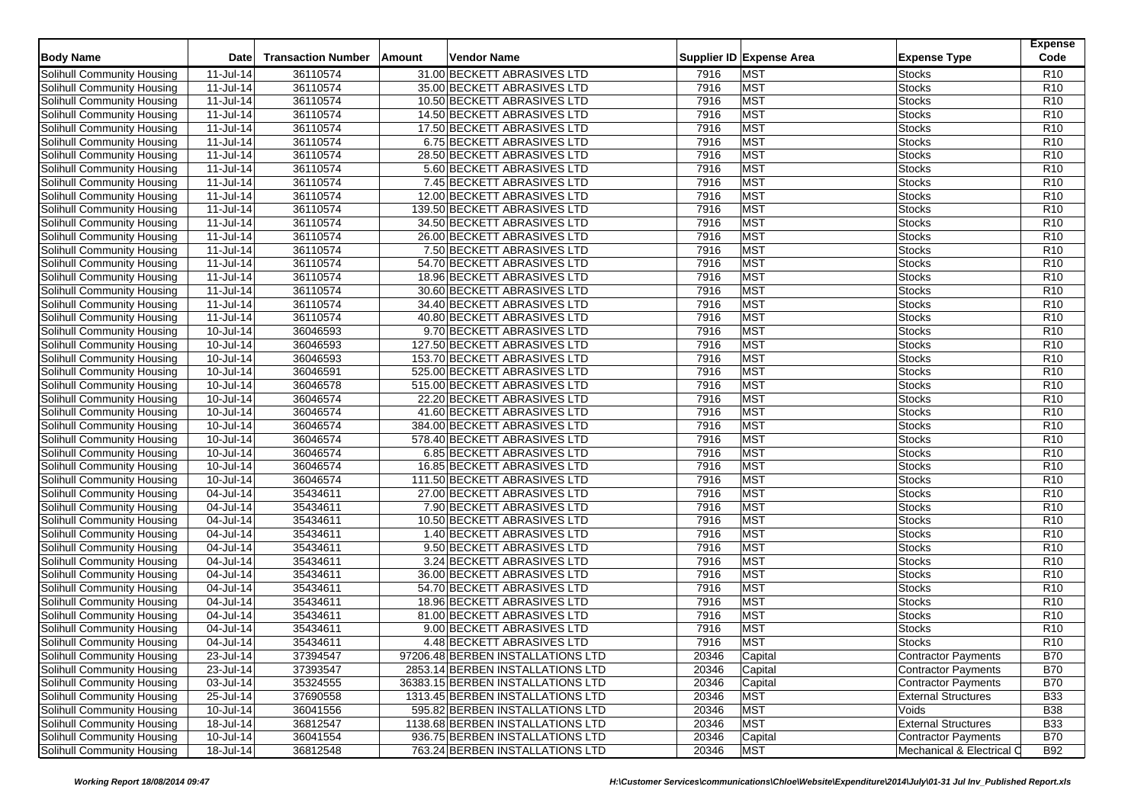| <b>Body Name</b>                                         | Date                                 | <b>Transaction Number</b> | Amount<br>Vendor Name                                       |              | Supplier ID Expense Area | <b>Expense Type</b>        | <b>Expense</b><br>Code |
|----------------------------------------------------------|--------------------------------------|---------------------------|-------------------------------------------------------------|--------------|--------------------------|----------------------------|------------------------|
| Solihull Community Housing                               | 11-Jul-14                            | 36110574                  | 31.00 BECKETT ABRASIVES LTD                                 | 7916         | <b>MST</b>               | <b>Stocks</b>              | R <sub>10</sub>        |
| Solihull Community Housing                               | 11-Jul-14                            | 36110574                  | 35.00 BECKETT ABRASIVES LTD                                 | 7916         | <b>MST</b>               | <b>Stocks</b>              | R <sub>10</sub>        |
| Solihull Community Housing                               | 11-Jul-14                            | 36110574                  | 10.50 BECKETT ABRASIVES LTD                                 | 7916         | <b>MST</b>               | <b>Stocks</b>              | R <sub>10</sub>        |
| Solihull Community Housing                               | 11-Jul-14                            | 36110574                  | 14.50 BECKETT ABRASIVES LTD                                 | 7916         | <b>MST</b>               | <b>Stocks</b>              | R <sub>10</sub>        |
| Solihull Community Housing                               | 11-Jul-14                            | 36110574                  | 17.50 BECKETT ABRASIVES LTD                                 | 7916         | <b>MST</b>               | <b>Stocks</b>              | R <sub>10</sub>        |
| Solihull Community Housing                               | 11-Jul-14                            | 36110574                  | 6.75 BECKETT ABRASIVES LTD                                  | 7916         | <b>MST</b>               | <b>Stocks</b>              | R <sub>10</sub>        |
| Solihull Community Housing                               | 11-Jul-14                            | 36110574                  | 28.50 BECKETT ABRASIVES LTD                                 | 7916         | <b>MST</b>               | <b>Stocks</b>              | R <sub>10</sub>        |
| Solihull Community Housing                               | 11-Jul-14                            | 36110574                  | 5.60 BECKETT ABRASIVES LTD                                  | 7916         | <b>MST</b>               | <b>Stocks</b>              | R <sub>10</sub>        |
| Solihull Community Housing                               | 11-Jul-14                            | 36110574                  | 7.45 BECKETT ABRASIVES LTD                                  | 7916         | <b>MST</b>               | <b>Stocks</b>              | R <sub>10</sub>        |
| Solihull Community Housing                               | $\overline{11}$ -Jul-14              | 36110574                  | 12.00 BECKETT ABRASIVES LTD                                 | 7916         | <b>MST</b>               | Stocks                     | R <sub>10</sub>        |
| Solihull Community Housing                               | 11-Jul-14                            | 36110574                  | 139.50 BECKETT ABRASIVES LTD                                | 7916         | <b>MST</b>               | <b>Stocks</b>              | R <sub>10</sub>        |
| Solihull Community Housing                               | 11-Jul-14                            | 36110574                  | 34.50 BECKETT ABRASIVES LTD                                 | 7916         | <b>MST</b>               | <b>Stocks</b>              | R <sub>10</sub>        |
| Solihull Community Housing                               | 11-Jul-14                            | 36110574                  | 26.00 BECKETT ABRASIVES LTD                                 | 7916         | <b>MST</b>               | Stocks                     | R <sub>10</sub>        |
| <b>Solihull Community Housing</b>                        | 11-Jul-14                            | 36110574                  | 7.50 BECKETT ABRASIVES LTD                                  | 7916         | <b>MST</b>               | <b>Stocks</b>              | R <sub>10</sub>        |
| Solihull Community Housing                               | 11-Jul-14                            | 36110574                  | 54.70 BECKETT ABRASIVES LTD                                 | 7916         | <b>MST</b>               | Stocks                     | R <sub>10</sub>        |
| Solihull Community Housing                               | 11-Jul-14                            | 36110574                  | 18.96 BECKETT ABRASIVES LTD                                 | 7916         | <b>MST</b>               | <b>Stocks</b>              | R <sub>10</sub>        |
| Solihull Community Housing                               | 11-Jul-14                            | 36110574                  | 30.60 BECKETT ABRASIVES LTD                                 | 7916         | <b>MST</b>               | <b>Stocks</b>              | R <sub>10</sub>        |
| Solihull Community Housing                               | 11-Jul-14                            | 36110574                  | 34.40 BECKETT ABRASIVES LTD                                 | 7916         | <b>MST</b>               | Stocks                     | R <sub>10</sub>        |
| Solihull Community Housing                               | 11-Jul-14                            | 36110574                  | 40.80 BECKETT ABRASIVES LTD                                 | 7916         | <b>MST</b>               | <b>Stocks</b>              | R <sub>10</sub>        |
| Solihull Community Housing                               | 10-Jul-14                            | 36046593                  | 9.70 BECKETT ABRASIVES LTD                                  | 7916         | <b>MST</b>               | Stocks                     | R <sub>10</sub>        |
| Solihull Community Housing                               | 10-Jul-14                            | 36046593                  | 127.50 BECKETT ABRASIVES LTD                                | 7916         | <b>MST</b>               | <b>Stocks</b>              | R <sub>10</sub>        |
| Solihull Community Housing                               | 10-Jul-14                            | 36046593                  | 153.70 BECKETT ABRASIVES LTD                                | 7916         | <b>MST</b>               | <b>Stocks</b>              | R <sub>10</sub>        |
| Solihull Community Housing                               | 10-Jul-14                            | 36046591                  | 525.00 BECKETT ABRASIVES LTD                                | 7916         | <b>MST</b>               | Stocks                     | R <sub>10</sub>        |
|                                                          |                                      | 36046578                  |                                                             | 7916         | <b>MST</b>               |                            | R <sub>10</sub>        |
| Solihull Community Housing<br>Solihull Community Housing | 10-Jul-14<br>$\overline{10}$ -Jul-14 | 36046574                  | 515.00 BECKETT ABRASIVES LTD<br>22.20 BECKETT ABRASIVES LTD | 7916         | <b>MST</b>               | Stocks<br><b>Stocks</b>    | R <sub>10</sub>        |
|                                                          |                                      |                           | 41.60 BECKETT ABRASIVES LTD                                 |              | <b>MST</b>               |                            | R <sub>10</sub>        |
| Solihull Community Housing<br>Solihull Community Housing | 10-Jul-14<br>10-Jul-14               | 36046574<br>36046574      | 384.00 BECKETT ABRASIVES LTD                                | 7916<br>7916 | <b>MST</b>               | Stocks<br>Stocks           | R <sub>10</sub>        |
|                                                          |                                      | 36046574                  |                                                             | 7916         | <b>MST</b>               |                            | R <sub>10</sub>        |
| Solihull Community Housing                               | 10-Jul-14                            | 36046574                  | 578.40 BECKETT ABRASIVES LTD                                |              | <b>MST</b>               | <b>Stocks</b>              | R <sub>10</sub>        |
| Solihull Community Housing                               | 10-Jul-14                            |                           | 6.85 BECKETT ABRASIVES LTD                                  | 7916         |                          | Stocks                     |                        |
| Solihull Community Housing                               | 10-Jul-14                            | 36046574                  | 16.85 BECKETT ABRASIVES LTD                                 | 7916         | <b>MST</b>               | Stocks                     | R <sub>10</sub>        |
| Solihull Community Housing                               | 10-Jul-14                            | 36046574                  | 111.50 BECKETT ABRASIVES LTD                                | 7916         | <b>MST</b><br><b>MST</b> | <b>Stocks</b>              | R <sub>10</sub>        |
| Solihull Community Housing                               | 04-Jul-14                            | 35434611                  | 27.00 BECKETT ABRASIVES LTD                                 | 7916         |                          | Stocks                     | R <sub>10</sub>        |
| Solihull Community Housing                               | 04-Jul-14                            | 35434611                  | 7.90 BECKETT ABRASIVES LTD                                  | 7916         | <b>MST</b>               | Stocks                     | R <sub>10</sub>        |
| Solihull Community Housing                               | 04-Jul-14                            | 35434611                  | 10.50 BECKETT ABRASIVES LTD                                 | 7916         | <b>MST</b>               | <b>Stocks</b>              | R10                    |
| Solihull Community Housing                               | 04-Jul-14                            | 35434611                  | 1.40 BECKETT ABRASIVES LTD                                  | 7916         | <b>MST</b>               | Stocks                     | R <sub>10</sub>        |
| Solihull Community Housing                               | 04-Jul-14                            | 35434611                  | 9.50 BECKETT ABRASIVES LTD                                  | 7916         | <b>MST</b>               | Stocks                     | R <sub>10</sub>        |
| Solihull Community Housing                               | 04-Jul-14                            | 35434611                  | 3.24 BECKETT ABRASIVES LTD                                  | 7916         | <b>MST</b>               | <b>Stocks</b>              | R <sub>10</sub>        |
| Solihull Community Housing                               | 04-Jul-14                            | 35434611                  | 36.00 BECKETT ABRASIVES LTD                                 | 7916         | <b>MST</b>               | Stocks                     | R <sub>10</sub>        |
| Solihull Community Housing                               | 04-Jul-14                            | 35434611                  | 54.70 BECKETT ABRASIVES LTD                                 | 7916         | <b>MST</b>               | Stocks                     | R <sub>10</sub>        |
| Solihull Community Housing                               | 04-Jul-14                            | 35434611                  | 18.96 BECKETT ABRASIVES LTD                                 | 7916         | <b>MST</b>               | <b>Stocks</b>              | R <sub>10</sub>        |
| Solihull Community Housing                               | 04-Jul-14                            | 35434611                  | 81.00 BECKETT ABRASIVES LTD                                 | 7916         | <b>MST</b>               | Stocks                     | R <sub>10</sub>        |
| Solihull Community Housing                               | 04-Jul-14                            | 35434611                  | 9.00 BECKETT ABRASIVES LTD                                  | 7916         | <b>MST</b>               | Stocks                     | R <sub>10</sub>        |
| Solihull Community Housing                               | 04-Jul-14                            | 35434611                  | 4.48 BECKETT ABRASIVES LTD                                  | 7916         | <b>MST</b>               | <b>Stocks</b>              | R <sub>10</sub>        |
| Solihull Community Housing                               | 23-Jul-14                            | 37394547                  | 97206.48 BERBEN INSTALLATIONS LTD                           | 20346        | Capital                  | Contractor Payments        | <b>B70</b>             |
| Solihull Community Housing                               | 23-Jul-14                            | 37393547                  | 2853.14 BERBEN INSTALLATIONS LTD                            | 20346        | Capital                  | Contractor Payments        | <b>B70</b>             |
| Solihull Community Housing                               | 03-Jul-14                            | 35324555                  | 36383.15 BERBEN INSTALLATIONS LTD                           | 20346        | Capital                  | <b>Contractor Payments</b> | <b>B70</b>             |
| Solihull Community Housing                               | 25-Jul-14                            | 37690558                  | 1313.45 BERBEN INSTALLATIONS LTD                            | 20346        | <b>MST</b>               | <b>External Structures</b> | <b>B33</b>             |
| Solihull Community Housing                               | 10-Jul-14                            | 36041556                  | 595.82 BERBEN INSTALLATIONS LTD                             | 20346        | <b>MST</b>               | Voids                      | <b>B38</b>             |
| Solihull Community Housing                               | 18-Jul-14                            | 36812547                  | 1138.68 BERBEN INSTALLATIONS LTD                            | 20346        | <b>MST</b>               | <b>External Structures</b> | <b>B33</b>             |
| Solihull Community Housing                               | 10-Jul-14                            | 36041554                  | 936.75 BERBEN INSTALLATIONS LTD                             | 20346        | Capital                  | Contractor Payments        | <b>B70</b>             |
| Solihull Community Housing                               | 18-Jul-14                            | 36812548                  | 763.24 BERBEN INSTALLATIONS LTD                             | 20346        | <b>MST</b>               | Mechanical & Electrical C  | <b>B92</b>             |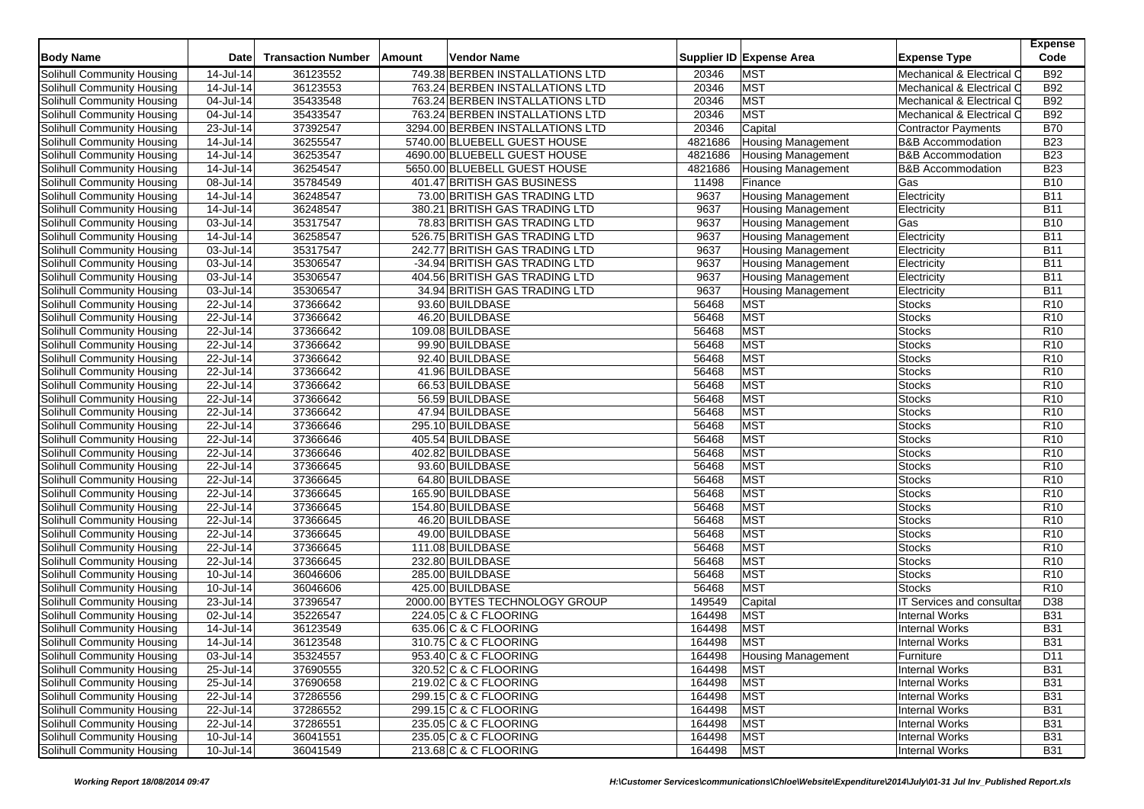| <b>Body Name</b>                  | Date                    | <b>Transaction Number</b> | Amount | <b>Vendor Name</b>               |         | Supplier ID Expense Area  | <b>Expense Type</b>          | <b>Expense</b><br>Code |
|-----------------------------------|-------------------------|---------------------------|--------|----------------------------------|---------|---------------------------|------------------------------|------------------------|
| Solihull Community Housing        | 14-Jul-14               | 36123552                  |        | 749.38 BERBEN INSTALLATIONS LTD  | 20346   | <b>MST</b>                | Mechanical & Electrical C    | <b>B92</b>             |
| Solihull Community Housing        | 14-Jul-14               | 36123553                  |        | 763.24 BERBEN INSTALLATIONS LTD  | 20346   | <b>MST</b>                | Mechanical & Electrical C    | <b>B92</b>             |
| Solihull Community Housing        | 04-Jul-14               | 35433548                  |        | 763.24 BERBEN INSTALLATIONS LTD  | 20346   | <b>MST</b>                | Mechanical & Electrical C    | <b>B92</b>             |
| Solihull Community Housing        | 04-Jul-14               | 35433547                  |        | 763.24 BERBEN INSTALLATIONS LTD  | 20346   | <b>MST</b>                | Mechanical & Electrical C    | <b>B92</b>             |
| Solihull Community Housing        | 23-Jul-14               | 37392547                  |        | 3294.00 BERBEN INSTALLATIONS LTD | 20346   | Capital                   | <b>Contractor Payments</b>   | <b>B70</b>             |
| Solihull Community Housing        | 14-Jul-14               | 36255547                  |        | 5740.00 BLUEBELL GUEST HOUSE     | 4821686 | <b>Housing Management</b> | <b>B&amp;B Accommodation</b> | <b>B23</b>             |
| Solihull Community Housing        | $14$ -Jul-14            | 36253547                  |        | 4690.00 BLUEBELL GUEST HOUSE     | 4821686 | Housing Management        | <b>B&amp;B Accommodation</b> | <b>B23</b>             |
| Solihull Community Housing        | 14-Jul-14               | 36254547                  |        | 5650.00 BLUEBELL GUEST HOUSE     | 4821686 | <b>Housing Management</b> | <b>B&amp;B Accommodation</b> | <b>B23</b>             |
| Solihull Community Housing        | 08-Jul-14               | 35784549                  |        | 401.47 BRITISH GAS BUSINESS      | 11498   | Finance                   | Gas                          | <b>B10</b>             |
| Solihull Community Housing        | 14-Jul-14               | 36248547                  |        | 73.00 BRITISH GAS TRADING LTD    | 9637    | <b>Housing Management</b> | Electricity                  | <b>B11</b>             |
| Solihull Community Housing        | 14-Jul-14               | 36248547                  |        | 380.21 BRITISH GAS TRADING LTD   | 9637    | <b>Housing Management</b> | Electricity                  | <b>B11</b>             |
| Solihull Community Housing        | 03-Jul-14               | 35317547                  |        | 78.83 BRITISH GAS TRADING LTD    | 9637    | <b>Housing Management</b> | Gas                          | <b>B10</b>             |
| Solihull Community Housing        | 14-Jul-14               | 36258547                  |        | 526.75 BRITISH GAS TRADING LTD   | 9637    | Housing Management        | Electricity                  | <b>B11</b>             |
| Solihull Community Housing        | 03-Jul-14               | 35317547                  |        | 242.77 BRITISH GAS TRADING LTD   | 9637    | Housing Management        | Electricity                  | <b>B11</b>             |
| Solihull Community Housing        | 03-Jul-14               | 35306547                  |        | -34.94 BRITISH GAS TRADING LTD   | 9637    | <b>Housing Management</b> | Electricity                  | <b>B11</b>             |
| Solihull Community Housing        | 03-Jul-14               | 35306547                  |        | 404.56 BRITISH GAS TRADING LTD   | 9637    | Housing Management        | Electricity                  | <b>B11</b>             |
| Solihull Community Housing        | 03-Jul-14               | 35306547                  |        | 34.94 BRITISH GAS TRADING LTD    | 9637    | <b>Housing Management</b> | Electricity                  | <b>B11</b>             |
| Solihull Community Housing        | 22-Jul-14               | 37366642                  |        | 93.60 BUILDBASE                  | 56468   | <b>MST</b>                | <b>Stocks</b>                | R <sub>10</sub>        |
| Solihull Community Housing        | 22-Jul-14               | 37366642                  |        | 46.20 BUILDBASE                  | 56468   | <b>MST</b>                | <b>Stocks</b>                | R <sub>10</sub>        |
| Solihull Community Housing        | 22-Jul-14               | 37366642                  |        | 109.08 BUILDBASE                 | 56468   | <b>MST</b>                | <b>Stocks</b>                | R <sub>10</sub>        |
| Solihull Community Housing        | 22-Jul-14               | 37366642                  |        | 99.90 BUILDBASE                  | 56468   | <b>MST</b>                | <b>Stocks</b>                | R <sub>10</sub>        |
| Solihull Community Housing        | 22-Jul-14               | 37366642                  |        | 92.40 BUILDBASE                  | 56468   | <b>MST</b>                | <b>Stocks</b>                | R <sub>10</sub>        |
| Solihull Community Housing        | 22-Jul-14               | 37366642                  |        | 41.96 BUILDBASE                  | 56468   | <b>MST</b>                | Stocks                       | R <sub>10</sub>        |
| Solihull Community Housing        | 22-Jul-14               | 37366642                  |        | 66.53 BUILDBASE                  | 56468   | <b>MST</b>                | <b>Stocks</b>                | R <sub>10</sub>        |
| Solihull Community Housing        | 22-Jul-14               | 37366642                  |        | 56.59 BUILDBASE                  | 56468   | <b>MST</b>                | <b>Stocks</b>                | R <sub>10</sub>        |
| Solihull Community Housing        | 22-Jul-14               | 37366642                  |        | 47.94 BUILDBASE                  | 56468   | <b>MST</b>                | Stocks                       | R <sub>10</sub>        |
| Solihull Community Housing        | 22-Jul-14               | 37366646                  |        | 295.10 BUILDBASE                 | 56468   | <b>MST</b>                | <b>Stocks</b>                | R <sub>10</sub>        |
| Solihull Community Housing        | 22-Jul-14               | 37366646                  |        | 405.54 BUILDBASE                 | 56468   | <b>MST</b>                | <b>Stocks</b>                | R <sub>10</sub>        |
| Solihull Community Housing        | 22-Jul-14               | 37366646                  |        | 402.82 BUILDBASE                 | 56468   | <b>MST</b>                | <b>Stocks</b>                | R <sub>10</sub>        |
| Solihull Community Housing        | 22-Jul-14               | 37366645                  |        | 93.60 BUILDBASE                  | 56468   | <b>MST</b>                | <b>Stocks</b>                | R <sub>10</sub>        |
| Solihull Community Housing        | 22-Jul-14               | 37366645                  |        | 64.80 BUILDBASE                  | 56468   | <b>MST</b>                | <b>Stocks</b>                | R <sub>10</sub>        |
| Solihull Community Housing        | 22-Jul-14               | 37366645                  |        | 165.90 BUILDBASE                 | 56468   | <b>MST</b>                | <b>Stocks</b>                | R <sub>10</sub>        |
| Solihull Community Housing        | 22-Jul-14               | 37366645                  |        | 154.80 BUILDBASE                 | 56468   | <b>MST</b>                | <b>Stocks</b>                | R <sub>10</sub>        |
| Solihull Community Housing        | $\overline{22}$ -Jul-14 | 37366645                  |        | 46.20 BUILDBASE                  | 56468   | <b>MST</b>                | <b>Stocks</b>                | R <sub>10</sub>        |
| Solihull Community Housing        | 22-Jul-14               | 37366645                  |        | 49.00 BUILDBASE                  | 56468   | <b>MST</b>                | <b>Stocks</b>                | R <sub>10</sub>        |
| Solihull Community Housing        | 22-Jul-14               | 37366645                  |        | 111.08 BUILDBASE                 | 56468   | <b>MST</b>                | <b>Stocks</b>                | R <sub>10</sub>        |
| Solihull Community Housing        | 22-Jul-14               | 37366645                  |        | 232.80 BUILDBASE                 | 56468   | <b>MST</b>                | <b>Stocks</b>                | R <sub>10</sub>        |
| Solihull Community Housing        | 10-Jul-14               | 36046606                  |        | 285.00 BUILDBASE                 | 56468   | <b>MST</b>                | <b>Stocks</b>                | R <sub>10</sub>        |
| Solihull Community Housing        | 10-Jul-14               | 36046606                  |        | 425.00 BUILDBASE                 | 56468   | <b>MST</b>                | <b>Stocks</b>                | R <sub>10</sub>        |
| Solihull Community Housing        | 23-Jul-14               | 37396547                  |        | 2000.00 BYTES TECHNOLOGY GROUP   | 149549  | Capital                   | IT Services and consultar    | D38                    |
| Solihull Community Housing        | 02-Jul-14               | 35226547                  |        | 224.05 C & C FLOORING            | 164498  | <b>MST</b>                | <b>Internal Works</b>        | <b>B31</b>             |
| Solihull Community Housing        | 14-Jul-14               | 36123549                  |        | 635.06 C & C FLOORING            | 164498  | <b>MST</b>                | <b>Internal Works</b>        | <b>B31</b>             |
| Solihull Community Housing        | 14-Jul-14               | 36123548                  |        | 310.75 C & C FLOORING            | 164498  | <b>MST</b>                | <b>Internal Works</b>        | <b>B31</b>             |
| Solihull Community Housing        | 03-Jul-14               | 35324557                  |        | 953.40 C & C FLOORING            | 164498  | <b>Housing Management</b> | Furniture                    | D11                    |
| Solihull Community Housing        | 25-Jul-14               | 37690555                  |        | 320.52 C & C FLOORING            | 164498  | <b>MST</b>                | <b>Internal Works</b>        | <b>B31</b>             |
| Solihull Community Housing        | 25-Jul-14               | 37690658                  |        | 219.02 C & C FLOORING            | 164498  | <b>MST</b>                | <b>Internal Works</b>        | <b>B31</b>             |
| Solihull Community Housing        | 22-Jul-14               | 37286556                  |        | 299.15 C & C FLOORING            | 164498  | <b>MST</b>                | <b>Internal Works</b>        | <b>B31</b>             |
| Solihull Community Housing        | 22-Jul-14               | 37286552                  |        | 299.15 C & C FLOORING            | 164498  | <b>MST</b>                | <b>Internal Works</b>        | <b>B31</b>             |
| Solihull Community Housing        | 22-Jul-14               | 37286551                  |        | 235.05 C & C FLOORING            | 164498  | <b>MST</b>                | <b>Internal Works</b>        | <b>B31</b>             |
| <b>Solihull Community Housing</b> | $10 -$ Jul-14           | 36041551                  |        | 235.05 C & C FLOORING            | 164498  | <b>MST</b>                | <b>Internal Works</b>        | <b>B31</b>             |
| Solihull Community Housing        | 10-Jul-14               | 36041549                  |        | 213.68 C & C FLOORING            | 164498  | <b>MST</b>                | <b>Internal Works</b>        | <b>B31</b>             |
|                                   |                         |                           |        |                                  |         |                           |                              |                        |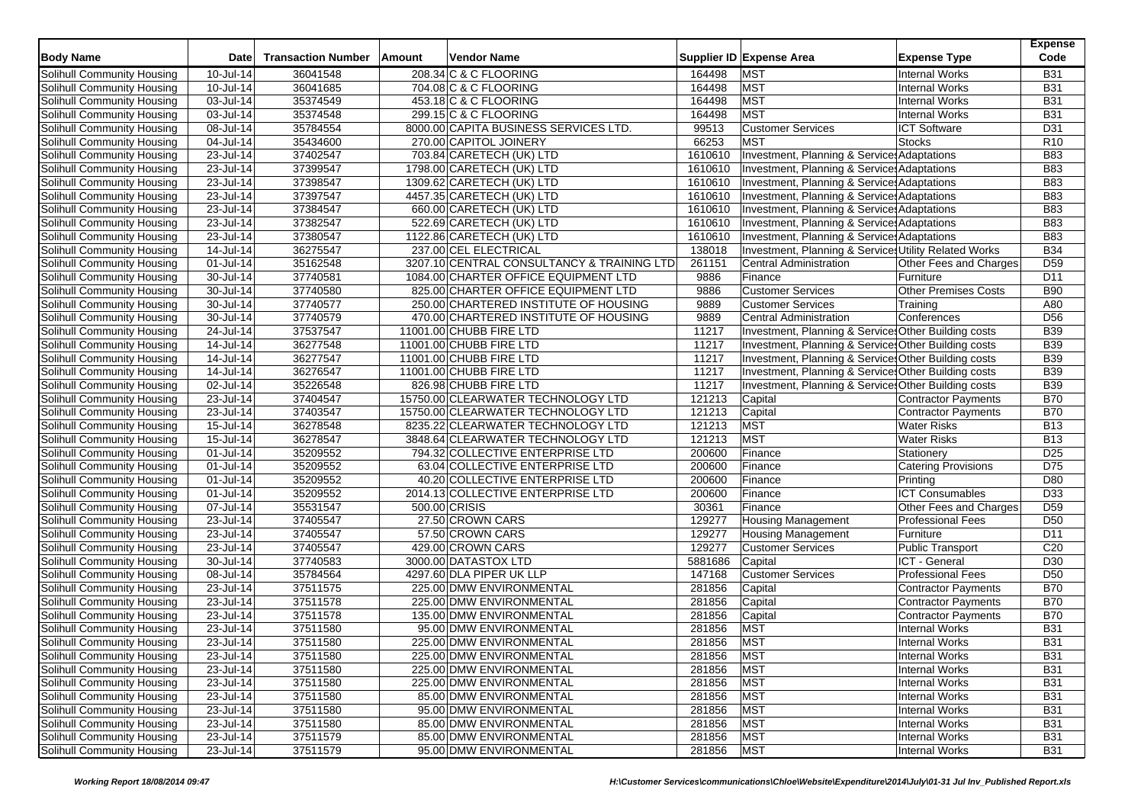| <b>Body Name</b>                  | <b>Date</b>             | <b>Transaction Number</b> | Amount | Vendor Name                                |         | Supplier ID Expense Area                               | <b>Expense Type</b>         | <b>Expense</b><br>Code |
|-----------------------------------|-------------------------|---------------------------|--------|--------------------------------------------|---------|--------------------------------------------------------|-----------------------------|------------------------|
| Solihull Community Housing        | 10-Jul-14               | 36041548                  |        | 208.34 C & C FLOORING                      | 164498  | <b>MST</b>                                             | <b>Internal Works</b>       | <b>B31</b>             |
| Solihull Community Housing        | 10-Jul-14               | 36041685                  |        | 704.08 C & C FLOORING                      | 164498  | <b>MST</b>                                             | <b>Internal Works</b>       | <b>B31</b>             |
| Solihull Community Housing        | 03-Jul-14               | 35374549                  |        | 453.18 C & C FLOORING                      | 164498  | <b>MST</b>                                             | <b>Internal Works</b>       | <b>B31</b>             |
| Solihull Community Housing        | 03-Jul-14               | 35374548                  |        | 299.15 C & C FLOORING                      | 164498  | <b>MST</b>                                             | <b>Internal Works</b>       | <b>B31</b>             |
| Solihull Community Housing        | 08-Jul-14               | 35784554                  |        | 8000.00 CAPITA BUSINESS SERVICES LTD.      | 99513   | <b>Customer Services</b>                               | <b>ICT Software</b>         | D31                    |
| Solihull Community Housing        | 04-Jul-14               | 35434600                  |        | 270.00 CAPITOL JOINERY                     | 66253   | <b>MST</b>                                             | <b>Stocks</b>               | R <sub>10</sub>        |
| Solihull Community Housing        | 23-Jul-14               | 37402547                  |        | 703.84 CARETECH (UK) LTD                   | 1610610 | Investment, Planning & Service: Adaptations            |                             | <b>B83</b>             |
| Solihull Community Housing        | 23-Jul-14               | 37399547                  |        | 1798.00 CARETECH (UK) LTD                  | 1610610 | <b>Investment, Planning &amp; Service: Adaptations</b> |                             | <b>B83</b>             |
| Solihull Community Housing        | 23-Jul-14               | 37398547                  |        | 1309.62 CARETECH (UK) LTD                  | 1610610 | Investment, Planning & Service: Adaptations            |                             | <b>B83</b>             |
| Solihull Community Housing        | 23-Jul-14               | 37397547                  |        | 4457.35 CARETECH (UK) LTD                  | 1610610 | Investment, Planning & Service: Adaptations            |                             | <b>B83</b>             |
| Solihull Community Housing        | $23$ -Jul-14            | 37384547                  |        | 660.00 CARETECH (UK) LTD                   | 1610610 | Investment, Planning & Service: Adaptations            |                             | <b>B83</b>             |
| Solihull Community Housing        | 23-Jul-14               | 37382547                  |        | 522.69 CARETECH (UK) LTD                   | 1610610 | Investment, Planning & Service: Adaptations            |                             | <b>B83</b>             |
| Solihull Community Housing        | 23-Jul-14               | 37380547                  |        | 1122.86 CARETECH (UK) LTD                  | 1610610 | Investment, Planning & Service Adaptations             |                             | <b>B83</b>             |
| Solihull Community Housing        | 14-Jul-14               | 36275547                  |        | 237.00 CEL ELECTRICAL                      | 138018  | Investment, Planning & Services Utility Related Works  |                             | <b>B34</b>             |
| Solihull Community Housing        | 01-Jul-14               | 35162548                  |        | 3207.10 CENTRAL CONSULTANCY & TRAINING LTD | 261151  | <b>Central Administration</b>                          | Other Fees and Charges      | D <sub>59</sub>        |
| Solihull Community Housing        | 30-Jul-14               | 37740581                  |        | 1084.00 CHARTER OFFICE EQUIPMENT LTD       | 9886    | Finance                                                | Furniture                   | D11                    |
| Solihull Community Housing        | 30-Jul-14               | 37740580                  |        | 825.00 CHARTER OFFICE EQUIPMENT LTD        | 9886    | <b>Customer Services</b>                               | <b>Other Premises Costs</b> | <b>B90</b>             |
| Solihull Community Housing        | 30-Jul-14               | 37740577                  |        | 250.00 CHARTERED INSTITUTE OF HOUSING      | 9889    | <b>Customer Services</b>                               | Training                    | A80                    |
| Solihull Community Housing        | 30-Jul-14               | 37740579                  |        | 470.00 CHARTERED INSTITUTE OF HOUSING      | 9889    | <b>Central Administration</b>                          | Conferences                 | D <sub>56</sub>        |
| Solihull Community Housing        | 24-Jul-14               | 37537547                  |        | 11001.00 CHUBB FIRE LTD                    | 11217   | Investment, Planning & Service: Other Building costs   |                             | <b>B39</b>             |
| Solihull Community Housing        | 14-Jul-14               | 36277548                  |        | 11001.00 CHUBB FIRE LTD                    | 11217   | Investment, Planning & Service: Other Building costs   |                             | <b>B39</b>             |
| Solihull Community Housing        | 14-Jul-14               | 36277547                  |        | 11001.00 CHUBB FIRE LTD                    | 11217   | Investment, Planning & Service: Other Building costs   |                             | <b>B39</b>             |
| Solihull Community Housing        | 14-Jul-14               | 36276547                  |        | 11001.00 CHUBB FIRE LTD                    | 11217   | Investment, Planning & Service: Other Building costs   |                             | <b>B39</b>             |
| Solihull Community Housing        | 02-Jul-14               | 35226548                  |        | 826.98 CHUBB FIRE LTD                      | 11217   | Investment, Planning & Service: Other Building costs   |                             | <b>B39</b>             |
| Solihull Community Housing        | 23-Jul-14               | 37404547                  |        | 15750.00 CLEARWATER TECHNOLOGY LTD         | 121213  | Capital                                                | Contractor Payments         | <b>B70</b>             |
| Solihull Community Housing        | 23-Jul-14               | 37403547                  |        | 15750.00 CLEARWATER TECHNOLOGY LTD         | 121213  | Capital                                                | <b>Contractor Payments</b>  | <b>B70</b>             |
| Solihull Community Housing        | 15-Jul-14               | 36278548                  |        | 8235.22 CLEARWATER TECHNOLOGY LTD          | 121213  | <b>MST</b>                                             | <b>Water Risks</b>          | <b>B13</b>             |
| Solihull Community Housing        | 15-Jul-14               | 36278547                  |        | 3848.64 CLEARWATER TECHNOLOGY LTD          | 121213  | <b>MST</b>                                             | <b>Water Risks</b>          | <b>B13</b>             |
| Solihull Community Housing        | $01$ -Jul-14            | 35209552                  |        | 794.32 COLLECTIVE ENTERPRISE LTD           | 200600  | Finance                                                | Stationery                  | D <sub>25</sub>        |
| Solihull Community Housing        | 01-Jul-14               | 35209552                  |        | 63.04 COLLECTIVE ENTERPRISE LTD            | 200600  | Finance                                                | <b>Catering Provisions</b>  | D75                    |
| Solihull Community Housing        | 01-Jul-14               | 35209552                  |        | 40.20 COLLECTIVE ENTERPRISE LTD            | 200600  | Finance                                                | Printing                    | D80                    |
| Solihull Community Housing        | 01-Jul-14               | 35209552                  |        | 2014.13 COLLECTIVE ENTERPRISE LTD          | 200600  | Finance                                                | <b>ICT Consumables</b>      | D33                    |
| Solihull Community Housing        | 07-Jul-14               | 35531547                  |        | 500.00 CRISIS                              | 30361   | Finance                                                | Other Fees and Charges      | D <sub>59</sub>        |
| Solihull Community Housing        | $\overline{23}$ -Jul-14 | 37405547                  |        | 27.50 CROWN CARS                           | 129277  | <b>Housing Management</b>                              | <b>Professional Fees</b>    | D <sub>50</sub>        |
| Solihull Community Housing        | 23-Jul-14               | 37405547                  |        | 57.50 CROWN CARS                           | 129277  | <b>Housing Management</b>                              | Furniture                   | D11                    |
| Solihull Community Housing        | 23-Jul-14               | 37405547                  |        | 429.00 CROWN CARS                          | 129277  | <b>Customer Services</b>                               | <b>Public Transport</b>     | C <sub>20</sub>        |
| Solihull Community Housing        | 30-Jul-14               | 37740583                  |        | 3000.00 DATASTOX LTD                       | 5881686 | Capital                                                | ICT - General               | D <sub>30</sub>        |
| Solihull Community Housing        | 08-Jul-14               | 35784564                  |        | 4297.60 DLA PIPER UK LLP                   | 147168  | <b>Customer Services</b>                               | <b>Professional Fees</b>    | D <sub>50</sub>        |
| Solihull Community Housing        | 23-Jul-14               | 37511575                  |        | 225.00 DMW ENVIRONMENTAL                   | 281856  | Capital                                                | Contractor Payments         | <b>B70</b>             |
| Solihull Community Housing        | 23-Jul-14               | 37511578                  |        | 225.00 DMW ENVIRONMENTAL                   | 281856  | Capital                                                | <b>Contractor Payments</b>  | <b>B70</b>             |
| Solihull Community Housing        | 23-Jul-14               | 37511578                  |        | 135.00 DMW ENVIRONMENTAL                   | 281856  | Capital                                                | <b>Contractor Payments</b>  | <b>B70</b>             |
| Solihull Community Housing        | 23-Jul-14               | 37511580                  |        | 95.00 DMW ENVIRONMENTAL                    | 281856  | <b>MST</b>                                             | Internal Works              | <b>B31</b>             |
| Solihull Community Housing        | 23-Jul-14               | 37511580                  |        | 225.00 DMW ENVIRONMENTAL                   | 281856  | <b>MST</b>                                             | <b>Internal Works</b>       | <b>B31</b>             |
| Solihull Community Housing        | 23-Jul-14               | 37511580                  |        | 225.00 DMW ENVIRONMENTAL                   | 281856  | <b>MST</b>                                             | Internal Works              | <b>B31</b>             |
| Solihull Community Housing        | 23-Jul-14               | 37511580                  |        | 225.00 DMW ENVIRONMENTAL                   | 281856  | <b>MST</b>                                             | <b>Internal Works</b>       | <b>B31</b>             |
| Solihull Community Housing        | 23-Jul-14               | 37511580                  |        | 225.00 DMW ENVIRONMENTAL                   | 281856  | <b>MST</b>                                             | Internal Works              | <b>B31</b>             |
| Solihull Community Housing        | 23-Jul-14               | 37511580                  |        | 85.00 DMW ENVIRONMENTAL                    | 281856  | <b>MST</b>                                             | <b>Internal Works</b>       | <b>B31</b>             |
| Solihull Community Housing        | 23-Jul-14               | 37511580                  |        | 95.00 DMW ENVIRONMENTAL                    | 281856  | <b>MST</b>                                             | Internal Works              | <b>B31</b>             |
| Solihull Community Housing        | 23-Jul-14               | 37511580                  |        | 85.00 DMW ENVIRONMENTAL                    | 281856  | <b>MST</b>                                             | Internal Works              | <b>B31</b>             |
| <b>Solihull Community Housing</b> | 23-Jul-14               | 37511579                  |        | 85.00 DMW ENVIRONMENTAL                    | 281856  | <b>MST</b>                                             | <b>Internal Works</b>       | <b>B31</b>             |
| Solihull Community Housing        | 23-Jul-14               | 37511579                  |        | 95.00 DMW ENVIRONMENTAL                    | 281856  | <b>MST</b>                                             | <b>Internal Works</b>       | <b>B31</b>             |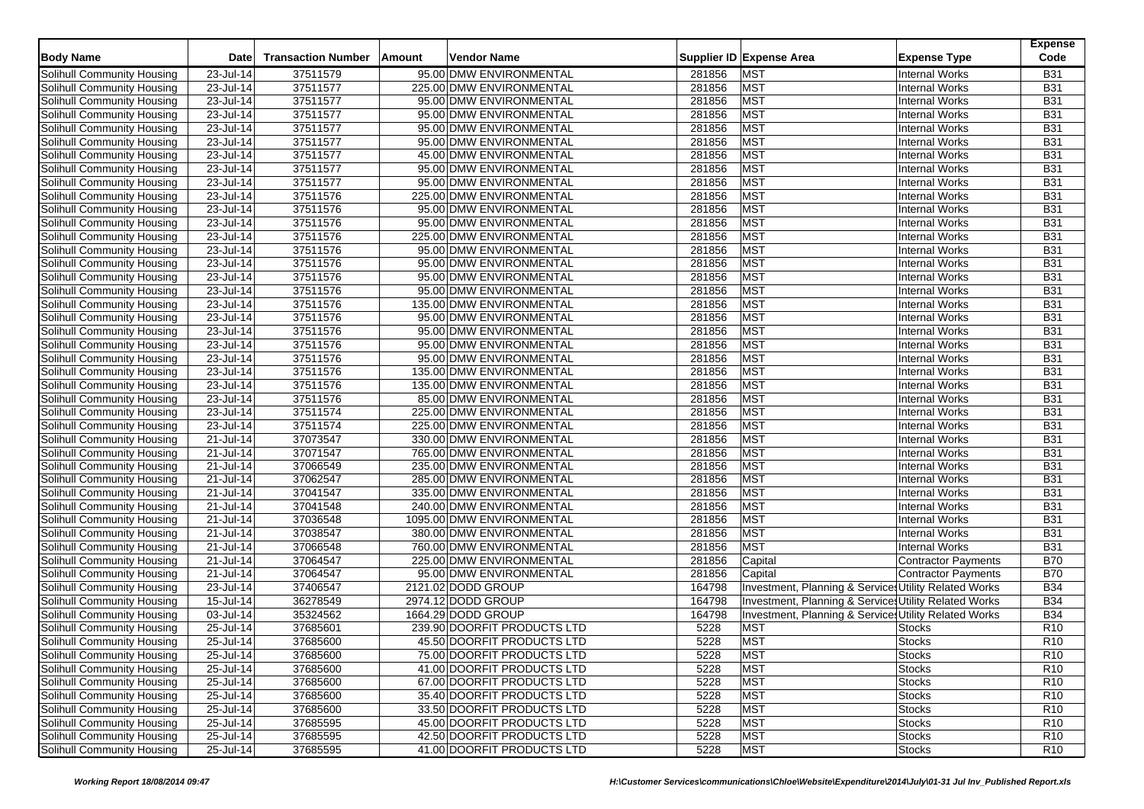|                                   |                         |                           |                             |        |                                                       | <b>Expense</b>  |
|-----------------------------------|-------------------------|---------------------------|-----------------------------|--------|-------------------------------------------------------|-----------------|
| <b>Body Name</b>                  | <b>Date</b>             | <b>Transaction Number</b> | Vendor Name<br>Amount       |        | Supplier ID Expense Area<br><b>Expense Type</b>       | Code            |
| <b>Solihull Community Housing</b> | 23-Jul-14               | 37511579                  | 95.00 DMW ENVIRONMENTAL     | 281856 | MST<br><b>Internal Works</b>                          | <b>B31</b>      |
| Solihull Community Housing        | 23-Jul-14               | 37511577                  | 225.00 DMW ENVIRONMENTAL    | 281856 | <b>MST</b><br><b>Internal Works</b>                   | <b>B31</b>      |
| Solihull Community Housing        | 23-Jul-14               | 37511577                  | 95.00 DMW ENVIRONMENTAL     | 281856 | <b>MST</b><br><b>Internal Works</b>                   | <b>B31</b>      |
| Solihull Community Housing        | 23-Jul-14               | 37511577                  | 95.00 DMW ENVIRONMENTAL     | 281856 | <b>MST</b><br><b>Internal Works</b>                   | <b>B31</b>      |
| Solihull Community Housing        | 23-Jul-14               | 37511577                  | 95.00 DMW ENVIRONMENTAL     | 281856 | <b>MST</b><br><b>Internal Works</b>                   | <b>B31</b>      |
| Solihull Community Housing        | 23-Jul-14               | 37511577                  | 95.00 DMW ENVIRONMENTAL     | 281856 | <b>MST</b><br><b>Internal Works</b>                   | <b>B31</b>      |
| Solihull Community Housing        | 23-Jul-14               | 37511577                  | 45.00 DMW ENVIRONMENTAL     | 281856 | <b>MST</b><br><b>Internal Works</b>                   | <b>B31</b>      |
| Solihull Community Housing        | 23-Jul-14               | 37511577                  | 95.00 DMW ENVIRONMENTAL     | 281856 | <b>MST</b><br><b>Internal Works</b>                   | <b>B31</b>      |
| Solihull Community Housing        | 23-Jul-14               | 37511577                  | 95.00 DMW ENVIRONMENTAL     | 281856 | <b>MST</b><br><b>Internal Works</b>                   | <b>B31</b>      |
| Solihull Community Housing        | 23-Jul-14               | 37511576                  | 225.00 DMW ENVIRONMENTAL    | 281856 | <b>MST</b><br><b>Internal Works</b>                   | <b>B31</b>      |
| Solihull Community Housing        | $23$ -Jul-14            | 37511576                  | 95.00 DMW ENVIRONMENTAL     | 281856 | <b>MST</b><br><b>Internal Works</b>                   | <b>B31</b>      |
| Solihull Community Housing        | 23-Jul-14               | 37511576                  | 95.00 DMW ENVIRONMENTAL     | 281856 | <b>MST</b><br><b>Internal Works</b>                   | <b>B31</b>      |
| Solihull Community Housing        | 23-Jul-14               | 37511576                  | 225.00 DMW ENVIRONMENTAL    | 281856 | <b>MST</b><br><b>Internal Works</b>                   | <b>B31</b>      |
| Solihull Community Housing        | 23-Jul-14               | 37511576                  | 95.00 DMW ENVIRONMENTAL     | 281856 | <b>MST</b><br><b>Internal Works</b>                   | <b>B31</b>      |
| Solihull Community Housing        | 23-Jul-14               | 37511576                  | 95.00 DMW ENVIRONMENTAL     | 281856 | <b>MST</b><br><b>Internal Works</b>                   | <b>B31</b>      |
| Solihull Community Housing        | 23-Jul-14               | 37511576                  | 95.00 DMW ENVIRONMENTAL     | 281856 | <b>MST</b><br><b>Internal Works</b>                   | <b>B31</b>      |
| Solihull Community Housing        | 23-Jul-14               | 37511576                  | 95.00 DMW ENVIRONMENTAL     | 281856 | <b>MST</b><br><b>Internal Works</b>                   | <b>B31</b>      |
| Solihull Community Housing        | 23-Jul-14               | 37511576                  | 135.00 DMW ENVIRONMENTAL    | 281856 | <b>MST</b><br><b>Internal Works</b>                   | <b>B31</b>      |
| Solihull Community Housing        | 23-Jul-14               | 37511576                  | 95.00 DMW ENVIRONMENTAL     | 281856 | <b>MST</b><br><b>Internal Works</b>                   | <b>B31</b>      |
| Solihull Community Housing        | 23-Jul-14               | 37511576                  | 95.00 DMW ENVIRONMENTAL     | 281856 | <b>MST</b><br><b>Internal Works</b>                   | <b>B31</b>      |
| Solihull Community Housing        | 23-Jul-14               | 37511576                  | 95.00 DMW ENVIRONMENTAL     | 281856 | <b>MST</b><br><b>Internal Works</b>                   | <b>B31</b>      |
| Solihull Community Housing        | 23-Jul-14               | 37511576                  | 95.00 DMW ENVIRONMENTAL     | 281856 | <b>MST</b><br><b>Internal Works</b>                   | <b>B31</b>      |
| Solihull Community Housing        | 23-Jul-14               | 37511576                  | 135.00 DMW ENVIRONMENTAL    | 281856 | <b>MST</b><br><b>Internal Works</b>                   | <b>B31</b>      |
| Solihull Community Housing        | 23-Jul-14               | 37511576                  | 135.00 DMW ENVIRONMENTAL    | 281856 | <b>MST</b><br><b>Internal Works</b>                   | <b>B31</b>      |
| Solihull Community Housing        | 23-Jul-14               | 37511576                  | 85.00 DMW ENVIRONMENTAL     | 281856 | <b>MST</b><br><b>Internal Works</b>                   | <b>B31</b>      |
| Solihull Community Housing        | 23-Jul-14               | 37511574                  | 225.00 DMW ENVIRONMENTAL    | 281856 | <b>MST</b><br><b>Internal Works</b>                   | <b>B31</b>      |
| Solihull Community Housing        | 23-Jul-14               | 37511574                  | 225.00 DMW ENVIRONMENTAL    | 281856 | <b>MST</b><br><b>Internal Works</b>                   | <b>B31</b>      |
| Solihull Community Housing        | 21-Jul-14               | 37073547                  | 330.00 DMW ENVIRONMENTAL    | 281856 | <b>MST</b><br><b>Internal Works</b>                   | <b>B31</b>      |
| Solihull Community Housing        | 21-Jul-14               | 37071547                  | 765.00 DMW ENVIRONMENTAL    | 281856 | <b>MST</b><br><b>Internal Works</b>                   | <b>B31</b>      |
| Solihull Community Housing        | 21-Jul-14               | 37066549                  | 235.00 DMW ENVIRONMENTAL    | 281856 | <b>MST</b><br><b>Internal Works</b>                   | <b>B31</b>      |
| Solihull Community Housing        | 21-Jul-14               | 37062547                  | 285.00 DMW ENVIRONMENTAL    | 281856 | <b>MST</b><br><b>Internal Works</b>                   | <b>B31</b>      |
| Solihull Community Housing        | 21-Jul-14               | 37041547                  | 335.00 DMW ENVIRONMENTAL    | 281856 | <b>MST</b><br><b>Internal Works</b>                   | <b>B31</b>      |
| Solihull Community Housing        | 21-Jul-14               | 37041548                  | 240.00 DMW ENVIRONMENTAL    | 281856 | <b>MST</b><br><b>Internal Works</b>                   | <b>B31</b>      |
| Solihull Community Housing        | 21-Jul-14               | 37036548                  | 1095.00 DMW ENVIRONMENTAL   | 281856 | <b>MST</b><br><b>Internal Works</b>                   | <b>B31</b>      |
| Solihull Community Housing        | 21-Jul-14               | 37038547                  | 380.00 DMW ENVIRONMENTAL    | 281856 | <b>MST</b><br><b>Internal Works</b>                   | <b>B31</b>      |
| Solihull Community Housing        | $\overline{21}$ -Jul-14 | 37066548                  | 760.00 DMW ENVIRONMENTAL    | 281856 | <b>MST</b><br><b>Internal Works</b>                   | <b>B31</b>      |
| Solihull Community Housing        | 21-Jul-14               | 37064547                  | 225.00 DMW ENVIRONMENTAL    | 281856 | Capital<br><b>Contractor Payments</b>                 | <b>B70</b>      |
| Solihull Community Housing        | 21-Jul-14               | 37064547                  | 95.00 DMW ENVIRONMENTAL     | 281856 | Capital<br><b>Contractor Payments</b>                 | <b>B70</b>      |
| Solihull Community Housing        | $23$ -Jul-14            | 37406547                  | 2121.02 DODD GROUP          | 164798 | Investment, Planning & Service: Utility Related Works | <b>B34</b>      |
| Solihull Community Housing        | $\overline{15}$ -Jul-14 | 36278549                  | 2974.12 DODD GROUP          | 164798 | Investment, Planning & Services Utility Related Works | <b>B34</b>      |
| Solihull Community Housing        | 03-Jul-14               | 35324562                  | 1664.29 DODD GROUP          | 164798 | Investment, Planning & Services Utility Related Works | <b>B34</b>      |
| Solihull Community Housing        | 25-Jul-14               | 37685601                  | 239.90 DOORFIT PRODUCTS LTD | 5228   | <b>MST</b><br><b>Stocks</b>                           | R <sub>10</sub> |
| Solihull Community Housing        | 25-Jul-14               | 37685600                  | 45.50 DOORFIT PRODUCTS LTD  | 5228   | <b>MST</b><br><b>Stocks</b>                           | R <sub>10</sub> |
| <b>Solihull Community Housing</b> | 25-Jul-14               | 37685600                  | 75.00 DOORFIT PRODUCTS LTD  | 5228   | <b>MST</b><br><b>Stocks</b>                           | R <sub>10</sub> |
| Solihull Community Housing        | 25-Jul-14               | 37685600                  | 41.00 DOORFIT PRODUCTS LTD  | 5228   | <b>MST</b><br><b>Stocks</b>                           | R <sub>10</sub> |
| Solihull Community Housing        | 25-Jul-14               | 37685600                  | 67.00 DOORFIT PRODUCTS LTD  | 5228   | <b>MST</b><br><b>Stocks</b>                           | R <sub>10</sub> |
| Solihull Community Housing        | 25-Jul-14               | 37685600                  | 35.40 DOORFIT PRODUCTS LTD  | 5228   | <b>MST</b><br><b>Stocks</b>                           | R <sub>10</sub> |
| Solihull Community Housing        | $25 -$ Jul-14           | 37685600                  | 33.50 DOORFIT PRODUCTS LTD  | 5228   | <b>MST</b><br><b>Stocks</b>                           | R <sub>10</sub> |
| Solihull Community Housing        | 25-Jul-14               | 37685595                  | 45.00 DOORFIT PRODUCTS LTD  | 5228   | <b>MST</b><br><b>Stocks</b>                           | R <sub>10</sub> |
| Solihull Community Housing        | 25-Jul-14               | 37685595                  | 42.50 DOORFIT PRODUCTS LTD  | 5228   | <b>MST</b><br><b>Stocks</b>                           | R <sub>10</sub> |
| Solihull Community Housing        | $25 -$ Jul-14           | 37685595                  | 41.00 DOORFIT PRODUCTS LTD  | 5228   | <b>MST</b><br><b>Stocks</b>                           | R <sub>10</sub> |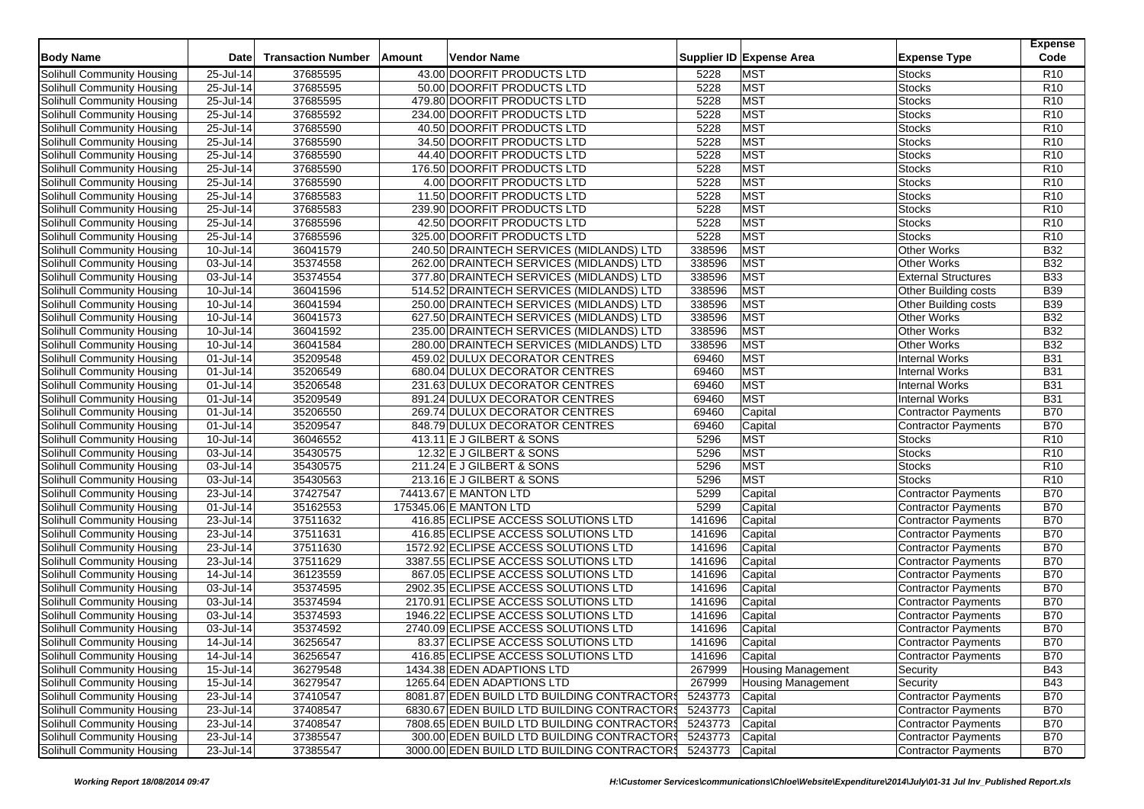| <b>Body Name</b>                                                | <b>Date</b>             | <b>Transaction Number</b> | Amount | <b>Vendor Name</b>                                         |                 | Supplier ID Expense Area  | <b>Expense Type</b>            | <b>Expense</b><br>Code |
|-----------------------------------------------------------------|-------------------------|---------------------------|--------|------------------------------------------------------------|-----------------|---------------------------|--------------------------------|------------------------|
| Solihull Community Housing                                      | 25-Jul-14               | 37685595                  |        | 43.00 DOORFIT PRODUCTS LTD                                 | 5228            | <b>MST</b>                | <b>Stocks</b>                  | R <sub>10</sub>        |
| Solihull Community Housing                                      | 25-Jul-14               | 37685595                  |        | 50.00 DOORFIT PRODUCTS LTD                                 | 5228            | <b>MST</b>                | <b>Stocks</b>                  | R <sub>10</sub>        |
| Solihull Community Housing                                      | 25-Jul-14               | 37685595                  |        | 479.80 DOORFIT PRODUCTS LTD                                | 5228            | <b>MST</b>                | <b>Stocks</b>                  | R <sub>10</sub>        |
|                                                                 | 25-Jul-14               | 37685592                  |        | 234.00 DOORFIT PRODUCTS LTD                                | 5228            | <b>MST</b>                | <b>Stocks</b>                  | R <sub>10</sub>        |
| Solihull Community Housing                                      |                         | 37685590                  |        |                                                            | 5228            | <b>MST</b>                |                                | R <sub>10</sub>        |
| Solihull Community Housing                                      | 25-Jul-14               |                           |        | 40.50 DOORFIT PRODUCTS LTD                                 | 5228            | <b>MST</b>                | <b>Stocks</b><br><b>Stocks</b> | R <sub>10</sub>        |
| Solihull Community Housing                                      | 25-Jul-14               | 37685590<br>37685590      |        | 34.50 DOORFIT PRODUCTS LTD                                 | 5228            | <b>MST</b>                |                                | R <sub>10</sub>        |
| Solihull Community Housing<br><b>Solihull Community Housing</b> | 25-Jul-14               | 37685590                  |        | 44.40 DOORFIT PRODUCTS LTD                                 | 5228            | MST                       | Stocks                         | R <sub>10</sub>        |
|                                                                 | 25-Jul-14               |                           |        | 176.50 DOORFIT PRODUCTS LTD                                |                 |                           | <b>Stocks</b>                  |                        |
| Solihull Community Housing                                      | 25-Jul-14               | 37685590                  |        | 4.00 DOORFIT PRODUCTS LTD                                  | 5228            | <b>MST</b>                | <b>Stocks</b>                  | R <sub>10</sub>        |
| Solihull Community Housing                                      | 25-Jul-14               | 37685583                  |        | 11.50 DOORFIT PRODUCTS LTD                                 | 5228            | <b>MST</b>                | Stocks                         | R <sub>10</sub>        |
| Solihull Community Housing                                      | 25-Jul-14               | 37685583                  |        | 239.90 DOORFIT PRODUCTS LTD                                | 5228            | <b>MST</b>                | <b>Stocks</b>                  | R10                    |
| Solihull Community Housing                                      | 25-Jul-14               | 37685596                  |        | 42.50 DOORFIT PRODUCTS LTD                                 | 5228            | <b>MST</b>                | <b>Stocks</b>                  | R <sub>10</sub>        |
| Solihull Community Housing                                      | 25-Jul-14               | 37685596                  |        | 325.00 DOORFIT PRODUCTS LTD                                | 5228            | <b>MST</b>                | Stocks                         | R <sub>10</sub>        |
| Solihull Community Housing                                      | 10-Jul-14               | 36041579                  |        | 240.50 DRAINTECH SERVICES (MIDLANDS) LTD                   | 338596          | <b>MST</b>                | <b>Other Works</b>             | B32                    |
| Solihull Community Housing                                      | 03-Jul-14               | 35374558                  |        | 262.00 DRAINTECH SERVICES (MIDLANDS) LTD                   | 338596          | <b>MST</b>                | <b>Other Works</b>             | <b>B32</b>             |
| Solihull Community Housing                                      | $\overline{03}$ -Jul-14 | 35374554                  |        | 377.80 DRAINTECH SERVICES (MIDLANDS) LTD                   | 338596          | <b>MST</b>                | <b>External Structures</b>     | <b>B33</b>             |
| Solihull Community Housing                                      | 10-Jul-14               | 36041596                  |        | 514.52 DRAINTECH SERVICES (MIDLANDS) LTD                   | 338596          | <b>MST</b>                | Other Building costs           | <b>B39</b>             |
| Solihull Community Housing                                      | 10-Jul-14               | 36041594                  |        | 250.00 DRAINTECH SERVICES (MIDLANDS) LTD                   | 338596          | <b>MST</b>                | Other Building costs           | <b>B39</b>             |
| Solihull Community Housing                                      | $\overline{10}$ -Jul-14 | 36041573                  |        | 627.50 DRAINTECH SERVICES (MIDLANDS) LTD                   | 338596          | <b>MST</b>                | <b>Other Works</b>             | <b>B32</b>             |
| Solihull Community Housing                                      | 10-Jul-14               | 36041592                  |        | 235.00 DRAINTECH SERVICES (MIDLANDS) LTD                   | 338596          | <b>MST</b>                | <b>Other Works</b>             | <b>B32</b>             |
| Solihull Community Housing                                      | 10-Jul-14               | 36041584                  |        | 280.00 DRAINTECH SERVICES (MIDLANDS) LTD                   | 338596          | <b>MST</b>                | <b>Other Works</b>             | <b>B32</b>             |
| Solihull Community Housing                                      | 01-Jul-14               | 35209548                  |        | 459.02 DULUX DECORATOR CENTRES                             | 69460           | <b>MST</b>                | <b>Internal Works</b>          | <b>B31</b>             |
| Solihull Community Housing                                      | 01-Jul-14               | 35206549                  |        | 680.04 DULUX DECORATOR CENTRES                             | 69460           | <b>MST</b>                | <b>Internal Works</b>          | <b>B31</b>             |
| Solihull Community Housing                                      | 01-Jul-14               | 35206548                  |        | 231.63 DULUX DECORATOR CENTRES                             | 69460           | <b>MST</b>                | <b>Internal Works</b>          | <b>B31</b>             |
| Solihull Community Housing                                      | 01-Jul-14               | 35209549                  |        | 891.24 DULUX DECORATOR CENTRES                             | 69460           | <b>MST</b>                | <b>Internal Works</b>          | <b>B31</b>             |
| Solihull Community Housing                                      | 01-Jul-14               | 35206550                  |        | 269.74 DULUX DECORATOR CENTRES                             | 69460           | Capital                   | Contractor Payments            | <b>B70</b>             |
| Solihull Community Housing                                      | 01-Jul-14               | 35209547                  |        | 848.79 DULUX DECORATOR CENTRES                             | 69460           | Capital                   | <b>Contractor Payments</b>     | <b>B70</b>             |
| Solihull Community Housing                                      | 10-Jul-14               | 36046552                  |        | 413.11 E J GILBERT & SONS                                  | 5296            | <b>MST</b>                | <b>Stocks</b>                  | R <sub>10</sub>        |
| Solihull Community Housing                                      | 03-Jul-14               | 35430575                  |        | 12.32 E J GILBERT & SONS                                   | 5296            | <b>MST</b>                | Stocks                         | R <sub>10</sub>        |
| Solihull Community Housing                                      | 03-Jul-14               | 35430575                  |        | 211.24 E J GILBERT & SONS                                  | 5296            | <b>MST</b>                | <b>Stocks</b>                  | R <sub>10</sub>        |
| Solihull Community Housing                                      | 03-Jul-14               | 35430563                  |        | 213.16 E J GILBERT & SONS                                  | 5296            | <b>MST</b>                | <b>Stocks</b>                  | R <sub>10</sub>        |
| Solihull Community Housing                                      | 23-Jul-14               | 37427547                  |        | 74413.67 E MANTON LTD                                      | 5299            | Capital                   | Contractor Payments            | <b>B70</b>             |
| Solihull Community Housing                                      | 01-Jul-14               | 35162553                  |        | 175345.06 E MANTON LTD                                     | 5299            | Capital                   | Contractor Payments            | <b>B70</b>             |
| Solihull Community Housing                                      | 23-Jul-14               | 37511632                  |        | 416.85 ECLIPSE ACCESS SOLUTIONS LTD                        | 141696          | Capital                   | <b>Contractor Payments</b>     | <b>B70</b>             |
| Solihull Community Housing                                      | 23-Jul-14               | 37511631                  |        | 416.85 ECLIPSE ACCESS SOLUTIONS LTD                        | 141696          | Capital                   | <b>Contractor Payments</b>     | <b>B70</b>             |
| <b>Solihull Community Housing</b>                               | 23-Jul-14               | 37511630                  |        | 1572.92 ECLIPSE ACCESS SOLUTIONS LTD                       | 141696          | Capital                   | <b>Contractor Payments</b>     | <b>B70</b>             |
| Solihull Community Housing                                      | 23-Jul-14               | 37511629                  |        | 3387.55 ECLIPSE ACCESS SOLUTIONS LTD                       | 141696          | Capital                   | <b>Contractor Payments</b>     | <b>B70</b>             |
| Solihull Community Housing                                      | 14-Jul-14               | 36123559                  |        | 867.05 ECLIPSE ACCESS SOLUTIONS LTD                        | 141696          | Capital                   | <b>Contractor Payments</b>     | <b>B70</b>             |
| Solihull Community Housing                                      | 03-Jul-14               | 35374595                  |        | 2902.35 ECLIPSE ACCESS SOLUTIONS LTD                       | 141696          | Capital                   | Contractor Payments            | <b>B70</b>             |
| Solihull Community Housing                                      | 03-Jul-14               | 35374594                  |        | 2170.91 ECLIPSE ACCESS SOLUTIONS LTD                       | 141696          | Capital                   | <b>Contractor Payments</b>     | <b>B70</b>             |
| Solihull Community Housing                                      | 03-Jul-14               | 35374593                  |        | 1946.22 ECLIPSE ACCESS SOLUTIONS LTD                       | 141696          | Capital                   | Contractor Payments            | <b>B70</b>             |
| Solihull Community Housing                                      | 03-Jul-14               | 35374592                  |        | 2740.09 ECLIPSE ACCESS SOLUTIONS LTD                       | 141696          | Capital                   | <b>Contractor Payments</b>     | <b>B70</b>             |
| Solihull Community Housing                                      | 14-Jul-14               | 36256547                  |        | 83.37 ECLIPSE ACCESS SOLUTIONS LTD                         | 141696          | Capital                   | <b>Contractor Payments</b>     | <b>B70</b>             |
| Solihull Community Housing                                      | 14-Jul-14               | 36256547                  |        | 416.85 ECLIPSE ACCESS SOLUTIONS LTD                        | 141696          | Capital                   | Contractor Payments            | <b>B70</b>             |
| Solihull Community Housing                                      | $15$ -Jul-14            | 36279548                  |        | 1434.38 EDEN ADAPTIONS LTD                                 | 267999          | <b>Housing Management</b> | Security                       | <b>B43</b>             |
| Solihull Community Housing                                      | 15-Jul-14               | 36279547                  |        | 1265.64 EDEN ADAPTIONS LTD                                 | 267999          | Housing Management        | Security                       | <b>B43</b>             |
| Solihull Community Housing                                      | 23-Jul-14               | 37410547                  |        | 8081.87 EDEN BUILD LTD BUILDING CONTRACTORS                | 5243773         | Capital                   | Contractor Payments            | <b>B70</b>             |
| Solihull Community Housing                                      | 23-Jul-14               | 37408547                  |        | 6830.67 EDEN BUILD LTD BUILDING CONTRACTOR\$               | 5243773         | Capital                   | Contractor Payments            | <b>B70</b>             |
| Solihull Community Housing                                      | 23-Jul-14               | 37408547                  |        | 7808.65 EDEN BUILD LTD BUILDING CONTRACTOR\$               | 5243773         | Capital                   | <b>Contractor Payments</b>     | <b>B70</b>             |
| Solihull Community Housing                                      | 23-Jul-14               | 37385547                  |        | 300.00 EDEN BUILD LTD BUILDING CONTRACTOR\$                | 5243773 Capital |                           | Contractor Payments            | <b>B70</b>             |
| Solihull Community Housing                                      | 23-Jul-14               | 37385547                  |        | 3000.00 EDEN BUILD LTD BUILDING CONTRACTOR 5243773 Capital |                 |                           | Contractor Payments            | <b>B70</b>             |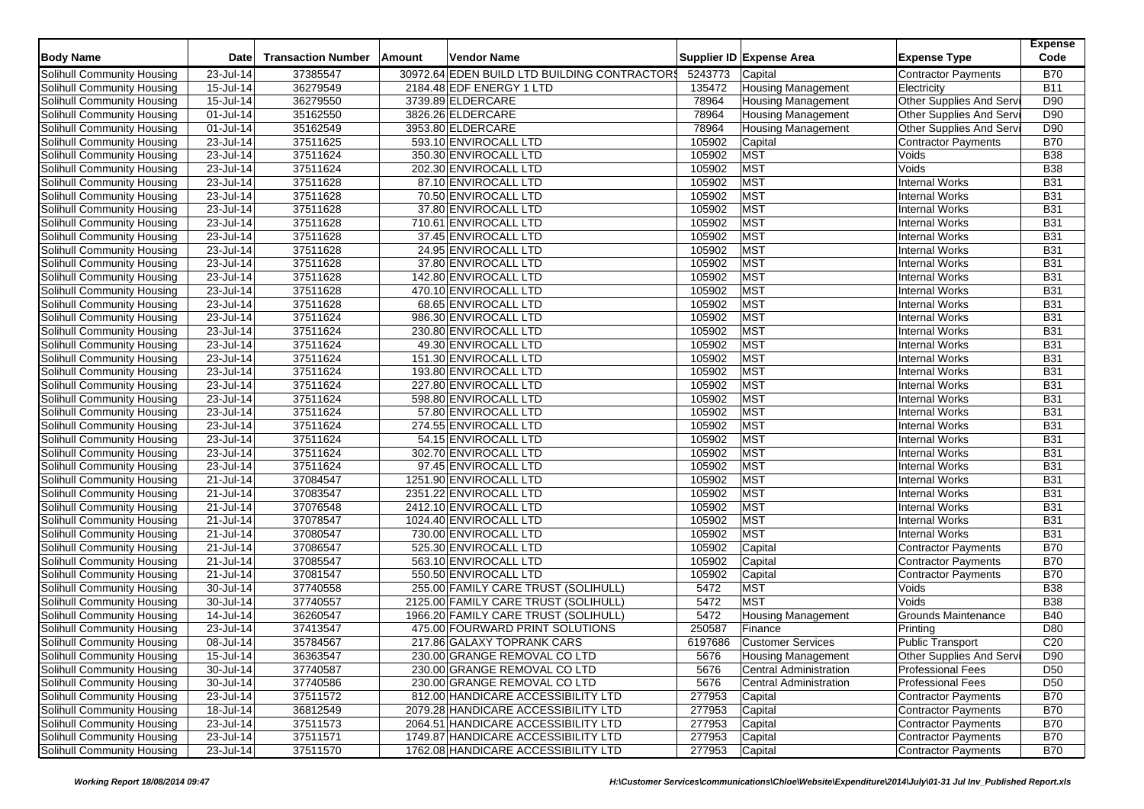| <b>Body Name</b>           | Date                    | <b>Transaction Number</b> | Amount | <b>Vendor Name</b>                           |         | Supplier ID Expense Area      | <b>Expense Type</b>        | <b>Expense</b><br>Code |
|----------------------------|-------------------------|---------------------------|--------|----------------------------------------------|---------|-------------------------------|----------------------------|------------------------|
| Solihull Community Housing | 23-Jul-14               | 37385547                  |        | 30972.64 EDEN BUILD LTD BUILDING CONTRACTORS | 5243773 | Capital                       | <b>Contractor Payments</b> | <b>B70</b>             |
| Solihull Community Housing | 15-Jul-14               | 36279549                  |        | 2184.48 EDF ENERGY 1 LTD                     | 135472  | <b>Housing Management</b>     | Electricity                | <b>B11</b>             |
| Solihull Community Housing | 15-Jul-14               | 36279550                  |        | 3739.89 ELDERCARE                            | 78964   | <b>Housing Management</b>     | Other Supplies And Serv    | D90                    |
| Solihull Community Housing | 01-Jul-14               | 35162550                  |        | 3826.26 ELDERCARE                            | 78964   | <b>Housing Management</b>     | Other Supplies And Serv    | D90                    |
| Solihull Community Housing | 01-Jul-14               | 35162549                  |        | 3953.80 ELDERCARE                            | 78964   | <b>Housing Management</b>     | Other Supplies And Servi   | D90                    |
| Solihull Community Housing | 23-Jul-14               | 37511625                  |        | 593.10 ENVIROCALL LTD                        | 105902  | Capital                       | <b>Contractor Payments</b> | <b>B70</b>             |
| Solihull Community Housing | 23-Jul-14               | 37511624                  |        | 350.30 ENVIROCALL LTD                        | 105902  | <b>MST</b>                    | Voids                      | <b>B38</b>             |
| Solihull Community Housing | 23-Jul-14               | 37511624                  |        | 202.30 ENVIROCALL LTD                        | 105902  | <b>MST</b>                    | Voids                      | <b>B38</b>             |
| Solihull Community Housing | 23-Jul-14               | 37511628                  |        | 87.10 ENVIROCALL LTD                         | 105902  | <b>MST</b>                    | <b>Internal Works</b>      | <b>B31</b>             |
| Solihull Community Housing | 23-Jul-14               | 37511628                  |        | 70.50 ENVIROCALL LTD                         | 105902  | <b>MST</b>                    | <b>Internal Works</b>      | <b>B31</b>             |
| Solihull Community Housing | 23-Jul-14               | 37511628                  |        | 37.80 ENVIROCALL LTD                         | 105902  | <b>MST</b>                    | <b>Internal Works</b>      | <b>B31</b>             |
| Solihull Community Housing | 23-Jul-14               | 37511628                  |        | 710.61 ENVIROCALL LTD                        | 105902  | <b>MST</b>                    | <b>Internal Works</b>      | <b>B31</b>             |
| Solihull Community Housing | 23-Jul-14               | 37511628                  |        | 37.45 ENVIROCALL LTD                         | 105902  | <b>MST</b>                    | <b>Internal Works</b>      | <b>B31</b>             |
| Solihull Community Housing | 23-Jul-14               | 37511628                  |        | 24.95 ENVIROCALL LTD                         | 105902  | <b>MST</b>                    | <b>Internal Works</b>      | <b>B31</b>             |
| Solihull Community Housing | 23-Jul-14               | 37511628                  |        | 37.80 ENVIROCALL LTD                         | 105902  | <b>MST</b>                    | <b>Internal Works</b>      | <b>B31</b>             |
| Solihull Community Housing | 23-Jul-14               | 37511628                  |        | 142.80 ENVIROCALL LTD                        | 105902  | <b>MST</b>                    | <b>Internal Works</b>      | <b>B31</b>             |
| Solihull Community Housing | 23-Jul-14               | 37511628                  |        | 470.10 ENVIROCALL LTD                        | 105902  | <b>MST</b>                    | <b>Internal Works</b>      | <b>B31</b>             |
| Solihull Community Housing | 23-Jul-14               | 37511628                  |        | 68.65 ENVIROCALL LTD                         | 105902  | <b>MST</b>                    | <b>Internal Works</b>      | <b>B31</b>             |
| Solihull Community Housing | 23-Jul-14               | 37511624                  |        | 986.30 ENVIROCALL LTD                        | 105902  | <b>MST</b>                    | <b>Internal Works</b>      | <b>B31</b>             |
| Solihull Community Housing | 23-Jul-14               | 37511624                  |        | 230.80 ENVIROCALL LTD                        | 105902  | <b>MST</b>                    | <b>Internal Works</b>      | <b>B31</b>             |
| Solihull Community Housing | 23-Jul-14               | 37511624                  |        | 49.30 ENVIROCALL LTD                         | 105902  | <b>MST</b>                    | <b>Internal Works</b>      | <b>B31</b>             |
| Solihull Community Housing | 23-Jul-14               | 37511624                  |        | 151.30 ENVIROCALL LTD                        | 105902  | <b>MST</b>                    | <b>Internal Works</b>      | <b>B31</b>             |
| Solihull Community Housing | 23-Jul-14               | 37511624                  |        | 193.80 ENVIROCALL LTD                        | 105902  | <b>MST</b>                    | <b>Internal Works</b>      | <b>B31</b>             |
| Solihull Community Housing | 23-Jul-14               | 37511624                  |        | 227.80 ENVIROCALL LTD                        | 105902  | <b>MST</b>                    | <b>Internal Works</b>      | <b>B31</b>             |
| Solihull Community Housing | 23-Jul-14               | 37511624                  |        | 598.80 ENVIROCALL LTD                        | 105902  | <b>MST</b>                    | <b>Internal Works</b>      | <b>B31</b>             |
| Solihull Community Housing | 23-Jul-14               | 37511624                  |        | 57.80 ENVIROCALL LTD                         | 105902  | <b>MST</b>                    | <b>Internal Works</b>      | <b>B31</b>             |
| Solihull Community Housing | 23-Jul-14               | 37511624                  |        | 274.55 ENVIROCALL LTD                        | 105902  | <b>MST</b>                    | <b>Internal Works</b>      | <b>B31</b>             |
| Solihull Community Housing | 23-Jul-14               | 37511624                  |        | 54.15 ENVIROCALL LTD                         | 105902  | <b>MST</b>                    | <b>Internal Works</b>      | <b>B31</b>             |
| Solihull Community Housing | 23-Jul-14               | 37511624                  |        | 302.70 ENVIROCALL LTD                        | 105902  | <b>MST</b>                    | <b>Internal Works</b>      | <b>B31</b>             |
| Solihull Community Housing | 23-Jul-14               | 37511624                  |        | 97.45 ENVIROCALL LTD                         | 105902  | <b>MST</b>                    | <b>Internal Works</b>      | <b>B31</b>             |
| Solihull Community Housing | 21-Jul-14               | 37084547                  |        | 1251.90 ENVIROCALL LTD                       | 105902  | <b>MST</b>                    | <b>Internal Works</b>      | <b>B31</b>             |
| Solihull Community Housing | 21-Jul-14               | 37083547                  |        | 2351.22 ENVIROCALL LTD                       | 105902  | <b>MST</b>                    | <b>Internal Works</b>      | <b>B31</b>             |
| Solihull Community Housing | 21-Jul-14               | 37076548                  |        | 2412.10 ENVIROCALL LTD                       | 105902  | <b>MST</b>                    | <b>Internal Works</b>      | <b>B31</b>             |
| Solihull Community Housing | 21-Jul-14               | 37078547                  |        | 1024.40 ENVIROCALL LTD                       | 105902  | <b>MST</b>                    | <b>Internal Works</b>      | <b>B31</b>             |
| Solihull Community Housing | 21-Jul-14               | 37080547                  |        | 730.00 ENVIROCALL LTD                        | 105902  | <b>MST</b>                    | <b>Internal Works</b>      | <b>B31</b>             |
| Solihull Community Housing | 21-Jul-14               | 37086547                  |        | 525.30 ENVIROCALL LTD                        | 105902  | Capital                       | <b>Contractor Payments</b> | <b>B70</b>             |
| Solihull Community Housing | 21-Jul-14               | 37085547                  |        | 563.10 ENVIROCALL LTD                        | 105902  | Capital                       | <b>Contractor Payments</b> | <b>B70</b>             |
| Solihull Community Housing | 21-Jul-14               | 37081547                  |        | 550.50 ENVIROCALL LTD                        | 105902  | Capital                       | <b>Contractor Payments</b> | <b>B70</b>             |
| Solihull Community Housing | 30-Jul-14               | 37740558                  |        | 255.00 FAMILY CARE TRUST (SOLIHULL)          | 5472    | <b>MST</b>                    | Voids                      | <b>B38</b>             |
| Solihull Community Housing | 30-Jul-14               | 37740557                  |        | 2125.00 FAMILY CARE TRUST (SOLIHULL)         | 5472    | <b>MST</b>                    | Voids                      | <b>B</b> 38            |
| Solihull Community Housing | 14-Jul-14               | 36260547                  |        | 1966.20 FAMILY CARE TRUST (SOLIHULL)         | 5472    | <b>Housing Management</b>     | Grounds Maintenance        | <b>B40</b>             |
| Solihull Community Housing | 23-Jul-14               | 37413547                  |        | 475.00 FOURWARD PRINT SOLUTIONS              | 250587  | Finance                       | Printing                   | D80                    |
| Solihull Community Housing | 08-Jul-14               | 35784567                  |        | 217.86 GALAXY TOPRANK CARS                   | 6197686 | <b>Customer Services</b>      | Public Transport           | C <sub>20</sub>        |
| Solihull Community Housing | 15-Jul-14               | 36363547                  |        | 230.00 GRANGE REMOVAL CO LTD                 | 5676    | <b>Housing Management</b>     | Other Supplies And Servi   | D90                    |
| Solihull Community Housing | 30-Jul-14               | 37740587                  |        | 230.00 GRANGE REMOVAL CO LTD                 | 5676    | Central Administration        | <b>Professional Fees</b>   | D <sub>50</sub>        |
| Solihull Community Housing | $\overline{30}$ -Jul-14 | 37740586                  |        | 230.00 GRANGE REMOVAL CO LTD                 | 5676    | <b>Central Administration</b> | <b>Professional Fees</b>   | D <sub>50</sub>        |
| Solihull Community Housing | 23-Jul-14               | 37511572                  |        | 812.00 HANDICARE ACCESSIBILITY LTD           | 277953  | Capital                       | <b>Contractor Payments</b> | <b>B70</b>             |
| Solihull Community Housing | 18-Jul-14               | 36812549                  |        | 2079.28 HANDICARE ACCESSIBILITY LTD          | 277953  | Capital                       | <b>Contractor Payments</b> | <b>B70</b>             |
| Solihull Community Housing | 23-Jul-14               | 37511573                  |        | 2064.51 HANDICARE ACCESSIBILITY LTD          | 277953  | Capital                       | <b>Contractor Payments</b> | <b>B70</b>             |
| Solihull Community Housing | 23-Jul-14               | 37511571                  |        | 1749.87 HANDICARE ACCESSIBILITY LTD          | 277953  | Capital                       | <b>Contractor Payments</b> | <b>B70</b>             |
| Solihull Community Housing | 23-Jul-14               | 37511570                  |        | 1762.08 HANDICARE ACCESSIBILITY LTD          | 277953  | Capital                       | <b>Contractor Payments</b> | <b>B70</b>             |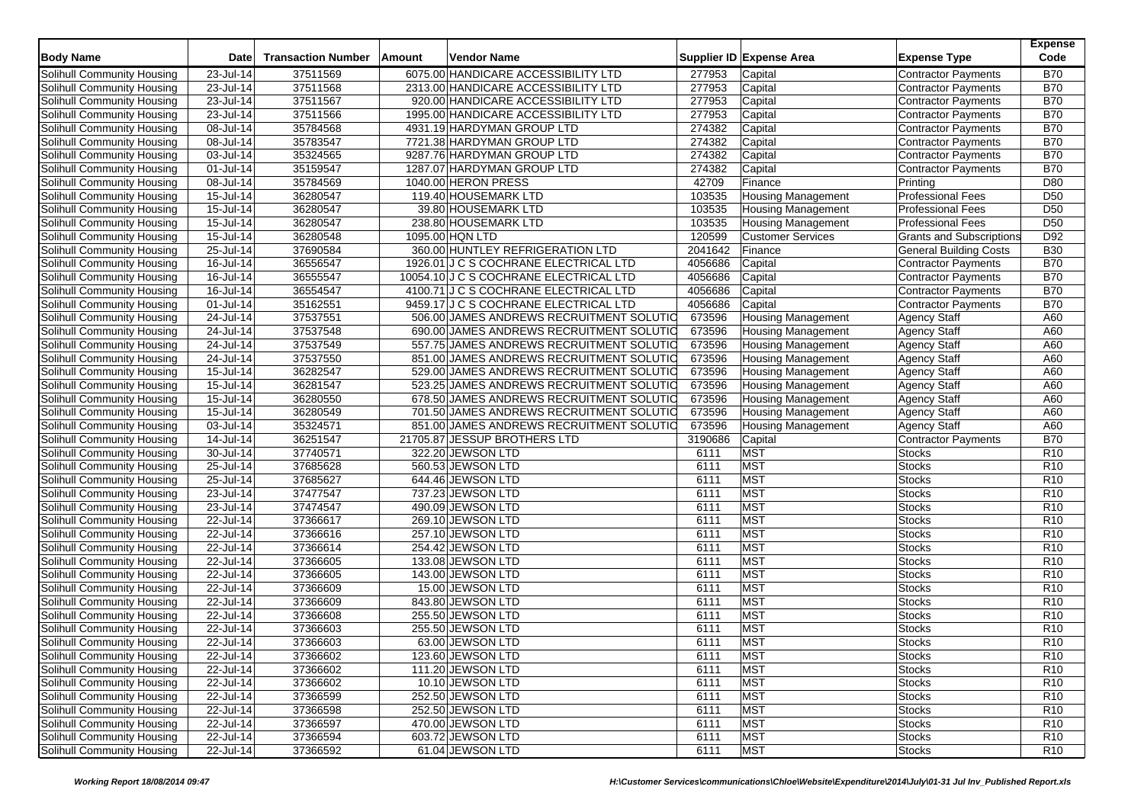| <b>Body Name</b>                  | Date                    | <b>Transaction Number</b> | <b>Amount</b> | <b>Vendor Name</b>                       |         | Supplier ID Expense Area  | <b>Expense Type</b>             | <b>Expense</b><br>Code |
|-----------------------------------|-------------------------|---------------------------|---------------|------------------------------------------|---------|---------------------------|---------------------------------|------------------------|
| Solihull Community Housing        | 23-Jul-14               | 37511569                  |               | 6075.00 HANDICARE ACCESSIBILITY LTD      | 277953  | Capital                   | <b>Contractor Payments</b>      | <b>B70</b>             |
| Solihull Community Housing        | 23-Jul-14               | 37511568                  |               | 2313.00 HANDICARE ACCESSIBILITY LTD      | 277953  | Capital                   | <b>Contractor Payments</b>      | <b>B70</b>             |
| Solihull Community Housing        | 23-Jul-14               | 37511567                  |               | 920.00 HANDICARE ACCESSIBILITY LTD       | 277953  | Capital                   | <b>Contractor Payments</b>      | <b>B70</b>             |
| Solihull Community Housing        | 23-Jul-14               | 37511566                  |               | 1995.00 HANDICARE ACCESSIBILITY LTD      | 277953  | Capital                   | <b>Contractor Payments</b>      | <b>B70</b>             |
| Solihull Community Housing        | 08-Jul-14               | 35784568                  |               | 4931.19 HARDYMAN GROUP LTD               | 274382  | Capital                   | <b>Contractor Payments</b>      | <b>B70</b>             |
| Solihull Community Housing        | 08-Jul-14               | 35783547                  |               | 7721.38 HARDYMAN GROUP LTD               | 274382  | Capital                   | <b>Contractor Payments</b>      | <b>B70</b>             |
| Solihull Community Housing        | 03-Jul-14               | 35324565                  |               | 9287.76 HARDYMAN GROUP LTD               | 274382  | Capital                   | <b>Contractor Payments</b>      | <b>B70</b>             |
| Solihull Community Housing        | 01-Jul-14               | 35159547                  |               | 1287.07 HARDYMAN GROUP LTD               | 274382  | Capital                   | <b>Contractor Payments</b>      | <b>B70</b>             |
| Solihull Community Housing        | 08-Jul-14               | 35784569                  |               | 1040.00 HERON PRESS                      | 42709   | Finance                   | Printing                        | D80                    |
| Solihull Community Housing        | 15-Jul-14               | 36280547                  |               | 119.40 HOUSEMARK LTD                     | 103535  | <b>Housing Management</b> | <b>Professional Fees</b>        | D <sub>50</sub>        |
| Solihull Community Housing        | 15-Jul-14               | 36280547                  |               | 39.80 HOUSEMARK LTD                      | 103535  | <b>Housing Management</b> | <b>Professional Fees</b>        | D <sub>50</sub>        |
| Solihull Community Housing        | 15-Jul-14               | 36280547                  |               | 238.80 HOUSEMARK LTD                     | 103535  | <b>Housing Management</b> | <b>Professional Fees</b>        | D <sub>50</sub>        |
| Solihull Community Housing        | 15-Jul-14               | 36280548                  |               | 1095.00 HQN LTD                          | 120599  | <b>Customer Services</b>  | <b>Grants and Subscriptions</b> | D92                    |
| Solihull Community Housing        | 25-Jul-14               | 37690584                  |               | 360.00 HUNTLEY REFRIGERATION LTD         | 2041642 | Finance                   | <b>General Building Costs</b>   | <b>B30</b>             |
| Solihull Community Housing        | 16-Jul-14               | 36556547                  |               | 1926.01 J C S COCHRANE ELECTRICAL LTD    | 4056686 | Capital                   | <b>Contractor Payments</b>      | <b>B70</b>             |
| Solihull Community Housing        | 16-Jul-14               | 36555547                  |               | 10054.10 J C S COCHRANE ELECTRICAL LTD   | 4056686 | Capital                   | Contractor Payments             | <b>B70</b>             |
| Solihull Community Housing        | 16-Jul-14               | 36554547                  |               | 4100.71 J C S COCHRANE ELECTRICAL LTD    | 4056686 | Capital                   | <b>Contractor Payments</b>      | <b>B70</b>             |
| Solihull Community Housing        | 01-Jul-14               | 35162551                  |               | 9459.17 J C S COCHRANE ELECTRICAL LTD    | 4056686 | Capital                   | <b>Contractor Payments</b>      | <b>B70</b>             |
| Solihull Community Housing        | 24-Jul-14               | 37537551                  |               | 506.00 JAMES ANDREWS RECRUITMENT SOLUTIO | 673596  | <b>Housing Management</b> | <b>Agency Staff</b>             | A60                    |
| Solihull Community Housing        | 24-Jul-14               | 37537548                  |               | 690.00 JAMES ANDREWS RECRUITMENT SOLUTIO | 673596  | <b>Housing Management</b> | <b>Agency Staff</b>             | A60                    |
| Solihull Community Housing        | 24-Jul-14               | 37537549                  |               | 557.75 JAMES ANDREWS RECRUITMENT SOLUTIO | 673596  | <b>Housing Management</b> | <b>Agency Staff</b>             | A60                    |
| Solihull Community Housing        | 24-Jul-14               | 37537550                  |               | 851.00 JAMES ANDREWS RECRUITMENT SOLUTIO | 673596  | <b>Housing Management</b> | <b>Agency Staff</b>             | A60                    |
| Solihull Community Housing        | 15-Jul-14               | 36282547                  |               | 529.00 JAMES ANDREWS RECRUITMENT SOLUTIO | 673596  | <b>Housing Management</b> | <b>Agency Staff</b>             | A60                    |
| Solihull Community Housing        | 15-Jul-14               | 36281547                  |               | 523.25 JAMES ANDREWS RECRUITMENT SOLUTIO | 673596  | <b>Housing Management</b> | Agency Staff                    | A60                    |
| Solihull Community Housing        | 15-Jul-14               | 36280550                  |               | 678.50 JAMES ANDREWS RECRUITMENT SOLUTIO | 673596  | <b>Housing Management</b> | <b>Agency Staff</b>             | A60                    |
| Solihull Community Housing        | 15-Jul-14               | 36280549                  |               | 701.50 JAMES ANDREWS RECRUITMENT SOLUTIO | 673596  | <b>Housing Management</b> | <b>Agency Staff</b>             | A60                    |
| Solihull Community Housing        | 03-Jul-14               | 35324571                  |               | 851.00 JAMES ANDREWS RECRUITMENT SOLUTIO | 673596  | <b>Housing Management</b> | <b>Agency Staff</b>             | A60                    |
| Solihull Community Housing        | 14-Jul-14               | 36251547                  |               | 21705.87 JESSUP BROTHERS LTD             | 3190686 | Capital                   | <b>Contractor Payments</b>      | <b>B70</b>             |
| Solihull Community Housing        | 30-Jul-14               | 37740571                  |               | 322.20 JEWSON LTD                        | 6111    | <b>MST</b>                | Stocks                          | R <sub>10</sub>        |
| Solihull Community Housing        | 25-Jul-14               | 37685628                  |               | 560.53 JEWSON LTD                        | 6111    | <b>MST</b>                | <b>Stocks</b>                   | R <sub>10</sub>        |
| Solihull Community Housing        | $25$ -Jul-14            | 37685627                  |               | 644.46 JEWSON LTD                        | 6111    | <b>MST</b>                | <b>Stocks</b>                   | R <sub>10</sub>        |
| Solihull Community Housing        | 23-Jul-14               | 37477547                  |               | 737.23 JEWSON LTD                        | 6111    | <b>MST</b>                | <b>Stocks</b>                   | R <sub>10</sub>        |
| Solihull Community Housing        | 23-Jul-14               | 37474547                  |               | 490.09 JEWSON LTD                        | 6111    | <b>MST</b>                | <b>Stocks</b>                   | R <sub>10</sub>        |
| Solihull Community Housing        | $\overline{22}$ -Jul-14 | 37366617                  |               | 269.10 JEWSON LTD                        | 6111    | <b>MST</b>                | <b>Stocks</b>                   | R <sub>10</sub>        |
| Solihull Community Housing        | 22-Jul-14               | 37366616                  |               | 257.10 JEWSON LTD                        | 6111    | <b>MST</b>                | <b>Stocks</b>                   | R <sub>10</sub>        |
| Solihull Community Housing        | 22-Jul-14               | 37366614                  |               | 254.42 JEWSON LTD                        | 6111    | <b>MST</b>                | <b>Stocks</b>                   | R <sub>10</sub>        |
| Solihull Community Housing        | 22-Jul-14               | 37366605                  |               | 133.08 JEWSON LTD                        | 6111    | <b>MST</b>                | <b>Stocks</b>                   | R <sub>10</sub>        |
| Solihull Community Housing        | 22-Jul-14               | 37366605                  |               | 143.00 JEWSON LTD                        | 6111    | <b>MST</b>                | <b>Stocks</b>                   | R <sub>10</sub>        |
| Solihull Community Housing        | 22-Jul-14               | 37366609                  |               | 15.00 JEWSON LTD                         | 6111    | <b>MST</b>                | <b>Stocks</b>                   | R <sub>10</sub>        |
| Solihull Community Housing        | $\overline{22}$ -Jul-14 | 37366609                  |               | 843.80 JEWSON LTD                        | 6111    | <b>MST</b>                | <b>Stocks</b>                   | R <sub>10</sub>        |
| Solihull Community Housing        | 22-Jul-14               | 37366608                  |               | 255.50 JEWSON LTD                        | 6111    | <b>MST</b>                | <b>Stocks</b>                   | R <sub>10</sub>        |
| Solihull Community Housing        | $22$ -Jul-14            | 37366603                  |               | 255.50 JEWSON LTD                        | 6111    | <b>MST</b>                | <b>Stocks</b>                   | R <sub>10</sub>        |
| Solihull Community Housing        | 22-Jul-14               | 37366603                  |               | 63.00 JEWSON LTD                         | 6111    | <b>MST</b>                | <b>Stocks</b>                   | R <sub>10</sub>        |
| Solihull Community Housing        | 22-Jul-14               | 37366602                  |               | 123.60 JEWSON LTD                        | 6111    | <b>MST</b>                | <b>Stocks</b>                   | R <sub>10</sub>        |
| Solihull Community Housing        | 22-Jul-14               | 37366602                  |               | 111.20 JEWSON LTD                        | 6111    | <b>MST</b>                | <b>Stocks</b>                   | R <sub>10</sub>        |
| Solihull Community Housing        | 22-Jul-14               | 37366602                  |               | 10.10 JEWSON LTD                         | 6111    | <b>MST</b>                | <b>Stocks</b>                   | R <sub>10</sub>        |
| Solihull Community Housing        | 22-Jul-14               | 37366599                  |               | 252.50 JEWSON LTD                        | 6111    | <b>MST</b>                | <b>Stocks</b>                   | R <sub>10</sub>        |
| Solihull Community Housing        | 22-Jul-14               | 37366598                  |               | 252.50 JEWSON LTD                        | 6111    | <b>MST</b>                | <b>Stocks</b>                   | R <sub>10</sub>        |
| Solihull Community Housing        | 22-Jul-14               | 37366597                  |               | 470.00 JEWSON LTD                        | 6111    | <b>MST</b>                | <b>Stocks</b>                   | R <sub>10</sub>        |
| <b>Solihull Community Housing</b> | 22-Jul-14               | 37366594                  |               | 603.72 JEWSON LTD                        | 6111    | <b>MST</b>                | <b>Stocks</b>                   | R <sub>10</sub>        |
| Solihull Community Housing        | 22-Jul-14               | 37366592                  |               | 61.04 JEWSON LTD                         | 6111    | <b>MST</b>                | <b>Stocks</b>                   | <b>R10</b>             |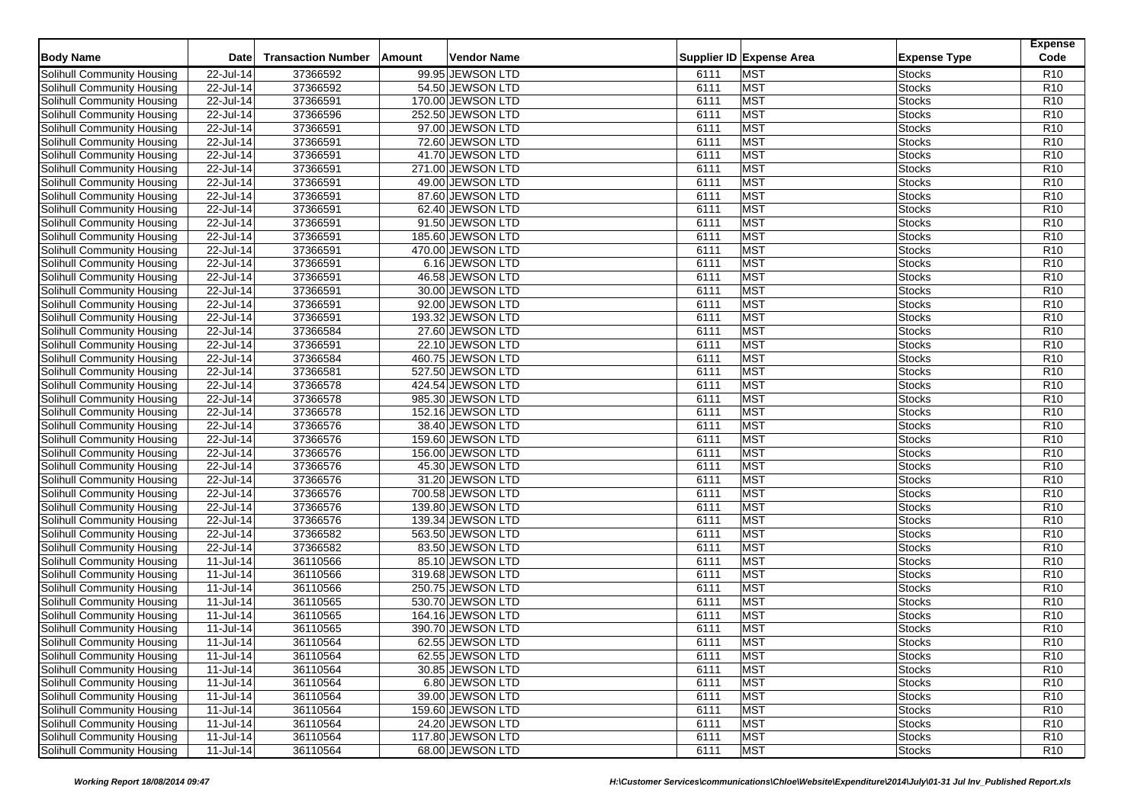| <b>Body Name</b>                                         | <b>Date</b>               | <b>Transaction Number</b> | Amount | <b>Vendor Name</b> |              | Supplier ID Expense Area | <b>Expense Type</b> | <b>Expense</b><br>Code |
|----------------------------------------------------------|---------------------------|---------------------------|--------|--------------------|--------------|--------------------------|---------------------|------------------------|
| Solihull Community Housing                               | 22-Jul-14                 | 37366592                  |        | 99.95 JEWSON LTD   | 6111         | <b>MST</b>               | <b>Stocks</b>       | R <sub>10</sub>        |
| Solihull Community Housing                               | 22-Jul-14                 | 37366592                  |        | 54.50 JEWSON LTD   | 6111         | <b>MST</b>               | Stocks              | R <sub>10</sub>        |
| Solihull Community Housing                               | 22-Jul-14                 | 37366591                  |        | 170.00 JEWSON LTD  | 6111         | <b>MST</b>               | <b>Stocks</b>       | R <sub>10</sub>        |
| Solihull Community Housing                               | 22-Jul-14                 | 37366596                  |        | 252.50 JEWSON LTD  | 6111         | <b>MST</b>               | Stocks              | R <sub>10</sub>        |
| Solihull Community Housing                               | 22-Jul-14                 | 37366591                  |        | 97.00 JEWSON LTD   | 6111         | <b>MST</b>               | <b>Stocks</b>       | R <sub>10</sub>        |
| Solihull Community Housing                               | 22-Jul-14                 | 37366591                  |        | 72.60 JEWSON LTD   | 6111         | MST                      | <b>Stocks</b>       | R <sub>10</sub>        |
| Solihull Community Housing                               | 22-Jul-14                 | 37366591                  |        | 41.70 JEWSON LTD   | 6111         | <b>MST</b>               | Stocks              | R <sub>10</sub>        |
| Solihull Community Housing                               | 22-Jul-14                 | 37366591                  |        | 271.00 JEWSON LTD  | 6111         | <b>MST</b>               | <b>Stocks</b>       | R <sub>10</sub>        |
| Solihull Community Housing                               | 22-Jul-14                 | 37366591                  |        | 49.00 JEWSON LTD   | 6111         | <b>MST</b>               | <b>Stocks</b>       | R <sub>10</sub>        |
| Solihull Community Housing                               | 22-Jul-14                 | 37366591                  |        | 87.60 JEWSON LTD   | 6111         | <b>MST</b>               | Stocks              | R <sub>10</sub>        |
| Solihull Community Housing                               | 22-Jul-14                 | 37366591                  |        | 62.40 JEWSON LTD   | 6111         | <b>MST</b>               | <b>Stocks</b>       | R <sub>10</sub>        |
| Solihull Community Housing                               | 22-Jul-14                 | 37366591                  |        | 91.50 JEWSON LTD   | 6111         | MST                      | <b>Stocks</b>       | R <sub>10</sub>        |
| Solihull Community Housing                               | 22-Jul-14                 | 37366591                  |        | 185.60 JEWSON LTD  | 6111         | <b>MST</b>               | Stocks              | R10                    |
| Solihull Community Housing                               | 22-Jul-14                 | 37366591                  |        | 470.00 JEWSON LTD  | 6111         | <b>MST</b>               | Stocks              | R <sub>10</sub>        |
| Solihull Community Housing                               | 22-Jul-14                 | 37366591                  |        | 6.16 JEWSON LTD    | 6111         | <b>MST</b>               | Stocks              | R <sub>10</sub>        |
| Solihull Community Housing                               | 22-Jul-14                 | 37366591                  |        | 46.58 JEWSON LTD   | 6111         | <b>MST</b>               | Stocks              | R <sub>10</sub>        |
|                                                          |                           | 37366591                  |        | 30.00 JEWSON LTD   | 6111         | <b>MST</b>               | <b>Stocks</b>       | R <sub>10</sub>        |
| Solihull Community Housing<br>Solihull Community Housing | 22-Jul-14                 | 37366591                  |        | 92.00 JEWSON LTD   |              | <b>MST</b>               |                     | R <sub>10</sub>        |
|                                                          | 22-Jul-14                 | 37366591                  |        |                    | 6111<br>6111 | <b>MST</b>               | Stocks              | R10                    |
| Solihull Community Housing                               | 22-Jul-14                 | 37366584                  |        | 193.32 JEWSON LTD  |              | MST                      | Stocks              | R <sub>10</sub>        |
| Solihull Community Housing                               | 22-Jul-14<br>$22$ -Jul-14 |                           |        | 27.60 JEWSON LTD   | 6111         |                          | Stocks              |                        |
| Solihull Community Housing                               |                           | 37366591                  |        | 22.10 JEWSON LTD   | 6111         | <b>MST</b>               | <b>Stocks</b>       | R <sub>10</sub>        |
| Solihull Community Housing                               | 22-Jul-14                 | 37366584                  |        | 460.75 JEWSON LTD  | 6111         | <b>MST</b>               | Stocks              | R <sub>10</sub>        |
| Solihull Community Housing                               | 22-Jul-14                 | 37366581                  |        | 527.50 JEWSON LTD  | 6111         | <b>MST</b>               | Stocks              | R <sub>10</sub>        |
| Solihull Community Housing                               | $22$ -Jul-14              | 37366578                  |        | 424.54 JEWSON LTD  | 6111         | <b>MST</b>               | Stocks              | R <sub>10</sub>        |
| Solihull Community Housing                               | 22-Jul-14                 | 37366578                  |        | 985.30 JEWSON LTD  | 6111         | <b>MST</b>               | <b>Stocks</b>       | R <sub>10</sub>        |
| Solihull Community Housing                               | 22-Jul-14                 | 37366578                  |        | 152.16 JEWSON LTD  | 6111         | MST                      | Stocks              | R <sub>10</sub>        |
| Solihull Community Housing                               | 22-Jul-14                 | 37366576                  |        | 38.40 JEWSON LTD   | 6111         | <b>MST</b>               | Stocks              | R <sub>10</sub>        |
| Solihull Community Housing                               | 22-Jul-14                 | 37366576                  |        | 159.60 JEWSON LTD  | 6111         | <b>MST</b>               | Stocks              | R <sub>10</sub>        |
| Solihull Community Housing                               | 22-Jul-14                 | 37366576                  |        | 156.00 JEWSON LTD  | 6111         | <b>MST</b>               | Stocks              | R <sub>10</sub>        |
| Solihull Community Housing                               | 22-Jul-14                 | 37366576                  |        | 45.30 JEWSON LTD   | 6111         | <b>MST</b>               | Stocks              | R <sub>10</sub>        |
| Solihull Community Housing                               | 22-Jul-14                 | 37366576                  |        | 31.20 JEWSON LTD   | 6111         | <b>MST</b>               | <b>Stocks</b>       | R <sub>10</sub>        |
| Solihull Community Housing                               | 22-Jul-14                 | 37366576                  |        | 700.58 JEWSON LTD  | 6111         | <b>MST</b>               | Stocks              | R <sub>10</sub>        |
| Solihull Community Housing                               | 22-Jul-14                 | 37366576                  |        | 139.80 JEWSON LTD  | 6111         | <b>MST</b>               | Stocks              | R <sub>10</sub>        |
| Solihull Community Housing                               | 22-Jul-14                 | 37366576                  |        | 139.34 JEWSON LTD  | 6111         | <b>MST</b>               | <b>Stocks</b>       | R <sub>10</sub>        |
| Solihull Community Housing                               | 22-Jul-14                 | 37366582                  |        | 563.50 JEWSON LTD  | 6111         | <b>MST</b>               | Stocks              | R <sub>10</sub>        |
| <b>Solihull Community Housing</b>                        | 22-Jul-14                 | 37366582                  |        | 83.50 JEWSON LTD   | 6111         | <b>MST</b>               | <b>Stocks</b>       | R <sub>10</sub>        |
| Solihull Community Housing                               | $\overline{11}$ -Jul-14   | 36110566                  |        | 85.10 JEWSON LTD   | 6111         | <b>MST</b>               | Stocks              | R <sub>10</sub>        |
| Solihull Community Housing                               | 11-Jul-14                 | 36110566                  |        | 319.68 JEWSON LTD  | 6111         | <b>MST</b>               | Stocks              | R <sub>10</sub>        |
| Solihull Community Housing                               | 11-Jul-14                 | 36110566                  |        | 250.75 JEWSON LTD  | 6111         | <b>MST</b>               | Stocks              | R <sub>10</sub>        |
| Solihull Community Housing                               | 11-Jul-14                 | 36110565                  |        | 530.70 JEWSON LTD  | 6111         | <b>MST</b>               | Stocks              | R <sub>10</sub>        |
| Solihull Community Housing                               | 11-Jul-14                 | 36110565                  |        | 164.16 JEWSON LTD  | 6111         | <b>MST</b>               | Stocks              | R <sub>10</sub>        |
| Solihull Community Housing                               | $11-Jul-14$               | 36110565                  |        | 390.70 JEWSON LTD  | 6111         | <b>MST</b>               | Stocks              | R <sub>10</sub>        |
| <b>Solihull Community Housing</b>                        | 11-Jul-14                 | 36110564                  |        | 62.55 JEWSON LTD   | 6111         | <b>MST</b>               | <b>Stocks</b>       | R <sub>10</sub>        |
| Solihull Community Housing                               | 11-Jul-14                 | 36110564                  |        | 62.55 JEWSON LTD   | 6111         | <b>MST</b>               | <b>Stocks</b>       | R <sub>10</sub>        |
| Solihull Community Housing                               | 11-Jul-14                 | 36110564                  |        | 30.85 JEWSON LTD   | 6111         | <b>MST</b>               | <b>Stocks</b>       | R <sub>10</sub>        |
| Solihull Community Housing                               | 11-Jul-14                 | 36110564                  |        | 6.80 JEWSON LTD    | 6111         | <b>MST</b>               | <b>Stocks</b>       | R <sub>10</sub>        |
| Solihull Community Housing                               | 11-Jul-14                 | 36110564                  |        | 39.00 JEWSON LTD   | 6111         | <b>MST</b>               | <b>Stocks</b>       | R <sub>10</sub>        |
| Solihull Community Housing                               | 11-Jul-14                 | 36110564                  |        | 159.60 JEWSON LTD  | 6111         | <b>MST</b>               | <b>Stocks</b>       | R <sub>10</sub>        |
| Solihull Community Housing                               | 11-Jul-14                 | 36110564                  |        | 24.20 JEWSON LTD   | 6111         | <b>MST</b>               | <b>Stocks</b>       | R <sub>10</sub>        |
| Solihull Community Housing                               | 11-Jul-14                 | 36110564                  |        | 117.80 JEWSON LTD  | 6111         | <b>MST</b>               | <b>Stocks</b>       | R <sub>10</sub>        |
| Solihull Community Housing                               | 11-Jul-14                 | 36110564                  |        | 68.00 JEWSON LTD   | 6111         | <b>MST</b>               | <b>Stocks</b>       | R <sub>10</sub>        |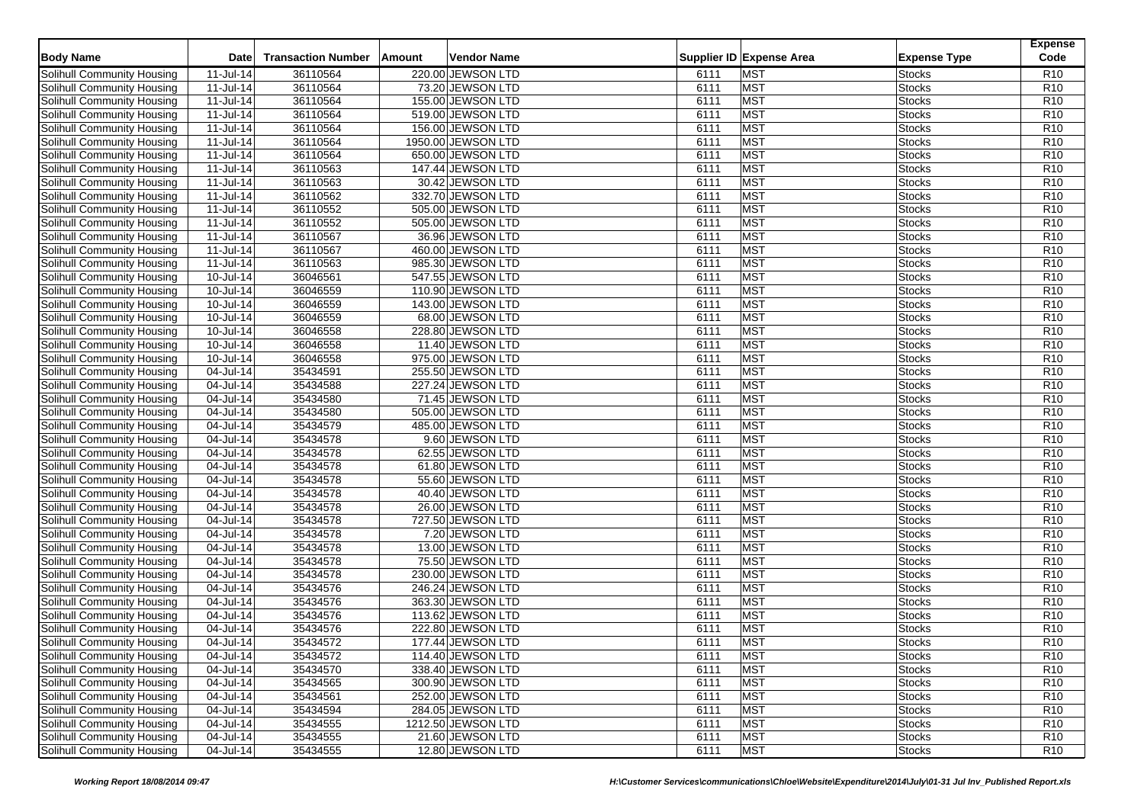| <b>Body Name</b>                  | <b>Date</b>             | <b>Transaction Number</b> | Amount | <b>Vendor Name</b>                     |              | Supplier ID Expense Area | <b>Expense Type</b> | <b>Expense</b><br>Code             |
|-----------------------------------|-------------------------|---------------------------|--------|----------------------------------------|--------------|--------------------------|---------------------|------------------------------------|
| Solihull Community Housing        | 11-Jul-14               | 36110564                  |        | 220.00 JEWSON LTD                      | 6111         | <b>MST</b>               | <b>Stocks</b>       | R <sub>10</sub>                    |
| Solihull Community Housing        | 11-Jul-14               | 36110564                  |        | 73.20 JEWSON LTD                       | 6111         | <b>MST</b>               | Stocks              | R <sub>10</sub>                    |
| Solihull Community Housing        | 11-Jul-14               | 36110564                  |        | 155.00 JEWSON LTD                      | 6111         | <b>MST</b>               | <b>Stocks</b>       | R <sub>10</sub>                    |
| Solihull Community Housing        | $\overline{11}$ -Jul-14 | 36110564                  |        | 519.00 JEWSON LTD                      | 6111         | <b>MST</b>               | Stocks              | R <sub>10</sub>                    |
| Solihull Community Housing        | 11-Jul-14               | 36110564                  |        | 156.00 JEWSON LTD                      | 6111         | <b>MST</b>               | <b>Stocks</b>       | R <sub>10</sub>                    |
| Solihull Community Housing        | 11-Jul-14               | 36110564                  |        | 1950.00 JEWSON LTD                     | 6111         | MST                      | <b>Stocks</b>       | R <sub>10</sub>                    |
| Solihull Community Housing        | 11-Jul-14               | 36110564                  |        | 650.00 JEWSON LTD                      | 6111         | <b>MST</b>               | Stocks              | R <sub>10</sub>                    |
| Solihull Community Housing        | $11-Jul-14$             | 36110563                  |        | 147.44 JEWSON LTD                      | 6111         | <b>MST</b>               | <b>Stocks</b>       | R <sub>10</sub>                    |
| Solihull Community Housing        | 11-Jul-14               | 36110563                  |        | 30.42 JEWSON LTD                       | 6111         | <b>MST</b>               | <b>Stocks</b>       | R <sub>10</sub>                    |
| Solihull Community Housing        | 11-Jul-14               | 36110562                  |        | 332.70 JEWSON LTD                      | 6111         | <b>MST</b>               | Stocks              | R <sub>10</sub>                    |
| Solihull Community Housing        | 11-Jul-14               | 36110552                  |        | 505.00 JEWSON LTD                      | 6111         | <b>MST</b>               | <b>Stocks</b>       | R <sub>10</sub>                    |
| Solihull Community Housing        | 11-Jul-14               | 36110552                  |        | 505.00 JEWSON LTD                      | 6111         | MST                      | <b>Stocks</b>       | R <sub>10</sub>                    |
| Solihull Community Housing        | 11-Jul-14               | 36110567                  |        | 36.96 JEWSON LTD                       | 6111         | <b>MST</b>               | Stocks              | R10                                |
| Solihull Community Housing        | 11-Jul-14               | 36110567                  |        | 460.00 JEWSON LTD                      | 6111         | <b>MST</b>               | Stocks              | R <sub>10</sub>                    |
| Solihull Community Housing        | 11-Jul-14               | 36110563                  |        | 985.30 JEWSON LTD                      | 6111         | <b>MST</b>               | Stocks              | R <sub>10</sub>                    |
| Solihull Community Housing        | 10-Jul-14               | 36046561                  |        | 547.55 JEWSON LTD                      | 6111         | <b>MST</b>               | Stocks              | R <sub>10</sub>                    |
| Solihull Community Housing        | 10-Jul-14               | 36046559                  |        | 110.90 JEWSON LTD                      | 6111         | <b>MST</b>               | <b>Stocks</b>       | R <sub>10</sub>                    |
| Solihull Community Housing        | 10-Jul-14               | 36046559                  |        | 143.00 JEWSON LTD                      | 6111         | <b>MST</b>               | Stocks              | R <sub>10</sub>                    |
| Solihull Community Housing        | 10-Jul-14               | 36046559                  |        | 68.00 JEWSON LTD                       | 6111         | <b>MST</b>               | Stocks              | R10                                |
| Solihull Community Housing        | 10-Jul-14               | 36046558                  |        | 228.80 JEWSON LTD                      | 6111         | MST                      | Stocks              | R <sub>10</sub>                    |
| Solihull Community Housing        | 10-Jul-14               | 36046558                  |        | 11.40 JEWSON LTD                       | 6111         | <b>MST</b>               | <b>Stocks</b>       | R <sub>10</sub>                    |
| Solihull Community Housing        | 10-Jul-14               | 36046558                  |        | 975.00 JEWSON LTD                      | 6111         | <b>MST</b>               | Stocks              | R <sub>10</sub>                    |
| Solihull Community Housing        | 04-Jul-14               | 35434591                  |        | 255.50 JEWSON LTD                      | 6111         | <b>MST</b>               | Stocks              | R <sub>10</sub>                    |
| Solihull Community Housing        | 04-Jul-14               | 35434588                  |        | 227.24 JEWSON LTD                      | 6111         | <b>MST</b>               | Stocks              | R <sub>10</sub>                    |
| Solihull Community Housing        | $\overline{04}$ -Jul-14 | 35434580                  |        | 71.45 JEWSON LTD                       | 6111         | <b>MST</b>               | <b>Stocks</b>       | R <sub>10</sub>                    |
| Solihull Community Housing        | 04-Jul-14               | 35434580                  |        | 505.00 JEWSON LTD                      | 6111         | MST                      | Stocks              | R <sub>10</sub>                    |
| Solihull Community Housing        | 04-Jul-14               | 35434579                  |        | 485.00 JEWSON LTD                      | 6111         | <b>MST</b>               | Stocks              | R <sub>10</sub>                    |
| Solihull Community Housing        | 04-Jul-14               | 35434578                  |        | 9.60 JEWSON LTD                        | 6111         | <b>MST</b>               | Stocks              | R <sub>10</sub>                    |
| Solihull Community Housing        | 04-Jul-14               | 35434578                  |        | 62.55 JEWSON LTD                       | 6111         | <b>MST</b>               | Stocks              | R <sub>10</sub>                    |
| Solihull Community Housing        | 04-Jul-14               | 35434578                  |        | 61.80 JEWSON LTD                       | 6111         | <b>MST</b>               | Stocks              | R <sub>10</sub>                    |
| Solihull Community Housing        | 04-Jul-14               | 35434578                  |        | 55.60 JEWSON LTD                       | 6111         | <b>MST</b>               | <b>Stocks</b>       | R <sub>10</sub>                    |
| Solihull Community Housing        | 04-Jul-14               | 35434578                  |        | 40.40 JEWSON LTD                       | 6111         | <b>MST</b>               | Stocks              | R <sub>10</sub>                    |
| Solihull Community Housing        | $04$ -Jul-14            | 35434578                  |        | 26.00 JEWSON LTD                       | 6111         | <b>MST</b>               | Stocks              | R <sub>10</sub>                    |
| Solihull Community Housing        | 04-Jul-14               | 35434578                  |        | 727.50 JEWSON LTD                      | 6111         | <b>MST</b>               | <b>Stocks</b>       | R <sub>10</sub>                    |
| Solihull Community Housing        | 04-Jul-14               | 35434578                  |        | 7.20 JEWSON LTD                        | 6111         | <b>MST</b>               | Stocks              | R <sub>10</sub>                    |
| <b>Solihull Community Housing</b> | 04-Jul-14               | 35434578                  |        | 13.00 JEWSON LTD                       | 6111         | <b>MST</b>               | <b>Stocks</b>       | R <sub>10</sub>                    |
| Solihull Community Housing        | 04-Jul-14               | 35434578                  |        | 75.50 JEWSON LTD                       | 6111         | <b>MST</b>               | Stocks              | R <sub>10</sub>                    |
| Solihull Community Housing        | 04-Jul-14               | 35434578                  |        | 230.00 JEWSON LTD                      | 6111         | <b>MST</b>               | Stocks              | R <sub>10</sub>                    |
| Solihull Community Housing        | 04-Jul-14               | 35434576                  |        | 246.24 JEWSON LTD                      | 6111         | <b>MST</b>               | Stocks              | R <sub>10</sub>                    |
| Solihull Community Housing        | 04-Jul-14               | 35434576                  |        | 363.30 JEWSON LTD                      | 6111         | <b>MST</b>               | Stocks              | R <sub>10</sub>                    |
| Solihull Community Housing        | 04-Jul-14               | 35434576                  |        | 113.62 JEWSON LTD                      | 6111         | <b>MST</b>               | Stocks              | R <sub>10</sub>                    |
| Solihull Community Housing        | 04-Jul-14               | 35434576                  |        | 222.80 JEWSON LTD                      | 6111         | <b>MST</b>               | Stocks              | R <sub>10</sub>                    |
| <b>Solihull Community Housing</b> | 04-Jul-14               | 35434572                  |        | 177.44 JEWSON LTD                      | 6111         | <b>MST</b>               | <b>Stocks</b>       | R <sub>10</sub>                    |
| Solihull Community Housing        | 04-Jul-14               | 35434572                  |        | 114.40 JEWSON LTD                      | 6111         | <b>MST</b>               | <b>Stocks</b>       | R <sub>10</sub>                    |
| Solihull Community Housing        | 04-Jul-14               | 35434570                  |        | 338.40 JEWSON LTD                      | 6111         | <b>MST</b>               | <b>Stocks</b>       | R <sub>10</sub>                    |
| Solihull Community Housing        | 04-Jul-14               | 35434565                  |        | 300.90 JEWSON LTD                      | 6111         | <b>MST</b>               | <b>Stocks</b>       | R <sub>10</sub>                    |
| Solihull Community Housing        | 04-Jul-14               | 35434561                  |        | 252.00 JEWSON LTD                      | 6111         | <b>MST</b>               | <b>Stocks</b>       | R <sub>10</sub>                    |
| Solihull Community Housing        | 04-Jul-14               | 35434594                  |        | 284.05 JEWSON LTD                      | 6111         | <b>MST</b>               | <b>Stocks</b>       | R <sub>10</sub>                    |
| Solihull Community Housing        |                         |                           |        |                                        |              | <b>MST</b>               |                     |                                    |
|                                   | 04-Jul-14<br>04-Jul-14  | 35434555<br>35434555      |        | 1212.50 JEWSON LTD<br>21.60 JEWSON LTD | 6111<br>6111 | <b>MST</b>               | <b>Stocks</b>       | R <sub>10</sub><br>R <sub>10</sub> |
| Solihull Community Housing        |                         |                           |        |                                        |              |                          | <b>Stocks</b>       |                                    |
| Solihull Community Housing        | $04$ -Jul-14            | 35434555                  |        | 12.80 JEWSON LTD                       | 6111         | MST                      | <b>Stocks</b>       | R <sub>10</sub>                    |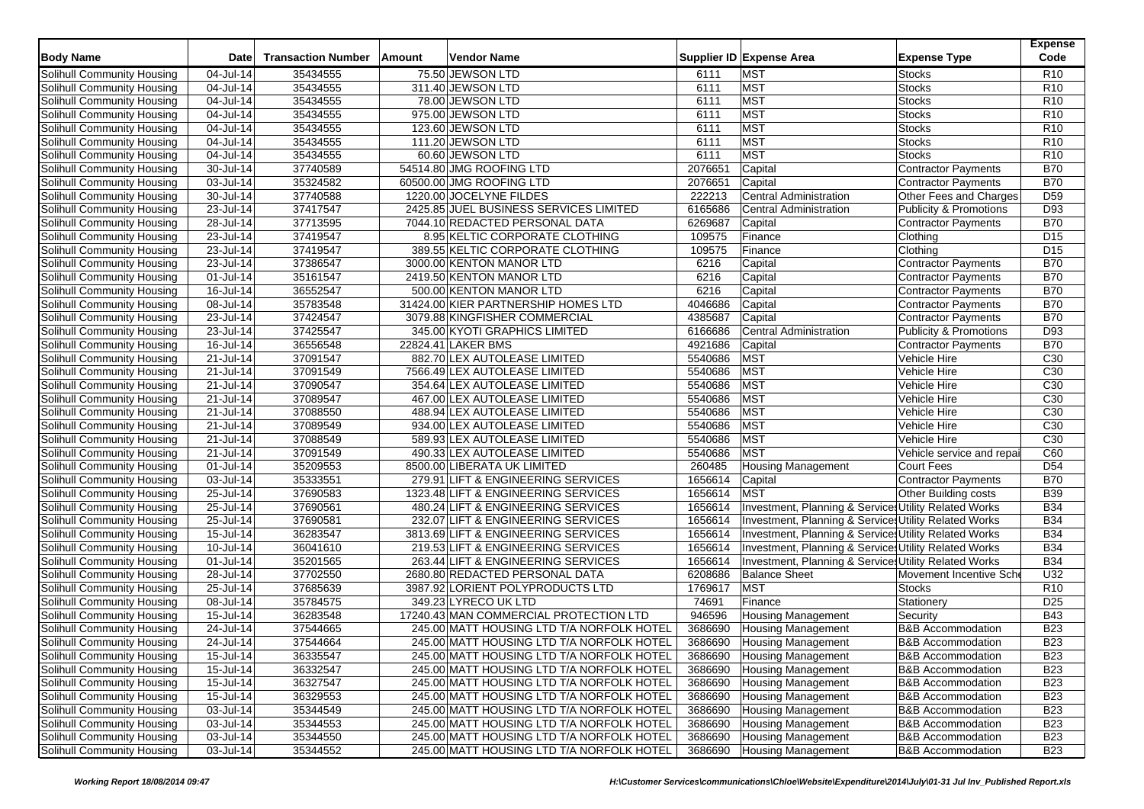| <b>Body Name</b>                                         | Date                   | <b>Transaction Number</b> | Amount | Vendor Name                               |              | Supplier ID Expense Area                              | <b>Expense Type</b>               | <b>Expense</b><br>Code             |
|----------------------------------------------------------|------------------------|---------------------------|--------|-------------------------------------------|--------------|-------------------------------------------------------|-----------------------------------|------------------------------------|
|                                                          |                        |                           |        | 75.50 JEWSON LTD                          |              | <b>MST</b>                                            |                                   | R <sub>10</sub>                    |
| Solihull Community Housing<br>Solihull Community Housing | 04-Jul-14<br>04-Jul-14 | 35434555                  |        |                                           | 6111         | <b>MST</b>                                            | <b>Stocks</b>                     | R <sub>10</sub>                    |
|                                                          |                        | 35434555                  |        | 311.40 JEWSON LTD                         | 6111<br>6111 | <b>MST</b>                                            | Stocks<br><b>Stocks</b>           |                                    |
| Solihull Community Housing                               | 04-Jul-14              | 35434555                  |        | 78.00 JEWSON LTD                          |              | <b>MST</b>                                            |                                   | R <sub>10</sub><br>R <sub>10</sub> |
| Solihull Community Housing                               | 04-Jul-14              | 35434555                  |        | 975.00 JEWSON LTD                         | 6111         |                                                       | <b>Stocks</b>                     |                                    |
| Solihull Community Housing                               | 04-Jul-14              | 35434555                  |        | 123.60 JEWSON LTD                         | 6111         | <b>MST</b>                                            | <b>Stocks</b>                     | R <sub>10</sub>                    |
| Solihull Community Housing                               | 04-Jul-14              | 35434555                  |        | 111.20 JEWSON LTD                         | 6111         | <b>MST</b>                                            | <b>Stocks</b>                     | R <sub>10</sub>                    |
| Solihull Community Housing                               | 04-Jul-14              | 35434555                  |        | 60.60 JEWSON LTD                          | 6111         | <b>MST</b>                                            | <b>Stocks</b>                     | R <sub>10</sub>                    |
| <b>Solihull Community Housing</b>                        | 30-Jul-14              | 37740589                  |        | 54514.80 JMG ROOFING LTD                  | 2076651      | Capital                                               | Contractor Payments               | <b>B70</b>                         |
| Solihull Community Housing                               | 03-Jul-14              | 35324582                  |        | 60500.00 JMG ROOFING LTD                  | 2076651      | Capital                                               | <b>Contractor Payments</b>        | <b>B70</b>                         |
| Solihull Community Housing                               | 30-Jul-14              | 37740588                  |        | 1220.00 JOCELYNE FILDES                   | 222213       | Central Administration                                | Other Fees and Charges            | D <sub>59</sub>                    |
| Solihull Community Housing                               | 23-Jul-14              | 37417547                  |        | 2425.85 JUEL BUSINESS SERVICES LIMITED    | 6165686      | <b>Central Administration</b>                         | <b>Publicity &amp; Promotions</b> | D93                                |
| Solihull Community Housing                               | 28-Jul-14              | 37713595                  |        | 7044.10 REDACTED PERSONAL DATA            | 6269687      | Capital                                               | <b>Contractor Payments</b>        | <b>B70</b>                         |
| Solihull Community Housing                               | 23-Jul-14              | 37419547                  |        | 8.95 KELTIC CORPORATE CLOTHING            | 109575       | Finance                                               | Clothing                          | D <sub>15</sub>                    |
| Solihull Community Housing                               | 23-Jul-14              | 37419547                  |        | 389.55 KELTIC CORPORATE CLOTHING          | 109575       | Finance                                               | Clothing                          | D <sub>15</sub>                    |
| Solihull Community Housing                               | 23-Jul-14              | 37386547                  |        | 3000.00 KENTON MANOR LTD                  | 6216         | Capital                                               | <b>Contractor Payments</b>        | <b>B70</b>                         |
| Solihull Community Housing                               | 01-Jul-14              | 35161547                  |        | 2419.50 KENTON MANOR LTD                  | 6216         | Capital                                               | Contractor Payments               | <b>B70</b>                         |
| Solihull Community Housing                               | 16-Jul-14              | 36552547                  |        | 500.00 KENTON MANOR LTD                   | 6216         | Capital                                               | <b>Contractor Payments</b>        | <b>B70</b>                         |
| Solihull Community Housing                               | 08-Jul-14              | 35783548                  |        | 31424.00 KIER PARTNERSHIP HOMES LTD       | 4046686      | Capital                                               | Contractor Payments               | <b>B70</b>                         |
| Solihull Community Housing                               | 23-Jul-14              | 37424547                  |        | 3079.88 KINGFISHER COMMERCIAL             | 4385687      | Capital                                               | Contractor Payments               | <b>B70</b>                         |
| Solihull Community Housing                               | 23-Jul-14              | 37425547                  |        | 345.00 KYOTI GRAPHICS LIMITED             | 6166686      | <b>Central Administration</b>                         | <b>Publicity &amp; Promotions</b> | D93                                |
| Solihull Community Housing                               | 16-Jul-14              | 36556548                  |        | 22824.41 LAKER BMS                        | 4921686      | Capital                                               | <b>Contractor Payments</b>        | <b>B70</b>                         |
| Solihull Community Housing                               | 21-Jul-14              | 37091547                  |        | 882.70 LEX AUTOLEASE LIMITED              | 5540686      | <b>MST</b>                                            | Vehicle Hire                      | C <sub>30</sub>                    |
| Solihull Community Housing                               | 21-Jul-14              | 37091549                  |        | 7566.49 LEX AUTOLEASE LIMITED             | 5540686      | <b>MST</b>                                            | Vehicle Hire                      | C <sub>30</sub>                    |
| Solihull Community Housing                               | 21-Jul-14              | 37090547                  |        | 354.64 LEX AUTOLEASE LIMITED              | 5540686      | <b>MST</b>                                            | Vehicle Hire                      | C30                                |
| Solihull Community Housing                               | 21-Jul-14              | 37089547                  |        | 467.00 LEX AUTOLEASE LIMITED              | 5540686      | <b>MST</b>                                            | Vehicle Hire                      | C <sub>30</sub>                    |
| Solihull Community Housing                               | 21-Jul-14              | 37088550                  |        | 488.94 LEX AUTOLEASE LIMITED              | 5540686      | <b>MST</b>                                            | Vehicle Hire                      | C <sub>30</sub>                    |
| Solihull Community Housing                               | 21-Jul-14              | 37089549                  |        | 934.00 LEX AUTOLEASE LIMITED              | 5540686      | <b>MST</b>                                            | Vehicle Hire                      | C <sub>30</sub>                    |
| Solihull Community Housing                               | 21-Jul-14              | 37088549                  |        | 589.93 LEX AUTOLEASE LIMITED              | 5540686      | <b>MST</b>                                            | Vehicle Hire                      | C <sub>30</sub>                    |
| Solihull Community Housing                               | 21-Jul-14              | 37091549                  |        | 490.33 LEX AUTOLEASE LIMITED              | 5540686      | <b>MST</b>                                            | Vehicle service and repai         | C60                                |
| Solihull Community Housing                               | 01-Jul-14              | 35209553                  |        | 8500.00 LIBERATA UK LIMITED               | 260485       | <b>Housing Management</b>                             | <b>Court Fees</b>                 | D <sub>54</sub>                    |
| Solihull Community Housing                               | 03-Jul-14              | 35333551                  |        | 279.91 LIFT & ENGINEERING SERVICES        | 1656614      | Capital                                               | <b>Contractor Payments</b>        | <b>B70</b>                         |
| Solihull Community Housing                               | 25-Jul-14              | 37690583                  |        | 1323.48 LIFT & ENGINEERING SERVICES       | 1656614      | <b>MST</b>                                            | Other Building costs              | <b>B39</b>                         |
| Solihull Community Housing                               | 25-Jul-14              | 37690561                  |        | 480.24 LIFT & ENGINEERING SERVICES        | 1656614      | Investment, Planning & Services Utility Related Works |                                   | <b>B34</b>                         |
| Solihull Community Housing                               | 25-Jul-14              | 37690581                  |        | 232.07 LIFT & ENGINEERING SERVICES        | 1656614      | Investment, Planning & Service: Utility Related Works |                                   | <b>B34</b>                         |
| Solihull Community Housing                               | 15-Jul-14              | 36283547                  |        | 3813.69 LIFT & ENGINEERING SERVICES       | 1656614      | Investment, Planning & Services Utility Related Works |                                   | <b>B34</b>                         |
| <b>Solihull Community Housing</b>                        | 10-Jul-14              | 36041610                  |        | 219.53 LIFT & ENGINEERING SERVICES        | 1656614      | Investment, Planning & Services Utility Related Works |                                   | <b>B34</b>                         |
| Solihull Community Housing                               | 01-Jul-14              | 35201565                  |        | 263.44 LIFT & ENGINEERING SERVICES        | 1656614      | Investment, Planning & Service: Utility Related Works |                                   | <b>B34</b>                         |
| Solihull Community Housing                               | 28-Jul-14              | 37702550                  |        | 2680.80 REDACTED PERSONAL DATA            | 6208686      | <b>Balance Sheet</b>                                  | Movement Incentive Sch            | U32                                |
| Solihull Community Housing                               | 25-Jul-14              | 37685639                  |        | 3987.92 LORIENT POLYPRODUCTS LTD          | 1769617      | <b>MST</b>                                            | <b>Stocks</b>                     | R <sub>10</sub>                    |
| Solihull Community Housing                               | 08-Jul-14              | 35784575                  |        | 349.23 LYRECO UK LTD                      | 74691        | Finance                                               | Stationery                        | D <sub>25</sub>                    |
| Solihull Community Housing                               | 15-Jul-14              | 36283548                  |        | 17240.43 MAN COMMERCIAL PROTECTION LTD    | 946596       | <b>Housing Management</b>                             | Security                          | <b>B43</b>                         |
| Solihull Community Housing                               | 24-Jul-14              | 37544665                  |        | 245.00 MATT HOUSING LTD T/A NORFOLK HOTEL | 3686690      | <b>Housing Management</b>                             | <b>B&amp;B</b> Accommodation      | <b>B23</b>                         |
| Solihull Community Housing                               | 24-Jul-14              | 37544664                  |        | 245.00 MATT HOUSING LTD T/A NORFOLK HOTEL | 3686690      | <b>Housing Management</b>                             | <b>B&amp;B Accommodation</b>      | <b>B23</b>                         |
| Solihull Community Housing                               | 15-Jul-14              | 36335547                  |        | 245.00 MATT HOUSING LTD T/A NORFOLK HOTEL | 3686690      | <b>Housing Management</b>                             | <b>B&amp;B Accommodation</b>      | <b>B23</b>                         |
| Solihull Community Housing                               | 15-Jul-14              | 36332547                  |        | 245.00 MATT HOUSING LTD T/A NORFOLK HOTEL | 3686690      | <b>Housing Management</b>                             | <b>B&amp;B Accommodation</b>      | <b>B23</b>                         |
| Solihull Community Housing                               | 15-Jul-14              | 36327547                  |        | 245.00 MATT HOUSING LTD T/A NORFOLK HOTEL | 3686690      | <b>Housing Management</b>                             | <b>B&amp;B Accommodation</b>      | <b>B23</b>                         |
|                                                          |                        | 36329553                  |        | 245.00 MATT HOUSING LTD T/A NORFOLK HOTEL | 3686690      | <b>Housing Management</b>                             | <b>B&amp;B Accommodation</b>      | <b>B23</b>                         |
| Solihull Community Housing<br>Solihull Community Housing | 15-Jul-14<br>03-Jul-14 | 35344549                  |        | 245.00 MATT HOUSING LTD T/A NORFOLK HOTEL | 3686690      | <b>Housing Management</b>                             | <b>B&amp;B Accommodation</b>      | <b>B23</b>                         |
|                                                          |                        |                           |        |                                           |              |                                                       | <b>B&amp;B Accommodation</b>      |                                    |
| Solihull Community Housing                               | 03-Jul-14              | 35344553                  |        | 245.00 MATT HOUSING LTD T/A NORFOLK HOTEL | 3686690      | <b>Housing Management</b>                             |                                   | <b>B23</b>                         |
| Solihull Community Housing                               | 03-Jul-14              | 35344550                  |        | 245.00 MATT HOUSING LTD T/A NORFOLK HOTEL | 3686690      | <b>Housing Management</b>                             | <b>B&amp;B Accommodation</b>      | <b>B23</b>                         |
| Solihull Community Housing                               | 03-Jul-14              | 35344552                  |        | 245.00 MATT HOUSING LTD T/A NORFOLK HOTEL | 3686690      | <b>Housing Management</b>                             | <b>B&amp;B Accommodation</b>      | <b>B23</b>                         |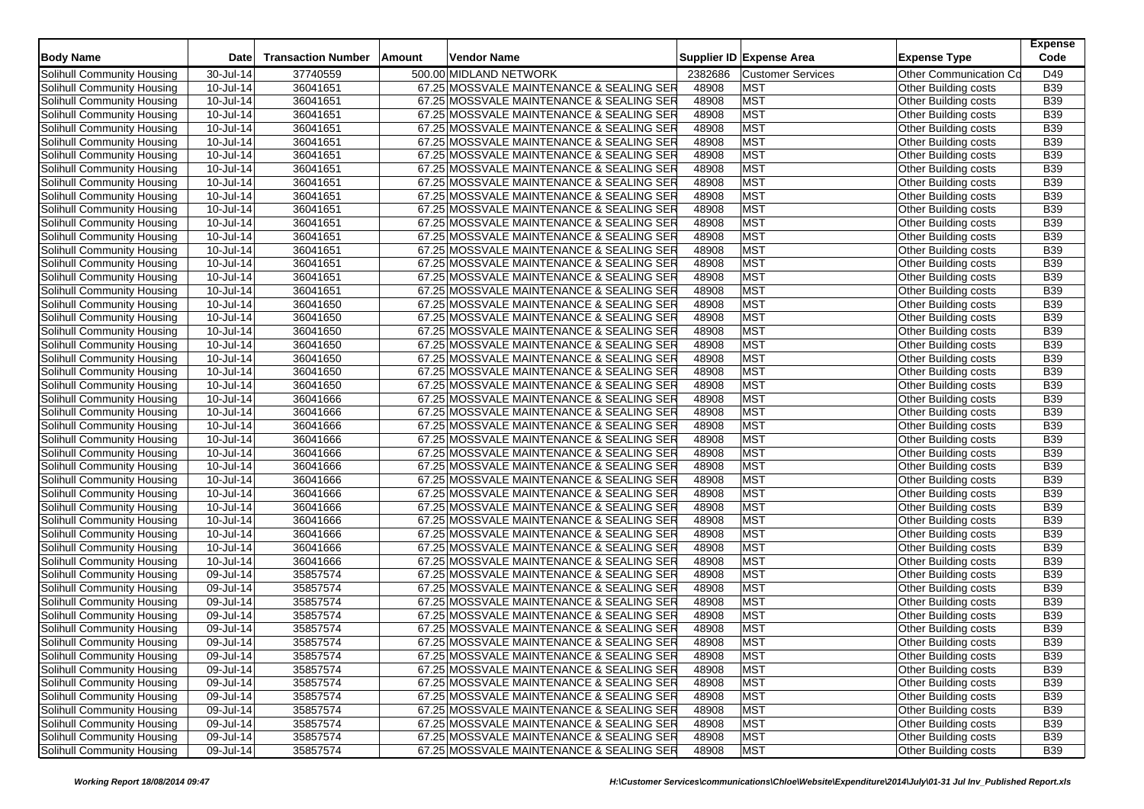| <b>Body Name</b>                  | <b>Date</b>             | <b>Transaction Number</b> | Amount | Vendor Name                              |         | Supplier ID Expense Area | <b>Expense Type</b>         | <b>Expense</b><br>Code |
|-----------------------------------|-------------------------|---------------------------|--------|------------------------------------------|---------|--------------------------|-----------------------------|------------------------|
| Solihull Community Housing        | 30-Jul-14               | 37740559                  |        | 500.00 MIDLAND NETWORK                   | 2382686 | <b>Customer Services</b> | Other Communication Co      | D49                    |
| Solihull Community Housing        | 10-Jul-14               | 36041651                  |        | 67.25 MOSSVALE MAINTENANCE & SEALING SER | 48908   | <b>MST</b>               | <b>Other Building costs</b> | <b>B39</b>             |
| Solihull Community Housing        | 10-Jul-14               | 36041651                  |        | 67.25 MOSSVALE MAINTENANCE & SEALING SER | 48908   | <b>MST</b>               | Other Building costs        | <b>B39</b>             |
| Solihull Community Housing        | 10-Jul-14               | 36041651                  |        | 67.25 MOSSVALE MAINTENANCE & SEALING SER | 48908   | <b>MST</b>               | Other Building costs        | <b>B39</b>             |
| Solihull Community Housing        | $10$ -Jul-14            | 36041651                  |        | 67.25 MOSSVALE MAINTENANCE & SEALING SER | 48908   | <b>MST</b>               | Other Building costs        | <b>B39</b>             |
| Solihull Community Housing        | 10-Jul-14               | 36041651                  |        | 67.25 MOSSVALE MAINTENANCE & SEALING SER | 48908   | <b>MST</b>               | Other Building costs        | <b>B39</b>             |
| Solihull Community Housing        | 10-Jul-14               | 36041651                  |        | 67.25 MOSSVALE MAINTENANCE & SEALING SER | 48908   | <b>MST</b>               | Other Building costs        | <b>B39</b>             |
| Solihull Community Housing        | 10-Jul-14               | 36041651                  |        | 67.25 MOSSVALE MAINTENANCE & SEALING SER | 48908   | <b>MST</b>               | Other Building costs        | <b>B39</b>             |
| Solihull Community Housing        | 10-Jul-14               | 36041651                  |        | 67.25 MOSSVALE MAINTENANCE & SEALING SER | 48908   | <b>MST</b>               | Other Building costs        | <b>B39</b>             |
| Solihull Community Housing        | 10-Jul-14               | 36041651                  |        | 67.25 MOSSVALE MAINTENANCE & SEALING SER | 48908   | <b>MST</b>               | Other Building costs        | <b>B39</b>             |
| Solihull Community Housing        | 10-Jul-14               | 36041651                  |        | 67.25 MOSSVALE MAINTENANCE & SEALING SER | 48908   | <b>MST</b>               | Other Building costs        | <b>B39</b>             |
| Solihull Community Housing        | 10-Jul-14               | 36041651                  |        | 67.25 MOSSVALE MAINTENANCE & SEALING SER | 48908   | <b>MST</b>               | Other Building costs        | <b>B39</b>             |
| Solihull Community Housing        | 10-Jul-14               | 36041651                  |        | 67.25 MOSSVALE MAINTENANCE & SEALING SER | 48908   | <b>MST</b>               | Other Building costs        | <b>B39</b>             |
| Solihull Community Housing        | 10-Jul-14               | 36041651                  |        | 67.25 MOSSVALE MAINTENANCE & SEALING SER | 48908   | <b>MST</b>               | Other Building costs        | <b>B39</b>             |
| Solihull Community Housing        | 10-Jul-14               | 36041651                  |        | 67.25 MOSSVALE MAINTENANCE & SEALING SER | 48908   | <b>MST</b>               | Other Building costs        | <b>B39</b>             |
| Solihull Community Housing        | 10-Jul-14               | 36041651                  |        | 67.25 MOSSVALE MAINTENANCE & SEALING SER | 48908   | <b>MST</b>               | Other Building costs        | <b>B39</b>             |
| Solihull Community Housing        | 10-Jul-14               | 36041651                  |        | 67.25 MOSSVALE MAINTENANCE & SEALING SER | 48908   | <b>MST</b>               | Other Building costs        | <b>B39</b>             |
| Solihull Community Housing        | 10-Jul-14               | 36041650                  |        | 67.25 MOSSVALE MAINTENANCE & SEALING SER | 48908   | <b>MST</b>               | Other Building costs        | <b>B39</b>             |
| Solihull Community Housing        | 10-Jul-14               | 36041650                  |        | 67.25 MOSSVALE MAINTENANCE & SEALING SER | 48908   | <b>MST</b>               | Other Building costs        | <b>B39</b>             |
| Solihull Community Housing        | 10-Jul-14               | 36041650                  |        | 67.25 MOSSVALE MAINTENANCE & SEALING SER | 48908   | <b>MST</b>               | Other Building costs        | <b>B39</b>             |
| Solihull Community Housing        | 10-Jul-14               | 36041650                  |        | 67.25 MOSSVALE MAINTENANCE & SEALING SER | 48908   | <b>MST</b>               | Other Building costs        | <b>B39</b>             |
| Solihull Community Housing        | 10-Jul-14               | 36041650                  |        | 67.25 MOSSVALE MAINTENANCE & SEALING SER | 48908   | <b>MST</b>               | Other Building costs        | <b>B39</b>             |
| Solihull Community Housing        | 10-Jul-14               | 36041650                  |        | 67.25 MOSSVALE MAINTENANCE & SEALING SER | 48908   | <b>MST</b>               | Other Building costs        | <b>B39</b>             |
| Solihull Community Housing        | 10-Jul-14               | 36041650                  |        | 67.25 MOSSVALE MAINTENANCE & SEALING SER | 48908   | <b>MST</b>               | Other Building costs        | <b>B39</b>             |
| Solihull Community Housing        | 10-Jul-14               | 36041666                  |        | 67.25 MOSSVALE MAINTENANCE & SEALING SER | 48908   | <b>MST</b>               | Other Building costs        | <b>B39</b>             |
| Solihull Community Housing        | 10-Jul-14               | 36041666                  |        | 67.25 MOSSVALE MAINTENANCE & SEALING SER | 48908   | <b>MST</b>               | Other Building costs        | <b>B39</b>             |
| Solihull Community Housing        | 10-Jul-14               | 36041666                  |        | 67.25 MOSSVALE MAINTENANCE & SEALING SER | 48908   | <b>MST</b>               | Other Building costs        | <b>B39</b>             |
| Solihull Community Housing        | 10-Jul-14               | 36041666                  |        | 67.25 MOSSVALE MAINTENANCE & SEALING SER | 48908   | <b>MST</b>               | Other Building costs        | <b>B39</b>             |
| Solihull Community Housing        | 10-Jul-14               | 36041666                  |        | 67.25 MOSSVALE MAINTENANCE & SEALING SER | 48908   | <b>MST</b>               | Other Building costs        | <b>B39</b>             |
| Solihull Community Housing        | 10-Jul-14               | 36041666                  |        | 67.25 MOSSVALE MAINTENANCE & SEALING SER | 48908   | MST                      | Other Building costs        | <b>B39</b>             |
| Solihull Community Housing        | 10-Jul-14               | 36041666                  |        | 67.25 MOSSVALE MAINTENANCE & SEALING SER | 48908   | <b>MST</b>               | Other Building costs        | <b>B39</b>             |
| Solihull Community Housing        | 10-Jul-14               | 36041666                  |        | 67.25 MOSSVALE MAINTENANCE & SEALING SER | 48908   | <b>MST</b>               | Other Building costs        | <b>B39</b>             |
| Solihull Community Housing        | 10-Jul-14               | 36041666                  |        | 67.25 MOSSVALE MAINTENANCE & SEALING SER | 48908   | <b>MST</b>               | Other Building costs        | <b>B39</b>             |
| Solihull Community Housing        | 10-Jul-14               | 36041666                  |        | 67.25 MOSSVALE MAINTENANCE & SEALING SER | 48908   | <b>MST</b>               | Other Building costs        | <b>B39</b>             |
| Solihull Community Housing        | 10-Jul-14               | 36041666                  |        | 67.25 MOSSVALE MAINTENANCE & SEALING SER | 48908   | <b>MST</b>               | Other Building costs        | <b>B39</b>             |
| Solihull Community Housing        | 10-Jul-14               | 36041666                  |        | 67.25 MOSSVALE MAINTENANCE & SEALING SER | 48908   | <b>MST</b>               | Other Building costs        | <b>B39</b>             |
| Solihull Community Housing        | 10-Jul-14               | 36041666                  |        | 67.25 MOSSVALE MAINTENANCE & SEALING SER | 48908   | <b>MST</b>               | Other Building costs        | <b>B39</b>             |
| Solihull Community Housing        | 09-Jul-14               | 35857574                  |        | 67.25 MOSSVALE MAINTENANCE & SEALING SER | 48908   | <b>MST</b>               | Other Building costs        | <b>B39</b>             |
| Solihull Community Housing        | 09-Jul-14               | 35857574                  |        | 67.25 MOSSVALE MAINTENANCE & SEALING SER | 48908   | <b>MST</b>               | Other Building costs        | <b>B39</b>             |
| Solihull Community Housing        | $\overline{09}$ -Jul-14 | 35857574                  |        | 67.25 MOSSVALE MAINTENANCE & SEALING SER | 48908   | <b>MST</b>               | Other Building costs        | <b>B39</b>             |
| Solihull Community Housing        | 09-Jul-14               | 35857574                  |        | 67.25 MOSSVALE MAINTENANCE & SEALING SER | 48908   | <b>MST</b>               | Other Building costs        | <b>B39</b>             |
| Solihull Community Housing        | 09-Jul-14               | 35857574                  |        | 67.25 MOSSVALE MAINTENANCE & SEALING SER | 48908   | MST                      | Other Building costs        | <b>B39</b>             |
| Solihull Community Housing        | 09-Jul-14               | 35857574                  |        | 67.25 MOSSVALE MAINTENANCE & SEALING SER | 48908   | <b>MST</b>               | Other Building costs        | <b>B39</b>             |
| Solihull Community Housing        | 09-Jul-14               | 35857574                  |        | 67.25 MOSSVALE MAINTENANCE & SEALING SER | 48908   | <b>MST</b>               | Other Building costs        | <b>B39</b>             |
| Solihull Community Housing        | 09-Jul-14               | 35857574                  |        | 67.25 MOSSVALE MAINTENANCE & SEALING SER | 48908   | <b>MST</b>               | Other Building costs        | <b>B39</b>             |
| Solihull Community Housing        | 09-Jul-14               | 35857574                  |        | 67.25 MOSSVALE MAINTENANCE & SEALING SER | 48908   | <b>MST</b>               | Other Building costs        | <b>B39</b>             |
| Solihull Community Housing        | 09-Jul-14               | 35857574                  |        | 67.25 MOSSVALE MAINTENANCE & SEALING SER | 48908   | <b>MST</b>               | Other Building costs        | <b>B39</b>             |
| Solihull Community Housing        | 09-Jul-14               | 35857574                  |        | 67.25 MOSSVALE MAINTENANCE & SEALING SER | 48908   | <b>MST</b>               | Other Building costs        | <b>B39</b>             |
| Solihull Community Housing        | 09-Jul-14               | 35857574                  |        | 67.25 MOSSVALE MAINTENANCE & SEALING SER | 48908   | <b>MST</b>               | Other Building costs        | <b>B39</b>             |
| <b>Solihull Community Housing</b> | 09-Jul-14               | 35857574                  |        | 67.25 MOSSVALE MAINTENANCE & SEALING SER | 48908   | <b>MST</b>               | Other Building costs        | <b>B39</b>             |
| Solihull Community Housing        | 09-Jul-14               | 35857574                  |        | 67.25 MOSSVALE MAINTENANCE & SEALING SER | 48908   | <b>MST</b>               | Other Building costs        | <b>B39</b>             |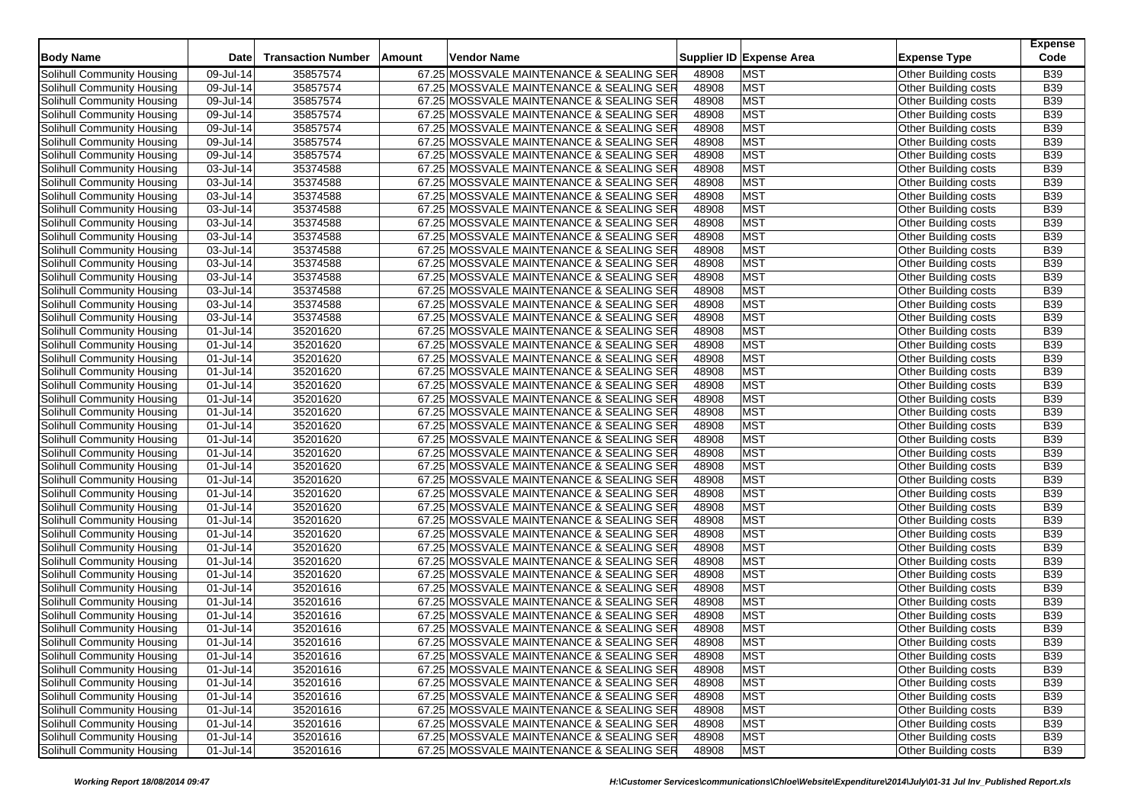| <b>Body Name</b>                  | <b>Date</b> | <b>Transaction Number</b> | <b>Amount</b> | Vendor Name                              |       | Supplier ID Expense Area | <b>Expense Type</b>  | <b>Expense</b><br>Code |
|-----------------------------------|-------------|---------------------------|---------------|------------------------------------------|-------|--------------------------|----------------------|------------------------|
| Solihull Community Housing        | 09-Jul-14   | 35857574                  |               | 67.25 MOSSVALE MAINTENANCE & SEALING SER | 48908 | <b>MST</b>               | Other Building costs | <b>B39</b>             |
| Solihull Community Housing        | 09-Jul-14   | 35857574                  |               | 67.25 MOSSVALE MAINTENANCE & SEALING SER | 48908 | <b>MST</b>               | Other Building costs | <b>B39</b>             |
| Solihull Community Housing        | 09-Jul-14   | 35857574                  |               | 67.25 MOSSVALE MAINTENANCE & SEALING SER | 48908 | <b>MST</b>               | Other Building costs | <b>B39</b>             |
| Solihull Community Housing        | 09-Jul-14   | 35857574                  |               | 67.25 MOSSVALE MAINTENANCE & SEALING SER | 48908 | <b>MST</b>               | Other Building costs | <b>B39</b>             |
| Solihull Community Housing        | 09-Jul-14   | 35857574                  |               | 67.25 MOSSVALE MAINTENANCE & SEALING SER | 48908 | <b>MST</b>               | Other Building costs | <b>B39</b>             |
| Solihull Community Housing        | 09-Jul-14   | 35857574                  |               | 67.25 MOSSVALE MAINTENANCE & SEALING SER | 48908 | <b>MST</b>               | Other Building costs | <b>B39</b>             |
| Solihull Community Housing        | 09-Jul-14   | 35857574                  |               | 67.25 MOSSVALE MAINTENANCE & SEALING SER | 48908 | <b>MST</b>               | Other Building costs | <b>B39</b>             |
| <b>Solihull Community Housing</b> | 03-Jul-14   | 35374588                  |               | 67.25 MOSSVALE MAINTENANCE & SEALING SER | 48908 | <b>MST</b>               | Other Building costs | <b>B39</b>             |
| Solihull Community Housing        | 03-Jul-14   | 35374588                  |               | 67.25 MOSSVALE MAINTENANCE & SEALING SER | 48908 | <b>MST</b>               | Other Building costs | <b>B39</b>             |
| Solihull Community Housing        | 03-Jul-14   | 35374588                  |               | 67.25 MOSSVALE MAINTENANCE & SEALING SER | 48908 | <b>MST</b>               | Other Building costs | <b>B39</b>             |
| Solihull Community Housing        | 03-Jul-14   | 35374588                  |               | 67.25 MOSSVALE MAINTENANCE & SEALING SER | 48908 | <b>MST</b>               | Other Building costs | <b>B39</b>             |
| Solihull Community Housing        | 03-Jul-14   | 35374588                  |               | 67.25 MOSSVALE MAINTENANCE & SEALING SER | 48908 | <b>MST</b>               | Other Building costs | <b>B39</b>             |
| Solihull Community Housing        | 03-Jul-14   | 35374588                  |               | 67.25 MOSSVALE MAINTENANCE & SEALING SER | 48908 | <b>MST</b>               | Other Building costs | <b>B39</b>             |
| Solihull Community Housing        | 03-Jul-14   | 35374588                  |               | 67.25 MOSSVALE MAINTENANCE & SEALING SER | 48908 | <b>MST</b>               | Other Building costs | <b>B39</b>             |
| Solihull Community Housing        | 03-Jul-14   | 35374588                  |               | 67.25 MOSSVALE MAINTENANCE & SEALING SER | 48908 | <b>MST</b>               | Other Building costs | <b>B39</b>             |
| Solihull Community Housing        | 03-Jul-14   | 35374588                  |               | 67.25 MOSSVALE MAINTENANCE & SEALING SER | 48908 | <b>MST</b>               | Other Building costs | <b>B39</b>             |
| Solihull Community Housing        | 03-Jul-14   | 35374588                  |               | 67.25 MOSSVALE MAINTENANCE & SEALING SER | 48908 | <b>MST</b>               | Other Building costs | <b>B39</b>             |
| Solihull Community Housing        | 03-Jul-14   | 35374588                  |               | 67.25 MOSSVALE MAINTENANCE & SEALING SER | 48908 | <b>MST</b>               | Other Building costs | <b>B39</b>             |
| Solihull Community Housing        | 03-Jul-14   | 35374588                  |               | 67.25 MOSSVALE MAINTENANCE & SEALING SER | 48908 | <b>MST</b>               | Other Building costs | <b>B39</b>             |
| Solihull Community Housing        | 01-Jul-14   | 35201620                  |               | 67.25 MOSSVALE MAINTENANCE & SEALING SER | 48908 | <b>MST</b>               | Other Building costs | <b>B39</b>             |
| Solihull Community Housing        | 01-Jul-14   | 35201620                  |               | 67.25 MOSSVALE MAINTENANCE & SEALING SER | 48908 | <b>MST</b>               | Other Building costs | <b>B39</b>             |
| Solihull Community Housing        | 01-Jul-14   | 35201620                  |               | 67.25 MOSSVALE MAINTENANCE & SEALING SER | 48908 | <b>MST</b>               | Other Building costs | <b>B39</b>             |
| Solihull Community Housing        | 01-Jul-14   | 35201620                  |               | 67.25 MOSSVALE MAINTENANCE & SEALING SER | 48908 | <b>MST</b>               | Other Building costs | <b>B39</b>             |
| Solihull Community Housing        | 01-Jul-14   | 35201620                  |               | 67.25 MOSSVALE MAINTENANCE & SEALING SER | 48908 | <b>MST</b>               | Other Building costs | <b>B39</b>             |
| Solihull Community Housing        | 01-Jul-14   | 35201620                  |               | 67.25 MOSSVALE MAINTENANCE & SEALING SER | 48908 | <b>MST</b>               | Other Building costs | <b>B39</b>             |
| Solihull Community Housing        | 01-Jul-14   | 35201620                  |               | 67.25 MOSSVALE MAINTENANCE & SEALING SER | 48908 | <b>MST</b>               | Other Building costs | <b>B39</b>             |
| Solihull Community Housing        | 01-Jul-14   | 35201620                  |               | 67.25 MOSSVALE MAINTENANCE & SEALING SER | 48908 | <b>MST</b>               | Other Building costs | <b>B39</b>             |
| Solihull Community Housing        | 01-Jul-14   | 35201620                  |               | 67.25 MOSSVALE MAINTENANCE & SEALING SER | 48908 | <b>MST</b>               | Other Building costs | <b>B39</b>             |
| Solihull Community Housing        | 01-Jul-14   | 35201620                  |               | 67.25 MOSSVALE MAINTENANCE & SEALING SER | 48908 | <b>MST</b>               | Other Building costs | <b>B39</b>             |
| Solihull Community Housing        | 01-Jul-14   | 35201620                  |               | 67.25 MOSSVALE MAINTENANCE & SEALING SER | 48908 | <b>MST</b>               | Other Building costs | <b>B39</b>             |
| Solihull Community Housing        | 01-Jul-14   | 35201620                  |               | 67.25 MOSSVALE MAINTENANCE & SEALING SER | 48908 | <b>MST</b>               | Other Building costs | <b>B39</b>             |
| Solihull Community Housing        | 01-Jul-14   | 35201620                  |               | 67.25 MOSSVALE MAINTENANCE & SEALING SER | 48908 | <b>MST</b>               | Other Building costs | <b>B39</b>             |
| Solihull Community Housing        | 01-Jul-14   | 35201620                  |               | 67.25 MOSSVALE MAINTENANCE & SEALING SER | 48908 | <b>MST</b>               | Other Building costs | <b>B39</b>             |
| Solihull Community Housing        | 01-Jul-14   | 35201620                  |               | 67.25 MOSSVALE MAINTENANCE & SEALING SER | 48908 | <b>MST</b>               | Other Building costs | <b>B39</b>             |
| Solihull Community Housing        | 01-Jul-14   | 35201620                  |               | 67.25 MOSSVALE MAINTENANCE & SEALING SER | 48908 | <b>MST</b>               | Other Building costs | <b>B39</b>             |
| Solihull Community Housing        | 01-Jul-14   | 35201620                  |               | 67.25 MOSSVALE MAINTENANCE & SEALING SER | 48908 | <b>MST</b>               | Other Building costs | <b>B39</b>             |
| Solihull Community Housing        | 01-Jul-14   | 35201620                  |               | 67.25 MOSSVALE MAINTENANCE & SEALING SER | 48908 | <b>MST</b>               | Other Building costs | <b>B39</b>             |
| Solihull Community Housing        | 01-Jul-14   | 35201620                  |               | 67.25 MOSSVALE MAINTENANCE & SEALING SER | 48908 | <b>MST</b>               | Other Building costs | <b>B39</b>             |
| Solihull Community Housing        | 01-Jul-14   | 35201616                  |               | 67.25 MOSSVALE MAINTENANCE & SEALING SER | 48908 | <b>MST</b>               | Other Building costs | <b>B39</b>             |
| Solihull Community Housing        | 01-Jul-14   | 35201616                  |               | 67.25 MOSSVALE MAINTENANCE & SEALING SER | 48908 | <b>MST</b>               | Other Building costs | <b>B39</b>             |
| Solihull Community Housing        | 01-Jul-14   | 35201616                  |               | 67.25 MOSSVALE MAINTENANCE & SEALING SER | 48908 | <b>MST</b>               | Other Building costs | <b>B39</b>             |
| Solihull Community Housing        | 01-Jul-14   | 35201616                  |               | 67.25 MOSSVALE MAINTENANCE & SEALING SER | 48908 | <b>MST</b>               | Other Building costs | <b>B39</b>             |
| Solihull Community Housing        | 01-Jul-14   | 35201616                  |               | 67.25 MOSSVALE MAINTENANCE & SEALING SER | 48908 | <b>MST</b>               | Other Building costs | <b>B39</b>             |
| Solihull Community Housing        | 01-Jul-14   | 35201616                  |               | 67.25 MOSSVALE MAINTENANCE & SEALING SER | 48908 | <b>MST</b>               | Other Building costs | <b>B39</b>             |
| Solihull Community Housing        | 01-Jul-14   | 35201616                  |               | 67.25 MOSSVALE MAINTENANCE & SEALING SER | 48908 | <b>MST</b>               | Other Building costs | <b>B39</b>             |
| Solihull Community Housing        | 01-Jul-14   | 35201616                  |               | 67.25 MOSSVALE MAINTENANCE & SEALING SER | 48908 | <b>MST</b>               | Other Building costs | <b>B39</b>             |
| Solihull Community Housing        | 01-Jul-14   | 35201616                  |               | 67.25 MOSSVALE MAINTENANCE & SEALING SER | 48908 | MST                      | Other Building costs | <b>B39</b>             |
| Solihull Community Housing        | 01-Jul-14   | 35201616                  |               | 67.25 MOSSVALE MAINTENANCE & SEALING SER | 48908 | <b>MST</b>               | Other Building costs | <b>B39</b>             |
| Solihull Community Housing        | 01-Jul-14   | 35201616                  |               | 67.25 MOSSVALE MAINTENANCE & SEALING SER | 48908 | <b>MST</b>               | Other Building costs | <b>B39</b>             |
| <b>Solihull Community Housing</b> | 01-Jul-14   | 35201616                  |               | 67.25 MOSSVALE MAINTENANCE & SEALING SER | 48908 | <b>MST</b>               | Other Building costs | <b>B39</b>             |
| Solihull Community Housing        | 01-Jul-14   | 35201616                  |               | 67.25 MOSSVALE MAINTENANCE & SEALING SER | 48908 | <b>MST</b>               | Other Building costs | <b>B39</b>             |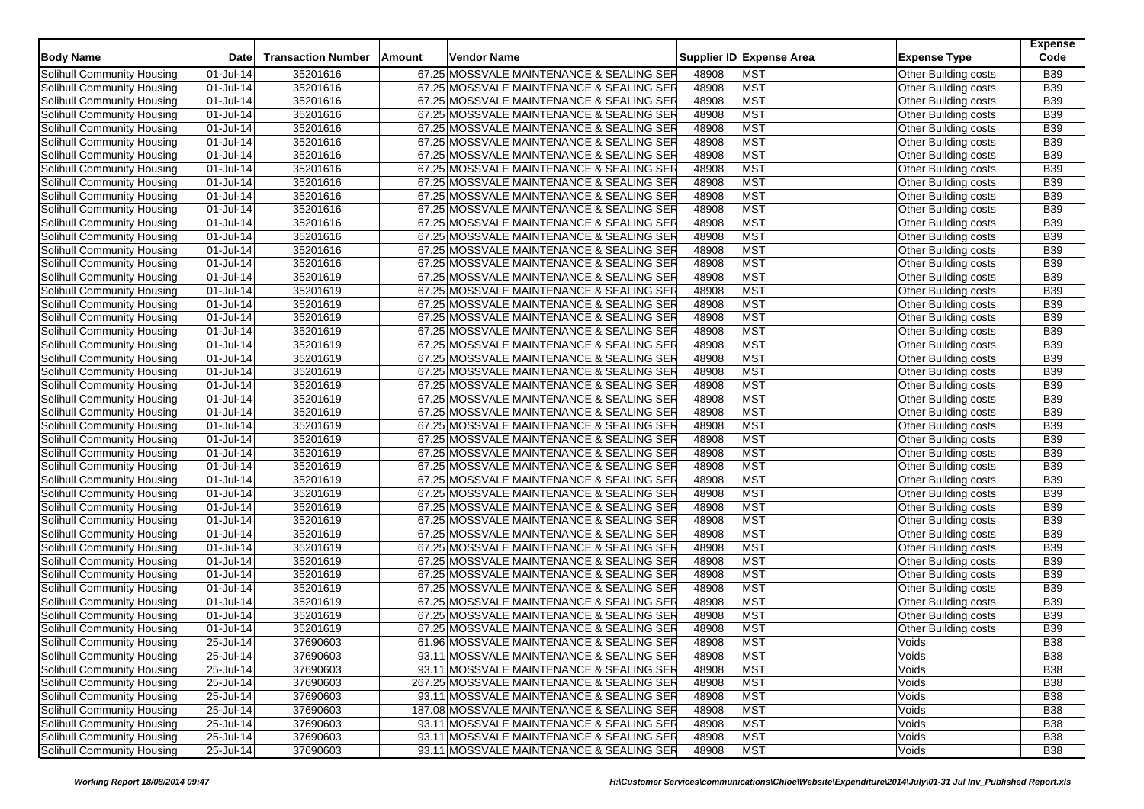| <b>Body Name</b>                                         | <b>Date</b>            | <b>Transaction Number</b> | <b>Amount</b> | Vendor Name                               |                | Supplier ID Expense Area | <b>Expense Type</b>                          | <b>Expense</b><br>Code |
|----------------------------------------------------------|------------------------|---------------------------|---------------|-------------------------------------------|----------------|--------------------------|----------------------------------------------|------------------------|
| Solihull Community Housing                               | 01-Jul-14              | 35201616                  |               | 67.25 MOSSVALE MAINTENANCE & SEALING SER  | 48908          | <b>MST</b>               | Other Building costs                         | <b>B39</b>             |
| Solihull Community Housing                               | 01-Jul-14              | 35201616                  |               | 67.25 MOSSVALE MAINTENANCE & SEALING SER  | 48908          | <b>MST</b>               | Other Building costs                         | <b>B39</b>             |
| Solihull Community Housing                               | 01-Jul-14              | 35201616                  |               | 67.25 MOSSVALE MAINTENANCE & SEALING SER  | 48908          | <b>MST</b>               | Other Building costs                         | <b>B39</b>             |
| Solihull Community Housing                               | 01-Jul-14              | 35201616                  |               | 67.25 MOSSVALE MAINTENANCE & SEALING SER  | 48908          | <b>MST</b>               | Other Building costs                         | <b>B39</b>             |
| Solihull Community Housing                               | 01-Jul-14              | 35201616                  |               | 67.25 MOSSVALE MAINTENANCE & SEALING SER  | 48908          | <b>MST</b>               | Other Building costs                         | <b>B39</b>             |
| Solihull Community Housing                               | 01-Jul-14              | 35201616                  |               | 67.25 MOSSVALE MAINTENANCE & SEALING SER  | 48908          | <b>MST</b>               | Other Building costs                         | <b>B39</b>             |
| Solihull Community Housing                               | 01-Jul-14              | 35201616                  |               | 67.25 MOSSVALE MAINTENANCE & SEALING SER  | 48908          | <b>MST</b>               | Other Building costs                         | <b>B39</b>             |
| <b>Solihull Community Housing</b>                        | 01-Jul-14              | 35201616                  |               | 67.25 MOSSVALE MAINTENANCE & SEALING SER  | 48908          | <b>MST</b>               | Other Building costs                         | <b>B39</b>             |
| Solihull Community Housing                               | 01-Jul-14              | 35201616                  |               | 67.25 MOSSVALE MAINTENANCE & SEALING SER  | 48908          | <b>MST</b>               | Other Building costs                         | <b>B39</b>             |
| Solihull Community Housing                               | 01-Jul-14              | 35201616                  |               | 67.25 MOSSVALE MAINTENANCE & SEALING SER  | 48908          | <b>MST</b>               | Other Building costs                         | <b>B39</b>             |
| Solihull Community Housing                               | 01-Jul-14              | 35201616                  |               | 67.25 MOSSVALE MAINTENANCE & SEALING SER  | 48908          | <b>MST</b>               | Other Building costs                         | <b>B39</b>             |
| Solihull Community Housing                               | 01-Jul-14              | 35201616                  |               | 67.25 MOSSVALE MAINTENANCE & SEALING SER  | 48908          | <b>MST</b>               | Other Building costs                         | <b>B39</b>             |
| Solihull Community Housing                               | 01-Jul-14              | 35201616                  |               | 67.25 MOSSVALE MAINTENANCE & SEALING SER  | 48908          | <b>MST</b>               | Other Building costs                         | <b>B39</b>             |
| Solihull Community Housing                               | 01-Jul-14              | 35201616                  |               | 67.25 MOSSVALE MAINTENANCE & SEALING SER  | 48908          | <b>MST</b>               | Other Building costs                         | <b>B39</b>             |
| Solihull Community Housing                               | 01-Jul-14              | 35201616                  |               | 67.25 MOSSVALE MAINTENANCE & SEALING SER  | 48908          | <b>MST</b>               | Other Building costs                         | <b>B39</b>             |
| Solihull Community Housing                               | 01-Jul-14              | 35201619                  |               | 67.25 MOSSVALE MAINTENANCE & SEALING SER  | 48908          | <b>MST</b>               | Other Building costs                         | <b>B39</b>             |
| Solihull Community Housing                               | 01-Jul-14              | 35201619                  |               | 67.25 MOSSVALE MAINTENANCE & SEALING SER  | 48908          | <b>MST</b>               | Other Building costs                         | <b>B39</b>             |
| Solihull Community Housing                               | 01-Jul-14              | 35201619                  |               | 67.25 MOSSVALE MAINTENANCE & SEALING SER  | 48908          | <b>MST</b>               | Other Building costs                         | <b>B39</b>             |
| Solihull Community Housing                               | 01-Jul-14              | 35201619                  |               | 67.25 MOSSVALE MAINTENANCE & SEALING SER  | 48908          | <b>MST</b>               | Other Building costs                         | <b>B39</b>             |
| Solihull Community Housing                               | 01-Jul-14              | 35201619                  |               | 67.25 MOSSVALE MAINTENANCE & SEALING SER  | 48908          | <b>MST</b>               | Other Building costs                         | <b>B39</b>             |
| Solihull Community Housing                               | 01-Jul-14              | 35201619                  |               | 67.25 MOSSVALE MAINTENANCE & SEALING SER  | 48908          | <b>MST</b>               | Other Building costs                         | <b>B39</b>             |
| Solihull Community Housing                               | 01-Jul-14              | 35201619                  |               | 67.25 MOSSVALE MAINTENANCE & SEALING SER  | 48908          | <b>MST</b>               | Other Building costs                         | <b>B39</b>             |
| Solihull Community Housing                               | 01-Jul-14              | 35201619                  |               | 67.25 MOSSVALE MAINTENANCE & SEALING SER  | 48908          | <b>MST</b>               | Other Building costs                         | <b>B39</b>             |
| Solihull Community Housing                               | 01-Jul-14              | 35201619                  |               | 67.25 MOSSVALE MAINTENANCE & SEALING SER  | 48908          | <b>MST</b>               | Other Building costs                         | <b>B39</b>             |
| Solihull Community Housing                               | 01-Jul-14              | 35201619                  |               | 67.25 MOSSVALE MAINTENANCE & SEALING SER  | 48908          | <b>MST</b>               | Other Building costs                         | <b>B39</b>             |
| Solihull Community Housing                               | 01-Jul-14              | 35201619                  |               | 67.25 MOSSVALE MAINTENANCE & SEALING SER  | 48908          | <b>MST</b>               | Other Building costs                         | <b>B39</b>             |
| Solihull Community Housing                               | 01-Jul-14              | 35201619                  |               | 67.25 MOSSVALE MAINTENANCE & SEALING SER  | 48908          | <b>MST</b>               | Other Building costs                         | <b>B39</b>             |
| Solihull Community Housing                               | 01-Jul-14              | 35201619                  |               | 67.25 MOSSVALE MAINTENANCE & SEALING SER  | 48908          | <b>MST</b>               | Other Building costs                         | <b>B39</b>             |
| Solihull Community Housing                               | 01-Jul-14              | 35201619                  |               | 67.25 MOSSVALE MAINTENANCE & SEALING SER  | 48908          | <b>MST</b>               | Other Building costs                         | <b>B39</b>             |
| Solihull Community Housing                               | 01-Jul-14              | 35201619                  |               | 67.25 MOSSVALE MAINTENANCE & SEALING SER  | 48908          | <b>MST</b>               | Other Building costs                         | <b>B39</b>             |
| Solihull Community Housing                               | 01-Jul-14              | 35201619                  |               | 67.25 MOSSVALE MAINTENANCE & SEALING SER  | 48908          | <b>MST</b>               | Other Building costs                         | <b>B39</b>             |
| Solihull Community Housing                               | 01-Jul-14              | 35201619                  |               | 67.25 MOSSVALE MAINTENANCE & SEALING SER  | 48908          | <b>MST</b>               | Other Building costs                         | <b>B39</b>             |
| Solihull Community Housing                               | 01-Jul-14              | 35201619                  |               | 67.25 MOSSVALE MAINTENANCE & SEALING SER  | 48908          | <b>MST</b>               | Other Building costs                         | <b>B39</b>             |
| Solihull Community Housing                               |                        | 35201619                  |               | 67.25 MOSSVALE MAINTENANCE & SEALING SER  | 48908          | <b>MST</b>               |                                              | <b>B39</b>             |
|                                                          | 01-Jul-14<br>01-Jul-14 | 35201619                  |               | 67.25 MOSSVALE MAINTENANCE & SEALING SER  | 48908          | <b>MST</b>               | Other Building costs<br>Other Building costs | <b>B39</b>             |
| Solihull Community Housing<br>Solihull Community Housing | 01-Jul-14              | 35201619                  |               | 67.25 MOSSVALE MAINTENANCE & SEALING SER  | 48908          | <b>MST</b>               |                                              | <b>B39</b>             |
|                                                          |                        |                           |               |                                           |                | <b>MST</b>               | Other Building costs                         | <b>B39</b>             |
| Solihull Community Housing<br>Solihull Community Housing | 01-Jul-14              | 35201619                  |               | 67.25 MOSSVALE MAINTENANCE & SEALING SER  | 48908<br>48908 | <b>MST</b>               | Other Building costs                         | <b>B39</b>             |
|                                                          | 01-Jul-14              | 35201619                  |               | 67.25 MOSSVALE MAINTENANCE & SEALING SER  | 48908          | <b>MST</b>               | Other Building costs                         | <b>B39</b>             |
| Solihull Community Housing                               | 01-Jul-14              | 35201619                  |               | 67.25 MOSSVALE MAINTENANCE & SEALING SER  |                |                          | Other Building costs                         |                        |
| Solihull Community Housing                               | 01-Jul-14              | 35201619                  |               | 67.25 MOSSVALE MAINTENANCE & SEALING SER  | 48908          | <b>MST</b>               | Other Building costs                         | <b>B39</b>             |
| Solihull Community Housing                               | 01-Jul-14              | 35201619                  |               | 67.25 MOSSVALE MAINTENANCE & SEALING SER  | 48908          | <b>MST</b>               | Other Building costs                         | <b>B39</b>             |
| Solihull Community Housing                               | 01-Jul-14              | 35201619                  |               | 67.25 MOSSVALE MAINTENANCE & SEALING SER  | 48908          | <b>MST</b>               | Other Building costs                         | <b>B39</b>             |
| Solihull Community Housing                               | 25-Jul-14              | 37690603                  |               | 61.96 MOSSVALE MAINTENANCE & SEALING SER  | 48908          | <b>MST</b>               | Voids                                        | <b>B38</b>             |
| Solihull Community Housing                               | 25-Jul-14              | 37690603                  |               | 93.11 MOSSVALE MAINTENANCE & SEALING SER  | 48908          | <b>MST</b>               | Voids                                        | <b>B38</b>             |
| Solihull Community Housing                               | $25 -$ Jul-14          | 37690603                  |               | 93.11 MOSSVALE MAINTENANCE & SEALING SER  | 48908          | <b>MST</b>               | Voids                                        | <b>B38</b>             |
| Solihull Community Housing                               | 25-Jul-14              | 37690603                  |               | 267.25 MOSSVALE MAINTENANCE & SEALING SER | 48908          | <b>MST</b>               | Voids                                        | <b>B38</b>             |
| Solihull Community Housing                               | 25-Jul-14              | 37690603                  |               | 93.11 MOSSVALE MAINTENANCE & SEALING SER  | 48908          | <b>MST</b>               | Voids                                        | <b>B38</b>             |
| Solihull Community Housing                               | 25-Jul-14              | 37690603                  |               | 187.08 MOSSVALE MAINTENANCE & SEALING SER | 48908          | <b>MST</b>               | Voids                                        | <b>B38</b>             |
| Solihull Community Housing                               | 25-Jul-14              | 37690603                  |               | 93.11 MOSSVALE MAINTENANCE & SEALING SER  | 48908          | <b>MST</b>               | Voids                                        | <b>B38</b>             |
| Solihull Community Housing                               | 25-Jul-14              | 37690603                  |               | 93.11 MOSSVALE MAINTENANCE & SEALING SER  | 48908          | <b>MST</b>               | Voids                                        | <b>B38</b>             |
| Solihull Community Housing                               | 25-Jul-14              | 37690603                  |               | 93.11 MOSSVALE MAINTENANCE & SEALING SER  | 48908          | <b>MST</b>               | Voids                                        | <b>B38</b>             |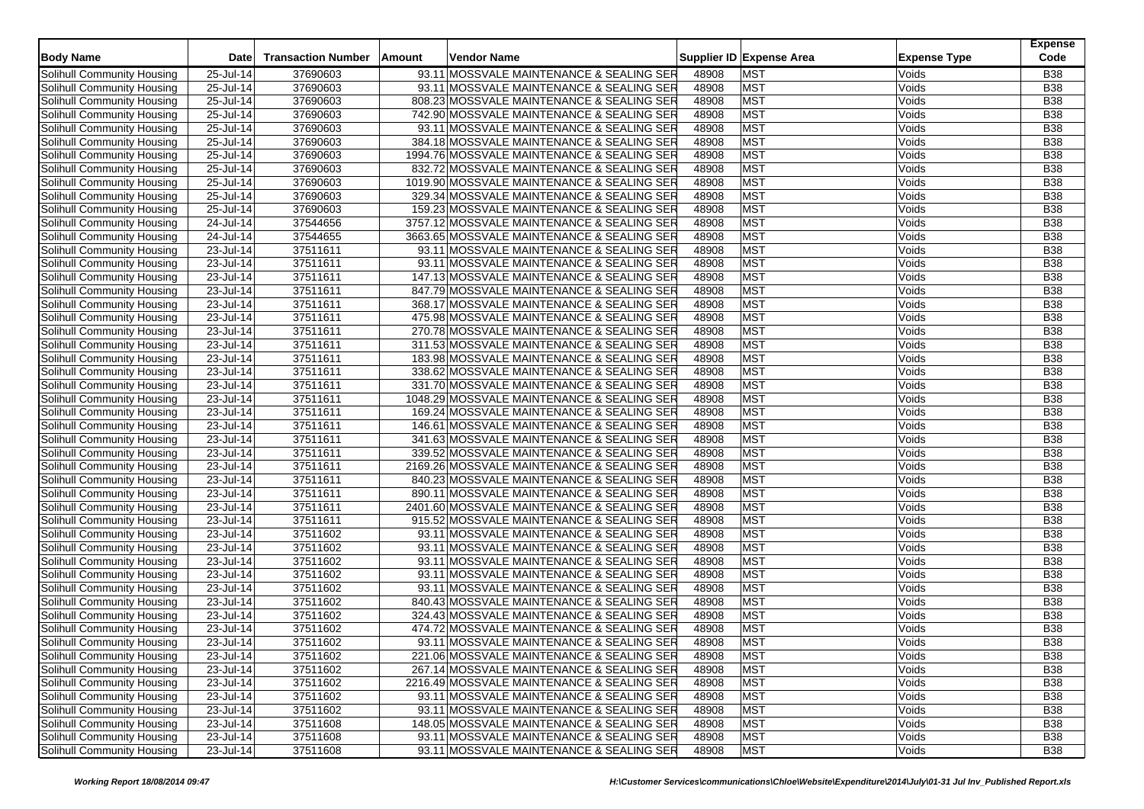|                                   | <b>Date</b>   | <b>Transaction Number</b> |        |                                            |                |                          | <b>Expense Type</b> | <b>Expense</b><br>Code |
|-----------------------------------|---------------|---------------------------|--------|--------------------------------------------|----------------|--------------------------|---------------------|------------------------|
| <b>Body Name</b>                  |               |                           | Amount | Vendor Name                                |                | Supplier ID Expense Area |                     |                        |
| Solihull Community Housing        | 25-Jul-14     | 37690603                  |        | 93.11 MOSSVALE MAINTENANCE & SEALING SER   | 48908          | <b>MST</b>               | Voids               | <b>B38</b>             |
| Solihull Community Housing        | 25-Jul-14     | 37690603                  |        | 93.11 MOSSVALE MAINTENANCE & SEALING SER   | 48908          | <b>MST</b>               | Voids               | <b>B38</b>             |
| Solihull Community Housing        | $25$ -Jul-14  | 37690603                  |        | 808.23 MOSSVALE MAINTENANCE & SEALING SER  | 48908          | <b>MST</b>               | Voids               | <b>B38</b>             |
| Solihull Community Housing        | 25-Jul-14     | 37690603                  |        | 742.90 MOSSVALE MAINTENANCE & SEALING SER  | 48908          | <b>MST</b>               | Voids               | <b>B38</b>             |
| Solihull Community Housing        | 25-Jul-14     | 37690603                  |        | 93.11 MOSSVALE MAINTENANCE & SEALING SER   | 48908          | <b>MST</b>               | Voids               | <b>B38</b>             |
| Solihull Community Housing        | 25-Jul-14     | 37690603                  |        | 384.18 MOSSVALE MAINTENANCE & SEALING SER  | 48908          | MST                      | Voids               | <b>B38</b>             |
| Solihull Community Housing        | $25 -$ Jul-14 | 37690603                  |        | 1994.76 MOSSVALE MAINTENANCE & SEALING SER | 48908          | <b>MST</b>               | Voids               | <b>B38</b>             |
| Solihull Community Housing        | 25-Jul-14     | 37690603                  |        | 832.72 MOSSVALE MAINTENANCE & SEALING SER  | 48908          | <b>MST</b>               | Voids               | <b>B38</b>             |
| Solihull Community Housing        | 25-Jul-14     | 37690603                  |        | 1019.90 MOSSVALE MAINTENANCE & SEALING SER | 48908          | <b>MST</b>               | Voids               | <b>B38</b>             |
| Solihull Community Housing        | 25-Jul-14     | 37690603                  |        | 329.34 MOSSVALE MAINTENANCE & SEALING SER  | 48908          | <b>MST</b>               | Voids               | <b>B38</b>             |
| Solihull Community Housing        | 25-Jul-14     | 37690603                  |        | 159.23 MOSSVALE MAINTENANCE & SEALING SER  | 48908          | <b>MST</b>               | Voids               | <b>B38</b>             |
| Solihull Community Housing        | 24-Jul-14     | 37544656                  |        | 3757.12 MOSSVALE MAINTENANCE & SEALING SER | 48908          | MST                      | Voids               | <b>B38</b>             |
| Solihull Community Housing        | 24-Jul-14     | 37544655                  |        | 3663.65 MOSSVALE MAINTENANCE & SEALING SER | 48908          | <b>MST</b>               | Voids               | <b>B38</b>             |
| Solihull Community Housing        | 23-Jul-14     | 37511611                  |        | 93.11 MOSSVALE MAINTENANCE & SEALING SER   | 48908          | <b>MST</b>               | Voids               | <b>B38</b>             |
| Solihull Community Housing        | 23-Jul-14     | 37511611                  |        | 93.11 MOSSVALE MAINTENANCE & SEALING SER   | 48908          | <b>MST</b>               | Voids               | <b>B38</b>             |
| Solihull Community Housing        | 23-Jul-14     | 37511611                  |        | 147.13 MOSSVALE MAINTENANCE & SEALING SER  | 48908          | <b>MST</b>               | Voids               | <b>B38</b>             |
| Solihull Community Housing        | 23-Jul-14     | 37511611                  |        | 847.79 MOSSVALE MAINTENANCE & SEALING SER  | 48908          | <b>MST</b>               | Voids               | <b>B38</b>             |
| Solihull Community Housing        | 23-Jul-14     | 37511611                  |        | 368.17 MOSSVALE MAINTENANCE & SEALING SER  | 48908          | MST                      | Voids               | <b>B38</b>             |
| Solihull Community Housing        | 23-Jul-14     | 37511611                  |        | 475.98 MOSSVALE MAINTENANCE & SEALING SER  | 48908          | <b>MST</b>               | Voids               | <b>B38</b>             |
| Solihull Community Housing        | 23-Jul-14     | 37511611                  |        | 270.78 MOSSVALE MAINTENANCE & SEALING SER  | 48908          | <b>MST</b>               | Voids               | <b>B38</b>             |
| Solihull Community Housing        | 23-Jul-14     | 37511611                  |        | 311.53 MOSSVALE MAINTENANCE & SEALING SER  | 48908          | <b>MST</b>               | Voids               | <b>B38</b>             |
| Solihull Community Housing        | 23-Jul-14     | 37511611                  |        | 183.98 MOSSVALE MAINTENANCE & SEALING SER  | 48908          | <b>MST</b>               | Voids               | <b>B38</b>             |
| Solihull Community Housing        | 23-Jul-14     | 37511611                  |        | 338.62 MOSSVALE MAINTENANCE & SEALING SER  | 48908          | <b>MST</b>               | Voids               | <b>B38</b>             |
| Solihull Community Housing        | 23-Jul-14     | 37511611                  |        | 331.70 MOSSVALE MAINTENANCE & SEALING SER  | 48908          | <b>MST</b>               | Voids               | <b>B38</b>             |
| Solihull Community Housing        | 23-Jul-14     | 37511611                  |        | 1048.29 MOSSVALE MAINTENANCE & SEALING SER | 48908          | <b>MST</b>               | Voids               | <b>B38</b>             |
| Solihull Community Housing        | 23-Jul-14     | 37511611                  |        | 169.24 MOSSVALE MAINTENANCE & SEALING SER  | 48908          | <b>MST</b>               | Voids               | <b>B38</b>             |
| Solihull Community Housing        | 23-Jul-14     | 37511611                  |        | 146.61 MOSSVALE MAINTENANCE & SEALING SER  | 48908          | <b>MST</b>               | Voids               | <b>B38</b>             |
| Solihull Community Housing        | 23-Jul-14     | 37511611                  |        | 341.63 MOSSVALE MAINTENANCE & SEALING SER  | 48908          | <b>MST</b>               | Voids               | <b>B38</b>             |
| Solihull Community Housing        | 23-Jul-14     | 37511611                  |        | 339.52 MOSSVALE MAINTENANCE & SEALING SER  | 48908          | <b>MST</b>               | Voids               | <b>B38</b>             |
| Solihull Community Housing        | 23-Jul-14     | 37511611                  |        | 2169.26 MOSSVALE MAINTENANCE & SEALING SER | 48908          | <b>MST</b>               | Voids               | <b>B38</b>             |
| Solihull Community Housing        | 23-Jul-14     | 37511611                  |        | 840.23 MOSSVALE MAINTENANCE & SEALING SER  | 48908          | <b>MST</b>               | Voids               | <b>B38</b>             |
| Solihull Community Housing        | 23-Jul-14     | 37511611                  |        | 890.11 MOSSVALE MAINTENANCE & SEALING SER  | 48908          | <b>MST</b>               | Voids               | <b>B38</b>             |
| Solihull Community Housing        | 23-Jul-14     | 37511611                  |        | 2401.60 MOSSVALE MAINTENANCE & SEALING SER | 48908          | <b>MST</b>               | Voids               | <b>B38</b>             |
| Solihull Community Housing        | 23-Jul-14     | 37511611                  |        | 915.52 MOSSVALE MAINTENANCE & SEALING SER  | 48908          | <b>MST</b>               | Voids               | <b>B38</b>             |
| Solihull Community Housing        | 23-Jul-14     | 37511602                  |        | 93.11 MOSSVALE MAINTENANCE & SEALING SER   | 48908          | <b>MST</b>               | Voids               | <b>B38</b>             |
| Solihull Community Housing        | 23-Jul-14     | 37511602                  |        | 93.11 MOSSVALE MAINTENANCE & SEALING SER   | 48908          | <b>MST</b>               | Voids               | <b>B38</b>             |
| Solihull Community Housing        | 23-Jul-14     | 37511602                  |        | 93.11 MOSSVALE MAINTENANCE & SEALING SER   | 48908          | <b>MST</b>               | Voids               | <b>B38</b>             |
| Solihull Community Housing        | 23-Jul-14     | 37511602                  |        | 93.11 MOSSVALE MAINTENANCE & SEALING SER   | 48908          | MST                      | Voids               | <b>B38</b>             |
| Solihull Community Housing        | 23-Jul-14     | 37511602                  |        | 93.11 MOSSVALE MAINTENANCE & SEALING SER   | 48908          | <b>MST</b>               | Voids               | <b>B38</b>             |
| Solihull Community Housing        | 23-Jul-14     | 37511602                  |        | 840.43 MOSSVALE MAINTENANCE & SEALING SER  | 48908          | <b>MST</b>               | Voids               | <b>B38</b>             |
| Solihull Community Housing        | 23-Jul-14     | 37511602                  |        | 324.43 MOSSVALE MAINTENANCE & SEALING SER  | 48908          | <b>MST</b>               | Voids               | <b>B38</b>             |
| Solihull Community Housing        | 23-Jul-14     | 37511602                  |        | 474.72 MOSSVALE MAINTENANCE & SEALING SER  | 48908          | <b>MST</b>               | Voids               | <b>B38</b>             |
| Solihull Community Housing        | 23-Jul-14     | 37511602                  |        | 93.11 MOSSVALE MAINTENANCE & SEALING SER   | 48908          | <b>MST</b>               | Voids               | <b>B38</b>             |
| Solihull Community Housing        | 23-Jul-14     | 37511602                  |        | 221.06 MOSSVALE MAINTENANCE & SEALING SER  | 48908          | <b>MST</b>               | Voids               | <b>B38</b>             |
| Solihull Community Housing        | 23-Jul-14     | 37511602                  |        | 267.14 MOSSVALE MAINTENANCE & SEALING SER  | 48908          | <b>MST</b>               | Voids               | <b>B38</b>             |
| Solihull Community Housing        | 23-Jul-14     | 37511602                  |        | 2216.49 MOSSVALE MAINTENANCE & SEALING SER | 48908          | <b>MST</b>               | Voids               | B38                    |
| Solihull Community Housing        | 23-Jul-14     | 37511602                  |        | 93.11 MOSSVALE MAINTENANCE & SEALING SER   | 48908          | <b>MST</b>               | Voids               | <b>B38</b>             |
| Solihull Community Housing        | 23-Jul-14     | 37511602                  |        | 93.11 MOSSVALE MAINTENANCE & SEALING SER   | 48908          | <b>MST</b>               | Voids               | <b>B38</b>             |
| Solihull Community Housing        | 23-Jul-14     | 37511608                  |        | 148.05 MOSSVALE MAINTENANCE & SEALING SER  |                | <b>MST</b>               | Voids               | <b>B38</b>             |
| <b>Solihull Community Housing</b> | 23-Jul-14     | 37511608                  |        | 93.11 MOSSVALE MAINTENANCE & SEALING SER   | 48908<br>48908 | <b>MST</b>               | Voids               | <b>B38</b>             |
| Solihull Community Housing        | 23-Jul-14     | 37511608                  |        | 93.11 MOSSVALE MAINTENANCE & SEALING SER   | 48908          | <b>MST</b>               | Voids               | <b>B38</b>             |
|                                   |               |                           |        |                                            |                |                          |                     |                        |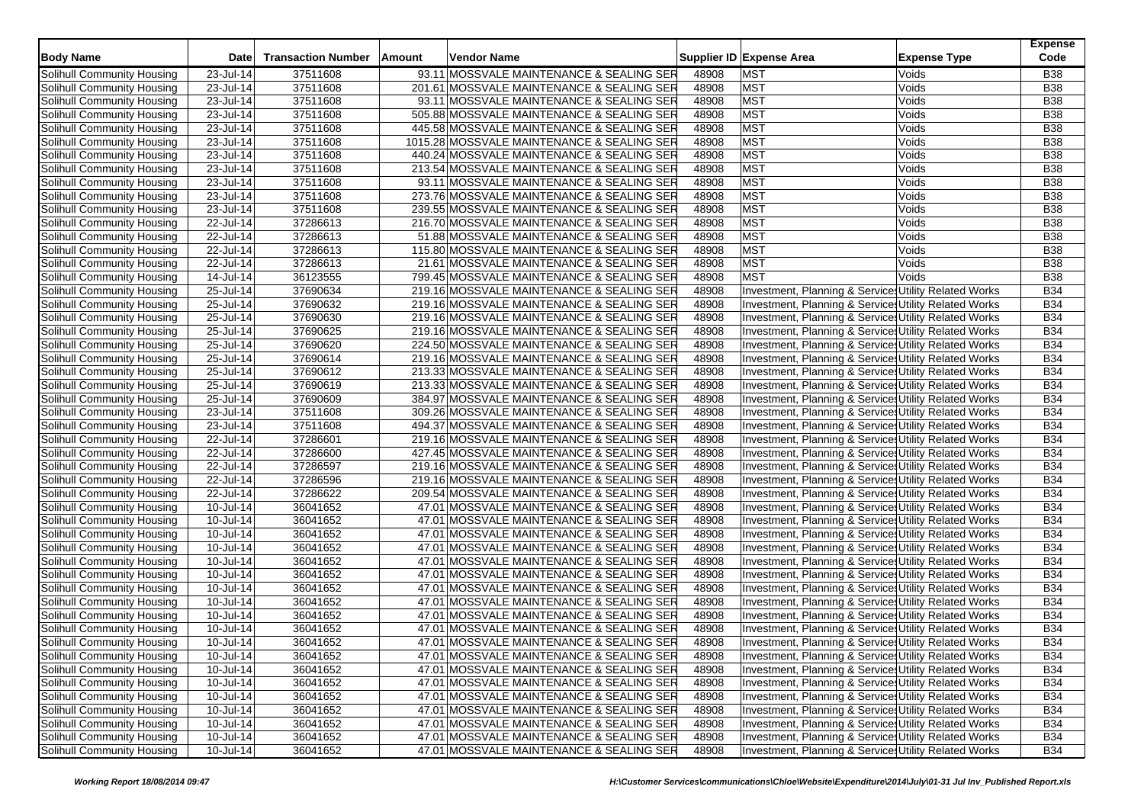|                            |              | <b>Transaction Number</b> |        |                                            |       |                                                       | <b>Expense</b><br>Code |
|----------------------------|--------------|---------------------------|--------|--------------------------------------------|-------|-------------------------------------------------------|------------------------|
| <b>Body Name</b>           | <b>Date</b>  |                           | Amount | Vendor Name                                |       | Supplier ID Expense Area<br><b>Expense Type</b>       |                        |
| Solihull Community Housing | 23-Jul-14    | 37511608                  |        | 93.11 MOSSVALE MAINTENANCE & SEALING SER   | 48908 | <b>MST</b><br>Voids                                   | B38                    |
| Solihull Community Housing | 23-Jul-14    | 37511608                  |        | 201.61 MOSSVALE MAINTENANCE & SEALING SER  | 48908 | <b>MST</b><br>Voids                                   | B38                    |
| Solihull Community Housing | 23-Jul-14    | 37511608                  |        | 93.11 MOSSVALE MAINTENANCE & SEALING SER   | 48908 | <b>MST</b><br>Voids                                   | <b>B38</b>             |
| Solihull Community Housing | 23-Jul-14    | 37511608                  |        | 505.88 MOSSVALE MAINTENANCE & SEALING SER  | 48908 | <b>MST</b><br>Voids                                   | B38                    |
| Solihull Community Housing | 23-Jul-14    | 37511608                  |        | 445.58 MOSSVALE MAINTENANCE & SEALING SER  | 48908 | <b>MST</b><br>Voids                                   | B38                    |
| Solihull Community Housing | 23-Jul-14    | 37511608                  |        | 1015.28 MOSSVALE MAINTENANCE & SEALING SER | 48908 | <b>MST</b><br>Voids                                   | <b>B38</b>             |
| Solihull Community Housing | 23-Jul-14    | 37511608                  |        | 440.24 MOSSVALE MAINTENANCE & SEALING SER  | 48908 | <b>MST</b><br>Voids                                   | <b>B38</b>             |
| Solihull Community Housing | 23-Jul-14    | 37511608                  |        | 213.54 MOSSVALE MAINTENANCE & SEALING SER  | 48908 | <b>MST</b><br>Voids                                   | B38                    |
| Solihull Community Housing | 23-Jul-14    | 37511608                  |        | 93.11 MOSSVALE MAINTENANCE & SEALING SER   | 48908 | <b>MST</b><br>Voids                                   | <b>B38</b>             |
| Solihull Community Housing | 23-Jul-14    | 37511608                  |        | 273.76 MOSSVALE MAINTENANCE & SEALING SER  | 48908 | <b>MST</b><br>Voids                                   | B38                    |
| Solihull Community Housing | 23-Jul-14    | 37511608                  |        | 239.55 MOSSVALE MAINTENANCE & SEALING SER  | 48908 | <b>MST</b><br>Voids                                   | B38                    |
| Solihull Community Housing | 22-Jul-14    | 37286613                  |        | 216.70 MOSSVALE MAINTENANCE & SEALING SER  | 48908 | <b>MST</b><br>Voids                                   | <b>B38</b>             |
| Solihull Community Housing | 22-Jul-14    | 37286613                  |        | 51.88 MOSSVALE MAINTENANCE & SEALING SER   | 48908 | <b>MST</b><br>Voids                                   | B38                    |
| Solihull Community Housing | 22-Jul-14    | 37286613                  |        | 115.80 MOSSVALE MAINTENANCE & SEALING SER  | 48908 | <b>MST</b><br>Voids                                   | B38                    |
| Solihull Community Housing | 22-Jul-14    | 37286613                  |        | 21.61 MOSSVALE MAINTENANCE & SEALING SER   | 48908 | <b>MST</b><br>Voids                                   | <b>B38</b>             |
| Solihull Community Housing | 14-Jul-14    | 36123555                  |        | 799.45 MOSSVALE MAINTENANCE & SEALING SER  | 48908 | <b>MST</b><br>Voids                                   | <b>B38</b>             |
| Solihull Community Housing | 25-Jul-14    | 37690634                  |        | 219.16 MOSSVALE MAINTENANCE & SEALING SER  | 48908 | Investment, Planning & Services Utility Related Works | <b>B34</b>             |
| Solihull Community Housing | 25-Jul-14    | 37690632                  |        | 219.16 MOSSVALE MAINTENANCE & SEALING SER  | 48908 | Investment, Planning & Services Utility Related Works | <b>B34</b>             |
| Solihull Community Housing | 25-Jul-14    | 37690630                  |        | 219.16 MOSSVALE MAINTENANCE & SEALING SER  | 48908 | Investment, Planning & Service: Utility Related Works | <b>B34</b>             |
| Solihull Community Housing | 25-Jul-14    | 37690625                  |        | 219.16 MOSSVALE MAINTENANCE & SEALING SER  | 48908 | Investment, Planning & Service: Utility Related Works | <b>B34</b>             |
| Solihull Community Housing | 25-Jul-14    | 37690620                  |        | 224.50 MOSSVALE MAINTENANCE & SEALING SER  | 48908 | Investment, Planning & Service: Utility Related Works | <b>B34</b>             |
| Solihull Community Housing | 25-Jul-14    | 37690614                  |        | 219.16 MOSSVALE MAINTENANCE & SEALING SER  | 48908 | Investment, Planning & Service: Utility Related Works | <b>B34</b>             |
| Solihull Community Housing | 25-Jul-14    | 37690612                  |        | 213.33 MOSSVALE MAINTENANCE & SEALING SER  | 48908 | Investment, Planning & Service: Utility Related Works | <b>B34</b>             |
| Solihull Community Housing | 25-Jul-14    | 37690619                  |        | 213.33 MOSSVALE MAINTENANCE & SEALING SER  | 48908 | Investment, Planning & Services Utility Related Works | <b>B34</b>             |
| Solihull Community Housing | 25-Jul-14    | 37690609                  |        | 384.97 MOSSVALE MAINTENANCE & SEALING SER  | 48908 | Investment, Planning & Service: Utility Related Works | <b>B34</b>             |
| Solihull Community Housing | 23-Jul-14    | 37511608                  |        | 309.26 MOSSVALE MAINTENANCE & SEALING SER  | 48908 | Investment, Planning & Service: Utility Related Works | <b>B34</b>             |
| Solihull Community Housing | 23-Jul-14    | 37511608                  |        | 494.37 MOSSVALE MAINTENANCE & SEALING SER  | 48908 | Investment, Planning & Service, Utility Related Works | <b>B34</b>             |
| Solihull Community Housing | 22-Jul-14    | 37286601                  |        | 219.16 MOSSVALE MAINTENANCE & SEALING SER  | 48908 | Investment, Planning & Service: Utility Related Works | <b>B34</b>             |
| Solihull Community Housing | 22-Jul-14    | 37286600                  |        | 427.45 MOSSVALE MAINTENANCE & SEALING SER  | 48908 | Investment, Planning & Service: Utility Related Works | <b>B34</b>             |
| Solihull Community Housing | 22-Jul-14    | 37286597                  |        | 219.16 MOSSVALE MAINTENANCE & SEALING SER  | 48908 | Investment, Planning & Services Utility Related Works | <b>B34</b>             |
| Solihull Community Housing | 22-Jul-14    | 37286596                  |        | 219.16 MOSSVALE MAINTENANCE & SEALING SER  | 48908 | Investment, Planning & Service: Utility Related Works | <b>B34</b>             |
| Solihull Community Housing | 22-Jul-14    | 37286622                  |        | 209.54 MOSSVALE MAINTENANCE & SEALING SER  | 48908 | Investment, Planning & Service: Utility Related Works | <b>B34</b>             |
| Solihull Community Housing | 10-Jul-14    | 36041652                  |        | 47.01 MOSSVALE MAINTENANCE & SEALING SER   | 48908 | Investment, Planning & Service: Utility Related Works | <b>B34</b>             |
| Solihull Community Housing | 10-Jul-14    | 36041652                  |        | 47.01 MOSSVALE MAINTENANCE & SEALING SER   | 48908 | Investment, Planning & Service: Utility Related Works | <b>B34</b>             |
| Solihull Community Housing | 10-Jul-14    | 36041652                  |        | 47.01 MOSSVALE MAINTENANCE & SEALING SER   | 48908 | Investment, Planning & Service: Utility Related Works | <b>B34</b>             |
| Solihull Community Housing | 10-Jul-14    | 36041652                  |        | 47.01 MOSSVALE MAINTENANCE & SEALING SER   | 48908 | Investment, Planning & Service, Utility Related Works | <b>B34</b>             |
| Solihull Community Housing | 10-Jul-14    | 36041652                  |        | 47.01 MOSSVALE MAINTENANCE & SEALING SER   | 48908 | Investment, Planning & Service: Utility Related Works | <b>B34</b>             |
| Solihull Community Housing | 10-Jul-14    | 36041652                  |        | 47.01 MOSSVALE MAINTENANCE & SEALING SER   | 48908 | Investment, Planning & Service: Utility Related Works | B34                    |
| Solihull Community Housing | 10-Jul-14    | 36041652                  |        | 47.01 MOSSVALE MAINTENANCE & SEALING SER   | 48908 | Investment, Planning & Service: Utility Related Works | <b>B34</b>             |
| Solihull Community Housing | 10-Jul-14    | 36041652                  |        | 47.01 MOSSVALE MAINTENANCE & SEALING SER   | 48908 | Investment, Planning & Service: Utility Related Works | <b>B34</b>             |
| Solihull Community Housing | 10-Jul-14    | 36041652                  |        | 47.01 MOSSVALE MAINTENANCE & SEALING SER   | 48908 | Investment, Planning & Service: Utility Related Works | <b>B34</b>             |
| Solihull Community Housing | 10-Jul-14    | 36041652                  |        | 47.01 MOSSVALE MAINTENANCE & SEALING SER   | 48908 | Investment, Planning & Services Utility Related Works | <b>B34</b>             |
| Solihull Community Housing | 10-Jul-14    | 36041652                  |        | 47.01 MOSSVALE MAINTENANCE & SEALING SER   | 48908 | Investment, Planning & Services Utility Related Works | B34                    |
| Solihull Community Housing | 10-Jul-14    | 36041652                  |        | 47.01 MOSSVALE MAINTENANCE & SEALING SER   | 48908 | Investment, Planning & Services Utility Related Works | <b>B34</b>             |
| Solihull Community Housing | 10-Jul-14    | 36041652                  |        | 47.01 MOSSVALE MAINTENANCE & SEALING SER   | 48908 | Investment, Planning & Services Utility Related Works | <b>B34</b>             |
| Solihull Community Housing | 10-Jul-14    | 36041652                  |        | 47.01 MOSSVALE MAINTENANCE & SEALING SER   | 48908 | Investment, Planning & Service: Utility Related Works | <b>B34</b>             |
| Solihull Community Housing | 10-Jul-14    | 36041652                  |        | 47.01 MOSSVALE MAINTENANCE & SEALING SER   | 48908 | Investment, Planning & Services Utility Related Works | <b>B34</b>             |
| Solihull Community Housing | 10-Jul-14    | 36041652                  |        | 47.01 MOSSVALE MAINTENANCE & SEALING SER   | 48908 | Investment, Planning & Service Utility Related Works  | <b>B34</b>             |
| Solihull Community Housing | 10-Jul-14    | 36041652                  |        | 47.01 MOSSVALE MAINTENANCE & SEALING SER   | 48908 | Investment, Planning & Services Utility Related Works | <b>B34</b>             |
| Solihull Community Housing | 10-Jul-14    | 36041652                  |        | 47.01 MOSSVALE MAINTENANCE & SEALING SER   | 48908 | Investment, Planning & Services Utility Related Works | <b>B34</b>             |
| Solihull Community Housing | $10$ -Jul-14 | 36041652                  |        | 47.01 MOSSVALE MAINTENANCE & SEALING SER   | 48908 | Investment, Planning & Service Utility Related Works  | <b>B34</b>             |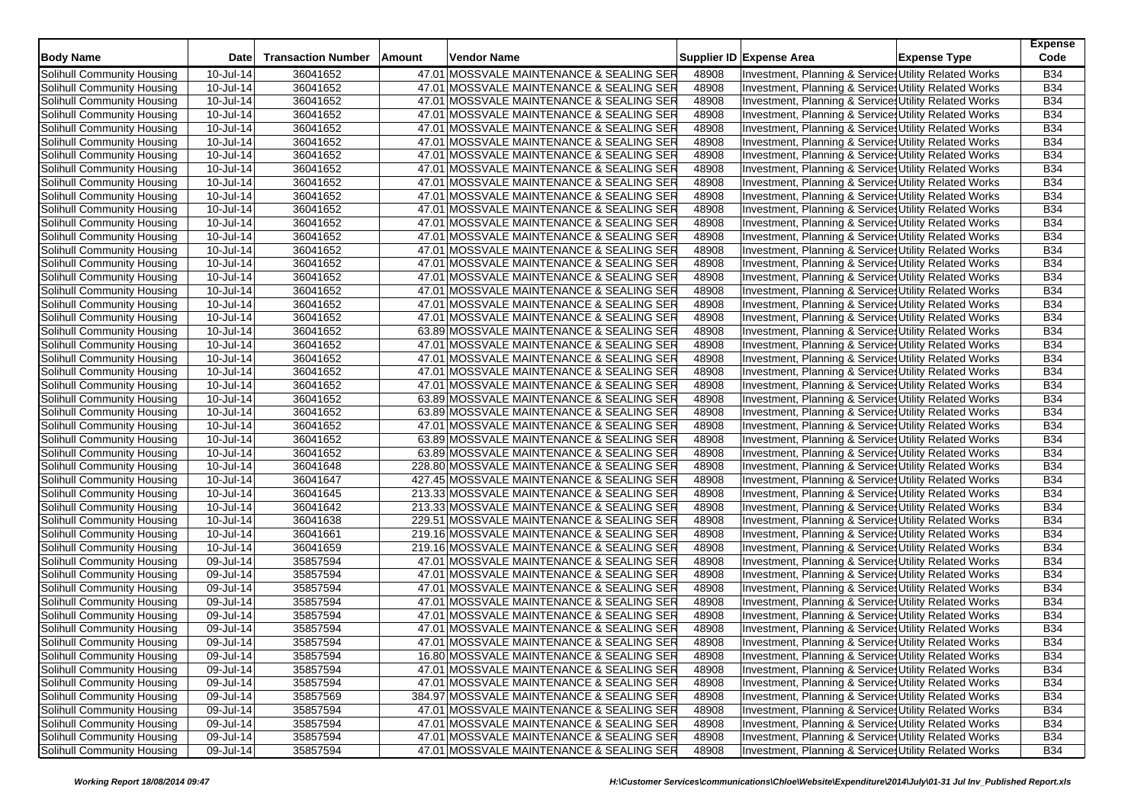| <b>Body Name</b>           | Date      | <b>Transaction Number</b> | Amount | Vendor Name                               |       | Supplier ID Expense Area                                         | <b>Expense Type</b> | <b>Expense</b><br>Code   |
|----------------------------|-----------|---------------------------|--------|-------------------------------------------|-------|------------------------------------------------------------------|---------------------|--------------------------|
| Solihull Community Housing | 10-Jul-14 | 36041652                  |        | 47.01 MOSSVALE MAINTENANCE & SEALING SER  | 48908 | Investment, Planning & Service: Utility Related Works            |                     | <b>B34</b>               |
| Solihull Community Housing | 10-Jul-14 | 36041652                  |        | 47.01 MOSSVALE MAINTENANCE & SEALING SER  | 48908 | Investment, Planning & Service, Utility Related Works            |                     | <b>B34</b>               |
| Solihull Community Housing | 10-Jul-14 | 36041652                  |        | 47.01 MOSSVALE MAINTENANCE & SEALING SER  | 48908 | Investment, Planning & Services Utility Related Works            |                     | <b>B34</b>               |
| Solihull Community Housing | 10-Jul-14 | 36041652                  |        | 47.01 MOSSVALE MAINTENANCE & SEALING SER  | 48908 | Investment, Planning & Service: Utility Related Works            |                     | <b>B34</b>               |
| Solihull Community Housing | 10-Jul-14 | 36041652                  |        | 47.01 MOSSVALE MAINTENANCE & SEALING SER  | 48908 | Investment, Planning & Service: Utility Related Works            |                     | <b>B34</b>               |
|                            | 10-Jul-14 | 36041652                  |        | 47.01 MOSSVALE MAINTENANCE & SEALING SER  | 48908 |                                                                  |                     | <b>B34</b>               |
| Solihull Community Housing |           |                           |        |                                           |       | Investment, Planning & Service: Utility Related Works            |                     |                          |
| Solihull Community Housing | 10-Jul-14 | 36041652                  |        | 47.01 MOSSVALE MAINTENANCE & SEALING SER  | 48908 | Investment, Planning & Service: Utility Related Works            |                     | <b>B34</b><br><b>B34</b> |
| Solihull Community Housing | 10-Jul-14 | 36041652                  |        | 47.01 MOSSVALE MAINTENANCE & SEALING SER  | 48908 | Investment, Planning & Service: Utility Related Works            |                     |                          |
| Solihull Community Housing | 10-Jul-14 | 36041652                  |        | 47.01 MOSSVALE MAINTENANCE & SEALING SER  | 48908 | Investment, Planning & Service: Utility Related Works            |                     | <b>B34</b>               |
| Solihull Community Housing | 10-Jul-14 | 36041652                  |        | 47.01 MOSSVALE MAINTENANCE & SEALING SER  | 48908 | Investment, Planning & Service: Utility Related Works            |                     | <b>B34</b>               |
| Solihull Community Housing | 10-Jul-14 | 36041652                  |        | 47.01 MOSSVALE MAINTENANCE & SEALING SER  | 48908 | Investment, Planning & Service, Utility Related Works            |                     | <b>B34</b>               |
| Solihull Community Housing | 10-Jul-14 | 36041652                  |        | 47.01 MOSSVALE MAINTENANCE & SEALING SER  | 48908 | Investment, Planning & Service: Utility Related Works            |                     | <b>B34</b>               |
| Solihull Community Housing | 10-Jul-14 | 36041652                  |        | 47.01 MOSSVALE MAINTENANCE & SEALING SER  | 48908 | Investment, Planning & Service: Utility Related Works            |                     | <b>B34</b>               |
| Solihull Community Housing | 10-Jul-14 | 36041652                  |        | 47.01 MOSSVALE MAINTENANCE & SEALING SER  | 48908 | Investment, Planning & Service, Utility Related Works            |                     | <b>B34</b>               |
| Solihull Community Housing | 10-Jul-14 | 36041652                  |        | 47.01 MOSSVALE MAINTENANCE & SEALING SER  | 48908 | Investment, Planning & Service, Utility Related Works            |                     | <b>B34</b>               |
| Solihull Community Housing | 10-Jul-14 | 36041652                  |        | 47.01 MOSSVALE MAINTENANCE & SEALING SER  | 48908 | Investment, Planning & Service: Utility Related Works            |                     | <b>B34</b>               |
| Solihull Community Housing | 10-Jul-14 | 36041652                  |        | 47.01 MOSSVALE MAINTENANCE & SEALING SER  | 48908 | Investment, Planning & Services Utility Related Works            |                     | <b>B34</b>               |
| Solihull Community Housing | 10-Jul-14 | 36041652                  |        | 47.01 MOSSVALE MAINTENANCE & SEALING SER  | 48908 | Investment, Planning & Service, Utility Related Works            |                     | <b>B34</b>               |
| Solihull Community Housing | 10-Jul-14 | 36041652                  |        | 47.01 MOSSVALE MAINTENANCE & SEALING SER  | 48908 | Investment, Planning & Service: Utility Related Works            |                     | <b>B34</b>               |
| Solihull Community Housing | 10-Jul-14 | 36041652                  |        | 63.89 MOSSVALE MAINTENANCE & SEALING SER  | 48908 | Investment, Planning & Service: Utility Related Works            |                     | <b>B34</b>               |
| Solihull Community Housing | 10-Jul-14 | 36041652                  |        | 47.01 MOSSVALE MAINTENANCE & SEALING SER  | 48908 | <b>Investment, Planning &amp; Service, Utility Related Works</b> |                     | <b>B34</b>               |
| Solihull Community Housing | 10-Jul-14 | 36041652                  |        | 47.01 MOSSVALE MAINTENANCE & SEALING SER  | 48908 | Investment, Planning & Service: Utility Related Works            |                     | <b>B34</b>               |
| Solihull Community Housing | 10-Jul-14 | 36041652                  |        | 47.01 MOSSVALE MAINTENANCE & SEALING SER  | 48908 | Investment, Planning & Services Utility Related Works            |                     | <b>B34</b>               |
| Solihull Community Housing | 10-Jul-14 | 36041652                  |        | 47.01 MOSSVALE MAINTENANCE & SEALING SER  | 48908 | Investment, Planning & Service: Utility Related Works            |                     | <b>B34</b>               |
| Solihull Community Housing | 10-Jul-14 | 36041652                  |        | 63.89 MOSSVALE MAINTENANCE & SEALING SER  | 48908 | Investment, Planning & Service: Utility Related Works            |                     | <b>B34</b>               |
| Solihull Community Housing | 10-Jul-14 | 36041652                  |        | 63.89 MOSSVALE MAINTENANCE & SEALING SER  | 48908 | Investment, Planning & Service: Utility Related Works            |                     | <b>B34</b>               |
| Solihull Community Housing | 10-Jul-14 | 36041652                  |        | 47.01 MOSSVALE MAINTENANCE & SEALING SER  | 48908 | Investment, Planning & Service, Utility Related Works            |                     | <b>B34</b>               |
| Solihull Community Housing | 10-Jul-14 | 36041652                  |        | 63.89 MOSSVALE MAINTENANCE & SEALING SER  | 48908 | Investment, Planning & Service: Utility Related Works            |                     | <b>B34</b>               |
| Solihull Community Housing | 10-Jul-14 | 36041652                  |        | 63.89 MOSSVALE MAINTENANCE & SEALING SER  | 48908 | Investment, Planning & Service: Utility Related Works            |                     | <b>B34</b>               |
| Solihull Community Housing | 10-Jul-14 | 36041648                  |        | 228.80 MOSSVALE MAINTENANCE & SEALING SER | 48908 | Investment, Planning & Service, Utility Related Works            |                     | <b>B34</b>               |
| Solihull Community Housing | 10-Jul-14 | 36041647                  |        | 427.45 MOSSVALE MAINTENANCE & SEALING SER | 48908 | Investment, Planning & Services Utility Related Works            |                     | <b>B34</b>               |
| Solihull Community Housing | 10-Jul-14 | 36041645                  |        | 213.33 MOSSVALE MAINTENANCE & SEALING SER | 48908 | Investment, Planning & Service, Utility Related Works            |                     | <b>B34</b>               |
| Solihull Community Housing | 10-Jul-14 | 36041642                  |        | 213.33 MOSSVALE MAINTENANCE & SEALING SER | 48908 | Investment, Planning & Service, Utility Related Works            |                     | <b>B34</b>               |
| Solihull Community Housing | 10-Jul-14 | 36041638                  |        | 229.51 MOSSVALE MAINTENANCE & SEALING SER | 48908 | Investment, Planning & Service: Utility Related Works            |                     | <b>B34</b>               |
| Solihull Community Housing | 10-Jul-14 | 36041661                  |        | 219.16 MOSSVALE MAINTENANCE & SEALING SER | 48908 | Investment, Planning & Services Utility Related Works            |                     | <b>B34</b>               |
| Solihull Community Housing | 10-Jul-14 | 36041659                  |        | 219.16 MOSSVALE MAINTENANCE & SEALING SER | 48908 | Investment, Planning & Service, Utility Related Works            |                     | <b>B34</b>               |
| Solihull Community Housing | 09-Jul-14 | 35857594                  |        | 47.01 MOSSVALE MAINTENANCE & SEALING SER  | 48908 | Investment, Planning & Service Utility Related Works             |                     | <b>B34</b>               |
| Solihull Community Housing | 09-Jul-14 | 35857594                  |        | 47.01 MOSSVALE MAINTENANCE & SEALING SER  | 48908 | Investment, Planning & Service: Utility Related Works            |                     | B34                      |
| Solihull Community Housing | 09-Jul-14 | 35857594                  |        | 47.01 MOSSVALE MAINTENANCE & SEALING SER  | 48908 | Investment, Planning & Service: Utility Related Works            |                     | <b>B34</b>               |
| Solihull Community Housing | 09-Jul-14 | 35857594                  |        | 47.01 MOSSVALE MAINTENANCE & SEALING SER  | 48908 | <b>Investment, Planning &amp; Service, Utility Related Works</b> |                     | <b>B34</b>               |
| Solihull Community Housing | 09-Jul-14 | 35857594                  |        | 47.01 MOSSVALE MAINTENANCE & SEALING SER  | 48908 | Investment, Planning & Service: Utility Related Works            |                     | <b>B34</b>               |
| Solihull Community Housing | 09-Jul-14 | 35857594                  |        | 47.01 MOSSVALE MAINTENANCE & SEALING SER  | 48908 | Investment, Planning & Service: Utility Related Works            |                     | <b>B34</b>               |
| Solihull Community Housing | 09-Jul-14 | 35857594                  |        | 47.01 MOSSVALE MAINTENANCE & SEALING SER  | 48908 | Investment, Planning & Services Utility Related Works            |                     | B34                      |
| Solihull Community Housing | 09-Jul-14 | 35857594                  |        | 16.80 MOSSVALE MAINTENANCE & SEALING SER  | 48908 | Investment, Planning & Services Utility Related Works            |                     | <b>B34</b>               |
| Solihull Community Housing | 09-Jul-14 | 35857594                  |        | 47.01 MOSSVALE MAINTENANCE & SEALING SER  | 48908 | Investment, Planning & Services Utility Related Works            |                     | <b>B34</b>               |
| Solihull Community Housing | 09-Jul-14 | 35857594                  |        | 47.01 MOSSVALE MAINTENANCE & SEALING SER  | 48908 | Investment, Planning & Services Utility Related Works            |                     | B34                      |
| Solihull Community Housing | 09-Jul-14 | 35857569                  |        | 384.97 MOSSVALE MAINTENANCE & SEALING SER | 48908 | Investment, Planning & Services Utility Related Works            |                     | <b>B34</b>               |
| Solihull Community Housing | 09-Jul-14 | 35857594                  |        | 47.01 MOSSVALE MAINTENANCE & SEALING SER  | 48908 | Investment, Planning & Service Utility Related Works             |                     | <b>B34</b>               |
| Solihull Community Housing | 09-Jul-14 | 35857594                  |        | 47.01 MOSSVALE MAINTENANCE & SEALING SER  | 48908 | Investment, Planning & Services Utility Related Works            |                     | <b>B34</b>               |
| Solihull Community Housing | 09-Jul-14 | 35857594                  |        | 47.01 MOSSVALE MAINTENANCE & SEALING SER  | 48908 | Investment, Planning & Service Utility Related Works             |                     | <b>B34</b>               |
| Solihull Community Housing | 09-Jul-14 | 35857594                  |        | 47.01 MOSSVALE MAINTENANCE & SEALING SER  | 48908 | Investment, Planning & Services Utility Related Works            |                     | <b>B34</b>               |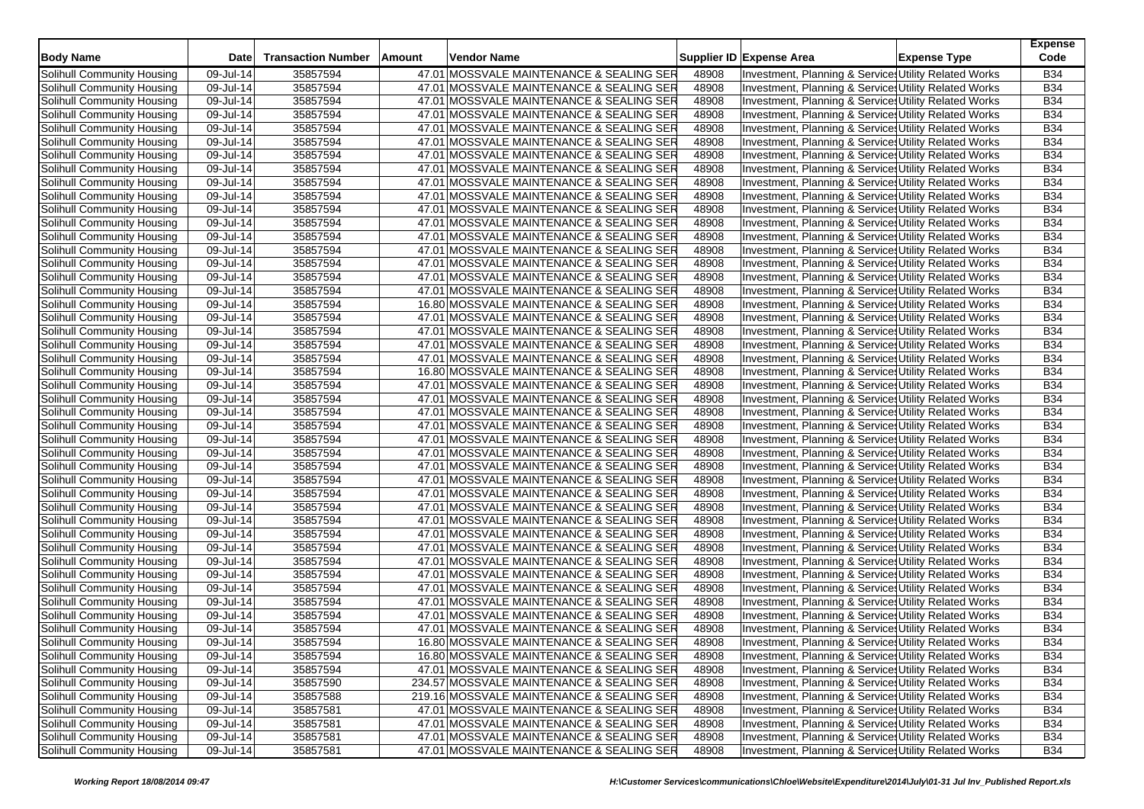| <b>Body Name</b>                                         | <b>Date</b>             | <b>Transaction Number</b> | Amount | Vendor Name                               |                | Supplier ID Expense Area                              | <b>Expense Type</b> | <b>Expense</b><br>Code |
|----------------------------------------------------------|-------------------------|---------------------------|--------|-------------------------------------------|----------------|-------------------------------------------------------|---------------------|------------------------|
| Solihull Community Housing                               | 09-Jul-14               | 35857594                  |        | 47.01 MOSSVALE MAINTENANCE & SEALING SER  | 48908          | Investment, Planning & Service: Utility Related Works |                     | <b>B34</b>             |
| Solihull Community Housing                               | 09-Jul-14               | 35857594                  |        | 47.01 MOSSVALE MAINTENANCE & SEALING SER  | 48908          | Investment, Planning & Service: Utility Related Works |                     | <b>B34</b>             |
| Solihull Community Housing                               | 09-Jul-14               | 35857594                  |        | 47.01 MOSSVALE MAINTENANCE & SEALING SER  | 48908          | Investment, Planning & Service: Utility Related Works |                     | <b>B34</b>             |
| Solihull Community Housing                               | 09-Jul-14               | 35857594                  |        | 47.01 MOSSVALE MAINTENANCE & SEALING SER  | 48908          | Investment, Planning & Service: Utility Related Works |                     | <b>B34</b>             |
| Solihull Community Housing                               | 09-Jul-14               | 35857594                  |        | 47.01 MOSSVALE MAINTENANCE & SEALING SER  | 48908          | Investment, Planning & Service: Utility Related Works |                     | <b>B34</b>             |
| Solihull Community Housing                               | 09-Jul-14               | 35857594                  |        | 47.01 MOSSVALE MAINTENANCE & SEALING SER  | 48908          | Investment, Planning & Services Utility Related Works |                     | <b>B34</b>             |
| Solihull Community Housing                               | 09-Jul-14               | 35857594                  |        | 47.01 MOSSVALE MAINTENANCE & SEALING SER  | 48908          | Investment, Planning & Service: Utility Related Works |                     | <b>B34</b>             |
| Solihull Community Housing                               | 09-Jul-14               | 35857594                  |        | 47.01 MOSSVALE MAINTENANCE & SEALING SER  | 48908          | Investment, Planning & Services Utility Related Works |                     | <b>B34</b>             |
| Solihull Community Housing                               | 09-Jul-14               | 35857594                  |        | 47.01 MOSSVALE MAINTENANCE & SEALING SER  | 48908          | Investment, Planning & Service: Utility Related Works |                     | <b>B34</b>             |
| Solihull Community Housing                               | 09-Jul-14               | 35857594                  |        | 47.01 MOSSVALE MAINTENANCE & SEALING SER  | 48908          | Investment, Planning & Service: Utility Related Works |                     | <b>B34</b>             |
| Solihull Community Housing                               | 09-Jul-14               | 35857594                  |        | 47.01 MOSSVALE MAINTENANCE & SEALING SER  | 48908          | Investment, Planning & Service Utility Related Works  |                     | <b>B34</b>             |
| Solihull Community Housing                               | 09-Jul-14               | 35857594                  |        | 47.01 MOSSVALE MAINTENANCE & SEALING SER  | 48908          | Investment, Planning & Service: Utility Related Works |                     | <b>B34</b>             |
| Solihull Community Housing                               | 09-Jul-14               | 35857594                  |        | 47.01 MOSSVALE MAINTENANCE & SEALING SER  | 48908          | Investment, Planning & Services Utility Related Works |                     | <b>B34</b>             |
| Solihull Community Housing                               | 09-Jul-14               | 35857594                  |        | 47.01 MOSSVALE MAINTENANCE & SEALING SER  | 48908          | Investment, Planning & Service: Utility Related Works |                     | <b>B34</b>             |
| Solihull Community Housing                               | 09-Jul-14               | 35857594                  |        | 47.01 MOSSVALE MAINTENANCE & SEALING SER  | 48908          | Investment, Planning & Services Utility Related Works |                     | <b>B34</b>             |
| Solihull Community Housing                               | 09-Jul-14               | 35857594                  |        | 47.01 MOSSVALE MAINTENANCE & SEALING SER  | 48908          | Investment, Planning & Service Utility Related Works  |                     | <b>B34</b>             |
| Solihull Community Housing                               | 09-Jul-14               | 35857594                  |        | 47.01 MOSSVALE MAINTENANCE & SEALING SER  | 48908          | Investment, Planning & Service: Utility Related Works |                     | <b>B34</b>             |
| Solihull Community Housing                               | 09-Jul-14               | 35857594                  |        | 16.80 MOSSVALE MAINTENANCE & SEALING SER  | 48908          | Investment, Planning & Service: Utility Related Works |                     | <b>B34</b>             |
| Solihull Community Housing                               | 09-Jul-14               | 35857594                  |        | 47.01 MOSSVALE MAINTENANCE & SEALING SER  | 48908          | Investment, Planning & Service: Utility Related Works |                     | <b>B34</b>             |
| Solihull Community Housing                               | 09-Jul-14               | 35857594                  |        | 47.01 MOSSVALE MAINTENANCE & SEALING SER  | 48908          | Investment, Planning & Service: Utility Related Works |                     | <b>B34</b>             |
| Solihull Community Housing                               | 09-Jul-14               | 35857594                  |        | 47.01 MOSSVALE MAINTENANCE & SEALING SER  | 48908          | Investment, Planning & Service: Utility Related Works |                     | <b>B34</b>             |
| Solihull Community Housing                               | 09-Jul-14               | 35857594                  |        | 47.01 MOSSVALE MAINTENANCE & SEALING SER  | 48908          | Investment, Planning & Services Utility Related Works |                     | <b>B34</b>             |
| Solihull Community Housing                               | 09-Jul-14               | 35857594                  |        | 16.80 MOSSVALE MAINTENANCE & SEALING SER  | 48908          | Investment, Planning & Service: Utility Related Works |                     | <b>B34</b>             |
| Solihull Community Housing                               | 09-Jul-14               | 35857594                  |        | 47.01 MOSSVALE MAINTENANCE & SEALING SER  |                | Investment, Planning & Service: Utility Related Works |                     | <b>B34</b>             |
| Solihull Community Housing                               | 09-Jul-14               | 35857594                  |        | 47.01 MOSSVALE MAINTENANCE & SEALING SER  | 48908<br>48908 |                                                       |                     | <b>B34</b>             |
|                                                          |                         | 35857594                  |        |                                           | 48908          | Investment, Planning & Services Utility Related Works |                     | <b>B34</b>             |
| Solihull Community Housing<br>Solihull Community Housing | 09-Jul-14               |                           |        | 47.01 MOSSVALE MAINTENANCE & SEALING SER  |                | Investment, Planning & Service: Utility Related Works |                     | <b>B34</b>             |
|                                                          | 09-Jul-14               | 35857594                  |        | 47.01 MOSSVALE MAINTENANCE & SEALING SER  | 48908          | Investment, Planning & Service Utility Related Works  |                     | <b>B34</b>             |
| Solihull Community Housing                               | 09-Jul-14               | 35857594                  |        | 47.01 MOSSVALE MAINTENANCE & SEALING SER  | 48908          | Investment, Planning & Service: Utility Related Works |                     | <b>B34</b>             |
| Solihull Community Housing                               | 09-Jul-14               | 35857594                  |        | 47.01 MOSSVALE MAINTENANCE & SEALING SER  | 48908          | Investment, Planning & Services Utility Related Works |                     |                        |
| Solihull Community Housing                               | 09-Jul-14               | 35857594                  |        | 47.01 MOSSVALE MAINTENANCE & SEALING SER  | 48908          | Investment, Planning & Service Utility Related Works  |                     | <b>B34</b>             |
| Solihull Community Housing                               | 09-Jul-14               | 35857594                  |        | 47.01 MOSSVALE MAINTENANCE & SEALING SER  | 48908          | Investment, Planning & Service: Utility Related Works |                     | <b>B34</b>             |
| Solihull Community Housing                               | 09-Jul-14               | 35857594                  |        | 47.01 MOSSVALE MAINTENANCE & SEALING SER  | 48908          | Investment, Planning & Services Utility Related Works |                     | <b>B34</b>             |
| Solihull Community Housing                               | 09-Jul-14               | 35857594                  |        | 47.01 MOSSVALE MAINTENANCE & SEALING SER  | 48908          | Investment, Planning & Service Utility Related Works  |                     | <b>B34</b>             |
| Solihull Community Housing                               | 09-Jul-14               | 35857594                  |        | 47.01 MOSSVALE MAINTENANCE & SEALING SER  | 48908          | Investment, Planning & Service Utility Related Works  |                     | <b>B34</b>             |
| Solihull Community Housing                               | 09-Jul-14               | 35857594                  |        | 47.01 MOSSVALE MAINTENANCE & SEALING SER  | 48908          | Investment, Planning & Services Utility Related Works |                     | <b>B34</b>             |
| Solihull Community Housing                               | 09-Jul-14               | 35857594                  |        | 47.01 MOSSVALE MAINTENANCE & SEALING SER  | 48908          | Investment, Planning & Services Utility Related Works |                     | <b>B34</b>             |
| Solihull Community Housing                               | 09-Jul-14               | 35857594                  |        | 47.01 MOSSVALE MAINTENANCE & SEALING SER  | 48908          | Investment, Planning & Service: Utility Related Works |                     | <b>B34</b>             |
| Solihull Community Housing                               | 09-Jul-14               | 35857594                  |        | 47.01 MOSSVALE MAINTENANCE & SEALING SER  | 48908          | Investment, Planning & Service: Utility Related Works |                     | <b>B34</b>             |
| Solihull Community Housing                               | 09-Jul-14               | 35857594                  |        | 47.01 MOSSVALE MAINTENANCE & SEALING SER  | 48908          | Investment, Planning & Services Utility Related Works |                     | <b>B34</b>             |
| Solihull Community Housing                               | $\overline{09}$ -Jul-14 | 35857594                  |        | 47.01 MOSSVALE MAINTENANCE & SEALING SER  | 48908          | Investment, Planning & Service: Utility Related Works |                     | <b>B34</b>             |
| Solihull Community Housing                               | 09-Jul-14               | 35857594                  |        | 47.01 MOSSVALE MAINTENANCE & SEALING SER  | 48908          | Investment, Planning & Services Utility Related Works |                     | <b>B34</b>             |
| Solihull Community Housing                               | 09-Jul-14               | 35857594                  |        | 47.01 MOSSVALE MAINTENANCE & SEALING SER  | 48908          | Investment, Planning & Services Utility Related Works |                     | <b>B34</b>             |
| Solihull Community Housing                               | 09-Jul-14               | 35857594                  |        | 16.80 MOSSVALE MAINTENANCE & SEALING SER  | 48908          | Investment, Planning & Services Utility Related Works |                     | <b>B34</b>             |
| Solihull Community Housing                               | 09-Jul-14               | 35857594                  |        | 16.80 MOSSVALE MAINTENANCE & SEALING SER  | 48908          | Investment, Planning & Services Utility Related Works |                     | <b>B34</b>             |
| Solihull Community Housing                               | 09-Jul-14               | 35857594                  |        | 47.01 MOSSVALE MAINTENANCE & SEALING SER  | 48908          | Investment, Planning & Services Utility Related Works |                     | <b>B34</b>             |
| Solihull Community Housing                               | 09-Jul-14               | 35857590                  |        | 234.57 MOSSVALE MAINTENANCE & SEALING SER | 48908          | Investment, Planning & Services Utility Related Works |                     | B34                    |
| Solihull Community Housing                               | 09-Jul-14               | 35857588                  |        | 219.16 MOSSVALE MAINTENANCE & SEALING SER | 48908          | Investment, Planning & Services Utility Related Works |                     | <b>B34</b>             |
| Solihull Community Housing                               | 09-Jul-14               | 35857581                  |        | 47.01 MOSSVALE MAINTENANCE & SEALING SER  | 48908          | Investment, Planning & Service Utility Related Works  |                     | <b>B34</b>             |
| Solihull Community Housing                               | 09-Jul-14               | 35857581                  |        | 47.01 MOSSVALE MAINTENANCE & SEALING SER  | 48908          | Investment, Planning & Services Utility Related Works |                     | <b>B34</b>             |
| <b>Solihull Community Housing</b>                        | 09-Jul-14               | 35857581                  |        | 47.01 MOSSVALE MAINTENANCE & SEALING SER  | 48908          | Investment, Planning & Service Utility Related Works  |                     | <b>B34</b>             |
| Solihull Community Housing                               | 09-Jul-14               | 35857581                  |        | 47.01 MOSSVALE MAINTENANCE & SEALING SER  | 48908          | Investment, Planning & Services Utility Related Works |                     | <b>B34</b>             |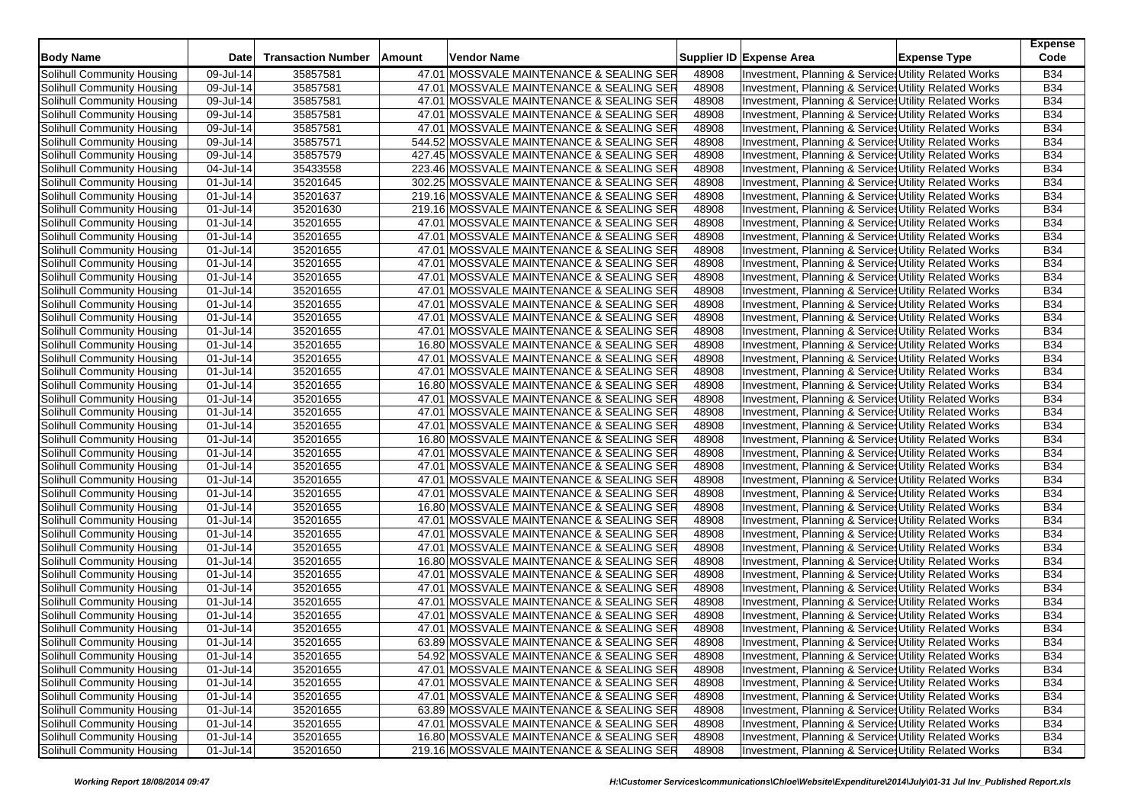| <b>Body Name</b>                                         | <b>Date</b>                             | <b>Transaction Number</b> | Amount | Vendor Name                                                                          |                | Supplier ID Expense Area                                                                                      | <b>Expense Type</b> | <b>Expense</b><br>Code   |
|----------------------------------------------------------|-----------------------------------------|---------------------------|--------|--------------------------------------------------------------------------------------|----------------|---------------------------------------------------------------------------------------------------------------|---------------------|--------------------------|
| Solihull Community Housing                               | 09-Jul-14                               | 35857581                  |        | 47.01 MOSSVALE MAINTENANCE & SEALING SER                                             | 48908          | Investment, Planning & Service: Utility Related Works                                                         |                     | <b>B34</b>               |
| Solihull Community Housing                               | 09-Jul-14                               | 35857581                  |        | 47.01 MOSSVALE MAINTENANCE & SEALING SER                                             | 48908          | Investment, Planning & Service: Utility Related Works                                                         |                     | <b>B34</b>               |
| Solihull Community Housing                               | 09-Jul-14                               | 35857581                  |        | 47.01 MOSSVALE MAINTENANCE & SEALING SER                                             | 48908          | Investment, Planning & Service: Utility Related Works                                                         |                     | <b>B34</b>               |
| Solihull Community Housing                               | 09-Jul-14                               | 35857581                  |        | 47.01 MOSSVALE MAINTENANCE & SEALING SER                                             | 48908          | Investment, Planning & Service: Utility Related Works                                                         |                     | <b>B34</b>               |
| Solihull Community Housing                               | 09-Jul-14                               | 35857581                  |        | 47.01 MOSSVALE MAINTENANCE & SEALING SER                                             | 48908          | Investment, Planning & Service: Utility Related Works                                                         |                     | <b>B34</b>               |
| Solihull Community Housing                               | 09-Jul-14                               | 35857571                  |        | 544.52 MOSSVALE MAINTENANCE & SEALING SER                                            | 48908          | Investment, Planning & Services Utility Related Works                                                         |                     | <b>B34</b>               |
| Solihull Community Housing                               | 09-Jul-14                               | 35857579                  |        | 427.45 MOSSVALE MAINTENANCE & SEALING SER                                            | 48908          | Investment, Planning & Service: Utility Related Works                                                         |                     | <b>B34</b>               |
| Solihull Community Housing                               | 04-Jul-14                               | 35433558                  |        | 223.46 MOSSVALE MAINTENANCE & SEALING SER                                            | 48908          | Investment, Planning & Services Utility Related Works                                                         |                     | <b>B34</b>               |
| Solihull Community Housing                               | 01-Jul-14                               | 35201645                  |        | 302.25 MOSSVALE MAINTENANCE & SEALING SER                                            | 48908          | Investment, Planning & Service: Utility Related Works                                                         |                     | <b>B34</b>               |
| Solihull Community Housing                               | 01-Jul-14                               | 35201637                  |        | 219.16 MOSSVALE MAINTENANCE & SEALING SER                                            | 48908          | Investment, Planning & Service: Utility Related Works                                                         |                     | <b>B34</b>               |
| Solihull Community Housing                               | 01-Jul-14                               | 35201630                  |        | 219.16 MOSSVALE MAINTENANCE & SEALING SER                                            | 48908          | Investment, Planning & Service Utility Related Works                                                          |                     | <b>B34</b>               |
| Solihull Community Housing                               | 01-Jul-14                               | 35201655                  |        | 47.01 MOSSVALE MAINTENANCE & SEALING SER                                             | 48908          | Investment, Planning & Service: Utility Related Works                                                         |                     | <b>B34</b>               |
| Solihull Community Housing                               | 01-Jul-14                               | 35201655                  |        | 47.01 MOSSVALE MAINTENANCE & SEALING SER                                             | 48908          | Investment, Planning & Services Utility Related Works                                                         |                     | <b>B34</b>               |
| Solihull Community Housing                               | 01-Jul-14                               | 35201655                  |        | 47.01 MOSSVALE MAINTENANCE & SEALING SER                                             | 48908          | Investment, Planning & Service: Utility Related Works                                                         |                     | <b>B34</b>               |
| Solihull Community Housing                               | 01-Jul-14                               | 35201655                  |        | 47.01 MOSSVALE MAINTENANCE & SEALING SER                                             | 48908          | Investment, Planning & Services Utility Related Works                                                         |                     | <b>B34</b>               |
| Solihull Community Housing                               | 01-Jul-14                               | 35201655                  |        | 47.01 MOSSVALE MAINTENANCE & SEALING SER                                             | 48908          | Investment, Planning & Service Utility Related Works                                                          |                     | <b>B34</b>               |
| Solihull Community Housing                               | 01-Jul-14                               | 35201655                  |        | 47.01 MOSSVALE MAINTENANCE & SEALING SER                                             | 48908          | Investment, Planning & Service: Utility Related Works                                                         |                     | <b>B34</b>               |
| Solihull Community Housing                               | 01-Jul-14                               | 35201655                  |        | 47.01 MOSSVALE MAINTENANCE & SEALING SER                                             | 48908          | Investment, Planning & Service: Utility Related Works                                                         |                     | <b>B34</b>               |
| Solihull Community Housing                               | 01-Jul-14                               | 35201655                  |        | 47.01 MOSSVALE MAINTENANCE & SEALING SER                                             | 48908          | Investment, Planning & Service: Utility Related Works                                                         |                     | <b>B34</b>               |
| Solihull Community Housing                               | 01-Jul-14                               | 35201655                  |        | 47.01 MOSSVALE MAINTENANCE & SEALING SER                                             | 48908          | Investment, Planning & Service: Utility Related Works                                                         |                     | <b>B34</b>               |
| Solihull Community Housing                               | 01-Jul-14                               | 35201655                  |        | 16.80 MOSSVALE MAINTENANCE & SEALING SER                                             | 48908          | Investment, Planning & Service: Utility Related Works                                                         |                     | <b>B34</b>               |
| Solihull Community Housing                               | 01-Jul-14                               | 35201655                  |        | 47.01 MOSSVALE MAINTENANCE & SEALING SER                                             | 48908          | Investment, Planning & Services Utility Related Works                                                         |                     | <b>B34</b>               |
| Solihull Community Housing                               | 01-Jul-14                               | 35201655                  |        | 47.01 MOSSVALE MAINTENANCE & SEALING SER                                             | 48908          | Investment, Planning & Service: Utility Related Works                                                         |                     | <b>B34</b>               |
| Solihull Community Housing                               | 01-Jul-14                               | 35201655                  |        | 16.80 MOSSVALE MAINTENANCE & SEALING SER                                             | 48908          | Investment, Planning & Service: Utility Related Works                                                         |                     | <b>B34</b>               |
| Solihull Community Housing                               | 01-Jul-14                               | 35201655                  |        | 47.01 MOSSVALE MAINTENANCE & SEALING SER                                             | 48908          | Investment, Planning & Services Utility Related Works                                                         |                     | <b>B34</b>               |
| Solihull Community Housing                               | 01-Jul-14                               | 35201655                  |        | 47.01 MOSSVALE MAINTENANCE & SEALING SER                                             | 48908          | Investment, Planning & Service: Utility Related Works                                                         |                     | <b>B34</b>               |
| Solihull Community Housing                               | 01-Jul-14                               | 35201655                  |        | 47.01 MOSSVALE MAINTENANCE & SEALING SER                                             | 48908          | Investment, Planning & Service Utility Related Works                                                          |                     | <b>B34</b>               |
| Solihull Community Housing                               | 01-Jul-14                               | 35201655                  |        | 16.80 MOSSVALE MAINTENANCE & SEALING SER                                             | 48908          | Investment, Planning & Service: Utility Related Works                                                         |                     | <b>B34</b>               |
| Solihull Community Housing                               | 01-Jul-14                               | 35201655                  |        | 47.01 MOSSVALE MAINTENANCE & SEALING SER                                             | 48908          | Investment, Planning & Services Utility Related Works                                                         |                     | <b>B34</b>               |
| Solihull Community Housing                               | 01-Jul-14                               | 35201655                  |        | 47.01 MOSSVALE MAINTENANCE & SEALING SER                                             | 48908          | Investment, Planning & Service Utility Related Works                                                          |                     | <b>B34</b>               |
| Solihull Community Housing                               | 01-Jul-14                               | 35201655                  |        | 47.01 MOSSVALE MAINTENANCE & SEALING SER                                             | 48908          | Investment, Planning & Service: Utility Related Works                                                         |                     | <b>B34</b>               |
| Solihull Community Housing                               | 01-Jul-14                               | 35201655                  |        | 47.01 MOSSVALE MAINTENANCE & SEALING SER                                             | 48908          | Investment, Planning & Services Utility Related Works                                                         |                     | <b>B34</b>               |
| Solihull Community Housing                               | 01-Jul-14                               | 35201655                  |        | 16.80 MOSSVALE MAINTENANCE & SEALING SER                                             | 48908          | Investment, Planning & Service Utility Related Works                                                          |                     | <b>B34</b>               |
| Solihull Community Housing                               | 01-Jul-14                               | 35201655                  |        | 47.01 MOSSVALE MAINTENANCE & SEALING SER                                             | 48908          | Investment, Planning & Service Utility Related Works                                                          |                     | <b>B34</b>               |
| Solihull Community Housing                               | 01-Jul-14                               | 35201655                  |        | 47.01 MOSSVALE MAINTENANCE & SEALING SER                                             | 48908          | Investment, Planning & Services Utility Related Works                                                         |                     | <b>B34</b>               |
| Solihull Community Housing                               | 01-Jul-14                               | 35201655                  |        | 47.01 MOSSVALE MAINTENANCE & SEALING SER                                             | 48908          | Investment, Planning & Services Utility Related Works                                                         |                     | <b>B34</b>               |
| Solihull Community Housing                               | 01-Jul-14                               | 35201655                  |        | 16.80 MOSSVALE MAINTENANCE & SEALING SER                                             | 48908          | Investment, Planning & Service: Utility Related Works                                                         |                     | <b>B34</b>               |
| Solihull Community Housing                               | 01-Jul-14                               | 35201655                  |        | 47.01 MOSSVALE MAINTENANCE & SEALING SER                                             | 48908          | Investment, Planning & Service: Utility Related Works                                                         |                     | <b>B34</b>               |
| Solihull Community Housing                               | 01-Jul-14                               | 35201655                  |        | 47.01 MOSSVALE MAINTENANCE & SEALING SER                                             | 48908          | Investment, Planning & Services Utility Related Works                                                         |                     | <b>B34</b>               |
| Solihull Community Housing                               | 01-Jul-14                               | 35201655                  |        | 47.01 MOSSVALE MAINTENANCE & SEALING SER                                             | 48908          | Investment, Planning & Service: Utility Related Works                                                         |                     | <b>B34</b>               |
| Solihull Community Housing                               | 01-Jul-14                               | 35201655                  |        | 47.01 MOSSVALE MAINTENANCE & SEALING SER                                             | 48908          | Investment, Planning & Services Utility Related Works                                                         |                     | <b>B34</b>               |
| Solihull Community Housing                               | 01-Jul-14                               | 35201655                  |        | 47.01 MOSSVALE MAINTENANCE & SEALING SER                                             | 48908          | Investment, Planning & Services Utility Related Works                                                         |                     | <b>B34</b>               |
| Solihull Community Housing                               | 01-Jul-14                               | 35201655                  |        | 63.89 MOSSVALE MAINTENANCE & SEALING SER                                             | 48908          | Investment, Planning & Services Utility Related Works                                                         |                     | <b>B34</b>               |
| Solihull Community Housing                               | 01-Jul-14                               | 35201655                  |        | 54.92 MOSSVALE MAINTENANCE & SEALING SER                                             | 48908          | Investment, Planning & Services Utility Related Works                                                         |                     | <b>B34</b>               |
| Solihull Community Housing                               | 01-Jul-14                               | 35201655                  |        | 47.01 MOSSVALE MAINTENANCE & SEALING SER                                             | 48908          | Investment, Planning & Services Utility Related Works                                                         |                     | <b>B34</b>               |
| Solihull Community Housing                               | 01-Jul-14                               | 35201655                  |        | 47.01 MOSSVALE MAINTENANCE & SEALING SER                                             |                | Investment, Planning & Services Utility Related Works                                                         |                     |                          |
|                                                          |                                         | 35201655                  |        | 47.01 MOSSVALE MAINTENANCE & SEALING SER                                             | 48908          | Investment, Planning & Services Utility Related Works                                                         |                     | <b>B34</b>               |
| Solihull Community Housing                               | 01-Jul-14                               |                           |        |                                                                                      | 48908          | Investment, Planning & Services Utility Related Works                                                         |                     | <b>B34</b>               |
| Solihull Community Housing<br>Solihull Community Housing | 01-Jul-14                               | 35201655                  |        | 63.89 MOSSVALE MAINTENANCE & SEALING SER                                             | 48908          |                                                                                                               |                     | <b>B34</b>               |
| Solihull Community Housing                               | $\overline{01}$ -Jul-14<br>$01$ -Jul-14 | 35201655<br>35201655      |        | 47.01 MOSSVALE MAINTENANCE & SEALING SER<br>16.80 MOSSVALE MAINTENANCE & SEALING SER | 48908<br>48908 | Investment, Planning & Services Utility Related Works<br>Investment, Planning & Service Utility Related Works |                     | <b>B34</b><br><b>B34</b> |
| Solihull Community Housing                               | 01-Jul-14                               | 35201650                  |        | 219.16 MOSSVALE MAINTENANCE & SEALING SER                                            | 48908          | Investment, Planning & Services Utility Related Works                                                         |                     | <b>B34</b>               |
|                                                          |                                         |                           |        |                                                                                      |                |                                                                                                               |                     |                          |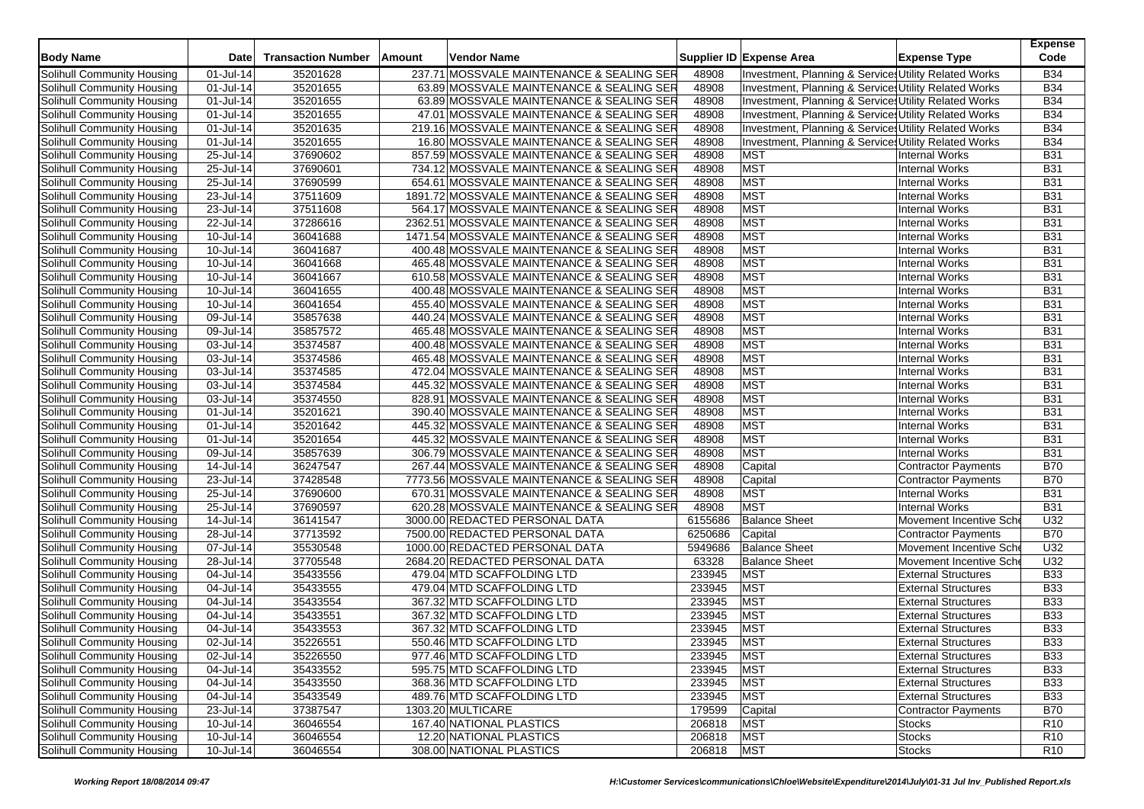| <b>Body Name</b>           | <b>Date</b>   | <b>Transaction Number</b> | Amount | Vendor Name                                |         | Supplier ID Expense Area                              | <b>Expense Type</b>        | <b>Expense</b><br>Code |
|----------------------------|---------------|---------------------------|--------|--------------------------------------------|---------|-------------------------------------------------------|----------------------------|------------------------|
| Solihull Community Housing | 01-Jul-14     | 35201628                  |        | 237.71 MOSSVALE MAINTENANCE & SEALING SER  | 48908   | Investment, Planning & Services Utility Related Works |                            | <b>B34</b>             |
| Solihull Community Housing | 01-Jul-14     | 35201655                  |        | 63.89 MOSSVALE MAINTENANCE & SEALING SER   | 48908   | Investment, Planning & Services Utility Related Works |                            | <b>B34</b>             |
| Solihull Community Housing | 01-Jul-14     | 35201655                  |        | 63.89 MOSSVALE MAINTENANCE & SEALING SER   | 48908   | Investment, Planning & Services Utility Related Works |                            | <b>B34</b>             |
| Solihull Community Housing | 01-Jul-14     | 35201655                  |        | 47.01 MOSSVALE MAINTENANCE & SEALING SER   | 48908   | Investment, Planning & Service: Utility Related Works |                            | <b>B34</b>             |
| Solihull Community Housing | 01-Jul-14     | 35201635                  |        | 219.16 MOSSVALE MAINTENANCE & SEALING SER  | 48908   | Investment, Planning & Service: Utility Related Works |                            | <b>B34</b>             |
| Solihull Community Housing | 01-Jul-14     | 35201655                  |        | 16.80 MOSSVALE MAINTENANCE & SEALING SER   | 48908   | Investment, Planning & Services Utility Related Works |                            | <b>B34</b>             |
| Solihull Community Housing | 25-Jul-14     | 37690602                  |        | 857.59 MOSSVALE MAINTENANCE & SEALING SER  | 48908   | <b>MST</b>                                            | Internal Works             | <b>B31</b>             |
| Solihull Community Housing | 25-Jul-14     | 37690601                  |        | 734.12 MOSSVALE MAINTENANCE & SEALING SER  | 48908   | <b>MST</b>                                            | <b>Internal Works</b>      | <b>B31</b>             |
| Solihull Community Housing | 25-Jul-14     | 37690599                  |        | 654.61 MOSSVALE MAINTENANCE & SEALING SER  | 48908   | <b>MST</b>                                            | <b>Internal Works</b>      | <b>B31</b>             |
| Solihull Community Housing | 23-Jul-14     | 37511609                  |        | 1891.72 MOSSVALE MAINTENANCE & SEALING SER | 48908   | <b>MST</b>                                            | <b>Internal Works</b>      | <b>B31</b>             |
| Solihull Community Housing | 23-Jul-14     | 37511608                  |        | 564.17 MOSSVALE MAINTENANCE & SEALING SER  | 48908   | <b>MST</b>                                            | <b>Internal Works</b>      | <b>B31</b>             |
| Solihull Community Housing | 22-Jul-14     | 37286616                  |        | 2362.51 MOSSVALE MAINTENANCE & SEALING SER | 48908   | <b>MST</b>                                            | <b>Internal Works</b>      | <b>B31</b>             |
| Solihull Community Housing | 10-Jul-14     | 36041688                  |        | 1471.54 MOSSVALE MAINTENANCE & SEALING SER | 48908   | <b>MST</b>                                            | <b>Internal Works</b>      | <b>B31</b>             |
| Solihull Community Housing | 10-Jul-14     | 36041687                  |        | 400.48 MOSSVALE MAINTENANCE & SEALING SER  | 48908   | <b>MST</b>                                            | <b>Internal Works</b>      | <b>B31</b>             |
| Solihull Community Housing | 10-Jul-14     | 36041668                  |        | 465.48 MOSSVALE MAINTENANCE & SEALING SER  | 48908   | <b>MST</b>                                            | <b>Internal Works</b>      | <b>B31</b>             |
| Solihull Community Housing | 10-Jul-14     | 36041667                  |        | 610.58 MOSSVALE MAINTENANCE & SEALING SER  | 48908   | <b>MST</b>                                            | <b>Internal Works</b>      | <b>B31</b>             |
| Solihull Community Housing | 10-Jul-14     | 36041655                  |        | 400.48 MOSSVALE MAINTENANCE & SEALING SER  | 48908   | <b>MST</b>                                            | <b>Internal Works</b>      | <b>B31</b>             |
| Solihull Community Housing | 10-Jul-14     | 36041654                  |        | 455.40 MOSSVALE MAINTENANCE & SEALING SER  | 48908   | MST                                                   | <b>Internal Works</b>      | <b>B31</b>             |
| Solihull Community Housing | 09-Jul-14     | 35857638                  |        | 440.24 MOSSVALE MAINTENANCE & SEALING SER  | 48908   | <b>MST</b>                                            | <b>Internal Works</b>      | <b>B31</b>             |
| Solihull Community Housing | 09-Jul-14     | 35857572                  |        | 465.48 MOSSVALE MAINTENANCE & SEALING SER  | 48908   | <b>MST</b>                                            | <b>Internal Works</b>      | <b>B31</b>             |
| Solihull Community Housing | 03-Jul-14     | 35374587                  |        | 400.48 MOSSVALE MAINTENANCE & SEALING SER  | 48908   | <b>MST</b>                                            | <b>Internal Works</b>      | <b>B31</b>             |
| Solihull Community Housing | 03-Jul-14     | 35374586                  |        | 465.48 MOSSVALE MAINTENANCE & SEALING SER  | 48908   | <b>MST</b>                                            | <b>Internal Works</b>      | <b>B31</b>             |
| Solihull Community Housing | 03-Jul-14     | 35374585                  |        | 472.04 MOSSVALE MAINTENANCE & SEALING SER  | 48908   | <b>MST</b>                                            | <b>Internal Works</b>      | <b>B31</b>             |
| Solihull Community Housing | 03-Jul-14     | 35374584                  |        | 445.32 MOSSVALE MAINTENANCE & SEALING SER  | 48908   | <b>MST</b>                                            | <b>Internal Works</b>      | <b>B31</b>             |
| Solihull Community Housing | 03-Jul-14     | 35374550                  |        | 828.91 MOSSVALE MAINTENANCE & SEALING SER  | 48908   | <b>MST</b>                                            | <b>Internal Works</b>      | <b>B31</b>             |
| Solihull Community Housing | 01-Jul-14     | 35201621                  |        | 390.40 MOSSVALE MAINTENANCE & SEALING SER  | 48908   | <b>MST</b>                                            | <b>Internal Works</b>      | <b>B31</b>             |
| Solihull Community Housing | 01-Jul-14     | 35201642                  |        | 445.32 MOSSVALE MAINTENANCE & SEALING SER  | 48908   | <b>MST</b>                                            | <b>Internal Works</b>      | <b>B31</b>             |
| Solihull Community Housing | 01-Jul-14     | 35201654                  |        | 445.32 MOSSVALE MAINTENANCE & SEALING SER  | 48908   | <b>MST</b>                                            | <b>Internal Works</b>      | <b>B31</b>             |
| Solihull Community Housing | 09-Jul-14     | 35857639                  |        | 306.79 MOSSVALE MAINTENANCE & SEALING SER  | 48908   | <b>MST</b>                                            | <b>Internal Works</b>      | <b>B31</b>             |
| Solihull Community Housing | 14-Jul-14     | 36247547                  |        | 267.44 MOSSVALE MAINTENANCE & SEALING SER  | 48908   | Capital                                               | <b>Contractor Payments</b> | <b>B70</b>             |
| Solihull Community Housing | 23-Jul-14     | 37428548                  |        | 7773.56 MOSSVALE MAINTENANCE & SEALING SER | 48908   | Capital                                               | <b>Contractor Payments</b> | <b>B70</b>             |
| Solihull Community Housing | 25-Jul-14     | 37690600                  |        | 670.31 MOSSVALE MAINTENANCE & SEALING SER  | 48908   | <b>MST</b>                                            | <b>Internal Works</b>      | <b>B31</b>             |
| Solihull Community Housing | 25-Jul-14     | 37690597                  |        | 620.28 MOSSVALE MAINTENANCE & SEALING SER  | 48908   | <b>MST</b>                                            | <b>Internal Works</b>      | <b>B31</b>             |
| Solihull Community Housing | 14-Jul-14     | 36141547                  |        | 3000.00 REDACTED PERSONAL DATA             | 6155686 | <b>Balance Sheet</b>                                  | Movement Incentive Sche    | U32                    |
| Solihull Community Housing | 28-Jul-14     | 37713592                  |        | 7500.00 REDACTED PERSONAL DATA             | 6250686 | Capital                                               | <b>Contractor Payments</b> | <b>B70</b>             |
| Solihull Community Housing | 07-Jul-14     | 35530548                  |        | 1000.00 REDACTED PERSONAL DATA             | 5949686 | <b>Balance Sheet</b>                                  | Movement Incentive Sch     | U32                    |
| Solihull Community Housing | 28-Jul-14     | 37705548                  |        | 2684.20 REDACTED PERSONAL DATA             | 63328   | <b>Balance Sheet</b>                                  | Movement Incentive Sch     | U32                    |
| Solihull Community Housing | 04-Jul-14     | 35433556                  |        | 479.04 MTD SCAFFOLDING LTD                 | 233945  | <b>MST</b>                                            | <b>External Structures</b> | <b>B33</b>             |
| Solihull Community Housing | 04-Jul-14     | 35433555                  |        | 479.04 MTD SCAFFOLDING LTD                 | 233945  | <b>MST</b>                                            | <b>External Structures</b> | <b>B33</b>             |
| Solihull Community Housing | 04-Jul-14     | 35433554                  |        | 367.32 MTD SCAFFOLDING LTD                 | 233945  | <b>MST</b>                                            | <b>External Structures</b> | <b>B33</b>             |
| Solihull Community Housing | 04-Jul-14     | 35433551                  |        | 367.32 MTD SCAFFOLDING LTD                 | 233945  | <b>MST</b>                                            | <b>External Structures</b> | <b>B33</b>             |
| Solihull Community Housing | 04-Jul-14     | 35433553                  |        | 367.32 MTD SCAFFOLDING LTD                 | 233945  | <b>MST</b>                                            | <b>External Structures</b> | <b>B33</b>             |
| Solihull Community Housing | 02-Jul-14     | 35226551                  |        | 550.46 MTD SCAFFOLDING LTD                 | 233945  | <b>MST</b>                                            | <b>External Structures</b> | <b>B33</b>             |
| Solihull Community Housing | 02-Jul-14     | 35226550                  |        | 977.46 MTD SCAFFOLDING LTD                 | 233945  | <b>MST</b>                                            | <b>External Structures</b> | <b>B33</b>             |
| Solihull Community Housing | 04-Jul-14     | 35433552                  |        | 595.75 MTD SCAFFOLDING LTD                 | 233945  | <b>MST</b>                                            | <b>External Structures</b> | <b>B33</b>             |
| Solihull Community Housing | 04-Jul-14     | 35433550                  |        | 368.36 MTD SCAFFOLDING LTD                 | 233945  | <b>MST</b>                                            | <b>External Structures</b> | <b>B33</b>             |
| Solihull Community Housing | 04-Jul-14     | 35433549                  |        | 489.76 MTD SCAFFOLDING LTD                 | 233945  | <b>MST</b>                                            | <b>External Structures</b> | <b>B33</b>             |
| Solihull Community Housing | 23-Jul-14     | 37387547                  |        | 1303.20 MULTICARE                          | 179599  | Capital                                               | Contractor Payments        | <b>B70</b>             |
| Solihull Community Housing | 10-Jul-14     | 36046554                  |        | 167.40 NATIONAL PLASTICS                   | 206818  | <b>MST</b>                                            | <b>Stocks</b>              | R <sub>10</sub>        |
| Solihull Community Housing | $10 -$ Jul-14 | 36046554                  |        | 12.20 NATIONAL PLASTICS                    | 206818  | <b>MST</b>                                            | <b>Stocks</b>              | R <sub>10</sub>        |
| Solihull Community Housing | $10$ -Jul-14  | 36046554                  |        | 308.00 NATIONAL PLASTICS                   | 206818  | <b>MST</b>                                            | <b>Stocks</b>              | R <sub>10</sub>        |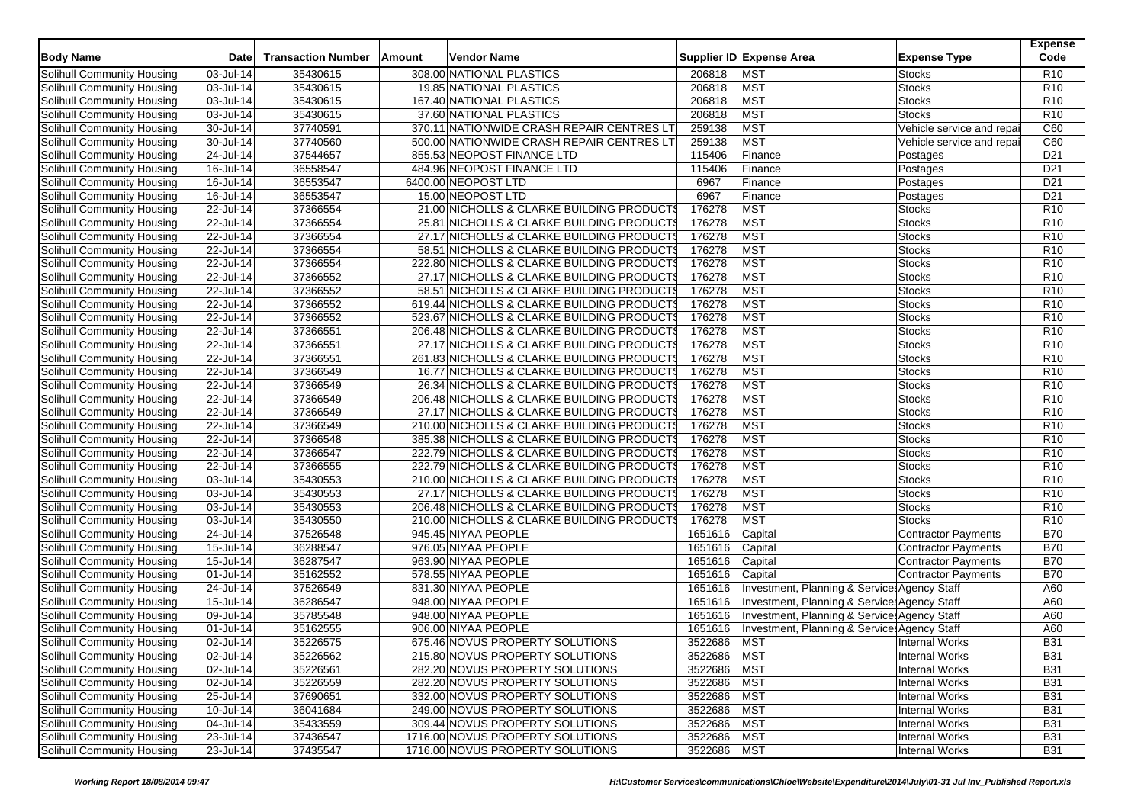| <b>Body Name</b>                  | Date                    | <b>Transaction Number</b> | Amount | <b>Vendor Name</b>                         |         | Supplier ID Expense Area                     | <b>Expense Type</b>            | <b>Expense</b><br>Code             |
|-----------------------------------|-------------------------|---------------------------|--------|--------------------------------------------|---------|----------------------------------------------|--------------------------------|------------------------------------|
| Solihull Community Housing        | 03-Jul-14               | 35430615                  |        | 308.00 NATIONAL PLASTICS                   | 206818  | <b>MST</b>                                   | Stocks                         | R <sub>10</sub>                    |
| Solihull Community Housing        | $\overline{03}$ -Jul-14 | 35430615                  |        | 19.85 NATIONAL PLASTICS                    | 206818  | <b>MST</b>                                   | <b>Stocks</b>                  | R <sub>10</sub>                    |
| Solihull Community Housing        | 03-Jul-14               | 35430615                  |        | 167.40 NATIONAL PLASTICS                   | 206818  | <b>MST</b>                                   | <b>Stocks</b>                  | R <sub>10</sub>                    |
| Solihull Community Housing        | 03-Jul-14               | 35430615                  |        | 37.60 NATIONAL PLASTICS                    | 206818  | <b>MST</b>                                   | <b>Stocks</b>                  | R <sub>10</sub>                    |
| Solihull Community Housing        | 30-Jul-14               | 37740591                  |        | 370.11 NATIONWIDE CRASH REPAIR CENTRES LT  | 259138  | <b>MST</b>                                   | Vehicle service and repai      | C60                                |
| Solihull Community Housing        | 30-Jul-14               | 37740560                  |        | 500.00 NATIONWIDE CRASH REPAIR CENTRES LT  | 259138  | <b>MST</b>                                   | Vehicle service and repai      | C60                                |
| Solihull Community Housing        | 24-Jul-14               | 37544657                  |        | 855.53 NEOPOST FINANCE LTD                 | 115406  | Finance                                      | Postages                       | D <sub>21</sub>                    |
| Solihull Community Housing        | 16-Jul-14               | 36558547                  |        | 484.96 NEOPOST FINANCE LTD                 | 115406  | Finance                                      | Postages                       | D <sub>21</sub>                    |
| Solihull Community Housing        | 16-Jul-14               | 36553547                  |        | 6400.00 NEOPOST LTD                        | 6967    | Finance                                      | Postages                       | D <sub>21</sub>                    |
| Solihull Community Housing        | 16-Jul-14               | 36553547                  |        | 15.00 NEOPOST LTD                          | 6967    | Finance                                      | Postages                       | D <sub>21</sub>                    |
| Solihull Community Housing        | 22-Jul-14               | 37366554                  |        | 21.00 NICHOLLS & CLARKE BUILDING PRODUCTS  | 176278  | <b>MST</b>                                   | <b>Stocks</b>                  | R <sub>10</sub>                    |
| Solihull Community Housing        | 22-Jul-14               | 37366554                  |        | 25.81 NICHOLLS & CLARKE BUILDING PRODUCTS  | 176278  | <b>MST</b>                                   | <b>Stocks</b>                  | R <sub>10</sub>                    |
|                                   | 22-Jul-14               | 37366554                  |        | 27.17 NICHOLLS & CLARKE BUILDING PRODUCTS  | 176278  | <b>MST</b>                                   | <b>Stocks</b>                  | R <sub>10</sub>                    |
| Solihull Community Housing        |                         |                           |        |                                            | 176278  | <b>MST</b>                                   |                                |                                    |
| Solihull Community Housing        | 22-Jul-14<br>22-Jul-14  | 37366554<br>37366554      |        | 58.51 NICHOLLS & CLARKE BUILDING PRODUCTS  | 176278  | <b>MST</b>                                   | <b>Stocks</b><br><b>Stocks</b> | R <sub>10</sub><br>R <sub>10</sub> |
| Solihull Community Housing        |                         |                           |        | 222.80 NICHOLLS & CLARKE BUILDING PRODUCTS |         |                                              |                                |                                    |
| Solihull Community Housing        | 22-Jul-14               | 37366552                  |        | 27.17 NICHOLLS & CLARKE BUILDING PRODUCTS  | 176278  | <b>MST</b>                                   | <b>Stocks</b>                  | R <sub>10</sub>                    |
| Solihull Community Housing        | 22-Jul-14               | 37366552                  |        | 58.51 NICHOLLS & CLARKE BUILDING PRODUCTS  | 176278  | <b>MST</b>                                   | <b>Stocks</b>                  | R <sub>10</sub>                    |
| Solihull Community Housing        | 22-Jul-14               | 37366552                  |        | 619.44 NICHOLLS & CLARKE BUILDING PRODUCTS | 176278  | <b>MST</b>                                   | <b>Stocks</b>                  | R <sub>10</sub>                    |
| Solihull Community Housing        | 22-Jul-14               | 37366552                  |        | 523.67 NICHOLLS & CLARKE BUILDING PRODUCTS | 176278  | <b>MST</b>                                   | <b>Stocks</b>                  | R <sub>10</sub>                    |
| Solihull Community Housing        | 22-Jul-14               | 37366551                  |        | 206.48 NICHOLLS & CLARKE BUILDING PRODUCTS | 176278  | <b>MST</b>                                   | <b>Stocks</b>                  | R <sub>10</sub>                    |
| Solihull Community Housing        | 22-Jul-14               | 37366551                  |        | 27.17 NICHOLLS & CLARKE BUILDING PRODUCTS  | 176278  | <b>MST</b>                                   | <b>Stocks</b>                  | R <sub>10</sub>                    |
| Solihull Community Housing        | 22-Jul-14               | 37366551                  |        | 261.83 NICHOLLS & CLARKE BUILDING PRODUCTS | 176278  | <b>MST</b>                                   | <b>Stocks</b>                  | R <sub>10</sub>                    |
| Solihull Community Housing        | 22-Jul-14               | 37366549                  |        | 16.77 NICHOLLS & CLARKE BUILDING PRODUCT   | 176278  | <b>MST</b>                                   | <b>Stocks</b>                  | R <sub>10</sub>                    |
| Solihull Community Housing        | 22-Jul-14               | 37366549                  |        | 26.34 NICHOLLS & CLARKE BUILDING PRODUCTS  | 176278  | <b>MST</b>                                   | <b>Stocks</b>                  | R <sub>10</sub>                    |
| Solihull Community Housing        | 22-Jul-14               | 37366549                  |        | 206.48 NICHOLLS & CLARKE BUILDING PRODUCTS | 176278  | <b>MST</b>                                   | <b>Stocks</b>                  | R <sub>10</sub>                    |
| Solihull Community Housing        | 22-Jul-14               | 37366549                  |        | 27.17 NICHOLLS & CLARKE BUILDING PRODUCTS  | 176278  | <b>MST</b>                                   | <b>Stocks</b>                  | R <sub>10</sub>                    |
| Solihull Community Housing        | 22-Jul-14               | 37366549                  |        | 210.00 NICHOLLS & CLARKE BUILDING PRODUCTS | 176278  | <b>MST</b>                                   | <b>Stocks</b>                  | R <sub>10</sub>                    |
| Solihull Community Housing        | $\overline{22}$ -Jul-14 | 37366548                  |        | 385.38 NICHOLLS & CLARKE BUILDING PRODUCTS | 176278  | <b>MST</b>                                   | <b>Stocks</b>                  | R <sub>10</sub>                    |
| Solihull Community Housing        | 22-Jul-14               | 37366547                  |        | 222.79 NICHOLLS & CLARKE BUILDING PRODUCTS | 176278  | <b>MST</b>                                   | <b>Stocks</b>                  | R <sub>10</sub>                    |
| Solihull Community Housing        | 22-Jul-14               | 37366555                  |        | 222.79 NICHOLLS & CLARKE BUILDING PRODUCTS | 176278  | <b>MST</b>                                   | <b>Stocks</b>                  | R <sub>10</sub>                    |
| Solihull Community Housing        | 03-Jul-14               | 35430553                  |        | 210.00 NICHOLLS & CLARKE BUILDING PRODUCTS | 176278  | <b>MST</b>                                   | <b>Stocks</b>                  | R <sub>10</sub>                    |
| Solihull Community Housing        | 03-Jul-14               | 35430553                  |        | 27.17 NICHOLLS & CLARKE BUILDING PRODUCTS  | 176278  | <b>MST</b>                                   | <b>Stocks</b>                  | R <sub>10</sub>                    |
| Solihull Community Housing        | 03-Jul-14               | 35430553                  |        | 206.48 NICHOLLS & CLARKE BUILDING PRODUCTS | 176278  | <b>MST</b>                                   | <b>Stocks</b>                  | R <sub>10</sub>                    |
| Solihull Community Housing        | 03-Jul-14               | 35430550                  |        | 210.00 NICHOLLS & CLARKE BUILDING PRODUCTS | 176278  | <b>MST</b>                                   | <b>Stocks</b>                  | R <sub>10</sub>                    |
| Solihull Community Housing        | 24-Jul-14               | 37526548                  |        | 945.45 NIYAA PEOPLE                        | 1651616 | Capital                                      | <b>Contractor Payments</b>     | <b>B70</b>                         |
| Solihull Community Housing        | 15-Jul-14               | 36288547                  |        | 976.05 NIYAA PEOPLE                        | 1651616 | Capital                                      | <b>Contractor Payments</b>     | <b>B70</b>                         |
| Solihull Community Housing        | $15 -$ Jul-14           | 36287547                  |        | 963.90 NIYAA PEOPLE                        | 1651616 | Capital                                      | <b>Contractor Payments</b>     | <b>B70</b>                         |
| Solihull Community Housing        | 01-Jul-14               | 35162552                  |        | 578.55 NIYAA PEOPLE                        | 1651616 | Capital                                      | <b>Contractor Payments</b>     | <b>B70</b>                         |
| Solihull Community Housing        | 24-Jul-14               | 37526549                  |        | 831.30 NIYAA PEOPLE                        | 1651616 | Investment, Planning & Service: Agency Staff |                                | A60                                |
| Solihull Community Housing        | $15$ -Jul-14            | 36286547                  |        | 948.00 NIYAA PEOPLE                        | 1651616 | Investment, Planning & Service: Agency Staff |                                | A60                                |
| Solihull Community Housing        | 09-Jul-14               | 35785548                  |        | 948.00 NIYAA PEOPLE                        | 1651616 | Investment, Planning & Service: Agency Staff |                                | A60                                |
| Solihull Community Housing        | 01-Jul-14               | 35162555                  |        | 906.00 NIYAA PEOPLE                        | 1651616 | Investment, Planning & Services Agency Staff |                                | A60                                |
| Solihull Community Housing        | 02-Jul-14               | 35226575                  |        | 675.46 NOVUS PROPERTY SOLUTIONS            | 3522686 | <b>MST</b>                                   | Internal Works                 | <b>B31</b>                         |
| Solihull Community Housing        | 02-Jul-14               | 35226562                  |        | 215.80 NOVUS PROPERTY SOLUTIONS            | 3522686 | <b>MST</b>                                   | <b>Internal Works</b>          | <b>B31</b>                         |
| Solihull Community Housing        | 02-Jul-14               | 35226561                  |        | 282.20 NOVUS PROPERTY SOLUTIONS            | 3522686 | <b>MST</b>                                   | <b>Internal Works</b>          | <b>B31</b>                         |
| Solihull Community Housing        | 02-Jul-14               | 35226559                  |        | 282.20 NOVUS PROPERTY SOLUTIONS            | 3522686 | <b>MST</b>                                   | <b>Internal Works</b>          | <b>B31</b>                         |
| Solihull Community Housing        | 25-Jul-14               | 37690651                  |        | 332.00 NOVUS PROPERTY SOLUTIONS            | 3522686 | <b>MST</b>                                   | <b>Internal Works</b>          | <b>B31</b>                         |
| Solihull Community Housing        | 10-Jul-14               | 36041684                  |        | 249.00 NOVUS PROPERTY SOLUTIONS            | 3522686 | <b>MST</b>                                   | <b>Internal Works</b>          | <b>B31</b>                         |
| Solihull Community Housing        | 04-Jul-14               | 35433559                  |        | 309.44 NOVUS PROPERTY SOLUTIONS            | 3522686 | <b>MST</b>                                   | <b>Internal Works</b>          | <b>B31</b>                         |
| <b>Solihull Community Housing</b> | 23-Jul-14               | 37436547                  |        | 1716.00 NOVUS PROPERTY SOLUTIONS           | 3522686 | <b>MST</b>                                   | <b>Internal Works</b>          | <b>B31</b>                         |
| Solihull Community Housing        | 23-Jul-14               | 37435547                  |        | 1716.00 NOVUS PROPERTY SOLUTIONS           | 3522686 | <b>MST</b>                                   | <b>Internal Works</b>          | <b>B31</b>                         |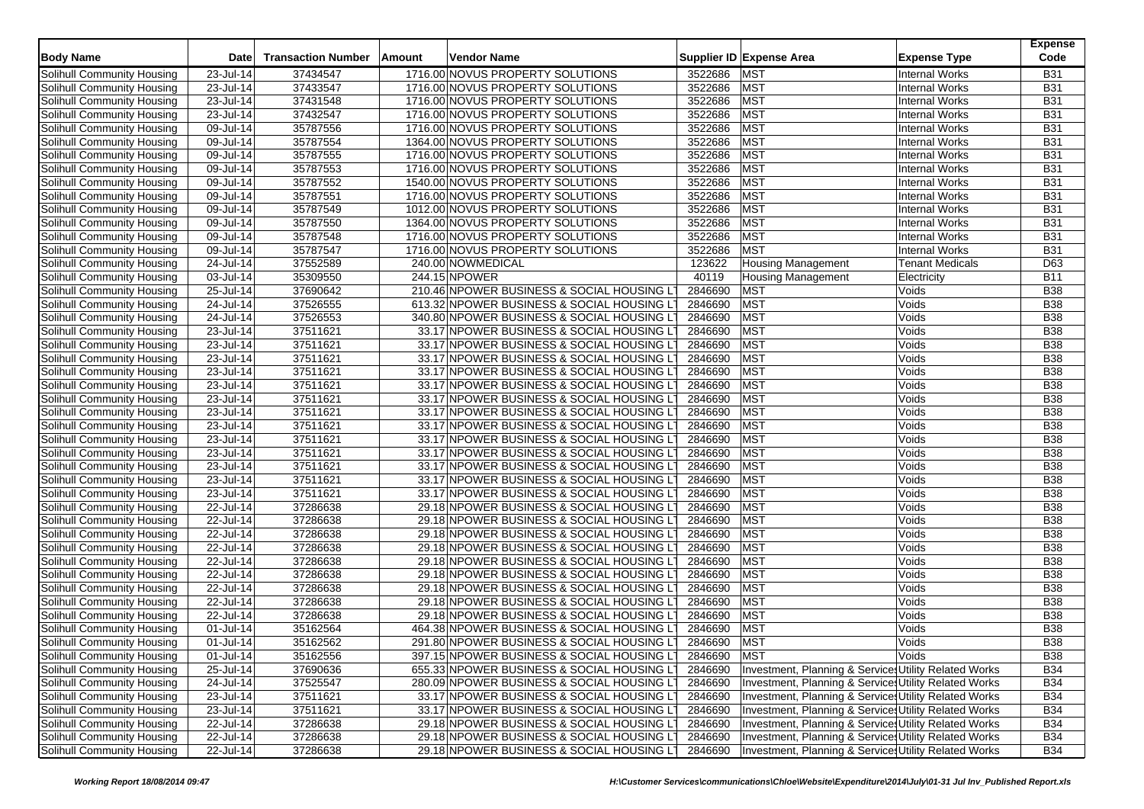|                                                          |                         |                           |        |                                            |         |                                                       |                        | <b>Expense</b> |
|----------------------------------------------------------|-------------------------|---------------------------|--------|--------------------------------------------|---------|-------------------------------------------------------|------------------------|----------------|
| <b>Body Name</b>                                         | <b>Date</b>             | <b>Transaction Number</b> | Amount | Vendor Name                                |         | Supplier ID Expense Area                              | <b>Expense Type</b>    | Code           |
| Solihull Community Housing                               | 23-Jul-14               | 37434547                  |        | 1716.00 NOVUS PROPERTY SOLUTIONS           | 3522686 | <b>MST</b>                                            | <b>Internal Works</b>  | <b>B31</b>     |
| Solihull Community Housing                               | 23-Jul-14               | 37433547                  |        | 1716.00 NOVUS PROPERTY SOLUTIONS           | 3522686 | <b>MST</b>                                            | <b>Internal Works</b>  | <b>B31</b>     |
| Solihull Community Housing                               | 23-Jul-14               | 37431548                  |        | 1716.00 NOVUS PROPERTY SOLUTIONS           | 3522686 | <b>MST</b>                                            | <b>Internal Works</b>  | <b>B31</b>     |
| Solihull Community Housing                               | 23-Jul-14               | 37432547                  |        | 1716.00 NOVUS PROPERTY SOLUTIONS           | 3522686 | <b>MST</b>                                            | <b>Internal Works</b>  | <b>B31</b>     |
| Solihull Community Housing                               | $\overline{09}$ -Jul-14 | 35787556                  |        | 1716.00 NOVUS PROPERTY SOLUTIONS           | 3522686 | <b>MST</b>                                            | <b>Internal Works</b>  | <b>B31</b>     |
| Solihull Community Housing                               | 09-Jul-14               | 35787554                  |        | 1364.00 NOVUS PROPERTY SOLUTIONS           | 3522686 | <b>MST</b>                                            | <b>Internal Works</b>  | <b>B31</b>     |
| Solihull Community Housing                               | $\overline{09}$ -Jul-14 | 35787555                  |        | 1716.00 NOVUS PROPERTY SOLUTIONS           | 3522686 | <b>MST</b>                                            | <b>Internal Works</b>  | <b>B31</b>     |
| Solihull Community Housing                               | 09-Jul-14               | 35787553                  |        | 1716.00 NOVUS PROPERTY SOLUTIONS           | 3522686 | MST                                                   | <b>Internal Works</b>  | <b>B31</b>     |
| Solihull Community Housing                               | 09-Jul-14               | 35787552                  |        | 1540.00 NOVUS PROPERTY SOLUTIONS           | 3522686 | <b>MST</b>                                            | <b>Internal Works</b>  | <b>B31</b>     |
| Solihull Community Housing                               | 09-Jul-14               | 35787551                  |        | 1716.00 NOVUS PROPERTY SOLUTIONS           | 3522686 | <b>MST</b>                                            | <b>Internal Works</b>  | <b>B31</b>     |
| Solihull Community Housing                               | 09-Jul-14               | 35787549                  |        | 1012.00 NOVUS PROPERTY SOLUTIONS           | 3522686 | <b>MST</b>                                            | <b>Internal Works</b>  | <b>B31</b>     |
| Solihull Community Housing                               | 09-Jul-14               | 35787550                  |        | 1364.00 NOVUS PROPERTY SOLUTIONS           | 3522686 | <b>MST</b>                                            | <b>Internal Works</b>  | <b>B31</b>     |
| Solihull Community Housing                               | 09-Jul-14               | 35787548                  |        | 1716.00 NOVUS PROPERTY SOLUTIONS           | 3522686 | <b>MST</b>                                            | <b>Internal Works</b>  | <b>B31</b>     |
| Solihull Community Housing                               | 09-Jul-14               | 35787547                  |        | 1716.00 NOVUS PROPERTY SOLUTIONS           | 3522686 | <b>MST</b>                                            | <b>Internal Works</b>  | <b>B31</b>     |
| Solihull Community Housing                               | 24-Jul-14               | 37552589                  |        | 240.00 NOWMEDICAL                          | 123622  | <b>Housing Management</b>                             | <b>Tenant Medicals</b> | D63            |
| Solihull Community Housing                               | 03-Jul-14               | 35309550                  |        | 244.15 NPOWER                              | 40119   | <b>Housing Management</b>                             | Electricity            | <b>B11</b>     |
| Solihull Community Housing                               | 25-Jul-14               | 37690642                  |        | 210.46 NPOWER BUSINESS & SOCIAL HOUSING L  | 2846690 | <b>MST</b>                                            | Voids                  | <b>B38</b>     |
| Solihull Community Housing                               | 24-Jul-14               | 37526555                  |        | 613.32 NPOWER BUSINESS & SOCIAL HOUSING L' | 2846690 | MST                                                   | Voids                  | <b>B38</b>     |
| Solihull Community Housing                               | 24-Jul-14               | 37526553                  |        | 340.80 NPOWER BUSINESS & SOCIAL HOUSING L' | 2846690 | MST                                                   | Voids                  | <b>B38</b>     |
| Solihull Community Housing                               | 23-Jul-14               | 37511621                  |        | 33.17 NPOWER BUSINESS & SOCIAL HOUSING L   | 2846690 | <b>MST</b>                                            | Voids                  | <b>B38</b>     |
| Solihull Community Housing                               | 23-Jul-14               | 37511621                  |        | 33.17 NPOWER BUSINESS & SOCIAL HOUSING L'  | 2846690 | MST                                                   | Voids                  | <b>B38</b>     |
| Solihull Community Housing                               | 23-Jul-14               | 37511621                  |        | 33.17 NPOWER BUSINESS & SOCIAL HOUSING L   | 2846690 | <b>MST</b>                                            | Voids                  | <b>B38</b>     |
| Solihull Community Housing                               | 23-Jul-14               | 37511621                  |        | 33.17 NPOWER BUSINESS & SOCIAL HOUSING L   | 2846690 | <b>MST</b>                                            | Voids                  | <b>B38</b>     |
| Solihull Community Housing                               | 23-Jul-14               | 37511621                  |        | 33.17 NPOWER BUSINESS & SOCIAL HOUSING L   | 2846690 | MST                                                   | Voids                  | <b>B38</b>     |
| Solihull Community Housing                               | 23-Jul-14               | 37511621                  |        | 33.17 NPOWER BUSINESS & SOCIAL HOUSING L   | 2846690 | MST                                                   | Voids                  | <b>B38</b>     |
| Solihull Community Housing                               | 23-Jul-14               | 37511621                  |        | 33.17 NPOWER BUSINESS & SOCIAL HOUSING L'  | 2846690 | <b>MST</b>                                            | Voids                  | <b>B38</b>     |
| Solihull Community Housing                               | 23-Jul-14               | 37511621                  |        | 33.17 NPOWER BUSINESS & SOCIAL HOUSING L'  | 2846690 | MST                                                   | Voids                  | <b>B38</b>     |
| Solihull Community Housing                               | 23-Jul-14               | 37511621                  |        | 33.17 NPOWER BUSINESS & SOCIAL HOUSING L   | 2846690 | <b>MST</b>                                            | Voids                  | <b>B38</b>     |
| Solihull Community Housing                               | 23-Jul-14               | 37511621                  |        | 33.17 NPOWER BUSINESS & SOCIAL HOUSING L'  | 2846690 | MST                                                   | Voids                  | <b>B38</b>     |
| Solihull Community Housing                               | 23-Jul-14               | 37511621                  |        | 33.17 NPOWER BUSINESS & SOCIAL HOUSING L   | 2846690 | <b>MST</b>                                            | Voids                  | <b>B38</b>     |
| Solihull Community Housing                               | 23-Jul-14               | 37511621                  |        | 33.17 NPOWER BUSINESS & SOCIAL HOUSING L   | 2846690 | MST                                                   | Voids                  | <b>B38</b>     |
| Solihull Community Housing                               | 23-Jul-14               | 37511621                  |        | 33.17 NPOWER BUSINESS & SOCIAL HOUSING LT  | 2846690 | <b>MST</b>                                            | Voids                  | <b>B38</b>     |
| Solihull Community Housing                               | 22-Jul-14               | 37286638                  |        | 29.18 NPOWER BUSINESS & SOCIAL HOUSING L'  | 2846690 | MST                                                   | Voids                  | <b>B38</b>     |
| Solihull Community Housing                               | 22-Jul-14               | 37286638                  |        | 29.18 NPOWER BUSINESS & SOCIAL HOUSING L   | 2846690 | <b>MST</b>                                            | Voids                  | <b>B38</b>     |
| Solihull Community Housing                               | 22-Jul-14               | 37286638                  |        | 29.18 NPOWER BUSINESS & SOCIAL HOUSING L   | 2846690 | MST                                                   | Voids                  | <b>B38</b>     |
| Solihull Community Housing                               | $22 -$ Jul-14           | 37286638                  |        | 29.18 NPOWER BUSINESS & SOCIAL HOUSING L   | 2846690 | <b>MST</b>                                            | Voids                  | <b>B38</b>     |
| Solihull Community Housing                               | 22-Jul-14               | 37286638                  |        | 29.18 NPOWER BUSINESS & SOCIAL HOUSING L   | 2846690 | MST                                                   | Voids                  | <b>B38</b>     |
| Solihull Community Housing                               | 22-Jul-14               | 37286638                  |        | 29.18 NPOWER BUSINESS & SOCIAL HOUSING L'  | 2846690 | MST                                                   | Voids                  | <b>B38</b>     |
| Solihull Community Housing                               | 22-Jul-14               | 37286638                  |        | 29.18 NPOWER BUSINESS & SOCIAL HOUSING L'  | 2846690 | <b>MST</b>                                            | Voids                  | <b>B38</b>     |
| Solihull Community Housing                               | 22-Jul-14               | 37286638                  |        | 29.18 NPOWER BUSINESS & SOCIAL HOUSING L   | 2846690 | <b>MST</b>                                            | Voids                  | <b>B38</b>     |
| Solihull Community Housing                               | 22-Jul-14               | 37286638                  |        | 29.18 NPOWER BUSINESS & SOCIAL HOUSING L   | 2846690 | <b>MST</b>                                            | Voids                  | <b>B38</b>     |
| Solihull Community Housing                               | $\overline{01}$ -Jul-14 | 35162564                  |        | 464.38 NPOWER BUSINESS & SOCIAL HOUSING LT | 2846690 | MST                                                   | Voids                  | <b>B38</b>     |
| Solihull Community Housing                               | 01-Jul-14               | 35162562                  |        | 291.80 NPOWER BUSINESS & SOCIAL HOUSING LT | 2846690 | <b>MST</b>                                            | Voids                  | <b>B38</b>     |
|                                                          | 01-Jul-14               | 35162556                  |        | 397.15 NPOWER BUSINESS & SOCIAL HOUSING LT | 2846690 | <b>MST</b>                                            | Voids                  | <b>B38</b>     |
| Solihull Community Housing<br>Solihull Community Housing | 25-Jul-14               | 37690636                  |        | 655.33 NPOWER BUSINESS & SOCIAL HOUSING LT | 2846690 | Investment, Planning & Services Utility Related Works |                        | <b>B34</b>     |
| Solihull Community Housing                               | 24-Jul-14               |                           |        | 280.09 NPOWER BUSINESS & SOCIAL HOUSING LT | 2846690 | Investment, Planning & Service: Utility Related Works |                        |                |
|                                                          |                         | 37525547                  |        |                                            |         |                                                       |                        | <b>B34</b>     |
| Solihull Community Housing                               | 23-Jul-14               | 37511621                  |        | 33.17 NPOWER BUSINESS & SOCIAL HOUSING LT  | 2846690 | Investment, Planning & Services Utility Related Works |                        | <b>B34</b>     |
| Solihull Community Housing                               | $\overline{23}$ -Jul-14 | 37511621                  |        | 33.17 NPOWER BUSINESS & SOCIAL HOUSING LT  | 2846690 | Investment, Planning & Service: Utility Related Works |                        | <b>B34</b>     |
| Solihull Community Housing                               | 22-Jul-14               | 37286638                  |        | 29.18 NPOWER BUSINESS & SOCIAL HOUSING L'  | 2846690 | Investment, Planning & Services Utility Related Works |                        | <b>B34</b>     |
| Solihull Community Housing                               | 22-Jul-14               | 37286638                  |        | 29.18 NPOWER BUSINESS & SOCIAL HOUSING LT  | 2846690 | Investment, Planning & Service Utility Related Works  |                        | <b>B34</b>     |
| Solihull Community Housing                               | 22-Jul-14               | 37286638                  |        | 29.18 NPOWER BUSINESS & SOCIAL HOUSING LT  | 2846690 | Investment, Planning & Services Utility Related Works |                        | <b>B34</b>     |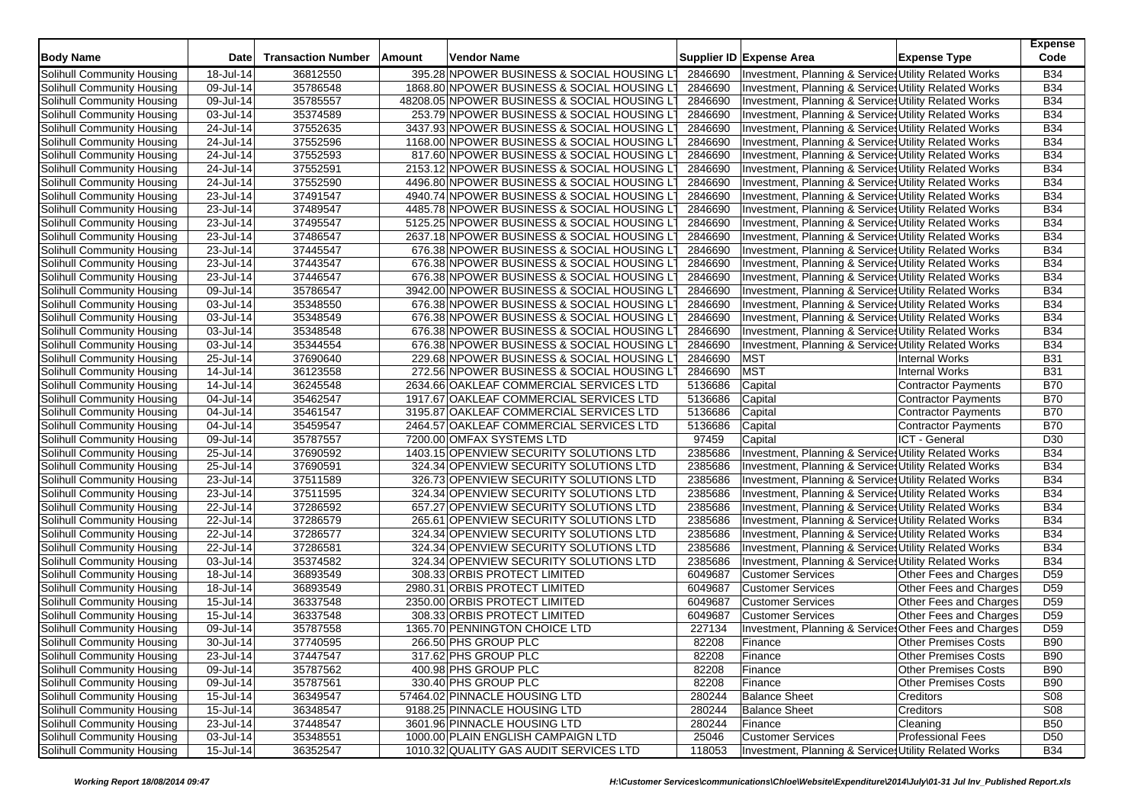| <b>Body Name</b>                  | Date         | <b>Transaction Number</b> | Amount | Vendor Name                                  |         | Supplier ID Expense Area                              | <b>Expense Type</b>         | <b>Expense</b><br>Code   |
|-----------------------------------|--------------|---------------------------|--------|----------------------------------------------|---------|-------------------------------------------------------|-----------------------------|--------------------------|
| Solihull Community Housing        | 18-Jul-14    | 36812550                  |        | 395.28 NPOWER BUSINESS & SOCIAL HOUSING LT   | 2846690 | Investment, Planning & Service: Utility Related Works |                             | <b>B34</b>               |
| Solihull Community Housing        | 09-Jul-14    | 35786548                  |        | 1868.80 NPOWER BUSINESS & SOCIAL HOUSING LT  | 2846690 | Investment, Planning & Service: Utility Related Works |                             | <b>B34</b>               |
| Solihull Community Housing        | 09-Jul-14    | 35785557                  |        | 48208.05 NPOWER BUSINESS & SOCIAL HOUSING LT | 2846690 | Investment, Planning & Service: Utility Related Works |                             | <b>B34</b>               |
| Solihull Community Housing        | 03-Jul-14    | 35374589                  |        | 253.79 NPOWER BUSINESS & SOCIAL HOUSING LT   | 2846690 | Investment, Planning & Service: Utility Related Works |                             | <b>B34</b>               |
| Solihull Community Housing        | 24-Jul-14    | 37552635                  |        | 3437.93 NPOWER BUSINESS & SOCIAL HOUSING LT  | 2846690 | Investment, Planning & Service: Utility Related Works |                             | <b>B34</b>               |
| Solihull Community Housing        | 24-Jul-14    | 37552596                  |        | 1168.00 NPOWER BUSINESS & SOCIAL HOUSING LT  | 2846690 |                                                       |                             | <b>B34</b>               |
|                                   |              |                           |        |                                              | 2846690 | Investment, Planning & Services Utility Related Works |                             |                          |
| Solihull Community Housing        | 24-Jul-14    | 37552593                  |        | 817.60 NPOWER BUSINESS & SOCIAL HOUSING LT   |         | Investment, Planning & Service: Utility Related Works |                             | <b>B34</b><br><b>B34</b> |
| Solihull Community Housing        | 24-Jul-14    | 37552591                  |        | 2153.12 NPOWER BUSINESS & SOCIAL HOUSING LT  | 2846690 | Investment, Planning & Service Utility Related Works  |                             |                          |
| Solihull Community Housing        | 24-Jul-14    | 37552590                  |        | 4496.80 NPOWER BUSINESS & SOCIAL HOUSING LT  | 2846690 | Investment, Planning & Services Utility Related Works |                             | <b>B34</b>               |
| Solihull Community Housing        | 23-Jul-14    | 37491547                  |        | 4940.74 NPOWER BUSINESS & SOCIAL HOUSING LT  | 2846690 | Investment, Planning & Services Utility Related Works |                             | <b>B34</b>               |
| Solihull Community Housing        | 23-Jul-14    | 37489547                  |        | 4485.78 NPOWER BUSINESS & SOCIAL HOUSING LT  | 2846690 | Investment, Planning & Service, Utility Related Works |                             | <b>B34</b>               |
| Solihull Community Housing        | 23-Jul-14    | 37495547                  |        | 5125.25 NPOWER BUSINESS & SOCIAL HOUSING LT  | 2846690 | Investment, Planning & Services Utility Related Works |                             | <b>B34</b>               |
| Solihull Community Housing        | 23-Jul-14    | 37486547                  |        | 2637.18 NPOWER BUSINESS & SOCIAL HOUSING LT  | 2846690 | Investment, Planning & Services Utility Related Works |                             | <b>B34</b>               |
| Solihull Community Housing        | 23-Jul-14    | 37445547                  |        | 676.38 NPOWER BUSINESS & SOCIAL HOUSING LT   | 2846690 | Investment, Planning & Service: Utility Related Works |                             | <b>B34</b>               |
| Solihull Community Housing        | 23-Jul-14    | 37443547                  |        | 676.38 NPOWER BUSINESS & SOCIAL HOUSING LT   | 2846690 | Investment, Planning & Service, Utility Related Works |                             | <b>B34</b>               |
| Solihull Community Housing        | 23-Jul-14    | 37446547                  |        | 676.38 NPOWER BUSINESS & SOCIAL HOUSING LT   | 2846690 | Investment, Planning & Services Utility Related Works |                             | <b>B34</b>               |
| Solihull Community Housing        | 09-Jul-14    | 35786547                  |        | 3942.00 NPOWER BUSINESS & SOCIAL HOUSING LT  | 2846690 | Investment, Planning & Services Utility Related Works |                             | <b>B34</b>               |
| Solihull Community Housing        | 03-Jul-14    | 35348550                  |        | 676.38 NPOWER BUSINESS & SOCIAL HOUSING LT   | 2846690 | Investment, Planning & Service, Utility Related Works |                             | <b>B34</b>               |
| Solihull Community Housing        | 03-Jul-14    | 35348549                  |        | 676.38 NPOWER BUSINESS & SOCIAL HOUSING LT   | 2846690 | Investment, Planning & Services Utility Related Works |                             | <b>B34</b>               |
| Solihull Community Housing        | 03-Jul-14    | 35348548                  |        | 676.38 NPOWER BUSINESS & SOCIAL HOUSING LT   | 2846690 | Investment, Planning & Services Utility Related Works |                             | <b>B34</b>               |
| Solihull Community Housing        | 03-Jul-14    | 35344554                  |        | 676.38 NPOWER BUSINESS & SOCIAL HOUSING LT   | 2846690 | Investment, Planning & Services Utility Related Works |                             | <b>B34</b>               |
| Solihull Community Housing        | 25-Jul-14    | 37690640                  |        | 229.68 NPOWER BUSINESS & SOCIAL HOUSING L    | 2846690 | <b>MST</b>                                            | <b>Internal Works</b>       | <b>B31</b>               |
| Solihull Community Housing        | 14-Jul-14    | 36123558                  |        | 272.56 NPOWER BUSINESS & SOCIAL HOUSING LT   | 2846690 | <b>MST</b>                                            | <b>Internal Works</b>       | B31                      |
| Solihull Community Housing        | 14-Jul-14    | 36245548                  |        | 2634.66 OAKLEAF COMMERCIAL SERVICES LTD      | 5136686 | Capital                                               | <b>Contractor Payments</b>  | B70                      |
| Solihull Community Housing        | 04-Jul-14    | 35462547                  |        | 1917.67 OAKLEAF COMMERCIAL SERVICES LTD      | 5136686 | Capital                                               | <b>Contractor Payments</b>  | B70                      |
| Solihull Community Housing        | 04-Jul-14    | 35461547                  |        | 3195.87 OAKLEAF COMMERCIAL SERVICES LTD      | 5136686 | Capital                                               | <b>Contractor Payments</b>  | B70                      |
| Solihull Community Housing        | 04-Jul-14    | 35459547                  |        | 2464.57 OAKLEAF COMMERCIAL SERVICES LTD      | 5136686 | Capital                                               | <b>Contractor Payments</b>  | <b>B70</b>               |
| Solihull Community Housing        | 09-Jul-14    | 35787557                  |        | 7200.00 OMFAX SYSTEMS LTD                    | 97459   | Capital                                               | <b>ICT - General</b>        | D30                      |
| Solihull Community Housing        | 25-Jul-14    | 37690592                  |        | 1403.15 OPENVIEW SECURITY SOLUTIONS LTD      | 2385686 | Investment, Planning & Service: Utility Related Works |                             | <b>B34</b>               |
| Solihull Community Housing        | 25-Jul-14    | 37690591                  |        | 324.34 OPENVIEW SECURITY SOLUTIONS LTD       | 2385686 | Investment, Planning & Service: Utility Related Works |                             | <b>B34</b>               |
| Solihull Community Housing        | 23-Jul-14    | 37511589                  |        | 326.73 OPENVIEW SECURITY SOLUTIONS LTD       | 2385686 | Investment, Planning & Services Utility Related Works |                             | <b>B34</b>               |
| Solihull Community Housing        | 23-Jul-14    | 37511595                  |        | 324.34 OPENVIEW SECURITY SOLUTIONS LTD       | 2385686 | Investment, Planning & Service: Utility Related Works |                             | <b>B34</b>               |
| Solihull Community Housing        | 22-Jul-14    | 37286592                  |        | 657.27 OPENVIEW SECURITY SOLUTIONS LTD       | 2385686 | Investment, Planning & Service: Utility Related Works |                             | <b>B34</b>               |
| Solihull Community Housing        | 22-Jul-14    | 37286579                  |        | 265.61 OPENVIEW SECURITY SOLUTIONS LTD       | 2385686 | Investment, Planning & Service: Utility Related Works |                             | <b>B34</b>               |
| Solihull Community Housing        | 22-Jul-14    | 37286577                  |        | 324.34 OPENVIEW SECURITY SOLUTIONS LTD       | 2385686 | Investment, Planning & Services Utility Related Works |                             | <b>B34</b>               |
| Solihull Community Housing        | 22-Jul-14    | 37286581                  |        | 324.34 OPENVIEW SECURITY SOLUTIONS LTD       | 2385686 | Investment, Planning & Service: Utility Related Works |                             | <b>B34</b>               |
| Solihull Community Housing        | 03-Jul-14    | 35374582                  |        | 324.34 OPENVIEW SECURITY SOLUTIONS LTD       | 2385686 | Investment, Planning & Service: Utility Related Works |                             | <b>B34</b>               |
| Solihull Community Housing        | 18-Jul-14    | 36893549                  |        | 308.33 ORBIS PROTECT LIMITED                 | 6049687 | <b>Customer Services</b>                              | Other Fees and Charges      | D <sub>59</sub>          |
| Solihull Community Housing        | 18-Jul-14    | 36893549                  |        | 2980.31 ORBIS PROTECT LIMITED                | 6049687 | <b>Customer Services</b>                              | Other Fees and Charges      | D <sub>59</sub>          |
| Solihull Community Housing        | 15-Jul-14    | 36337548                  |        | 2350.00 ORBIS PROTECT LIMITED                | 6049687 | <b>Customer Services</b>                              | Other Fees and Charges      | D <sub>59</sub>          |
| Solihull Community Housing        | 15-Jul-14    | 36337548                  |        | 308.33 ORBIS PROTECT LIMITED                 | 6049687 | <b>Customer Services</b>                              | Other Fees and Charges      | D <sub>59</sub>          |
| Solihull Community Housing        | 09-Jul-14    | 35787558                  |        | 1365.70 PENNINGTON CHOICE LTD                | 227134  | Investment, Planning & Service Other Fees and Charges |                             | D <sub>59</sub>          |
| Solihull Community Housing        | 30-Jul-14    | 37740595                  |        | 266.50 PHS GROUP PLC                         | 82208   | Finance                                               | <b>Other Premises Costs</b> | <b>B90</b>               |
| Solihull Community Housing        | 23-Jul-14    | 37447547                  |        | 317.62 PHS GROUP PLC                         | 82208   | Finance                                               | <b>Other Premises Costs</b> | <b>B90</b>               |
| Solihull Community Housing        | 09-Jul-14    | 35787562                  |        | 400.98 PHS GROUP PLC                         | 82208   | Finance                                               | <b>Other Premises Costs</b> | <b>B90</b>               |
| Solihull Community Housing        | 09-Jul-14    | 35787561                  |        | 330.40 PHS GROUP PLC                         | 82208   | Finance                                               | <b>Other Premises Costs</b> | <b>B90</b>               |
| Solihull Community Housing        | 15-Jul-14    | 36349547                  |        | 57464.02 PINNACLE HOUSING LTD                | 280244  | <b>Balance Sheet</b>                                  | <b>Creditors</b>            | <b>S08</b>               |
| Solihull Community Housing        | 15-Jul-14    | 36348547                  |        | 9188.25 PINNACLE HOUSING LTD                 | 280244  | <b>Balance Sheet</b>                                  | Creditors                   | <b>S08</b>               |
| Solihull Community Housing        | 23-Jul-14    | 37448547                  |        | 3601.96 PINNACLE HOUSING LTD                 | 280244  | Finance                                               | Cleaning                    | <b>B50</b>               |
| <b>Solihull Community Housing</b> | $03$ -Jul-14 | 35348551                  |        | 1000.00 PLAIN ENGLISH CAMPAIGN LTD           | 25046   | <b>Customer Services</b>                              | <b>Professional Fees</b>    | D <sub>50</sub>          |
| Solihull Community Housing        | $15$ -Jul-14 | 36352547                  |        | 1010.32 QUALITY GAS AUDIT SERVICES LTD       | 118053  | Investment. Planning & Services Utility Related Works |                             | <b>B34</b>               |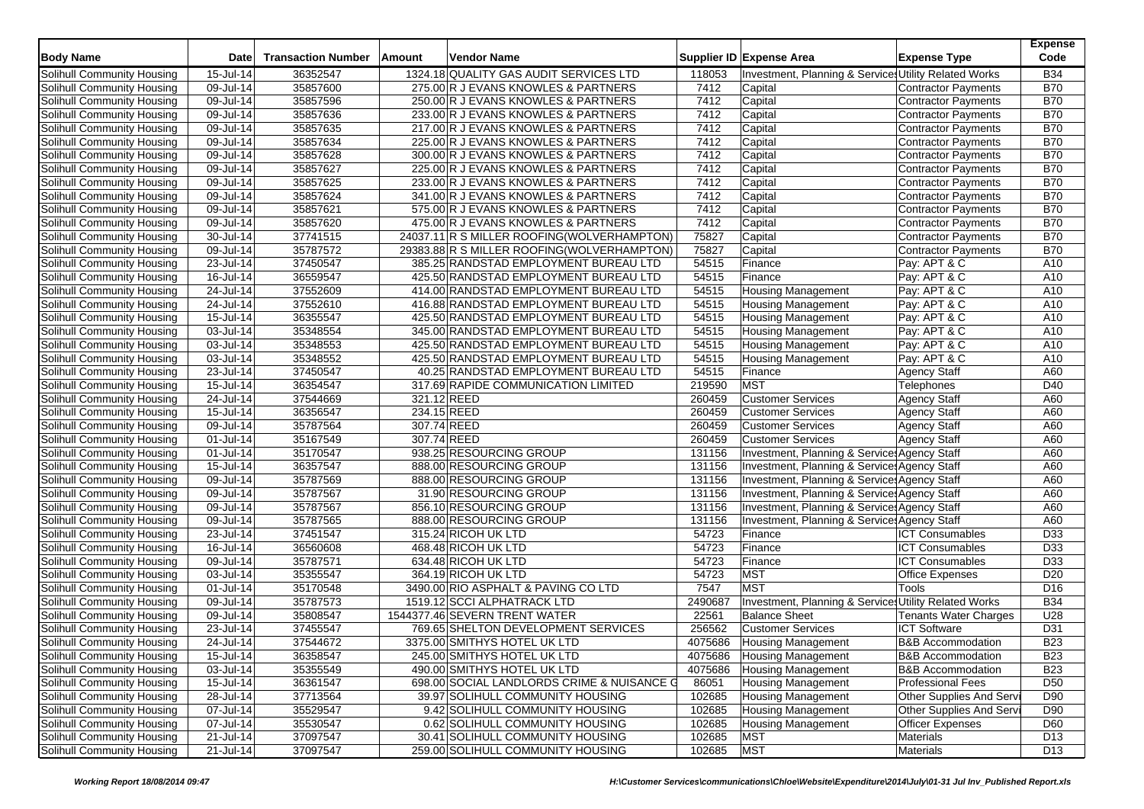| <b>Body Name</b>                                         | Date                    | <b>Transaction Number</b> | Amount      | <b>Vendor Name</b>                          |         | Supplier ID Expense Area                              | <b>Expense Type</b>          | <b>Expense</b><br>Code |
|----------------------------------------------------------|-------------------------|---------------------------|-------------|---------------------------------------------|---------|-------------------------------------------------------|------------------------------|------------------------|
| Solihull Community Housing                               | 15-Jul-14               | 36352547                  |             | 1324.18 QUALITY GAS AUDIT SERVICES LTD      | 118053  | Investment, Planning & Service: Utility Related Works |                              | <b>B34</b>             |
| Solihull Community Housing                               | 09-Jul-14               | 35857600                  |             | 275.00 R J EVANS KNOWLES & PARTNERS         | 7412    | Capital                                               | <b>Contractor Payments</b>   | <b>B70</b>             |
| Solihull Community Housing                               | 09-Jul-14               | 35857596                  |             | 250.00 R J EVANS KNOWLES & PARTNERS         | 7412    | Capital                                               | <b>Contractor Payments</b>   | <b>B70</b>             |
| Solihull Community Housing                               | 09-Jul-14               | 35857636                  |             | 233.00 R J EVANS KNOWLES & PARTNERS         | 7412    | Capital                                               | <b>Contractor Payments</b>   | <b>B70</b>             |
| Solihull Community Housing                               | $\overline{09}$ -Jul-14 | 35857635                  |             | 217.00 R J EVANS KNOWLES & PARTNERS         | 7412    | Capital                                               | <b>Contractor Payments</b>   | <b>B70</b>             |
| Solihull Community Housing                               | 09-Jul-14               | 35857634                  |             | 225.00 R J EVANS KNOWLES & PARTNERS         | 7412    | Capital                                               | <b>Contractor Payments</b>   | <b>B70</b>             |
| Solihull Community Housing                               | $\overline{09}$ -Jul-14 | 35857628                  |             | 300.00 R J EVANS KNOWLES & PARTNERS         | 7412    | Capital                                               | <b>Contractor Payments</b>   | <b>B70</b>             |
| Solihull Community Housing                               | 09-Jul-14               | 35857627                  |             | 225.00 R J EVANS KNOWLES & PARTNERS         | 7412    | Capital                                               | <b>Contractor Payments</b>   | <b>B70</b>             |
| Solihull Community Housing                               | 09-Jul-14               | 35857625                  |             | 233.00 R J EVANS KNOWLES & PARTNERS         | 7412    | Capital                                               | <b>Contractor Payments</b>   | <b>B70</b>             |
| Solihull Community Housing                               | 09-Jul-14               | 35857624                  |             | 341.00 R J EVANS KNOWLES & PARTNERS         | 7412    | Capital                                               | <b>Contractor Payments</b>   | <b>B70</b>             |
| Solihull Community Housing                               | 09-Jul-14               | 35857621                  |             | 575.00 R J EVANS KNOWLES & PARTNERS         | 7412    | Capital                                               | <b>Contractor Payments</b>   | <b>B70</b>             |
| Solihull Community Housing                               | 09-Jul-14               | 35857620                  |             | 475.00 R J EVANS KNOWLES & PARTNERS         | 7412    | Capital                                               | <b>Contractor Payments</b>   | <b>B70</b>             |
| Solihull Community Housing                               | 30-Jul-14               | 37741515                  |             | 24037.11 R S MILLER ROOFING(WOLVERHAMPTON)  | 75827   | Capital                                               | <b>Contractor Payments</b>   | <b>B70</b>             |
| Solihull Community Housing                               | 09-Jul-14               | 35787572                  |             | 29383.88 R S MILLER ROOFING (WOLVERHAMPTON) | 75827   | Capital                                               | <b>Contractor Payments</b>   | <b>B70</b>             |
| Solihull Community Housing                               | 23-Jul-14               | 37450547                  |             | 385.25 RANDSTAD EMPLOYMENT BUREAU LTD       | 54515   | Finance                                               | Pay: APT & C                 | A10                    |
| Solihull Community Housing                               | 16-Jul-14               | 36559547                  |             | 425.50 RANDSTAD EMPLOYMENT BUREAU LTD       | 54515   | Finance                                               | Pay: APT & C                 | A10                    |
| Solihull Community Housing                               | 24-Jul-14               | 37552609                  |             | 414.00 RANDSTAD EMPLOYMENT BUREAU LTD       | 54515   | <b>Housing Management</b>                             | Pay: APT & C                 | A10                    |
| Solihull Community Housing                               | 24-Jul-14               | 37552610                  |             | 416.88 RANDSTAD EMPLOYMENT BUREAU LTD       | 54515   | <b>Housing Management</b>                             | Pay: APT & C                 | A10                    |
| Solihull Community Housing                               | 15-Jul-14               | 36355547                  |             | 425.50 RANDSTAD EMPLOYMENT BUREAU LTD       | 54515   | <b>Housing Management</b>                             | Pay: APT & C                 | A10                    |
| Solihull Community Housing                               | 03-Jul-14               | 35348554                  |             | 345.00 RANDSTAD EMPLOYMENT BUREAU LTD       | 54515   | <b>Housing Management</b>                             | Pay: APT & C                 | A10                    |
| Solihull Community Housing                               | 03-Jul-14               | 35348553                  |             | 425.50 RANDSTAD EMPLOYMENT BUREAU LTD       | 54515   | <b>Housing Management</b>                             | Pay: APT & C                 | A10                    |
| Solihull Community Housing                               | 03-Jul-14               | 35348552                  |             | 425.50 RANDSTAD EMPLOYMENT BUREAU LTD       | 54515   | <b>Housing Management</b>                             | Pay: APT & C                 | A10                    |
| Solihull Community Housing                               | 23-Jul-14               | 37450547                  |             | 40.25 RANDSTAD EMPLOYMENT BUREAU LTD        | 54515   | Finance                                               | <b>Agency Staff</b>          | A60                    |
| Solihull Community Housing                               | 15-Jul-14               | 36354547                  |             | 317.69 RAPIDE COMMUNICATION LIMITED         | 219590  | <b>MST</b>                                            | Telephones                   | D40                    |
|                                                          | 24-Jul-14               | 37544669                  | 321.12 REED |                                             | 260459  | <b>Customer Services</b>                              |                              | A60                    |
| Solihull Community Housing<br>Solihull Community Housing | 15-Jul-14               | 36356547                  | 234.15 REED |                                             | 260459  | <b>Customer Services</b>                              | <b>Agency Staff</b>          | A60                    |
| Solihull Community Housing                               | 09-Jul-14               | 35787564                  | 307.74 REED |                                             | 260459  | <b>Customer Services</b>                              | <b>Agency Staff</b>          | A60                    |
| Solihull Community Housing                               |                         |                           |             |                                             |         |                                                       | <b>Agency Staff</b>          |                        |
|                                                          | 01-Jul-14               | 35167549                  | 307.74 REED |                                             | 260459  | <b>Customer Services</b>                              | <b>Agency Staff</b>          | A60                    |
| Solihull Community Housing                               | 01-Jul-14               | 35170547                  |             | 938.25 RESOURCING GROUP                     | 131156  | Investment, Planning & Service: Agency Staff          |                              | A60                    |
| Solihull Community Housing                               | 15-Jul-14               | 36357547                  |             | 888.00 RESOURCING GROUP                     | 131156  | Investment, Planning & Service: Agency Staff          |                              | A60                    |
| Solihull Community Housing                               | 09-Jul-14               | 35787569                  |             | 888.00 RESOURCING GROUP                     | 131156  | Investment, Planning & Service: Agency Staff          |                              | A60                    |
| Solihull Community Housing                               | 09-Jul-14               | 35787567                  |             | 31.90 RESOURCING GROUP                      | 131156  | Investment, Planning & Service Agency Staff           |                              | A60                    |
| Solihull Community Housing                               | 09-Jul-14               | 35787567                  |             | 856.10 RESOURCING GROUP                     | 131156  | Investment, Planning & Service: Agency Staff          |                              | A60                    |
| Solihull Community Housing                               | 09-Jul-14               | 35787565                  |             | 888.00 RESOURCING GROUP                     | 131156  | Investment, Planning & Service: Agency Staff          |                              | A60                    |
| Solihull Community Housing                               | 23-Jul-14               | 37451547                  |             | 315.24 RICOH UK LTD                         | 54723   | Finance                                               | <b>ICT Consumables</b>       | D33                    |
| Solihull Community Housing                               | $16$ -Jul-14            | 36560608                  |             | 468.48 RICOH UK LTD                         | 54723   | Finance                                               | <b>ICT Consumables</b>       | D33                    |
| Solihull Community Housing                               | 09-Jul-14               | 35787571                  |             | 634.48 RICOH UK LTD                         | 54723   | Finance                                               | <b>ICT Consumables</b>       | D33                    |
| Solihull Community Housing                               | 03-Jul-14               | 35355547                  |             | 364.19 RICOH UK LTD                         | 54723   | <b>MST</b>                                            | <b>Office Expenses</b>       | D <sub>20</sub>        |
| Solihull Community Housing                               | 01-Jul-14               | 35170548                  |             | 3490.00 RIO ASPHALT & PAVING CO LTD         | 7547    | <b>MST</b>                                            | Tools                        | D <sub>16</sub>        |
| Solihull Community Housing                               | 09-Jul-14               | 35787573                  |             | 1519.12 SCCI ALPHATRACK LTD                 | 2490687 | Investment, Planning & Service: Utility Related Works |                              | <b>B34</b>             |
| Solihull Community Housing                               | 09-Jul-14               | 35808547                  |             | 1544377.46 SEVERN TRENT WATER               | 22561   | <b>Balance Sheet</b>                                  | Tenants Water Charges        | U28                    |
| Solihull Community Housing                               | $23 -$ Jul-14           | 37455547                  |             | 769.65 SHELTON DEVELOPMENT SERVICES         | 256562  | <b>Customer Services</b>                              | <b>ICT Software</b>          | D31                    |
| Solihull Community Housing                               | 24-Jul-14               | 37544672                  |             | 3375.00 SMITHYS HOTEL UK LTD                | 4075686 | Housing Management                                    | <b>B&amp;B Accommodation</b> | <b>B23</b>             |
| Solihull Community Housing                               | 15-Jul-14               | 36358547                  |             | 245.00 SMITHYS HOTEL UK LTD                 | 4075686 | <b>Housing Management</b>                             | <b>B&amp;B Accommodation</b> | <b>B23</b>             |
| Solihull Community Housing                               | 03-Jul-14               | 35355549                  |             | 490.00 SMITHYS HOTEL UK LTD                 | 4075686 | <b>Housing Management</b>                             | <b>B&amp;B</b> Accommodation | <b>B23</b>             |
| Solihull Community Housing                               | 15-Jul-14               | 36361547                  |             | 698.00 SOCIAL LANDLORDS CRIME & NUISANCE G  | 86051   | Housing Management                                    | <b>Professional Fees</b>     | D <sub>50</sub>        |
| Solihull Community Housing                               | 28-Jul-14               | 37713564                  |             | 39.97 SOLIHULL COMMUNITY HOUSING            | 102685  | Housing Management                                    | Other Supplies And Servi     | D90                    |
| Solihull Community Housing                               | 07-Jul-14               | 35529547                  |             | 9.42 SOLIHULL COMMUNITY HOUSING             | 102685  | Housing Management                                    | Other Supplies And Servi     | D90                    |
| Solihull Community Housing                               | 07-Jul-14               | 35530547                  |             | 0.62 SOLIHULL COMMUNITY HOUSING             | 102685  | <b>Housing Management</b>                             | <b>Officer Expenses</b>      | D60                    |
| <b>Solihull Community Housing</b>                        | $21 -$ Jul-14           | 37097547                  |             | 30.41 SOLIHULL COMMUNITY HOUSING            | 102685  | <b>MST</b>                                            | Materials                    | D <sub>13</sub>        |
| Solihull Community Housing                               | 21-Jul-14               | 37097547                  |             | 259.00 SOLIHULL COMMUNITY HOUSING           | 102685  | <b>MST</b>                                            | Materials                    | D <sub>13</sub>        |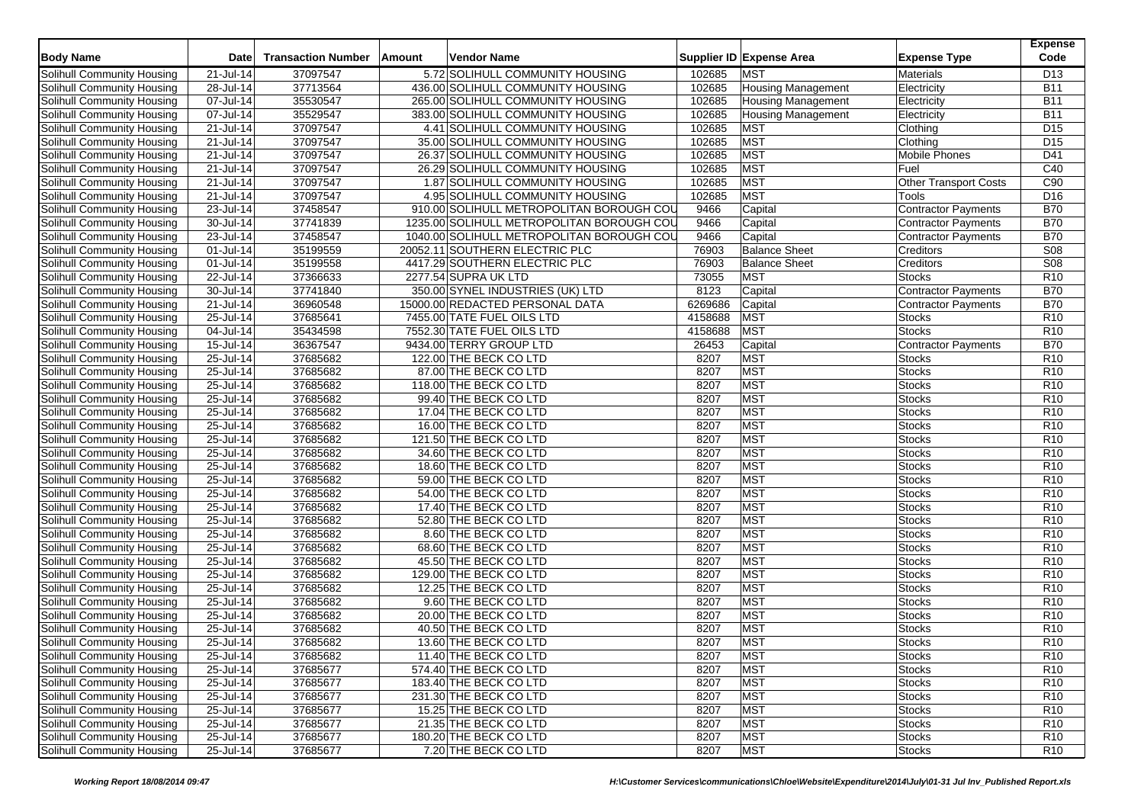| <b>Body Name</b>                  | <b>Date</b>   | <b>Transaction Number</b> | Amount | Vendor Name                               |         | Supplier ID Expense Area  | <b>Expense Type</b>          | <b>Expense</b><br>Code |
|-----------------------------------|---------------|---------------------------|--------|-------------------------------------------|---------|---------------------------|------------------------------|------------------------|
| Solihull Community Housing        | 21-Jul-14     | 37097547                  |        | 5.72 SOLIHULL COMMUNITY HOUSING           | 102685  | <b>MST</b>                | <b>Materials</b>             | D <sub>13</sub>        |
| Solihull Community Housing        | 28-Jul-14     | 37713564                  |        | 436.00 SOLIHULL COMMUNITY HOUSING         | 102685  | <b>Housing Management</b> | Electricity                  | <b>B11</b>             |
| Solihull Community Housing        | 07-Jul-14     | 35530547                  |        | 265.00 SOLIHULL COMMUNITY HOUSING         | 102685  | <b>Housing Management</b> | Electricity                  | <b>B11</b>             |
| Solihull Community Housing        | 07-Jul-14     | 35529547                  |        | 383.00 SOLIHULL COMMUNITY HOUSING         | 102685  | <b>Housing Management</b> | Electricity                  | <b>B11</b>             |
| Solihull Community Housing        | 21-Jul-14     | 37097547                  |        | 4.41 SOLIHULL COMMUNITY HOUSING           | 102685  | <b>MST</b>                | Clothing                     | D <sub>15</sub>        |
| Solihull Community Housing        | 21-Jul-14     | 37097547                  |        | 35.00 SOLIHULL COMMUNITY HOUSING          | 102685  | <b>MST</b>                | Clothing                     | D <sub>15</sub>        |
| Solihull Community Housing        | 21-Jul-14     | 37097547                  |        | 26.37 SOLIHULL COMMUNITY HOUSING          | 102685  | <b>MST</b>                | Mobile Phones                | D41                    |
| Solihull Community Housing        | 21-Jul-14     | 37097547                  |        | 26.29 SOLIHULL COMMUNITY HOUSING          | 102685  | <b>MST</b>                | Fuel                         | C40                    |
| Solihull Community Housing        | 21-Jul-14     | 37097547                  |        | 1.87 SOLIHULL COMMUNITY HOUSING           | 102685  | <b>MST</b>                | <b>Other Transport Costs</b> | C <sub>90</sub>        |
| Solihull Community Housing        | 21-Jul-14     | 37097547                  |        | 4.95 SOLIHULL COMMUNITY HOUSING           | 102685  | <b>MST</b>                | Tools                        | D <sub>16</sub>        |
| Solihull Community Housing        | 23-Jul-14     | 37458547                  |        | 910.00 SOLIHULL METROPOLITAN BOROUGH COL  | 9466    | Capital                   | Contractor Payments          | <b>B70</b>             |
| Solihull Community Housing        | 30-Jul-14     | 37741839                  |        | 1235.00 SOLIHULL METROPOLITAN BOROUGH COU | 9466    | Capital                   | <b>Contractor Payments</b>   | <b>B70</b>             |
| Solihull Community Housing        | 23-Jul-14     | 37458547                  |        | 1040.00 SOLIHULL METROPOLITAN BOROUGH COU | 9466    | Capital                   | <b>Contractor Payments</b>   | <b>B70</b>             |
| Solihull Community Housing        | 01-Jul-14     | 35199559                  |        | 20052.11 SOUTHERN ELECTRIC PLC            | 76903   | <b>Balance Sheet</b>      | <b>Creditors</b>             | <b>S08</b>             |
| <b>Solihull Community Housing</b> | 01-Jul-14     | 35199558                  |        | 4417.29 SOUTHERN ELECTRIC PLC             | 76903   | <b>Balance Sheet</b>      | Creditors                    | S <sub>08</sub>        |
| Solihull Community Housing        | 22-Jul-14     | 37366633                  |        | 2277.54 SUPRA UK LTD                      | 73055   | <b>MST</b>                | <b>Stocks</b>                | R <sub>10</sub>        |
| Solihull Community Housing        | 30-Jul-14     | 37741840                  |        | 350.00 SYNEL INDUSTRIES (UK) LTD          | 8123    | Capital                   | <b>Contractor Payments</b>   | <b>B70</b>             |
| Solihull Community Housing        | 21-Jul-14     | 36960548                  |        | 15000.00 REDACTED PERSONAL DATA           | 6269686 | Capital                   | <b>Contractor Payments</b>   | <b>B70</b>             |
| Solihull Community Housing        | 25-Jul-14     | 37685641                  |        | 7455.00 TATE FUEL OILS LTD                | 4158688 | <b>MST</b>                | <b>Stocks</b>                | R <sub>10</sub>        |
| Solihull Community Housing        | 04-Jul-14     | 35434598                  |        | 7552.30 TATE FUEL OILS LTD                | 4158688 | <b>MST</b>                | <b>Stocks</b>                | R <sub>10</sub>        |
| Solihull Community Housing        | 15-Jul-14     | 36367547                  |        | 9434.00 TERRY GROUP LTD                   | 26453   | Capital                   | Contractor Payments          | <b>B70</b>             |
| Solihull Community Housing        | 25-Jul-14     | 37685682                  |        | 122.00 THE BECK CO LTD                    | 8207    | <b>MST</b>                | <b>Stocks</b>                | R <sub>10</sub>        |
| Solihull Community Housing        | 25-Jul-14     | 37685682                  |        | 87.00 THE BECK CO LTD                     | 8207    | <b>MST</b>                | Stocks                       | R <sub>10</sub>        |
| Solihull Community Housing        | 25-Jul-14     | 37685682                  |        | 118.00 THE BECK CO LTD                    | 8207    | <b>MST</b>                | <b>Stocks</b>                | R <sub>10</sub>        |
| Solihull Community Housing        | 25-Jul-14     | 37685682                  |        | 99.40 THE BECK CO LTD                     | 8207    | <b>MST</b>                | Stocks                       | R <sub>10</sub>        |
| Solihull Community Housing        | 25-Jul-14     | 37685682                  |        | 17.04 THE BECK CO LTD                     | 8207    | <b>MST</b>                | <b>Stocks</b>                | R <sub>10</sub>        |
| Solihull Community Housing        | 25-Jul-14     | 37685682                  |        | 16.00 THE BECK CO LTD                     | 8207    | <b>MST</b>                | <b>Stocks</b>                | R <sub>10</sub>        |
| Solihull Community Housing        | 25-Jul-14     | 37685682                  |        | 121.50 THE BECK CO LTD                    | 8207    | <b>MST</b>                | Stocks                       | R <sub>10</sub>        |
| Solihull Community Housing        | 25-Jul-14     | 37685682                  |        | 34.60 THE BECK CO LTD                     | 8207    | <b>MST</b>                | Stocks                       | R <sub>10</sub>        |
| Solihull Community Housing        | 25-Jul-14     | 37685682                  |        | 18.60 THE BECK CO LTD                     | 8207    | <b>MST</b>                | <b>Stocks</b>                | R <sub>10</sub>        |
| Solihull Community Housing        | 25-Jul-14     | 37685682                  |        | 59.00 THE BECK CO LTD                     | 8207    | <b>MST</b>                | Stocks                       | R <sub>10</sub>        |
| Solihull Community Housing        | 25-Jul-14     | 37685682                  |        | 54.00 THE BECK CO LTD                     | 8207    | <b>MST</b>                | Stocks                       | R <sub>10</sub>        |
| Solihull Community Housing        | 25-Jul-14     | 37685682                  |        | 17.40 THE BECK CO LTD                     | 8207    | <b>MST</b>                | Stocks                       | R <sub>10</sub>        |
| Solihull Community Housing        | $25$ -Jul-14  | 37685682                  |        | 52.80 THE BECK CO LTD                     | 8207    | <b>MST</b>                | <b>Stocks</b>                | R <sub>10</sub>        |
| Solihull Community Housing        | 25-Jul-14     | 37685682                  |        | 8.60 THE BECK CO LTD                      | 8207    | <b>MST</b>                | Stocks                       | R <sub>10</sub>        |
| Solihull Community Housing        | 25-Jul-14     | 37685682                  |        | 68.60 THE BECK CO LTD                     | 8207    | <b>MST</b>                | Stocks                       | R <sub>10</sub>        |
| Solihull Community Housing        | $25 -$ Jul-14 | 37685682                  |        | 45.50 THE BECK CO LTD                     | 8207    | <b>MST</b>                | Stocks                       | R <sub>10</sub>        |
| Solihull Community Housing        | 25-Jul-14     | 37685682                  |        | 129.00 THE BECK CO LTD                    | 8207    | <b>MST</b>                | Stocks                       | R <sub>10</sub>        |
| Solihull Community Housing        | 25-Jul-14     | 37685682                  |        | 12.25 THE BECK CO LTD                     | 8207    | <b>MST</b>                | Stocks                       | R <sub>10</sub>        |
| Solihull Community Housing        | 25-Jul-14     | 37685682                  |        | 9.60 THE BECK CO LTD                      | 8207    | <b>MST</b>                | <b>Stocks</b>                | R <sub>10</sub>        |
| Solihull Community Housing        | 25-Jul-14     | 37685682                  |        | 20.00 THE BECK CO LTD                     | 8207    | <b>MST</b>                | Stocks                       | R <sub>10</sub>        |
| Solihull Community Housing        | 25-Jul-14     | 37685682                  |        | 40.50 THE BECK CO LTD                     | 8207    | <b>MST</b>                | Stocks                       | R <sub>10</sub>        |
| Solihull Community Housing        | 25-Jul-14     | 37685682                  |        | 13.60 THE BECK CO LTD                     | 8207    | <b>MST</b>                | <b>Stocks</b>                | R <sub>10</sub>        |
| Solihull Community Housing        | 25-Jul-14     | 37685682                  |        | 11.40 THE BECK CO LTD                     | 8207    | <b>MST</b>                | <b>Stocks</b>                | R <sub>10</sub>        |
| Solihull Community Housing        | 25-Jul-14     | 37685677                  |        | 574.40 THE BECK CO LTD                    | 8207    | <b>MST</b>                | Stocks                       | R <sub>10</sub>        |
| Solihull Community Housing        | 25-Jul-14     | 37685677                  |        | 183.40 THE BECK CO LTD                    | 8207    | <b>MST</b>                | <b>Stocks</b>                | R <sub>10</sub>        |
| Solihull Community Housing        | 25-Jul-14     | 37685677                  |        | 231.30 THE BECK CO LTD                    | 8207    | <b>MST</b>                | <b>Stocks</b>                | R <sub>10</sub>        |
| Solihull Community Housing        | 25-Jul-14     | 37685677                  |        | 15.25 THE BECK CO LTD                     | 8207    | <b>MST</b>                | <b>Stocks</b>                | R <sub>10</sub>        |
| Solihull Community Housing        | 25-Jul-14     | 37685677                  |        | 21.35 THE BECK CO LTD                     | 8207    | <b>MST</b>                | <b>Stocks</b>                | R <sub>10</sub>        |
| Solihull Community Housing        | 25-Jul-14     | 37685677                  |        | 180.20 THE BECK CO LTD                    | 8207    | <b>MST</b>                | <b>Stocks</b>                | R <sub>10</sub>        |
| Solihull Community Housing        | 25-Jul-14     | 37685677                  |        | 7.20 THE BECK CO LTD                      | 8207    | <b>MST</b>                | <b>Stocks</b>                | R <sub>10</sub>        |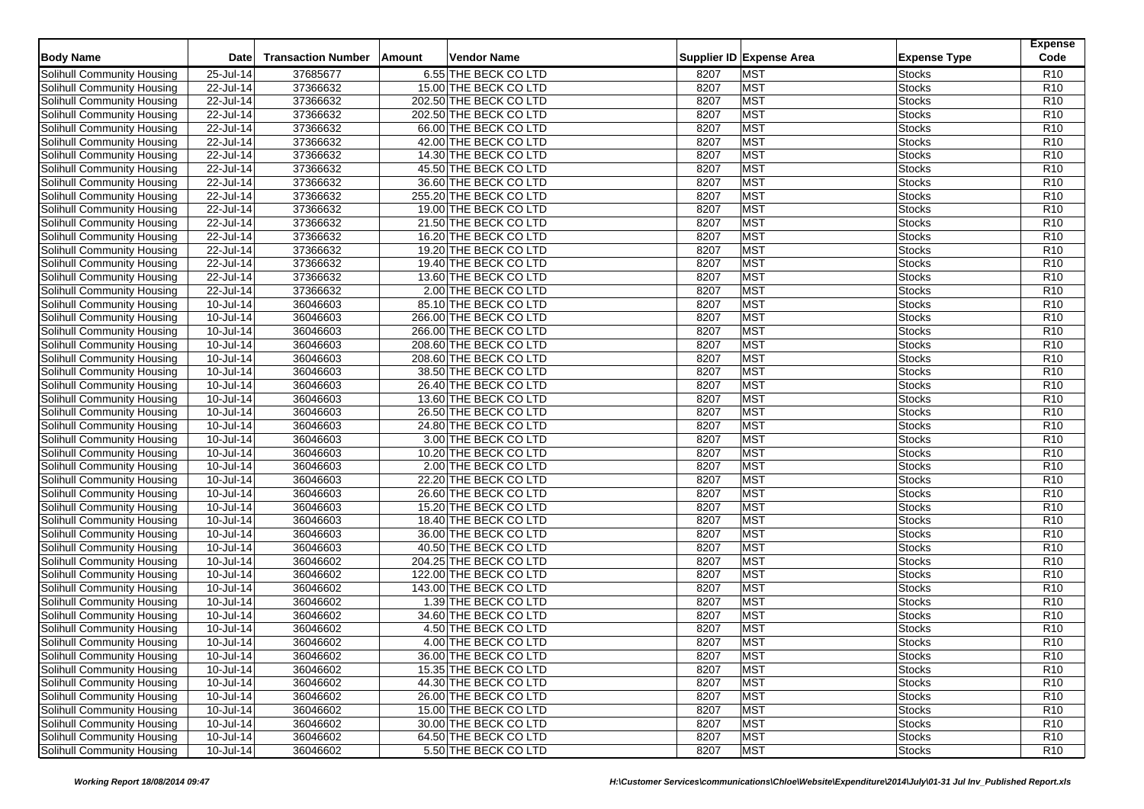| <b>Body Name</b>                  | <b>Date</b>             | <b>Transaction Number</b> | Vendor Name<br>Amount  |              | Supplier ID Expense Area | <b>Expense Type</b>            | <b>Expense</b><br>Code             |
|-----------------------------------|-------------------------|---------------------------|------------------------|--------------|--------------------------|--------------------------------|------------------------------------|
| Solihull Community Housing        | 25-Jul-14               | 37685677                  | 6.55 THE BECK CO LTD   | 8207         | <b>MST</b>               | <b>Stocks</b>                  | R <sub>10</sub>                    |
| Solihull Community Housing        | 22-Jul-14               | 37366632                  | 15.00 THE BECK CO LTD  | 8207         | <b>MST</b>               | Stocks                         | R <sub>10</sub>                    |
| Solihull Community Housing        | 22-Jul-14               | 37366632                  | 202.50 THE BECK CO LTD | 8207         | <b>MST</b>               | <b>Stocks</b>                  | R <sub>10</sub>                    |
| Solihull Community Housing        | 22-Jul-14               | 37366632                  | 202.50 THE BECK CO LTD | 8207         | <b>MST</b>               | Stocks                         | R <sub>10</sub>                    |
| Solihull Community Housing        | 22-Jul-14               | 37366632                  | 66.00 THE BECK CO LTD  | 8207         | <b>MST</b>               | <b>Stocks</b>                  | R <sub>10</sub>                    |
| Solihull Community Housing        | 22-Jul-14               | 37366632                  | 42.00 THE BECK CO LTD  | 8207         | <b>MST</b>               | <b>Stocks</b>                  | R <sub>10</sub>                    |
| Solihull Community Housing        | 22-Jul-14               | 37366632                  | 14.30 THE BECK CO LTD  | 8207         | <b>MST</b>               | Stocks                         | R <sub>10</sub>                    |
| Solihull Community Housing        | 22-Jul-14               | 37366632                  | 45.50 THE BECK CO LTD  | 8207         | <b>MST</b>               | <b>Stocks</b>                  | R <sub>10</sub>                    |
| Solihull Community Housing        | 22-Jul-14               | 37366632                  | 36.60 THE BECK CO LTD  | 8207         | <b>MST</b>               | <b>Stocks</b>                  | R <sub>10</sub>                    |
| Solihull Community Housing        | 22-Jul-14               | 37366632                  | 255.20 THE BECK CO LTD | 8207         | <b>MST</b>               | Stocks                         | R <sub>10</sub>                    |
| Solihull Community Housing        | 22-Jul-14               | 37366632                  | 19.00 THE BECK CO LTD  | 8207         | <b>MST</b>               | <b>Stocks</b>                  | R <sub>10</sub>                    |
| Solihull Community Housing        | 22-Jul-14               | 37366632                  | 21.50 THE BECK CO LTD  | 8207         | <b>MST</b>               | <b>Stocks</b>                  | R <sub>10</sub>                    |
| Solihull Community Housing        | 22-Jul-14               | 37366632                  | 16.20 THE BECK CO LTD  | 8207         | <b>MST</b>               | Stocks                         | R <sub>10</sub>                    |
| <b>Solihull Community Housing</b> | 22-Jul-14               | 37366632                  | 19.20 THE BECK CO LTD  | 8207         | <b>MST</b>               | <b>Stocks</b>                  | R <sub>10</sub>                    |
| Solihull Community Housing        | 22-Jul-14               | 37366632                  | 19.40 THE BECK CO LTD  | 8207         | <b>MST</b>               | <b>Stocks</b>                  | R <sub>10</sub>                    |
| Solihull Community Housing        | $\overline{22}$ -Jul-14 |                           |                        |              | <b>MST</b>               |                                |                                    |
|                                   |                         | 37366632<br>37366632      | 13.60 THE BECK CO LTD  | 8207<br>8207 | <b>MST</b>               | <b>Stocks</b><br><b>Stocks</b> | R <sub>10</sub><br>R <sub>10</sub> |
| Solihull Community Housing        | 22-Jul-14               | 36046603                  | 2.00 THE BECK CO LTD   |              | <b>MST</b>               |                                | R <sub>10</sub>                    |
| Solihull Community Housing        | 10-Jul-14               |                           | 85.10 THE BECK CO LTD  | 8207         |                          | <b>Stocks</b>                  |                                    |
| Solihull Community Housing        | $10$ -Jul-14            | 36046603                  | 266.00 THE BECK CO LTD | 8207         | <b>MST</b>               | <b>Stocks</b>                  | R <sub>10</sub>                    |
| Solihull Community Housing        | 10-Jul-14               | 36046603                  | 266.00 THE BECK CO LTD | 8207         | <b>MST</b>               | <b>Stocks</b>                  | R <sub>10</sub>                    |
| Solihull Community Housing        | 10-Jul-14               | 36046603                  | 208.60 THE BECK CO LTD | 8207         | <b>MST</b>               | <b>Stocks</b>                  | R <sub>10</sub>                    |
| Solihull Community Housing        | 10-Jul-14               | 36046603                  | 208.60 THE BECK CO LTD | 8207         | <b>MST</b>               | <b>Stocks</b>                  | R <sub>10</sub>                    |
| Solihull Community Housing        | 10-Jul-14               | 36046603                  | 38.50 THE BECK CO LTD  | 8207         | <b>MST</b>               | <b>Stocks</b>                  | R <sub>10</sub>                    |
| Solihull Community Housing        | 10-Jul-14               | 36046603                  | 26.40 THE BECK CO LTD  | 8207         | <b>MST</b>               | <b>Stocks</b>                  | R <sub>10</sub>                    |
| Solihull Community Housing        | $10$ -Jul-14            | 36046603                  | 13.60 THE BECK CO LTD  | 8207         | <b>MST</b>               | <b>Stocks</b>                  | R <sub>10</sub>                    |
| Solihull Community Housing        | 10-Jul-14               | 36046603                  | 26.50 THE BECK CO LTD  | 8207         | <b>MST</b>               | <b>Stocks</b>                  | R <sub>10</sub>                    |
| Solihull Community Housing        | 10-Jul-14               | 36046603                  | 24.80 THE BECK CO LTD  | 8207         | <b>MST</b>               | <b>Stocks</b>                  | R <sub>10</sub>                    |
| Solihull Community Housing        | 10-Jul-14               | 36046603                  | 3.00 THE BECK CO LTD   | 8207         | <b>MST</b>               | <b>Stocks</b>                  | R <sub>10</sub>                    |
| Solihull Community Housing        | 10-Jul-14               | 36046603                  | 10.20 THE BECK CO LTD  | 8207         | <b>MST</b>               | <b>Stocks</b>                  | R <sub>10</sub>                    |
| Solihull Community Housing        | 10-Jul-14               | 36046603                  | 2.00 THE BECK CO LTD   | 8207         | <b>MST</b>               | <b>Stocks</b>                  | R <sub>10</sub>                    |
| Solihull Community Housing        | 10-Jul-14               | 36046603                  | 22.20 THE BECK CO LTD  | 8207         | <b>MST</b>               | <b>Stocks</b>                  | R <sub>10</sub>                    |
| Solihull Community Housing        | 10-Jul-14               | 36046603                  | 26.60 THE BECK CO LTD  | 8207         | <b>MST</b>               | <b>Stocks</b>                  | R <sub>10</sub>                    |
| Solihull Community Housing        | 10-Jul-14               | 36046603                  | 15.20 THE BECK CO LTD  | 8207         | <b>MST</b>               | <b>Stocks</b>                  | R <sub>10</sub>                    |
| Solihull Community Housing        | 10-Jul-14               | 36046603                  | 18.40 THE BECK CO LTD  | 8207         | <b>MST</b>               | <b>Stocks</b>                  | R10                                |
| Solihull Community Housing        | 10-Jul-14               | 36046603                  | 36.00 THE BECK CO LTD  | 8207         | <b>MST</b>               | <b>Stocks</b>                  | R <sub>10</sub>                    |
| Solihull Community Housing        | 10-Jul-14               | 36046603                  | 40.50 THE BECK CO LTD  | 8207         | <b>MST</b>               | <b>Stocks</b>                  | R <sub>10</sub>                    |
| Solihull Community Housing        | 10-Jul-14               | 36046602                  | 204.25 THE BECK CO LTD | 8207         | <b>MST</b>               | <b>Stocks</b>                  | R <sub>10</sub>                    |
| Solihull Community Housing        | 10-Jul-14               | 36046602                  | 122.00 THE BECK CO LTD | 8207         | <b>MST</b>               | <b>Stocks</b>                  | R <sub>10</sub>                    |
| Solihull Community Housing        | 10-Jul-14               | 36046602                  | 143.00 THE BECK CO LTD | 8207         | <b>MST</b>               | <b>Stocks</b>                  | R <sub>10</sub>                    |
| Solihull Community Housing        | 10-Jul-14               | 36046602                  | 1.39 THE BECK CO LTD   | 8207         | <b>MST</b>               | <b>Stocks</b>                  | R <sub>10</sub>                    |
| Solihull Community Housing        | 10-Jul-14               | 36046602                  | 34.60 THE BECK CO LTD  | 8207         | <b>MST</b>               | <b>Stocks</b>                  | R <sub>10</sub>                    |
| Solihull Community Housing        | 10-Jul-14               | 36046602                  | 4.50 THE BECK CO LTD   | 8207         | <b>MST</b>               | <b>Stocks</b>                  | R <sub>10</sub>                    |
| <b>Solihull Community Housing</b> | $10 -$ Jul-14           | 36046602                  | 4.00 THE BECK CO LTD   | 8207         | <b>MST</b>               | <b>Stocks</b>                  | R <sub>10</sub>                    |
| Solihull Community Housing        | 10-Jul-14               | 36046602                  | 36.00 THE BECK CO LTD  | 8207         | <b>MST</b>               | <b>Stocks</b>                  | R <sub>10</sub>                    |
| Solihull Community Housing        | 10-Jul-14               | 36046602                  | 15.35 THE BECK CO LTD  | 8207         | <b>MST</b>               | <b>Stocks</b>                  | R <sub>10</sub>                    |
| Solihull Community Housing        | 10-Jul-14               | 36046602                  | 44.30 THE BECK CO LTD  | 8207         | <b>MST</b>               | <b>Stocks</b>                  | R <sub>10</sub>                    |
| Solihull Community Housing        | 10-Jul-14               | 36046602                  | 26.00 THE BECK CO LTD  | 8207         | <b>MST</b>               | <b>Stocks</b>                  | R <sub>10</sub>                    |
| Solihull Community Housing        | 10-Jul-14               | 36046602                  | 15.00 THE BECK CO LTD  | 8207         | <b>MST</b>               | <b>Stocks</b>                  | R <sub>10</sub>                    |
| Solihull Community Housing        | 10-Jul-14               | 36046602                  | 30.00 THE BECK CO LTD  | 8207         | <b>MST</b>               | Stocks                         | R <sub>10</sub>                    |
| Solihull Community Housing        | 10-Jul-14               | 36046602                  | 64.50 THE BECK CO LTD  | 8207         | <b>MST</b>               | <b>Stocks</b>                  | R <sub>10</sub>                    |
| Solihull Community Housing        | $10$ -Jul-14            | 36046602                  | 5.50 THE BECK CO LTD   | 8207         | <b>MST</b>               | <b>Stocks</b>                  | R <sub>10</sub>                    |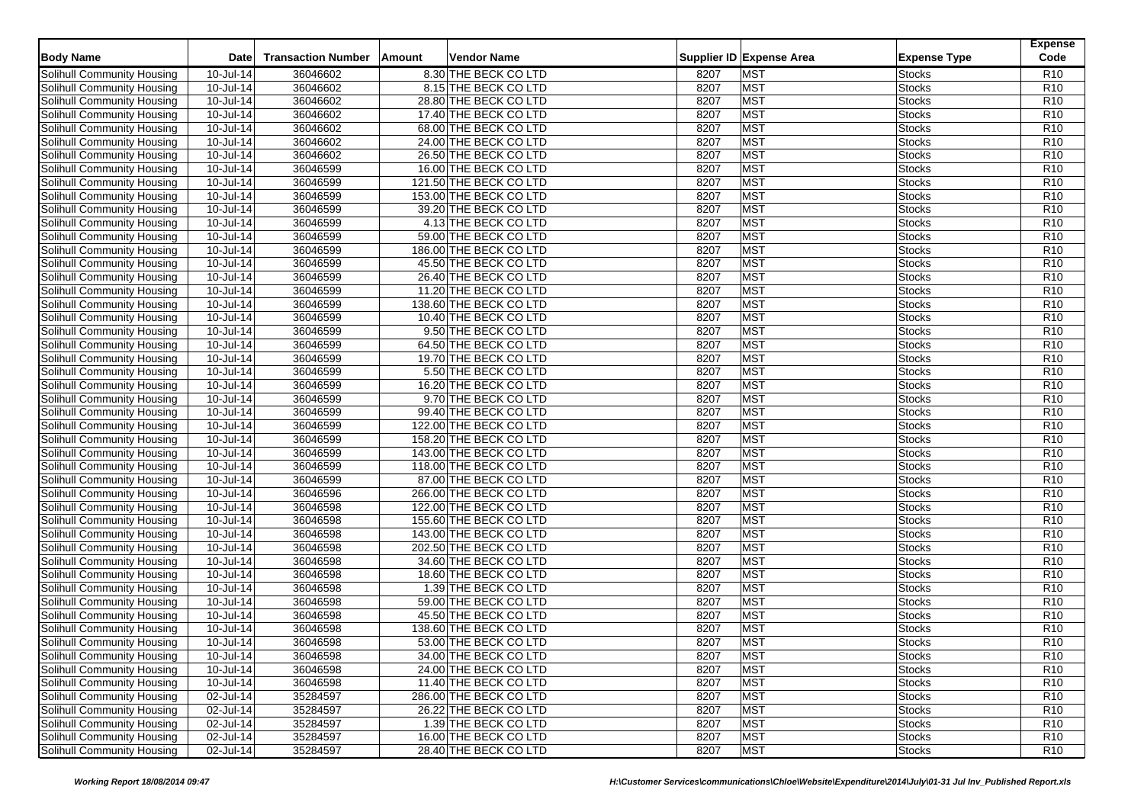| <b>Body Name</b>                  | <b>Date</b>   | <b>Transaction Number</b> | Vendor Name<br>Amount  |      | Supplier ID Expense Area | <b>Expense Type</b> | <b>Expense</b><br>Code |
|-----------------------------------|---------------|---------------------------|------------------------|------|--------------------------|---------------------|------------------------|
| Solihull Community Housing        | 10-Jul-14     | 36046602                  | 8.30 THE BECK CO LTD   | 8207 | <b>MST</b>               | <b>Stocks</b>       | R <sub>10</sub>        |
| Solihull Community Housing        | 10-Jul-14     | 36046602                  | 8.15 THE BECK CO LTD   | 8207 | <b>MST</b>               | Stocks              | R <sub>10</sub>        |
| Solihull Community Housing        | 10-Jul-14     | 36046602                  | 28.80 THE BECK CO LTD  | 8207 | <b>MST</b>               | <b>Stocks</b>       | R <sub>10</sub>        |
| Solihull Community Housing        | $10$ -Jul-14  | 36046602                  | 17.40 THE BECK CO LTD  | 8207 | <b>MST</b>               | Stocks              | R <sub>10</sub>        |
| Solihull Community Housing        | 10-Jul-14     | 36046602                  | 68.00 THE BECK CO LTD  | 8207 | <b>MST</b>               | <b>Stocks</b>       | R <sub>10</sub>        |
| Solihull Community Housing        | 10-Jul-14     | 36046602                  | 24.00 THE BECK CO LTD  | 8207 | <b>MST</b>               | <b>Stocks</b>       | R <sub>10</sub>        |
| Solihull Community Housing        | 10-Jul-14     | 36046602                  | 26.50 THE BECK CO LTD  | 8207 | <b>MST</b>               | Stocks              | R <sub>10</sub>        |
| Solihull Community Housing        | 10-Jul-14     | 36046599                  | 16.00 THE BECK CO LTD  | 8207 | <b>MST</b>               | <b>Stocks</b>       | R <sub>10</sub>        |
| Solihull Community Housing        | 10-Jul-14     | 36046599                  | 121.50 THE BECK CO LTD | 8207 | <b>MST</b>               | <b>Stocks</b>       | R <sub>10</sub>        |
| Solihull Community Housing        | 10-Jul-14     | 36046599                  | 153.00 THE BECK CO LTD | 8207 | <b>MST</b>               | Stocks              | R <sub>10</sub>        |
| Solihull Community Housing        | 10-Jul-14     | 36046599                  | 39.20 THE BECK CO LTD  | 8207 | <b>MST</b>               | <b>Stocks</b>       | R <sub>10</sub>        |
| Solihull Community Housing        | 10-Jul-14     | 36046599                  | 4.13 THE BECK CO LTD   | 8207 | <b>MST</b>               | <b>Stocks</b>       | R <sub>10</sub>        |
| Solihull Community Housing        | $10$ -Jul-14  | 36046599                  | 59.00 THE BECK CO LTD  | 8207 | <b>MST</b>               | Stocks              | R10                    |
| <b>Solihull Community Housing</b> | 10-Jul-14     | 36046599                  | 186.00 THE BECK CO LTD | 8207 | <b>MST</b>               | <b>Stocks</b>       | R <sub>10</sub>        |
| Solihull Community Housing        | 10-Jul-14     | 36046599                  | 45.50 THE BECK CO LTD  | 8207 | <b>MST</b>               | <b>Stocks</b>       | R <sub>10</sub>        |
| Solihull Community Housing        | 10-Jul-14     | 36046599                  | 26.40 THE BECK CO LTD  | 8207 | <b>MST</b>               | Stocks              | R <sub>10</sub>        |
| Solihull Community Housing        | 10-Jul-14     | 36046599                  | 11.20 THE BECK CO LTD  | 8207 | <b>MST</b>               | <b>Stocks</b>       | R <sub>10</sub>        |
| Solihull Community Housing        | 10-Jul-14     | 36046599                  | 138.60 THE BECK CO LTD | 8207 | <b>MST</b>               | Stocks              | R <sub>10</sub>        |
| Solihull Community Housing        | $10$ -Jul-14  | 36046599                  | 10.40 THE BECK CO LTD  | 8207 | <b>MST</b>               | Stocks              | R <sub>10</sub>        |
| Solihull Community Housing        | 10-Jul-14     | 36046599                  | 9.50 THE BECK CO LTD   | 8207 | <b>MST</b>               | Stocks              | R <sub>10</sub>        |
|                                   |               |                           |                        |      |                          |                     |                        |
| Solihull Community Housing        | 10-Jul-14     | 36046599                  | 64.50 THE BECK CO LTD  | 8207 | <b>MST</b>               | <b>Stocks</b>       | R <sub>10</sub>        |
| Solihull Community Housing        | 10-Jul-14     | 36046599                  | 19.70 THE BECK CO LTD  | 8207 | <b>MST</b>               | <b>Stocks</b>       | R <sub>10</sub>        |
| Solihull Community Housing        | 10-Jul-14     | 36046599                  | 5.50 THE BECK CO LTD   | 8207 | <b>MST</b>               | Stocks              | R <sub>10</sub>        |
| Solihull Community Housing        | 10-Jul-14     | 36046599                  | 16.20 THE BECK CO LTD  | 8207 | <b>MST</b>               | Stocks              | R <sub>10</sub>        |
| Solihull Community Housing        | $10$ -Jul-14  | 36046599                  | 9.70 THE BECK CO LTD   | 8207 | <b>MST</b>               | <b>Stocks</b>       | R <sub>10</sub>        |
| Solihull Community Housing        | 10-Jul-14     | 36046599                  | 99.40 THE BECK CO LTD  | 8207 | <b>MST</b>               | Stocks              | R <sub>10</sub>        |
| Solihull Community Housing        | 10-Jul-14     | 36046599                  | 122.00 THE BECK CO LTD | 8207 | <b>MST</b>               | Stocks              | R <sub>10</sub>        |
| Solihull Community Housing        | 10-Jul-14     | 36046599                  | 158.20 THE BECK CO LTD | 8207 | <b>MST</b>               | Stocks              | R <sub>10</sub>        |
| Solihull Community Housing        | 10-Jul-14     | 36046599                  | 143.00 THE BECK CO LTD | 8207 | <b>MST</b>               | Stocks              | R <sub>10</sub>        |
| Solihull Community Housing        | 10-Jul-14     | 36046599                  | 118.00 THE BECK CO LTD | 8207 | <b>MST</b>               | Stocks              | R <sub>10</sub>        |
| Solihull Community Housing        | 10-Jul-14     | 36046599                  | 87.00 THE BECK CO LTD  | 8207 | <b>MST</b>               | <b>Stocks</b>       | R <sub>10</sub>        |
| Solihull Community Housing        | 10-Jul-14     | 36046596                  | 266.00 THE BECK CO LTD | 8207 | <b>MST</b>               | Stocks              | R <sub>10</sub>        |
| Solihull Community Housing        | 10-Jul-14     | 36046598                  | 122.00 THE BECK CO LTD | 8207 | <b>MST</b>               | Stocks              | R <sub>10</sub>        |
| Solihull Community Housing        | 10-Jul-14     | 36046598                  | 155.60 THE BECK CO LTD | 8207 | <b>MST</b>               | Stocks              | R <sub>10</sub>        |
| Solihull Community Housing        | 10-Jul-14     | 36046598                  | 143.00 THE BECK CO LTD | 8207 | <b>MST</b>               | Stocks              | R <sub>10</sub>        |
| Solihull Community Housing        | 10-Jul-14     | 36046598                  | 202.50 THE BECK CO LTD | 8207 | <b>MST</b>               | <b>Stocks</b>       | R <sub>10</sub>        |
| Solihull Community Housing        | $10$ -Jul-14  | 36046598                  | 34.60 THE BECK CO LTD  | 8207 | <b>MST</b>               | Stocks              | R <sub>10</sub>        |
| Solihull Community Housing        | 10-Jul-14     | 36046598                  | 18.60 THE BECK CO LTD  | 8207 | <b>MST</b>               | Stocks              | R <sub>10</sub>        |
| Solihull Community Housing        | 10-Jul-14     | 36046598                  | 1.39 THE BECK CO LTD   | 8207 | <b>MST</b>               | Stocks              | R <sub>10</sub>        |
| Solihull Community Housing        | 10-Jul-14     | 36046598                  | 59.00 THE BECK CO LTD  | 8207 | <b>MST</b>               | <b>Stocks</b>       | R <sub>10</sub>        |
| Solihull Community Housing        | 10-Jul-14     | 36046598                  | 45.50 THE BECK CO LTD  | 8207 | <b>MST</b>               | Stocks              | R <sub>10</sub>        |
| Solihull Community Housing        | 10-Jul-14     | 36046598                  | 138.60 THE BECK CO LTD | 8207 | <b>MST</b>               | <b>Stocks</b>       | R <sub>10</sub>        |
| <b>Solihull Community Housing</b> | $10 -$ Jul-14 | 36046598                  | 53.00 THE BECK CO LTD  | 8207 | <b>MST</b>               | <b>Stocks</b>       | R <sub>10</sub>        |
| Solihull Community Housing        | 10-Jul-14     | 36046598                  | 34.00 THE BECK CO LTD  | 8207 | <b>MST</b>               | <b>Stocks</b>       | R <sub>10</sub>        |
| Solihull Community Housing        | 10-Jul-14     | 36046598                  | 24.00 THE BECK CO LTD  | 8207 | <b>MST</b>               | <b>Stocks</b>       | R <sub>10</sub>        |
| Solihull Community Housing        | 10-Jul-14     | 36046598                  | 11.40 THE BECK CO LTD  | 8207 | <b>MST</b>               | <b>Stocks</b>       | R <sub>10</sub>        |
| Solihull Community Housing        | 02-Jul-14     | 35284597                  | 286.00 THE BECK CO LTD | 8207 | <b>MST</b>               | <b>Stocks</b>       | R <sub>10</sub>        |
| Solihull Community Housing        | 02-Jul-14     | 35284597                  | 26.22 THE BECK CO LTD  | 8207 | <b>MST</b>               | <b>Stocks</b>       | R <sub>10</sub>        |
| Solihull Community Housing        | 02-Jul-14     | 35284597                  | 1.39 THE BECK CO LTD   | 8207 | <b>MST</b>               | Stocks              | R <sub>10</sub>        |
| Solihull Community Housing        | 02-Jul-14     | 35284597                  | 16.00 THE BECK CO LTD  | 8207 | <b>MST</b>               | <b>Stocks</b>       | R <sub>10</sub>        |
| Solihull Community Housing        | 02-Jul-14     | 35284597                  | 28.40 THE BECK CO LTD  | 8207 | <b>MST</b>               | <b>Stocks</b>       | R <sub>10</sub>        |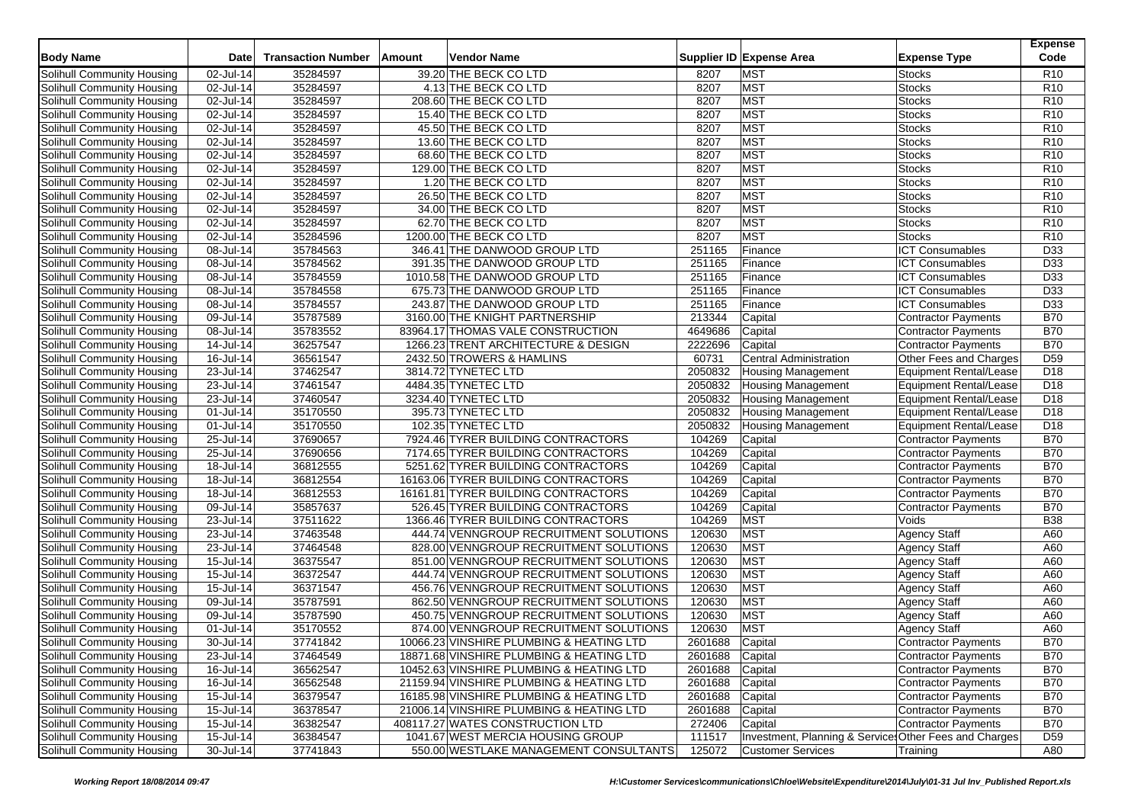| <b>Body Name</b>                  | <b>Date</b>             | <b>Transaction Number</b> | Amount<br>Vendor Name                    |                 | Supplier ID Expense Area<br><b>Expense Type</b>            | <b>Expense</b><br>Code |
|-----------------------------------|-------------------------|---------------------------|------------------------------------------|-----------------|------------------------------------------------------------|------------------------|
| Solihull Community Housing        | 02-Jul-14               | 35284597                  | 39.20 THE BECK CO LTD                    | 8207            | <b>MST</b><br><b>Stocks</b>                                | R <sub>10</sub>        |
| Solihull Community Housing        | 02-Jul-14               | 35284597                  | 4.13 THE BECK CO LTD                     | 8207            | <b>MST</b><br><b>Stocks</b>                                | R <sub>10</sub>        |
| Solihull Community Housing        | 02-Jul-14               | 35284597                  | 208.60 THE BECK CO LTD                   | 8207            | <b>MST</b><br><b>Stocks</b>                                | R <sub>10</sub>        |
| Solihull Community Housing        | 02-Jul-14               | 35284597                  | 15.40 THE BECK CO LTD                    | 8207            | <b>MST</b><br><b>Stocks</b>                                | R <sub>10</sub>        |
| Solihull Community Housing        | 02-Jul-14               | 35284597                  | 45.50 THE BECK CO LTD                    | 8207            | <b>MST</b><br><b>Stocks</b>                                | R <sub>10</sub>        |
| Solihull Community Housing        | 02-Jul-14               | 35284597                  | 13.60 THE BECK CO LTD                    | 8207            | MST<br><b>Stocks</b>                                       | R <sub>10</sub>        |
| Solihull Community Housing        | 02-Jul-14               | 35284597                  | 68.60 THE BECK CO LTD                    | 8207            | <b>MST</b><br>Stocks                                       | R <sub>10</sub>        |
| Solihull Community Housing        | 02-Jul-14               | 35284597                  | 129.00 THE BECK CO LTD                   | 8207            | <b>MST</b><br><b>Stocks</b>                                | R <sub>10</sub>        |
| Solihull Community Housing        | 02-Jul-14               | 35284597                  | 1.20 THE BECK CO LTD                     | 8207            | <b>MST</b><br><b>Stocks</b>                                | R <sub>10</sub>        |
| Solihull Community Housing        | 02-Jul-14               | 35284597                  | 26.50 THE BECK CO LTD                    | 8207            | <b>MST</b><br><b>Stocks</b>                                | R <sub>10</sub>        |
| Solihull Community Housing        | 02-Jul-14               | 35284597                  | 34.00 THE BECK CO LTD                    | 8207            | <b>MST</b><br><b>Stocks</b>                                | R <sub>10</sub>        |
| Solihull Community Housing        | 02-Jul-14               | 35284597                  | 62.70 THE BECK CO LTD                    | 8207            | <b>MST</b><br><b>Stocks</b>                                | R <sub>10</sub>        |
| Solihull Community Housing        | 02-Jul-14               | 35284596                  | 1200.00 THE BECK CO LTD                  | 8207            | <b>MST</b><br>Stocks                                       | R <sub>10</sub>        |
| Solihull Community Housing        | 08-Jul-14               | 35784563                  | 346.41 THE DANWOOD GROUP LTD             | 251165          | Finance<br><b>ICT Consumables</b>                          | D33                    |
|                                   | 08-Jul-14               | 35784562                  | 391.35 THE DANWOOD GROUP LTD             | 251165          | <b>ICT Consumables</b><br>Finance                          | D33                    |
| Solihull Community Housing        |                         |                           |                                          |                 |                                                            |                        |
| Solihull Community Housing        | 08-Jul-14               | 35784559                  | 1010.58 THE DANWOOD GROUP LTD            | 251165          | <b>ICT Consumables</b><br>Finance                          | D33                    |
| Solihull Community Housing        | 08-Jul-14               | 35784558                  | 675.73 THE DANWOOD GROUP LTD             | 251165          | <b>ICT Consumables</b><br>Finance                          | D33<br>D33             |
| Solihull Community Housing        | 08-Jul-14               | 35784557                  | 243.87 THE DANWOOD GROUP LTD             | 251165          | <b>ICT Consumables</b><br>Finance                          |                        |
| Solihull Community Housing        | $\overline{09}$ -Jul-14 | 35787589                  | 3160.00 THE KNIGHT PARTNERSHIP           | 213344          | Capital<br>Contractor Payments                             | <b>B70</b>             |
| Solihull Community Housing        | 08-Jul-14               | 35783552                  | 83964.17 THOMAS VALE CONSTRUCTION        | 4649686         | Capital<br>Contractor Payments                             | <b>B70</b>             |
| Solihull Community Housing        | 14-Jul-14               | 36257547                  | 1266.23 TRENT ARCHITECTURE & DESIGN      | 2222696         | Capital<br><b>Contractor Payments</b>                      | <b>B70</b>             |
| Solihull Community Housing        | 16-Jul-14               | 36561547                  | 2432.50 TROWERS & HAMLINS                | 60731           | <b>Central Administration</b><br>Other Fees and Charges    | D <sub>59</sub>        |
| Solihull Community Housing        | 23-Jul-14               | 37462547                  | 3814.72 TYNETEC LTD                      | 2050832         | <b>Housing Management</b><br><b>Equipment Rental/Lease</b> | D <sub>18</sub>        |
| Solihull Community Housing        | 23-Jul-14               | 37461547                  | 4484.35 TYNETEC LTD                      | 2050832         | Equipment Rental/Lease<br><b>Housing Management</b>        | D <sub>18</sub>        |
| Solihull Community Housing        | 23-Jul-14               | 37460547                  | 3234.40 TYNETEC LTD                      | 2050832         | <b>Housing Management</b><br>Equipment Rental/Lease        | D <sub>18</sub>        |
| Solihull Community Housing        | 01-Jul-14               | 35170550                  | 395.73 TYNETEC LTD                       | 2050832         | <b>Housing Management</b><br>Equipment Rental/Lease        | D <sub>18</sub>        |
| Solihull Community Housing        | 01-Jul-14               | 35170550                  | 102.35 TYNETEC LTD                       | 2050832         | <b>Housing Management</b><br>Equipment Rental/Lease        | D <sub>18</sub>        |
| Solihull Community Housing        | $\overline{25}$ -Jul-14 | 37690657                  | 7924.46 TYRER BUILDING CONTRACTORS       | 104269          | Capital<br><b>Contractor Payments</b>                      | <b>B70</b>             |
| Solihull Community Housing        | 25-Jul-14               | 37690656                  | 7174.65 TYRER BUILDING CONTRACTORS       | 104269          | Capital<br>Contractor Payments                             | <b>B70</b>             |
| Solihull Community Housing        | 18-Jul-14               | 36812555                  | 5251.62 TYRER BUILDING CONTRACTORS       | 104269          | Capital<br><b>Contractor Payments</b>                      | <b>B70</b>             |
| Solihull Community Housing        | $\overline{18}$ -Jul-14 | 36812554                  | 16163.06 TYRER BUILDING CONTRACTORS      | 104269          | Capital<br><b>Contractor Payments</b>                      | <b>B70</b>             |
| Solihull Community Housing        | 18-Jul-14               | 36812553                  | 16161.81 TYRER BUILDING CONTRACTORS      | 104269          | Capital<br>Contractor Payments                             | <b>B70</b>             |
| Solihull Community Housing        | 09-Jul-14               | 35857637                  | 526.45 TYRER BUILDING CONTRACTORS        | 104269          | Capital<br><b>Contractor Payments</b>                      | <b>B70</b>             |
| Solihull Community Housing        | 23-Jul-14               | 37511622                  | 1366.46 TYRER BUILDING CONTRACTORS       | 104269          | <b>MST</b><br>Voids                                        | <b>B38</b>             |
| Solihull Community Housing        | 23-Jul-14               | 37463548                  | 444.74 VENNGROUP RECRUITMENT SOLUTIONS   | 120630          | <b>MST</b><br><b>Agency Staff</b>                          | A60                    |
| <b>Solihull Community Housing</b> | $23$ -Jul-14            | 37464548                  | 828.00 VENNGROUP RECRUITMENT SOLUTIONS   | 120630          | <b>MST</b><br><b>Agency Staff</b>                          | A60                    |
| Solihull Community Housing        | 15-Jul-14               | 36375547                  | 851.00 VENNGROUP RECRUITMENT SOLUTIONS   | 120630          | <b>MST</b><br><b>Agency Staff</b>                          | A60                    |
| Solihull Community Housing        | 15-Jul-14               | 36372547                  | 444.74 VENNGROUP RECRUITMENT SOLUTIONS   | 120630          | <b>MST</b><br><b>Agency Staff</b>                          | A60                    |
| Solihull Community Housing        | 15-Jul-14               | 36371547                  | 456.76 VENNGROUP RECRUITMENT SOLUTIONS   | 120630          | <b>MST</b><br><b>Agency Staff</b>                          | A60                    |
| Solihull Community Housing        | 09-Jul-14               | 35787591                  | 862.50 VENNGROUP RECRUITMENT SOLUTIONS   | 120630          | <b>MST</b><br><b>Agency Staff</b>                          | A60                    |
| Solihull Community Housing        | 09-Jul-14               | 35787590                  | 450.75 VENNGROUP RECRUITMENT SOLUTIONS   | 120630          | <b>MST</b><br><b>Agency Staff</b>                          | A60                    |
| Solihull Community Housing        | 01-Jul-14               | 35170552                  | 874.00 VENNGROUP RECRUITMENT SOLUTIONS   | 120630          | <b>MST</b><br><b>Agency Staff</b>                          | A60                    |
| Solihull Community Housing        | 30-Jul-14               | 37741842                  | 10066.23 VINSHIRE PLUMBING & HEATING LTD | 2601688         | Capital<br>Contractor Payments                             | <b>B70</b>             |
| Solihull Community Housing        | 23-Jul-14               | 37464549                  | 18871.68 VINSHIRE PLUMBING & HEATING LTD | 2601688 Capital | <b>Contractor Payments</b>                                 | <b>B70</b>             |
| Solihull Community Housing        | 16-Jul-14               | 36562547                  | 10452.63 VINSHIRE PLUMBING & HEATING LTD | 2601688         | Contractor Payments<br>Capital                             | <b>B70</b>             |
| Solihull Community Housing        | 16-Jul-14               | 36562548                  | 21159.94 VINSHIRE PLUMBING & HEATING LTD | 2601688         | Capital<br>Contractor Payments                             | <b>B70</b>             |
| Solihull Community Housing        | 15-Jul-14               | 36379547                  | 16185.98 VINSHIRE PLUMBING & HEATING LTD | 2601688         | Capital<br>Contractor Payments                             | <b>B70</b>             |
| Solihull Community Housing        | 15-Jul-14               | 36378547                  | 21006.14 VINSHIRE PLUMBING & HEATING LTD | 2601688         | Capital<br>Contractor Payments                             | <b>B70</b>             |
| Solihull Community Housing        | 15-Jul-14               | 36382547                  | 408117.27 WATES CONSTRUCTION LTD         | 272406          | Contractor Payments<br>Capital                             | <b>B70</b>             |
| Solihull Community Housing        | 15-Jul-14               | 36384547                  | 1041.67 WEST MERCIA HOUSING GROUP        | 111517          | Investment, Planning & Service: Other Fees and Charges     | D <sub>59</sub>        |
| Solihull Community Housing        | 30-Jul-14               | 37741843                  | 550.00 WESTLAKE MANAGEMENT CONSULTANTS   | 125072          | <b>Customer Services</b><br>Training                       | A80                    |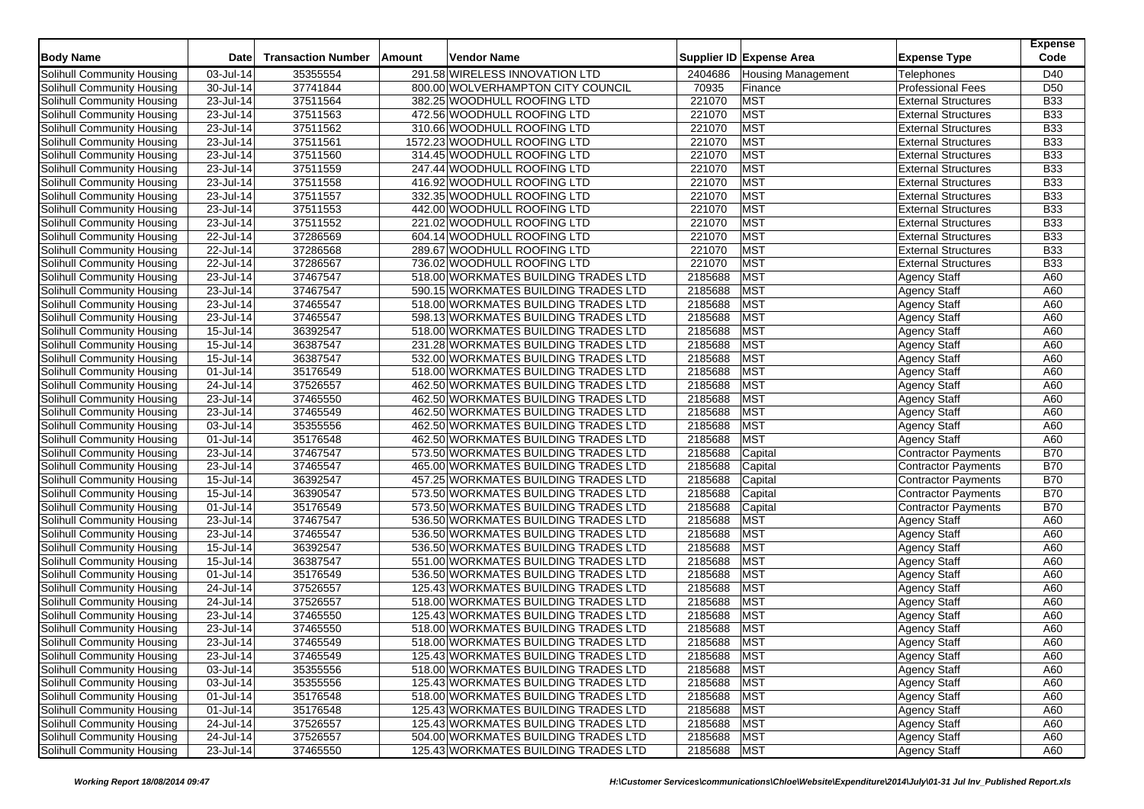| <b>Body Name</b>           | Date         | <b>Transaction Number</b> | Amount | Vendor Name                          |             | Supplier ID Expense Area  | <b>Expense Type</b>        | <b>Expense</b><br>Code |
|----------------------------|--------------|---------------------------|--------|--------------------------------------|-------------|---------------------------|----------------------------|------------------------|
| Solihull Community Housing | 03-Jul-14    | 35355554                  |        | 291.58 WIRELESS INNOVATION LTD       | 2404686     | <b>Housing Management</b> | Telephones                 | D40                    |
| Solihull Community Housing | 30-Jul-14    | 37741844                  |        | 800.00 WOLVERHAMPTON CITY COUNCIL    | 70935       | Finance                   | <b>Professional Fees</b>   | D <sub>50</sub>        |
| Solihull Community Housing | 23-Jul-14    | 37511564                  |        | 382.25 WOODHULL ROOFING LTD          | 221070      | <b>MST</b>                | <b>External Structures</b> | <b>B33</b>             |
| Solihull Community Housing | 23-Jul-14    | 37511563                  |        | 472.56 WOODHULL ROOFING LTD          | 221070      | <b>MST</b>                | <b>External Structures</b> | <b>B33</b>             |
| Solihull Community Housing | 23-Jul-14    | 37511562                  |        | 310.66 WOODHULL ROOFING LTD          | 221070      | <b>MST</b>                | <b>External Structures</b> | <b>B33</b>             |
| Solihull Community Housing | 23-Jul-14    | 37511561                  |        | 1572.23 WOODHULL ROOFING LTD         | 221070      | <b>MST</b>                | <b>External Structures</b> | <b>B33</b>             |
| Solihull Community Housing | 23-Jul-14    | 37511560                  |        | 314.45 WOODHULL ROOFING LTD          | 221070      | <b>MST</b>                | <b>External Structures</b> | <b>B33</b>             |
| Solihull Community Housing | 23-Jul-14    | 37511559                  |        | 247.44 WOODHULL ROOFING LTD          | 221070      | <b>MST</b>                | <b>External Structures</b> | <b>B33</b>             |
| Solihull Community Housing | 23-Jul-14    | 37511558                  |        | 416.92 WOODHULL ROOFING LTD          | 221070      | <b>MST</b>                | <b>External Structures</b> | <b>B33</b>             |
| Solihull Community Housing | 23-Jul-14    | 37511557                  |        | 332.35 WOODHULL ROOFING LTD          | 221070      | <b>MST</b>                | <b>External Structures</b> | <b>B33</b>             |
| Solihull Community Housing | 23-Jul-14    | 37511553                  |        | 442.00 WOODHULL ROOFING LTD          | 221070      | <b>MST</b>                | <b>External Structures</b> | <b>B33</b>             |
| Solihull Community Housing | 23-Jul-14    | 37511552                  |        | 221.02 WOODHULL ROOFING LTD          | 221070      | <b>MST</b>                | <b>External Structures</b> | <b>B33</b>             |
| Solihull Community Housing | 22-Jul-14    | 37286569                  |        | 604.14 WOODHULL ROOFING LTD          | 221070      | <b>MST</b>                | <b>External Structures</b> | <b>B33</b>             |
| Solihull Community Housing | 22-Jul-14    | 37286568                  |        | 289.67 WOODHULL ROOFING LTD          | 221070      | <b>MST</b>                | <b>External Structures</b> | <b>B33</b>             |
| Solihull Community Housing | 22-Jul-14    | 37286567                  |        | 736.02 WOODHULL ROOFING LTD          | 221070      | <b>MST</b>                | <b>External Structures</b> | <b>B33</b>             |
| Solihull Community Housing | 23-Jul-14    | 37467547                  |        | 518.00 WORKMATES BUILDING TRADES LTD | 2185688     | <b>MST</b>                | <b>Agency Staff</b>        | A60                    |
| Solihull Community Housing | 23-Jul-14    | 37467547                  |        | 590.15 WORKMATES BUILDING TRADES LTD | 2185688     | <b>MST</b>                | <b>Agency Staff</b>        | A60                    |
| Solihull Community Housing | 23-Jul-14    | 37465547                  |        | 518.00 WORKMATES BUILDING TRADES LTD | 2185688     | <b>MST</b>                | <b>Agency Staff</b>        | A60                    |
| Solihull Community Housing | 23-Jul-14    | 37465547                  |        | 598.13 WORKMATES BUILDING TRADES LTD | 2185688     | <b>MST</b>                | <b>Agency Staff</b>        | A60                    |
| Solihull Community Housing | 15-Jul-14    | 36392547                  |        | 518.00 WORKMATES BUILDING TRADES LTD | 2185688     | <b>MST</b>                | <b>Agency Staff</b>        | A60                    |
| Solihull Community Housing | 15-Jul-14    | 36387547                  |        | 231.28 WORKMATES BUILDING TRADES LTD | 2185688     | <b>MST</b>                | <b>Agency Staff</b>        | A60                    |
| Solihull Community Housing | $15$ -Jul-14 | 36387547                  |        | 532.00 WORKMATES BUILDING TRADES LTD | 2185688     | <b>MST</b>                | <b>Agency Staff</b>        | A60                    |
| Solihull Community Housing | 01-Jul-14    | 35176549                  |        | 518.00 WORKMATES BUILDING TRADES LTD | 2185688     | <b>MST</b>                | <b>Agency Staff</b>        | A60                    |
| Solihull Community Housing | $24$ -Jul-14 | 37526557                  |        | 462.50 WORKMATES BUILDING TRADES LTD | 2185688     | <b>MST</b>                | <b>Agency Staff</b>        | A60                    |
| Solihull Community Housing | 23-Jul-14    | 37465550                  |        | 462.50 WORKMATES BUILDING TRADES LTD | 2185688     | <b>MST</b>                | <b>Agency Staff</b>        | A60                    |
| Solihull Community Housing | 23-Jul-14    | 37465549                  |        | 462.50 WORKMATES BUILDING TRADES LTD | 2185688     | <b>MST</b>                | <b>Agency Staff</b>        | A60                    |
| Solihull Community Housing | 03-Jul-14    | 35355556                  |        | 462.50 WORKMATES BUILDING TRADES LTD | 2185688     | <b>MST</b>                | <b>Agency Staff</b>        | A60                    |
| Solihull Community Housing | 01-Jul-14    | 35176548                  |        | 462.50 WORKMATES BUILDING TRADES LTD | 2185688     | <b>MST</b>                | <b>Agency Staff</b>        | A60                    |
| Solihull Community Housing | 23-Jul-14    | 37467547                  |        | 573.50 WORKMATES BUILDING TRADES LTD | 2185688     | Capital                   | <b>Contractor Payments</b> | <b>B70</b>             |
| Solihull Community Housing | 23-Jul-14    | 37465547                  |        | 465.00 WORKMATES BUILDING TRADES LTD | 2185688     | Capital                   | <b>Contractor Payments</b> | <b>B70</b>             |
| Solihull Community Housing | 15-Jul-14    | 36392547                  |        | 457.25 WORKMATES BUILDING TRADES LTD | 2185688     | Capital                   | Contractor Payments        | <b>B70</b>             |
| Solihull Community Housing | 15-Jul-14    | 36390547                  |        | 573.50 WORKMATES BUILDING TRADES LTD | 2185688     | Capital                   | Contractor Payments        | <b>B70</b>             |
| Solihull Community Housing | 01-Jul-14    | 35176549                  |        | 573.50 WORKMATES BUILDING TRADES LTD | 2185688     | Capital                   | <b>Contractor Payments</b> | <b>B70</b>             |
| Solihull Community Housing | 23-Jul-14    | 37467547                  |        | 536.50 WORKMATES BUILDING TRADES LTD | 2185688     | <b>MST</b>                | <b>Agency Staff</b>        | A60                    |
| Solihull Community Housing | 23-Jul-14    | 37465547                  |        | 536.50 WORKMATES BUILDING TRADES LTD | 2185688     | <b>MST</b>                | <b>Agency Staff</b>        | A60                    |
| Solihull Community Housing | 15-Jul-14    | 36392547                  |        | 536.50 WORKMATES BUILDING TRADES LTD | 2185688     | <b>MST</b>                | <b>Agency Staff</b>        | A60                    |
| Solihull Community Housing | 15-Jul-14    | 36387547                  |        | 551.00 WORKMATES BUILDING TRADES LTD | 2185688     | <b>MST</b>                | <b>Agency Staff</b>        | A60                    |
| Solihull Community Housing | 01-Jul-14    | 35176549                  |        | 536.50 WORKMATES BUILDING TRADES LTD | 2185688     | <b>MST</b>                | <b>Agency Staff</b>        | A60                    |
| Solihull Community Housing | 24-Jul-14    | 37526557                  |        | 125.43 WORKMATES BUILDING TRADES LTD | 2185688     | <b>MST</b>                | <b>Agency Staff</b>        | A60                    |
| Solihull Community Housing | 24-Jul-14    | 37526557                  |        | 518.00 WORKMATES BUILDING TRADES LTD | 2185688     | <b>MST</b>                | <b>Agency Staff</b>        | A60                    |
| Solihull Community Housing | 23-Jul-14    | 37465550                  |        | 125.43 WORKMATES BUILDING TRADES LTD | 2185688     | <b>MST</b>                | <b>Agency Staff</b>        | A60                    |
| Solihull Community Housing | 23-Jul-14    | 37465550                  |        | 518.00 WORKMATES BUILDING TRADES LTD | 2185688     | <b>MST</b>                | <b>Agency Staff</b>        | A60                    |
| Solihull Community Housing | 23-Jul-14    | 37465549                  |        | 518.00 WORKMATES BUILDING TRADES LTD | 2185688     | <b>MST</b>                | <b>Agency Staff</b>        | A60                    |
| Solihull Community Housing | 23-Jul-14    | 37465549                  |        | 125.43 WORKMATES BUILDING TRADES LTD | 2185688 MST |                           | <b>Agency Staff</b>        | A60                    |
| Solihull Community Housing | 03-Jul-14    | 35355556                  |        | 518.00 WORKMATES BUILDING TRADES LTD | 2185688     | <b>MST</b>                | <b>Agency Staff</b>        | A60                    |
| Solihull Community Housing | 03-Jul-14    | 35355556                  |        | 125.43 WORKMATES BUILDING TRADES LTD | 2185688     | MST                       | <b>Agency Staff</b>        | A60                    |
| Solihull Community Housing | 01-Jul-14    | 35176548                  |        | 518.00 WORKMATES BUILDING TRADES LTD | 2185688     | <b>MST</b>                | <b>Agency Staff</b>        | A60                    |
| Solihull Community Housing | 01-Jul-14    | 35176548                  |        | 125.43 WORKMATES BUILDING TRADES LTD | 2185688     | <b>MST</b>                | <b>Agency Staff</b>        | A60                    |
| Solihull Community Housing | 24-Jul-14    | 37526557                  |        | 125.43 WORKMATES BUILDING TRADES LTD | 2185688     | <b>MST</b>                | <b>Agency Staff</b>        | A60                    |
| Solihull Community Housing | 24-Jul-14    | 37526557                  |        | 504.00 WORKMATES BUILDING TRADES LTD | 2185688     | <b>MST</b>                | <b>Agency Staff</b>        | A60                    |
| Solihull Community Housing | 23-Jul-14    | 37465550                  |        | 125.43 WORKMATES BUILDING TRADES LTD | 2185688     | <b>MST</b>                | Agency Staff               | A60                    |